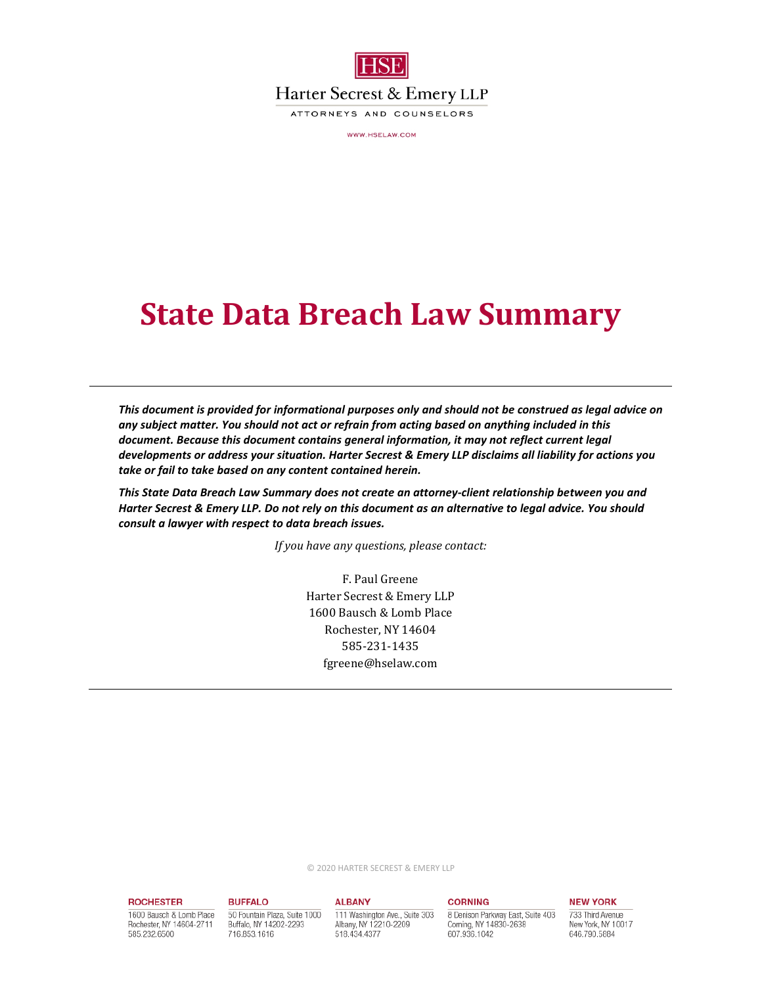

Harter Secrest & Emery LLP

ATTORNEYS AND COUNSELORS

WWW.HSELAW.COM

# **State Data Breach Law Summary**

*This document is provided for informational purposes only and should not be construed as legal advice on any subject matter. You should not act or refrain from acting based on anything included in this document. Because this document contains general information, it may not reflect current legal developments or address your situation. Harter Secrest & Emery LLP disclaims all liability for actions you take or fail to take based on any content contained herein.* 

*This State Data Breach Law Summary does not create an attorney-client relationship between you and Harter Secrest & Emery LLP. Do not rely on this document as an alternative to legal advice. You should consult a lawyer with respect to data breach issues.* 

*If you have any questions, please contact:* 

F. Paul Greene Harter Secrest & Emery LLP 1600 Bausch & Lomb Place Rochester, NY 14604 585-231-1435 fgreene@hselaw.com

© 2020 HARTER SECREST & EMERY LLP

#### **ROCHESTER**

1600 Bausch & Lomb Place Rochester, NY 14604-2711 585.232.6500

#### **ALBANY**

**BUFFALO** 

716.853.1616

50 Fountain Plaza, Suite 1000

Buffalo, NY 14202-2293

111 Washington Ave., Suite 303 Albany, NY 12210-2209 518.434.4377

### **CORNING**

8 Denison Parkway East, Suite 403 Corning, NY 14830-2638 607.936.1042

## **NEW YORK**

733 Third Avenue New York, NY 10017 646.790.5884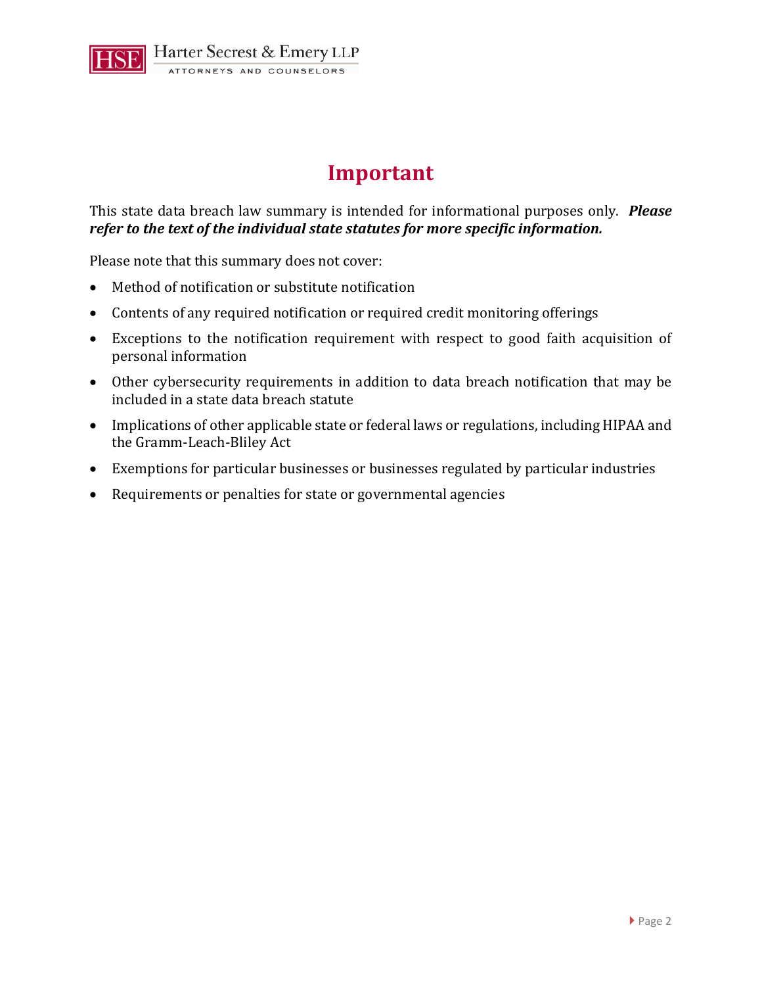

# **Important**

This state data breach law summary is intended for informational purposes only. *Please refer to the text of the individual state statutes for more specific information.*

Please note that this summary does not cover:

- Method of notification or substitute notification
- Contents of any required notification or required credit monitoring offerings
- Exceptions to the notification requirement with respect to good faith acquisition of personal information
- Other cybersecurity requirements in addition to data breach notification that may be included in a state data breach statute
- Implications of other applicable state or federal laws or regulations, including HIPAA and the Gramm-Leach-Bliley Act
- Exemptions for particular businesses or businesses regulated by particular industries
- Requirements or penalties for state or governmental agencies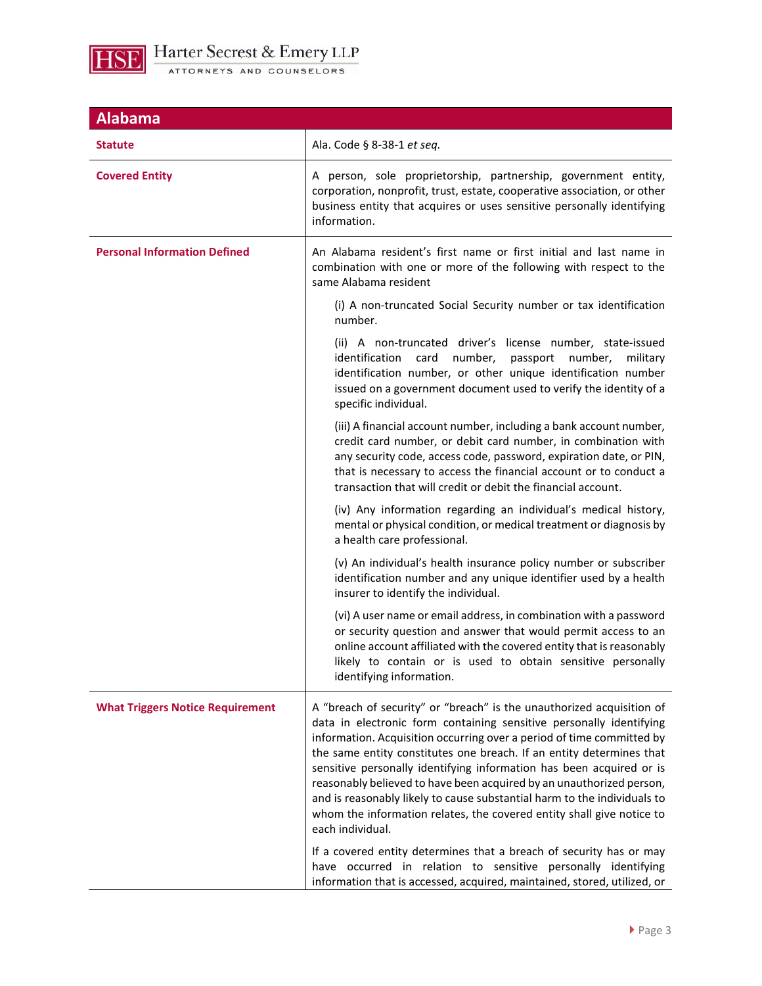

| <b>Alabama</b>                          |                                                                                                                                                                                                                                                                                                                                                                                                                                                                                                                                                                                                                                                                                               |
|-----------------------------------------|-----------------------------------------------------------------------------------------------------------------------------------------------------------------------------------------------------------------------------------------------------------------------------------------------------------------------------------------------------------------------------------------------------------------------------------------------------------------------------------------------------------------------------------------------------------------------------------------------------------------------------------------------------------------------------------------------|
| <b>Statute</b>                          | Ala. Code § 8-38-1 et seq.                                                                                                                                                                                                                                                                                                                                                                                                                                                                                                                                                                                                                                                                    |
| <b>Covered Entity</b>                   | A person, sole proprietorship, partnership, government entity,<br>corporation, nonprofit, trust, estate, cooperative association, or other<br>business entity that acquires or uses sensitive personally identifying<br>information.                                                                                                                                                                                                                                                                                                                                                                                                                                                          |
| <b>Personal Information Defined</b>     | An Alabama resident's first name or first initial and last name in<br>combination with one or more of the following with respect to the<br>same Alabama resident                                                                                                                                                                                                                                                                                                                                                                                                                                                                                                                              |
|                                         | (i) A non-truncated Social Security number or tax identification<br>number.                                                                                                                                                                                                                                                                                                                                                                                                                                                                                                                                                                                                                   |
|                                         | (ii) A non-truncated driver's license number, state-issued<br>identification<br>card<br>number,<br>passport<br>number,<br>military<br>identification number, or other unique identification number<br>issued on a government document used to verify the identity of a<br>specific individual.                                                                                                                                                                                                                                                                                                                                                                                                |
|                                         | (iii) A financial account number, including a bank account number,<br>credit card number, or debit card number, in combination with<br>any security code, access code, password, expiration date, or PIN,<br>that is necessary to access the financial account or to conduct a<br>transaction that will credit or debit the financial account.                                                                                                                                                                                                                                                                                                                                                |
|                                         | (iv) Any information regarding an individual's medical history,<br>mental or physical condition, or medical treatment or diagnosis by<br>a health care professional.                                                                                                                                                                                                                                                                                                                                                                                                                                                                                                                          |
|                                         | (v) An individual's health insurance policy number or subscriber<br>identification number and any unique identifier used by a health<br>insurer to identify the individual.                                                                                                                                                                                                                                                                                                                                                                                                                                                                                                                   |
|                                         | (vi) A user name or email address, in combination with a password<br>or security question and answer that would permit access to an<br>online account affiliated with the covered entity that is reasonably<br>likely to contain or is used to obtain sensitive personally<br>identifying information.                                                                                                                                                                                                                                                                                                                                                                                        |
| <b>What Triggers Notice Requirement</b> | A "breach of security" or "breach" is the unauthorized acquisition of<br>data in electronic form containing sensitive personally identifying<br>information. Acquisition occurring over a period of time committed by<br>the same entity constitutes one breach. If an entity determines that<br>sensitive personally identifying information has been acquired or is<br>reasonably believed to have been acquired by an unauthorized person,<br>and is reasonably likely to cause substantial harm to the individuals to<br>whom the information relates, the covered entity shall give notice to<br>each individual.<br>If a covered entity determines that a breach of security has or may |
|                                         | have occurred in relation to sensitive personally identifying<br>information that is accessed, acquired, maintained, stored, utilized, or                                                                                                                                                                                                                                                                                                                                                                                                                                                                                                                                                     |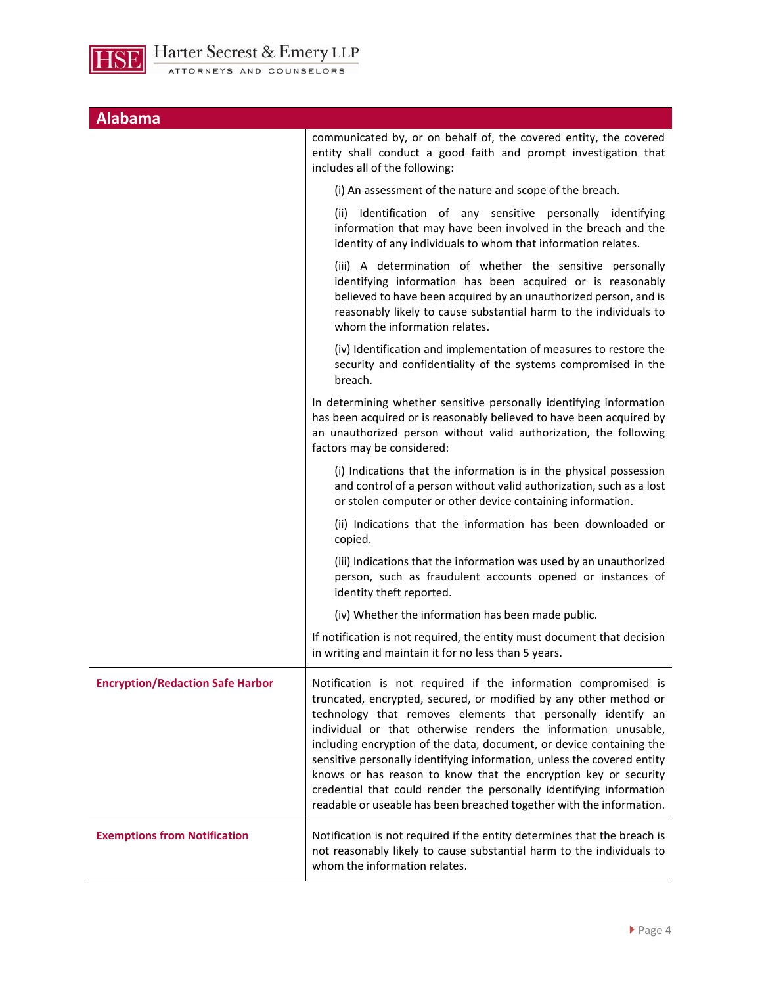

| <b>Alabama</b>                          |                                                                                                                                                                                                                                                                                                                                                                                                                                                                                                                                                                                                                                            |
|-----------------------------------------|--------------------------------------------------------------------------------------------------------------------------------------------------------------------------------------------------------------------------------------------------------------------------------------------------------------------------------------------------------------------------------------------------------------------------------------------------------------------------------------------------------------------------------------------------------------------------------------------------------------------------------------------|
|                                         | communicated by, or on behalf of, the covered entity, the covered<br>entity shall conduct a good faith and prompt investigation that<br>includes all of the following:                                                                                                                                                                                                                                                                                                                                                                                                                                                                     |
|                                         | (i) An assessment of the nature and scope of the breach.                                                                                                                                                                                                                                                                                                                                                                                                                                                                                                                                                                                   |
|                                         | (ii) Identification of any sensitive personally identifying<br>information that may have been involved in the breach and the<br>identity of any individuals to whom that information relates.                                                                                                                                                                                                                                                                                                                                                                                                                                              |
|                                         | (iii) A determination of whether the sensitive personally<br>identifying information has been acquired or is reasonably<br>believed to have been acquired by an unauthorized person, and is<br>reasonably likely to cause substantial harm to the individuals to<br>whom the information relates.                                                                                                                                                                                                                                                                                                                                          |
|                                         | (iv) Identification and implementation of measures to restore the<br>security and confidentiality of the systems compromised in the<br>breach.                                                                                                                                                                                                                                                                                                                                                                                                                                                                                             |
|                                         | In determining whether sensitive personally identifying information<br>has been acquired or is reasonably believed to have been acquired by<br>an unauthorized person without valid authorization, the following<br>factors may be considered:                                                                                                                                                                                                                                                                                                                                                                                             |
|                                         | (i) Indications that the information is in the physical possession<br>and control of a person without valid authorization, such as a lost<br>or stolen computer or other device containing information.                                                                                                                                                                                                                                                                                                                                                                                                                                    |
|                                         | (ii) Indications that the information has been downloaded or<br>copied.                                                                                                                                                                                                                                                                                                                                                                                                                                                                                                                                                                    |
|                                         | (iii) Indications that the information was used by an unauthorized<br>person, such as fraudulent accounts opened or instances of<br>identity theft reported.                                                                                                                                                                                                                                                                                                                                                                                                                                                                               |
|                                         | (iv) Whether the information has been made public.                                                                                                                                                                                                                                                                                                                                                                                                                                                                                                                                                                                         |
|                                         | If notification is not required, the entity must document that decision<br>in writing and maintain it for no less than 5 years.                                                                                                                                                                                                                                                                                                                                                                                                                                                                                                            |
| <b>Encryption/Redaction Safe Harbor</b> | Notification is not required if the information compromised is<br>truncated, encrypted, secured, or modified by any other method or<br>technology that removes elements that personally identify an<br>individual or that otherwise renders the information unusable,<br>including encryption of the data, document, or device containing the<br>sensitive personally identifying information, unless the covered entity<br>knows or has reason to know that the encryption key or security<br>credential that could render the personally identifying information<br>readable or useable has been breached together with the information. |
| <b>Exemptions from Notification</b>     | Notification is not required if the entity determines that the breach is<br>not reasonably likely to cause substantial harm to the individuals to<br>whom the information relates.                                                                                                                                                                                                                                                                                                                                                                                                                                                         |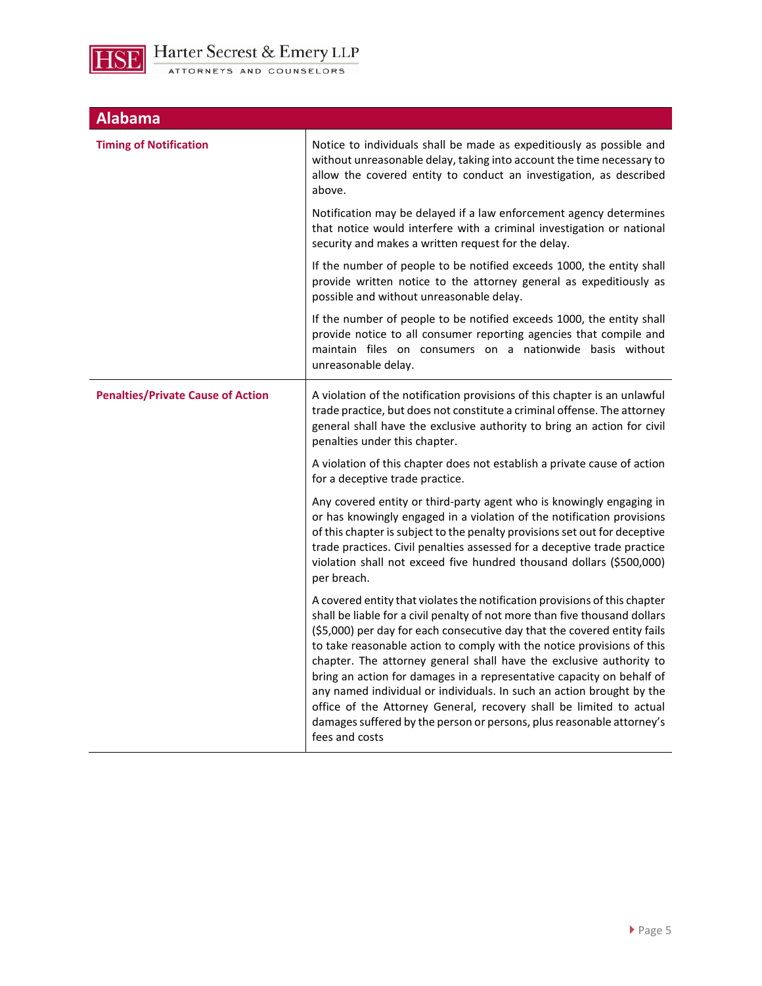

| <b>Alabama</b>                           |                                                                                                                                                                                                                                                                                                                                                                                                                                                                                                                                                                                                                                                                                                           |
|------------------------------------------|-----------------------------------------------------------------------------------------------------------------------------------------------------------------------------------------------------------------------------------------------------------------------------------------------------------------------------------------------------------------------------------------------------------------------------------------------------------------------------------------------------------------------------------------------------------------------------------------------------------------------------------------------------------------------------------------------------------|
| <b>Timing of Notification</b>            | Notice to individuals shall be made as expeditiously as possible and<br>without unreasonable delay, taking into account the time necessary to<br>allow the covered entity to conduct an investigation, as described<br>above.                                                                                                                                                                                                                                                                                                                                                                                                                                                                             |
|                                          | Notification may be delayed if a law enforcement agency determines<br>that notice would interfere with a criminal investigation or national<br>security and makes a written request for the delay.                                                                                                                                                                                                                                                                                                                                                                                                                                                                                                        |
|                                          | If the number of people to be notified exceeds 1000, the entity shall<br>provide written notice to the attorney general as expeditiously as<br>possible and without unreasonable delay.                                                                                                                                                                                                                                                                                                                                                                                                                                                                                                                   |
|                                          | If the number of people to be notified exceeds 1000, the entity shall<br>provide notice to all consumer reporting agencies that compile and<br>maintain files on consumers on a nationwide basis without<br>unreasonable delay.                                                                                                                                                                                                                                                                                                                                                                                                                                                                           |
| <b>Penalties/Private Cause of Action</b> | A violation of the notification provisions of this chapter is an unlawful<br>trade practice, but does not constitute a criminal offense. The attorney<br>general shall have the exclusive authority to bring an action for civil<br>penalties under this chapter.                                                                                                                                                                                                                                                                                                                                                                                                                                         |
|                                          | A violation of this chapter does not establish a private cause of action<br>for a deceptive trade practice.                                                                                                                                                                                                                                                                                                                                                                                                                                                                                                                                                                                               |
|                                          | Any covered entity or third-party agent who is knowingly engaging in<br>or has knowingly engaged in a violation of the notification provisions<br>of this chapter is subject to the penalty provisions set out for deceptive<br>trade practices. Civil penalties assessed for a deceptive trade practice<br>violation shall not exceed five hundred thousand dollars (\$500,000)<br>per breach.                                                                                                                                                                                                                                                                                                           |
|                                          | A covered entity that violates the notification provisions of this chapter<br>shall be liable for a civil penalty of not more than five thousand dollars<br>(\$5,000) per day for each consecutive day that the covered entity fails<br>to take reasonable action to comply with the notice provisions of this<br>chapter. The attorney general shall have the exclusive authority to<br>bring an action for damages in a representative capacity on behalf of<br>any named individual or individuals. In such an action brought by the<br>office of the Attorney General, recovery shall be limited to actual<br>damages suffered by the person or persons, plus reasonable attorney's<br>fees and costs |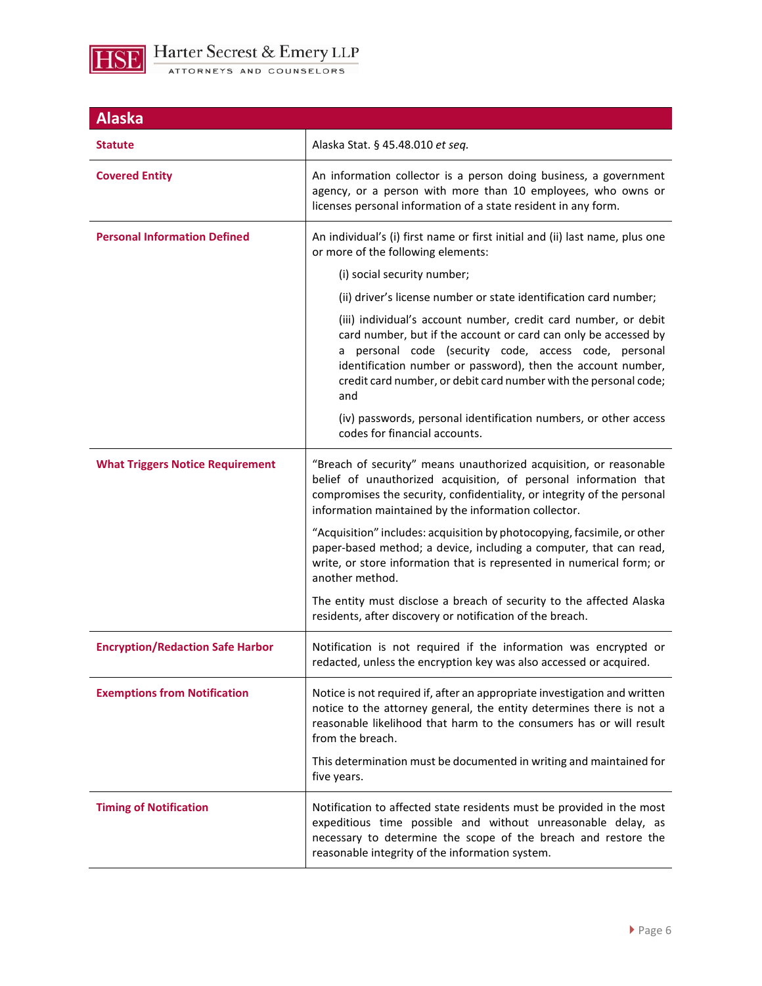

| <b>Alaska</b>                           |                                                                                                                                                                                                                                                                                                                                        |
|-----------------------------------------|----------------------------------------------------------------------------------------------------------------------------------------------------------------------------------------------------------------------------------------------------------------------------------------------------------------------------------------|
| Statute                                 | Alaska Stat. § 45.48.010 et seq.                                                                                                                                                                                                                                                                                                       |
| <b>Covered Entity</b>                   | An information collector is a person doing business, a government<br>agency, or a person with more than 10 employees, who owns or<br>licenses personal information of a state resident in any form.                                                                                                                                    |
| <b>Personal Information Defined</b>     | An individual's (i) first name or first initial and (ii) last name, plus one<br>or more of the following elements:                                                                                                                                                                                                                     |
|                                         | (i) social security number;                                                                                                                                                                                                                                                                                                            |
|                                         | (ii) driver's license number or state identification card number;                                                                                                                                                                                                                                                                      |
|                                         | (iii) individual's account number, credit card number, or debit<br>card number, but if the account or card can only be accessed by<br>a personal code (security code, access code, personal<br>identification number or password), then the account number,<br>credit card number, or debit card number with the personal code;<br>and |
|                                         | (iv) passwords, personal identification numbers, or other access<br>codes for financial accounts.                                                                                                                                                                                                                                      |
| <b>What Triggers Notice Requirement</b> | "Breach of security" means unauthorized acquisition, or reasonable<br>belief of unauthorized acquisition, of personal information that<br>compromises the security, confidentiality, or integrity of the personal<br>information maintained by the information collector.                                                              |
|                                         | "Acquisition" includes: acquisition by photocopying, facsimile, or other<br>paper-based method; a device, including a computer, that can read,<br>write, or store information that is represented in numerical form; or<br>another method.                                                                                             |
|                                         | The entity must disclose a breach of security to the affected Alaska<br>residents, after discovery or notification of the breach.                                                                                                                                                                                                      |
| <b>Encryption/Redaction Safe Harbor</b> | Notification is not required if the information was encrypted or<br>redacted, unless the encryption key was also accessed or acquired.                                                                                                                                                                                                 |
| <b>Exemptions from Notification</b>     | Notice is not required if, after an appropriate investigation and written<br>notice to the attorney general, the entity determines there is not a<br>reasonable likelihood that harm to the consumers has or will result<br>from the breach.<br>This determination must be documented in writing and maintained for<br>five years.     |
| <b>Timing of Notification</b>           | Notification to affected state residents must be provided in the most<br>expeditious time possible and without unreasonable delay, as<br>necessary to determine the scope of the breach and restore the<br>reasonable integrity of the information system.                                                                             |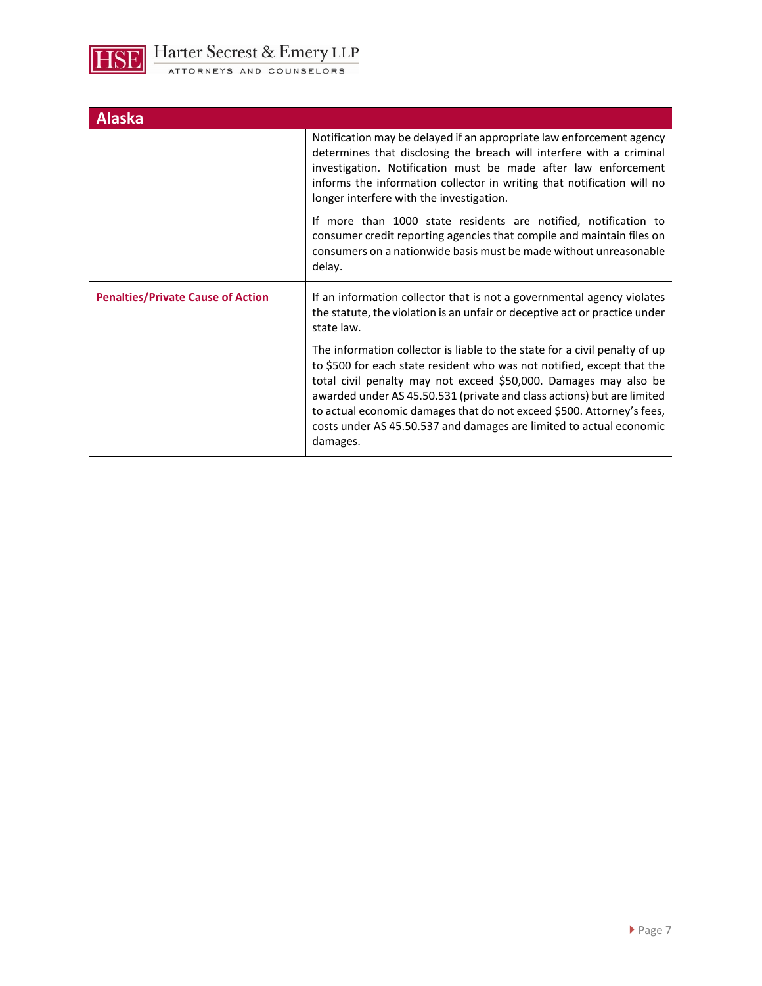

| <b>Alaska</b>                            |                                                                                                                                                                                                                                                                                                                                                                                                                                                                |
|------------------------------------------|----------------------------------------------------------------------------------------------------------------------------------------------------------------------------------------------------------------------------------------------------------------------------------------------------------------------------------------------------------------------------------------------------------------------------------------------------------------|
|                                          | Notification may be delayed if an appropriate law enforcement agency<br>determines that disclosing the breach will interfere with a criminal<br>investigation. Notification must be made after law enforcement<br>informs the information collector in writing that notification will no<br>longer interfere with the investigation.                                                                                                                           |
|                                          | If more than 1000 state residents are notified, notification to<br>consumer credit reporting agencies that compile and maintain files on<br>consumers on a nationwide basis must be made without unreasonable<br>delay.                                                                                                                                                                                                                                        |
| <b>Penalties/Private Cause of Action</b> | If an information collector that is not a governmental agency violates<br>the statute, the violation is an unfair or deceptive act or practice under<br>state law.                                                                                                                                                                                                                                                                                             |
|                                          | The information collector is liable to the state for a civil penalty of up<br>to \$500 for each state resident who was not notified, except that the<br>total civil penalty may not exceed \$50,000. Damages may also be<br>awarded under AS 45.50.531 (private and class actions) but are limited<br>to actual economic damages that do not exceed \$500. Attorney's fees,<br>costs under AS 45.50.537 and damages are limited to actual economic<br>damages. |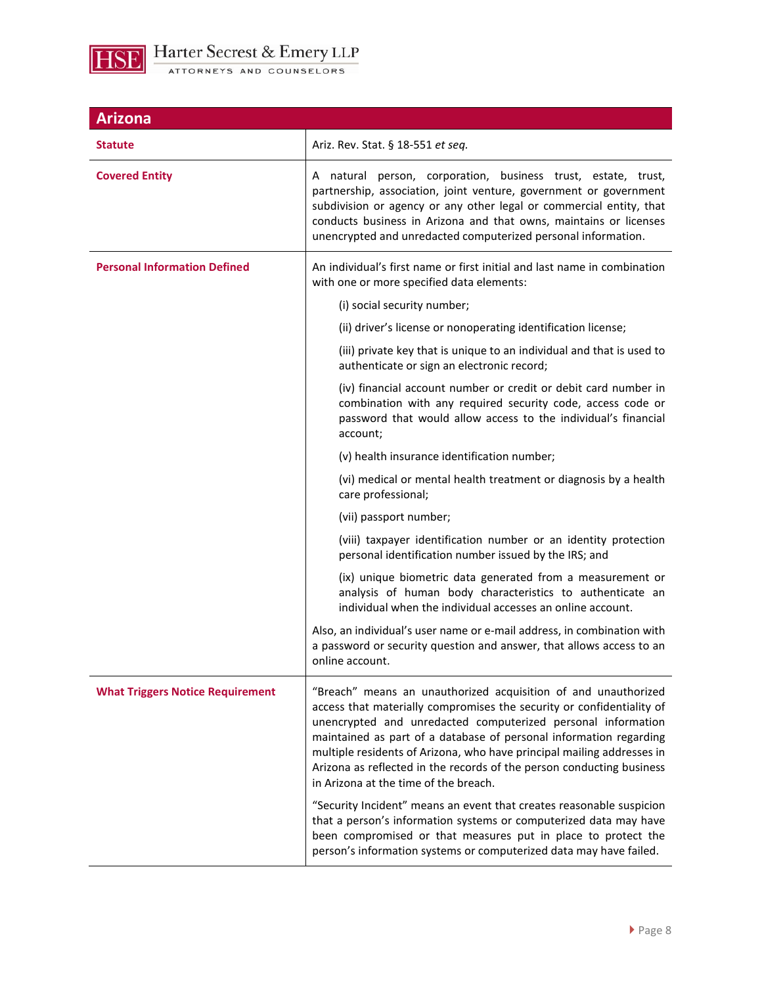

| <b>Arizona</b>                          |                                                                                                                                                                                                                                                                                                                                                                                                                                                                           |
|-----------------------------------------|---------------------------------------------------------------------------------------------------------------------------------------------------------------------------------------------------------------------------------------------------------------------------------------------------------------------------------------------------------------------------------------------------------------------------------------------------------------------------|
| Statute                                 | Ariz. Rev. Stat. § 18-551 et seq.                                                                                                                                                                                                                                                                                                                                                                                                                                         |
| <b>Covered Entity</b>                   | A natural person, corporation, business trust, estate, trust,<br>partnership, association, joint venture, government or government<br>subdivision or agency or any other legal or commercial entity, that<br>conducts business in Arizona and that owns, maintains or licenses<br>unencrypted and unredacted computerized personal information.                                                                                                                           |
| <b>Personal Information Defined</b>     | An individual's first name or first initial and last name in combination<br>with one or more specified data elements:                                                                                                                                                                                                                                                                                                                                                     |
|                                         | (i) social security number;                                                                                                                                                                                                                                                                                                                                                                                                                                               |
|                                         | (ii) driver's license or nonoperating identification license;                                                                                                                                                                                                                                                                                                                                                                                                             |
|                                         | (iii) private key that is unique to an individual and that is used to<br>authenticate or sign an electronic record;                                                                                                                                                                                                                                                                                                                                                       |
|                                         | (iv) financial account number or credit or debit card number in<br>combination with any required security code, access code or<br>password that would allow access to the individual's financial<br>account;                                                                                                                                                                                                                                                              |
|                                         | (v) health insurance identification number;                                                                                                                                                                                                                                                                                                                                                                                                                               |
|                                         | (vi) medical or mental health treatment or diagnosis by a health<br>care professional;                                                                                                                                                                                                                                                                                                                                                                                    |
|                                         | (vii) passport number;                                                                                                                                                                                                                                                                                                                                                                                                                                                    |
|                                         | (viii) taxpayer identification number or an identity protection<br>personal identification number issued by the IRS; and                                                                                                                                                                                                                                                                                                                                                  |
|                                         | (ix) unique biometric data generated from a measurement or<br>analysis of human body characteristics to authenticate an<br>individual when the individual accesses an online account.                                                                                                                                                                                                                                                                                     |
|                                         | Also, an individual's user name or e-mail address, in combination with<br>a password or security question and answer, that allows access to an<br>online account.                                                                                                                                                                                                                                                                                                         |
| <b>What Triggers Notice Requirement</b> | "Breach" means an unauthorized acquisition of and unauthorized<br>access that materially compromises the security or confidentiality of<br>unencrypted and unredacted computerized personal information<br>maintained as part of a database of personal information regarding<br>multiple residents of Arizona, who have principal mailing addresses in<br>Arizona as reflected in the records of the person conducting business<br>in Arizona at the time of the breach. |
|                                         | "Security Incident" means an event that creates reasonable suspicion<br>that a person's information systems or computerized data may have<br>been compromised or that measures put in place to protect the<br>person's information systems or computerized data may have failed.                                                                                                                                                                                          |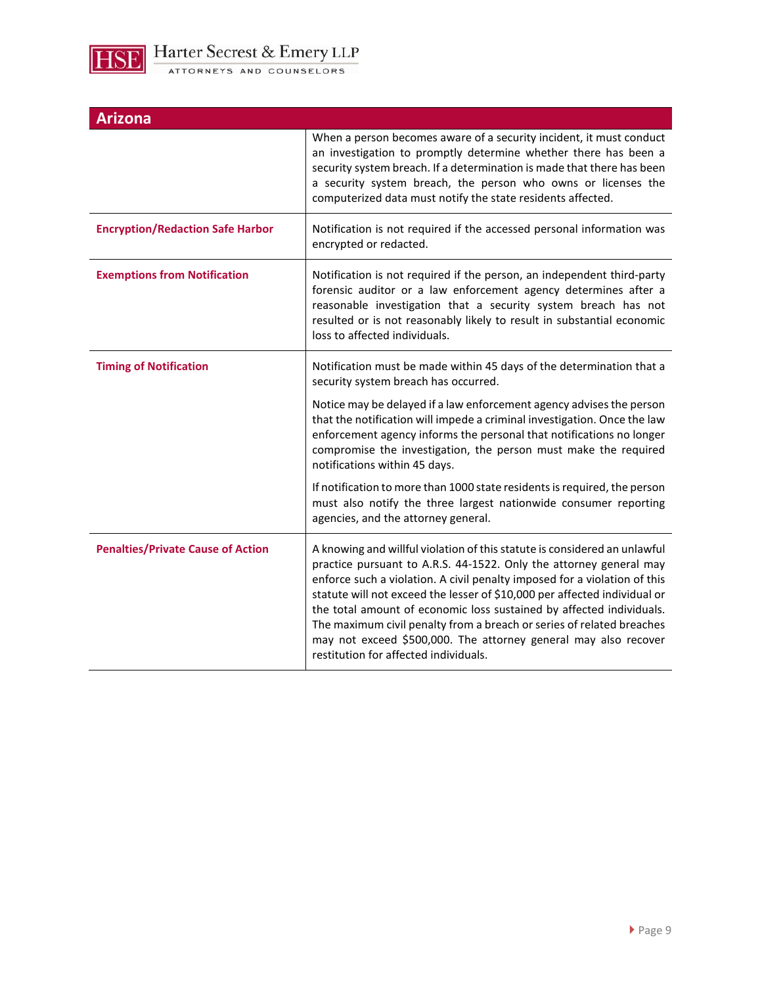

| Arizona                                  |                                                                                                                                                                                                                                                                                                                                                                                                                                                                                                                                                                        |
|------------------------------------------|------------------------------------------------------------------------------------------------------------------------------------------------------------------------------------------------------------------------------------------------------------------------------------------------------------------------------------------------------------------------------------------------------------------------------------------------------------------------------------------------------------------------------------------------------------------------|
|                                          | When a person becomes aware of a security incident, it must conduct<br>an investigation to promptly determine whether there has been a<br>security system breach. If a determination is made that there has been<br>a security system breach, the person who owns or licenses the<br>computerized data must notify the state residents affected.                                                                                                                                                                                                                       |
| <b>Encryption/Redaction Safe Harbor</b>  | Notification is not required if the accessed personal information was<br>encrypted or redacted.                                                                                                                                                                                                                                                                                                                                                                                                                                                                        |
| <b>Exemptions from Notification</b>      | Notification is not required if the person, an independent third-party<br>forensic auditor or a law enforcement agency determines after a<br>reasonable investigation that a security system breach has not<br>resulted or is not reasonably likely to result in substantial economic<br>loss to affected individuals.                                                                                                                                                                                                                                                 |
| <b>Timing of Notification</b>            | Notification must be made within 45 days of the determination that a<br>security system breach has occurred.                                                                                                                                                                                                                                                                                                                                                                                                                                                           |
|                                          | Notice may be delayed if a law enforcement agency advises the person<br>that the notification will impede a criminal investigation. Once the law<br>enforcement agency informs the personal that notifications no longer<br>compromise the investigation, the person must make the required<br>notifications within 45 days.                                                                                                                                                                                                                                           |
|                                          | If notification to more than 1000 state residents is required, the person<br>must also notify the three largest nationwide consumer reporting<br>agencies, and the attorney general.                                                                                                                                                                                                                                                                                                                                                                                   |
| <b>Penalties/Private Cause of Action</b> | A knowing and willful violation of this statute is considered an unlawful<br>practice pursuant to A.R.S. 44-1522. Only the attorney general may<br>enforce such a violation. A civil penalty imposed for a violation of this<br>statute will not exceed the lesser of \$10,000 per affected individual or<br>the total amount of economic loss sustained by affected individuals.<br>The maximum civil penalty from a breach or series of related breaches<br>may not exceed \$500,000. The attorney general may also recover<br>restitution for affected individuals. |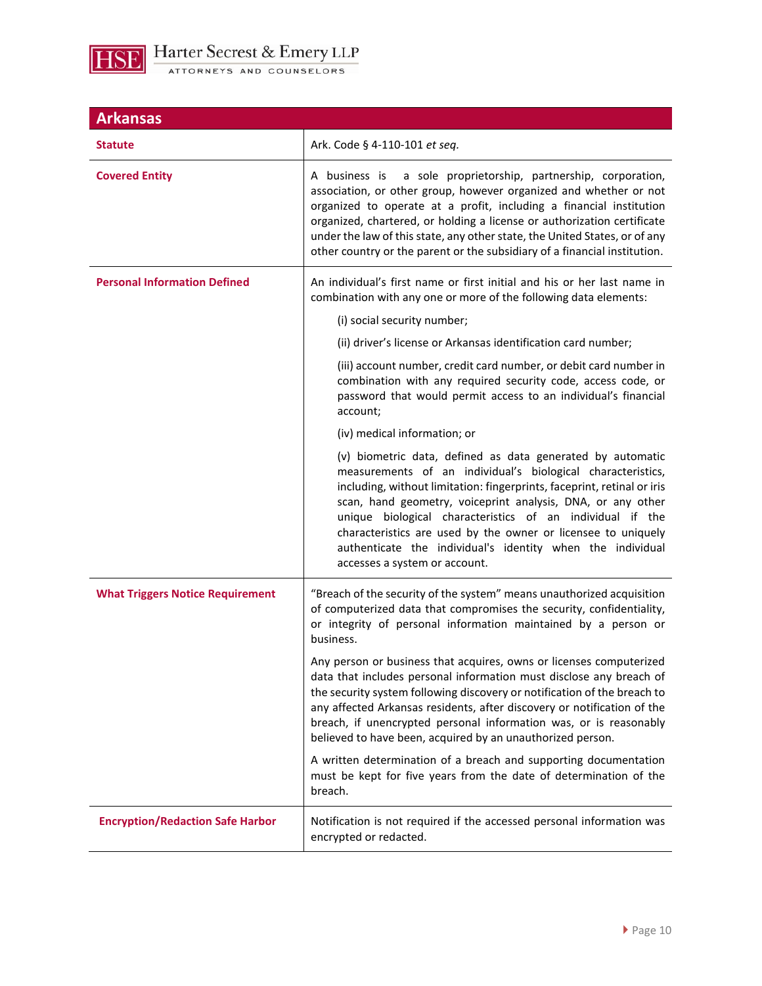

| <b>Arkansas</b>                         |                                                                                                                                                                                                                                                                                                                                                                                                                                                                                                  |
|-----------------------------------------|--------------------------------------------------------------------------------------------------------------------------------------------------------------------------------------------------------------------------------------------------------------------------------------------------------------------------------------------------------------------------------------------------------------------------------------------------------------------------------------------------|
| <b>Statute</b>                          | Ark. Code § 4-110-101 et seq.                                                                                                                                                                                                                                                                                                                                                                                                                                                                    |
| <b>Covered Entity</b>                   | A business is a sole proprietorship, partnership, corporation,<br>association, or other group, however organized and whether or not<br>organized to operate at a profit, including a financial institution<br>organized, chartered, or holding a license or authorization certificate<br>under the law of this state, any other state, the United States, or of any<br>other country or the parent or the subsidiary of a financial institution.                                                 |
| <b>Personal Information Defined</b>     | An individual's first name or first initial and his or her last name in<br>combination with any one or more of the following data elements:<br>(i) social security number;                                                                                                                                                                                                                                                                                                                       |
|                                         | (ii) driver's license or Arkansas identification card number;                                                                                                                                                                                                                                                                                                                                                                                                                                    |
|                                         | (iii) account number, credit card number, or debit card number in<br>combination with any required security code, access code, or<br>password that would permit access to an individual's financial<br>account;                                                                                                                                                                                                                                                                                  |
|                                         | (iv) medical information; or                                                                                                                                                                                                                                                                                                                                                                                                                                                                     |
|                                         | (v) biometric data, defined as data generated by automatic<br>measurements of an individual's biological characteristics,<br>including, without limitation: fingerprints, faceprint, retinal or iris<br>scan, hand geometry, voiceprint analysis, DNA, or any other<br>unique biological characteristics of an individual if the<br>characteristics are used by the owner or licensee to uniquely<br>authenticate the individual's identity when the individual<br>accesses a system or account. |
| <b>What Triggers Notice Requirement</b> | "Breach of the security of the system" means unauthorized acquisition<br>of computerized data that compromises the security, confidentiality,<br>or integrity of personal information maintained by a person or<br>business.                                                                                                                                                                                                                                                                     |
|                                         | Any person or business that acquires, owns or licenses computerized<br>data that includes personal information must disclose any breach of<br>the security system following discovery or notification of the breach to<br>any affected Arkansas residents, after discovery or notification of the<br>breach, if unencrypted personal information was, or is reasonably<br>believed to have been, acquired by an unauthorized person.                                                             |
|                                         | A written determination of a breach and supporting documentation<br>must be kept for five years from the date of determination of the<br>breach.                                                                                                                                                                                                                                                                                                                                                 |
| <b>Encryption/Redaction Safe Harbor</b> | Notification is not required if the accessed personal information was<br>encrypted or redacted.                                                                                                                                                                                                                                                                                                                                                                                                  |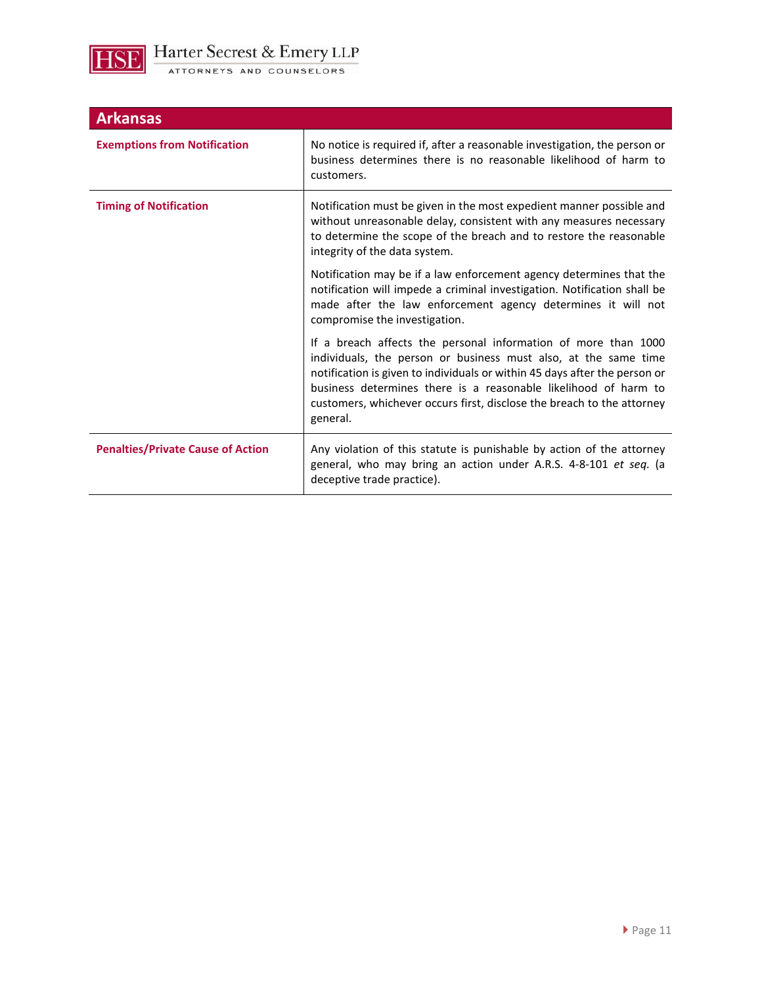

| <b>Arkansas</b>                          |                                                                                                                                                                                                                                                                                                                                                                          |
|------------------------------------------|--------------------------------------------------------------------------------------------------------------------------------------------------------------------------------------------------------------------------------------------------------------------------------------------------------------------------------------------------------------------------|
| <b>Exemptions from Notification</b>      | No notice is required if, after a reasonable investigation, the person or<br>business determines there is no reasonable likelihood of harm to<br>customers.                                                                                                                                                                                                              |
| <b>Timing of Notification</b>            | Notification must be given in the most expedient manner possible and<br>without unreasonable delay, consistent with any measures necessary<br>to determine the scope of the breach and to restore the reasonable<br>integrity of the data system.                                                                                                                        |
|                                          | Notification may be if a law enforcement agency determines that the<br>notification will impede a criminal investigation. Notification shall be<br>made after the law enforcement agency determines it will not<br>compromise the investigation.                                                                                                                         |
|                                          | If a breach affects the personal information of more than 1000<br>individuals, the person or business must also, at the same time<br>notification is given to individuals or within 45 days after the person or<br>business determines there is a reasonable likelihood of harm to<br>customers, whichever occurs first, disclose the breach to the attorney<br>general. |
| <b>Penalties/Private Cause of Action</b> | Any violation of this statute is punishable by action of the attorney<br>general, who may bring an action under A.R.S. 4-8-101 et seq. (a<br>deceptive trade practice).                                                                                                                                                                                                  |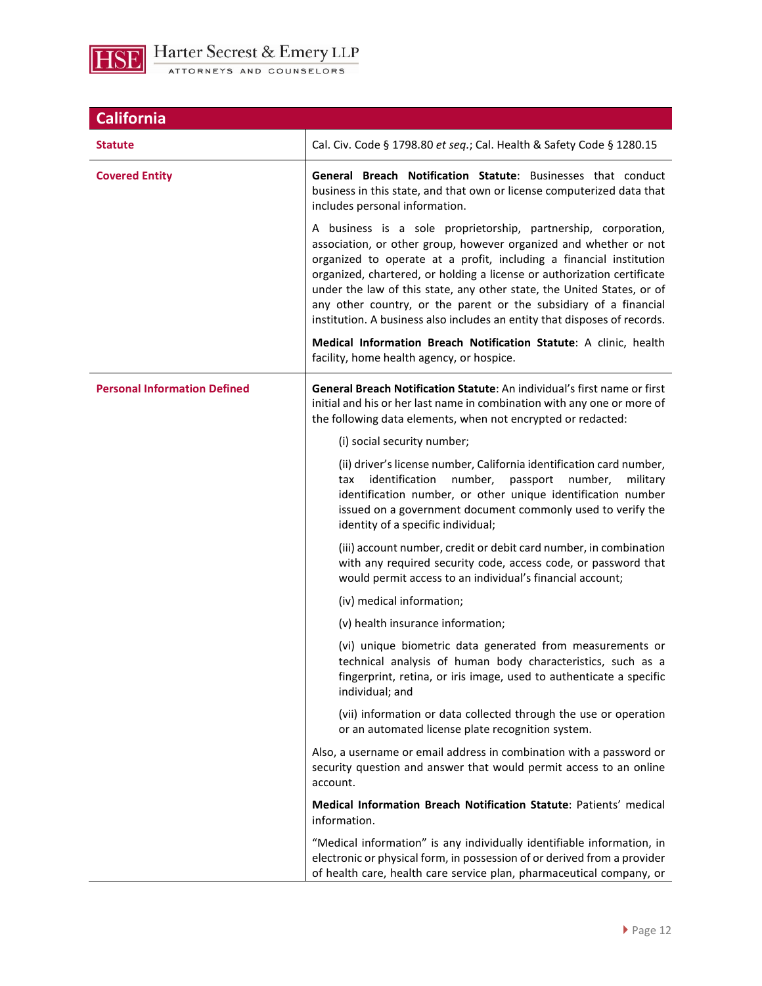

| <b>California</b>                   |                                                                                                                                                                                                                                                                                                                                                                                                                                                                                                                   |
|-------------------------------------|-------------------------------------------------------------------------------------------------------------------------------------------------------------------------------------------------------------------------------------------------------------------------------------------------------------------------------------------------------------------------------------------------------------------------------------------------------------------------------------------------------------------|
| Statute                             | Cal. Civ. Code § 1798.80 et seq.; Cal. Health & Safety Code § 1280.15                                                                                                                                                                                                                                                                                                                                                                                                                                             |
| <b>Covered Entity</b>               | General Breach Notification Statute: Businesses that conduct<br>business in this state, and that own or license computerized data that<br>includes personal information.                                                                                                                                                                                                                                                                                                                                          |
|                                     | A business is a sole proprietorship, partnership, corporation,<br>association, or other group, however organized and whether or not<br>organized to operate at a profit, including a financial institution<br>organized, chartered, or holding a license or authorization certificate<br>under the law of this state, any other state, the United States, or of<br>any other country, or the parent or the subsidiary of a financial<br>institution. A business also includes an entity that disposes of records. |
|                                     | Medical Information Breach Notification Statute: A clinic, health<br>facility, home health agency, or hospice.                                                                                                                                                                                                                                                                                                                                                                                                    |
| <b>Personal Information Defined</b> | General Breach Notification Statute: An individual's first name or first<br>initial and his or her last name in combination with any one or more of<br>the following data elements, when not encrypted or redacted:                                                                                                                                                                                                                                                                                               |
|                                     | (i) social security number;                                                                                                                                                                                                                                                                                                                                                                                                                                                                                       |
|                                     | (ii) driver's license number, California identification card number,<br>identification<br>number,<br>passport<br>number,<br>tax<br>military<br>identification number, or other unique identification number<br>issued on a government document commonly used to verify the<br>identity of a specific individual;                                                                                                                                                                                                  |
|                                     | (iii) account number, credit or debit card number, in combination<br>with any required security code, access code, or password that<br>would permit access to an individual's financial account;                                                                                                                                                                                                                                                                                                                  |
|                                     | (iv) medical information;                                                                                                                                                                                                                                                                                                                                                                                                                                                                                         |
|                                     | (v) health insurance information;                                                                                                                                                                                                                                                                                                                                                                                                                                                                                 |
|                                     | (vi) unique biometric data generated from measurements or<br>technical analysis of human body characteristics, such as a<br>fingerprint, retina, or iris image, used to authenticate a specific<br>individual; and                                                                                                                                                                                                                                                                                                |
|                                     | (vii) information or data collected through the use or operation<br>or an automated license plate recognition system.                                                                                                                                                                                                                                                                                                                                                                                             |
|                                     | Also, a username or email address in combination with a password or<br>security question and answer that would permit access to an online<br>account.                                                                                                                                                                                                                                                                                                                                                             |
|                                     | Medical Information Breach Notification Statute: Patients' medical<br>information.                                                                                                                                                                                                                                                                                                                                                                                                                                |
|                                     | "Medical information" is any individually identifiable information, in<br>electronic or physical form, in possession of or derived from a provider<br>of health care, health care service plan, pharmaceutical company, or                                                                                                                                                                                                                                                                                        |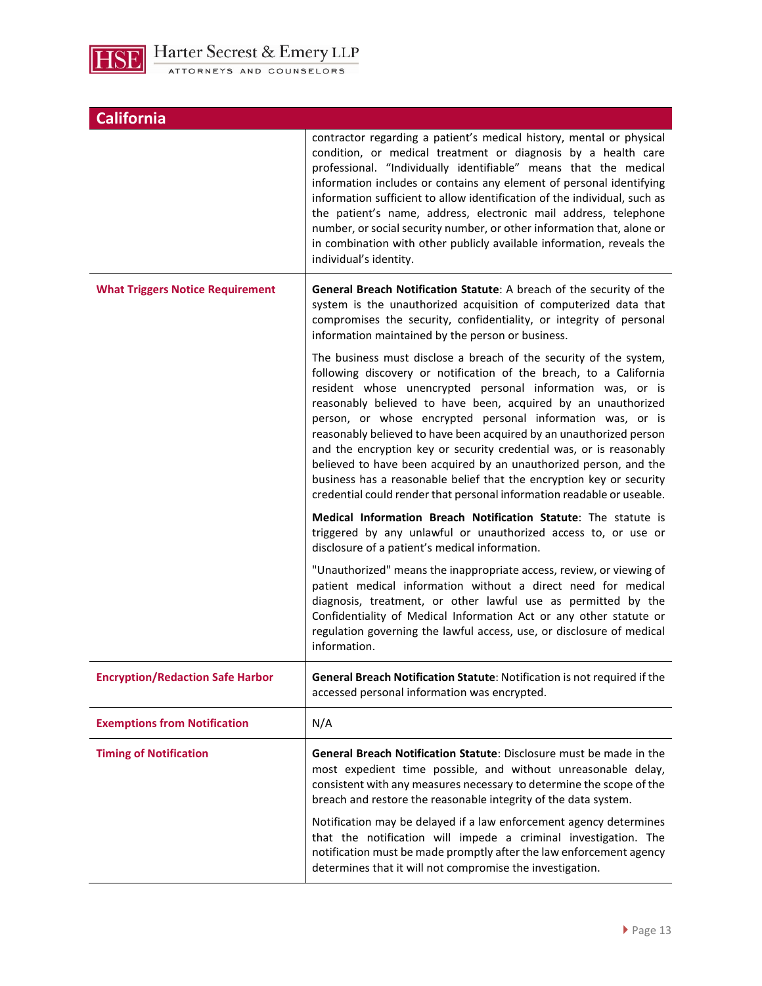

| <b>California</b>                       |                                                                                                                                                                                                                                                                                                                                                                                                                                                                                                                                                                                                                                                                                                            |
|-----------------------------------------|------------------------------------------------------------------------------------------------------------------------------------------------------------------------------------------------------------------------------------------------------------------------------------------------------------------------------------------------------------------------------------------------------------------------------------------------------------------------------------------------------------------------------------------------------------------------------------------------------------------------------------------------------------------------------------------------------------|
|                                         | contractor regarding a patient's medical history, mental or physical<br>condition, or medical treatment or diagnosis by a health care<br>professional. "Individually identifiable" means that the medical<br>information includes or contains any element of personal identifying<br>information sufficient to allow identification of the individual, such as<br>the patient's name, address, electronic mail address, telephone<br>number, or social security number, or other information that, alone or<br>in combination with other publicly available information, reveals the<br>individual's identity.                                                                                             |
| <b>What Triggers Notice Requirement</b> | General Breach Notification Statute: A breach of the security of the<br>system is the unauthorized acquisition of computerized data that<br>compromises the security, confidentiality, or integrity of personal<br>information maintained by the person or business.                                                                                                                                                                                                                                                                                                                                                                                                                                       |
|                                         | The business must disclose a breach of the security of the system,<br>following discovery or notification of the breach, to a California<br>resident whose unencrypted personal information was, or is<br>reasonably believed to have been, acquired by an unauthorized<br>person, or whose encrypted personal information was, or is<br>reasonably believed to have been acquired by an unauthorized person<br>and the encryption key or security credential was, or is reasonably<br>believed to have been acquired by an unauthorized person, and the<br>business has a reasonable belief that the encryption key or security<br>credential could render that personal information readable or useable. |
|                                         | Medical Information Breach Notification Statute: The statute is<br>triggered by any unlawful or unauthorized access to, or use or<br>disclosure of a patient's medical information.                                                                                                                                                                                                                                                                                                                                                                                                                                                                                                                        |
|                                         | "Unauthorized" means the inappropriate access, review, or viewing of<br>patient medical information without a direct need for medical<br>diagnosis, treatment, or other lawful use as permitted by the<br>Confidentiality of Medical Information Act or any other statute or<br>regulation governing the lawful access, use, or disclosure of medical<br>information.                                                                                                                                                                                                                                                                                                                                      |
| <b>Encryption/Redaction Safe Harbor</b> | General Breach Notification Statute: Notification is not required if the<br>accessed personal information was encrypted.                                                                                                                                                                                                                                                                                                                                                                                                                                                                                                                                                                                   |
| <b>Exemptions from Notification</b>     | N/A                                                                                                                                                                                                                                                                                                                                                                                                                                                                                                                                                                                                                                                                                                        |
| <b>Timing of Notification</b>           | General Breach Notification Statute: Disclosure must be made in the<br>most expedient time possible, and without unreasonable delay,<br>consistent with any measures necessary to determine the scope of the<br>breach and restore the reasonable integrity of the data system.                                                                                                                                                                                                                                                                                                                                                                                                                            |
|                                         | Notification may be delayed if a law enforcement agency determines<br>that the notification will impede a criminal investigation. The<br>notification must be made promptly after the law enforcement agency<br>determines that it will not compromise the investigation.                                                                                                                                                                                                                                                                                                                                                                                                                                  |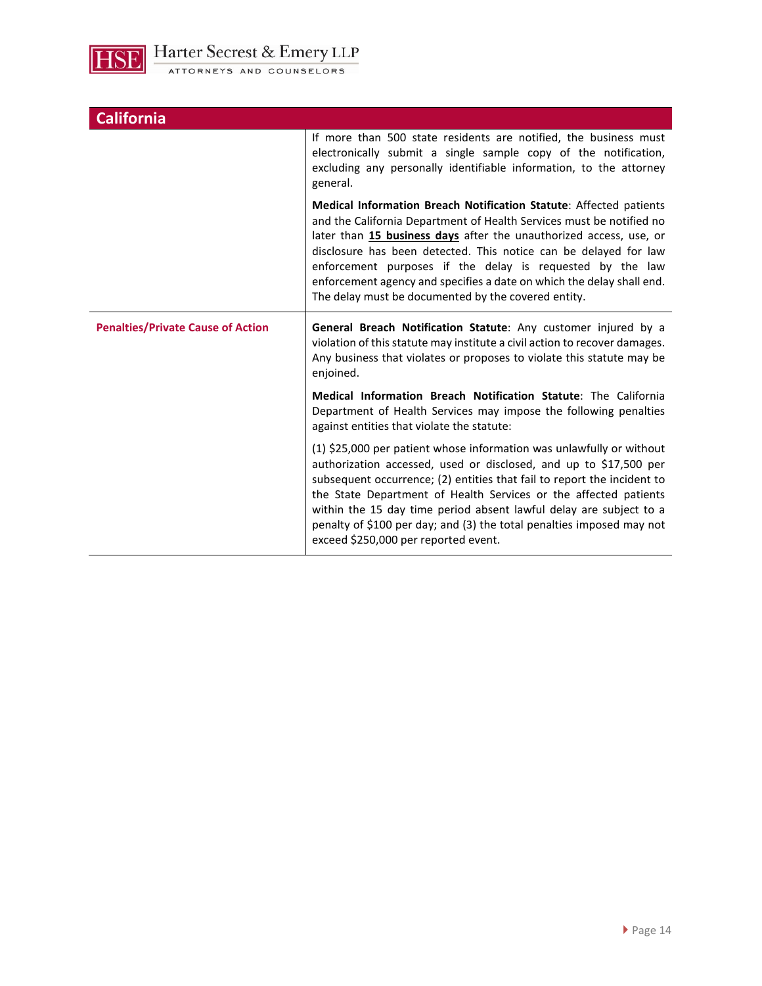

| <b>California</b>                        |                                                                                                                                                                                                                                                                                                                                                                                                                                                                                   |
|------------------------------------------|-----------------------------------------------------------------------------------------------------------------------------------------------------------------------------------------------------------------------------------------------------------------------------------------------------------------------------------------------------------------------------------------------------------------------------------------------------------------------------------|
|                                          | If more than 500 state residents are notified, the business must<br>electronically submit a single sample copy of the notification,<br>excluding any personally identifiable information, to the attorney<br>general.                                                                                                                                                                                                                                                             |
|                                          | Medical Information Breach Notification Statute: Affected patients<br>and the California Department of Health Services must be notified no<br>later than 15 business days after the unauthorized access, use, or<br>disclosure has been detected. This notice can be delayed for law<br>enforcement purposes if the delay is requested by the law<br>enforcement agency and specifies a date on which the delay shall end.<br>The delay must be documented by the covered entity. |
| <b>Penalties/Private Cause of Action</b> | General Breach Notification Statute: Any customer injured by a<br>violation of this statute may institute a civil action to recover damages.<br>Any business that violates or proposes to violate this statute may be<br>enjoined.                                                                                                                                                                                                                                                |
|                                          | Medical Information Breach Notification Statute: The California                                                                                                                                                                                                                                                                                                                                                                                                                   |
|                                          | Department of Health Services may impose the following penalties<br>against entities that violate the statute:                                                                                                                                                                                                                                                                                                                                                                    |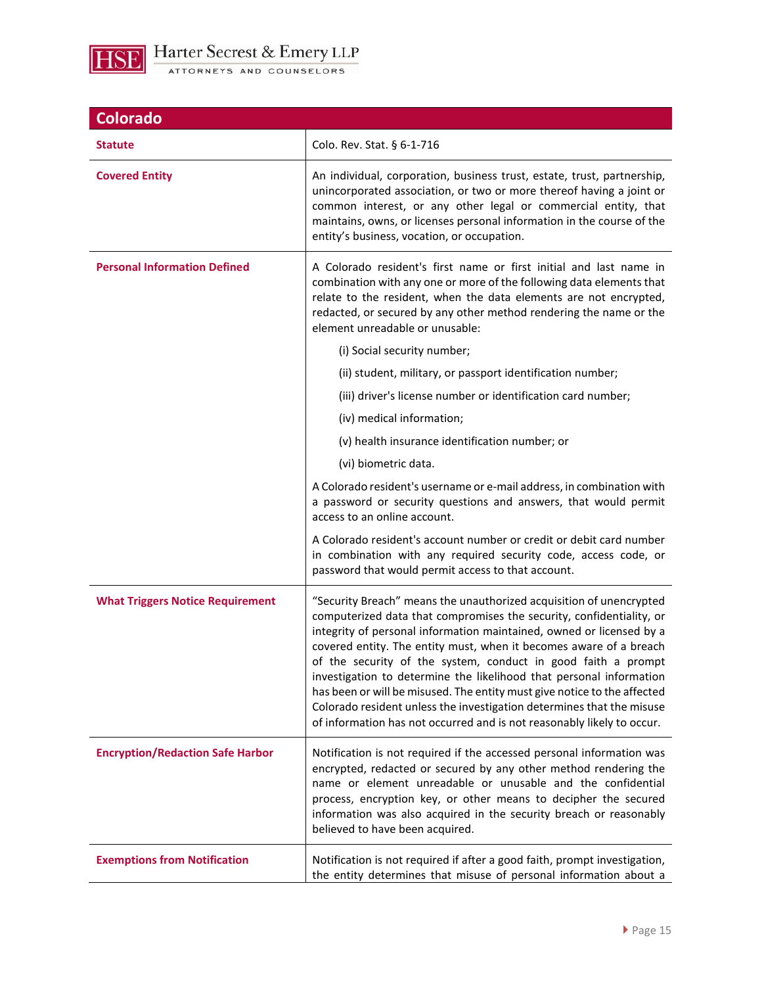

| <b>Colorado</b>                         |                                                                                                                                                                                                                                                                                                                                                                                                                                                                                                                                                                                                                                                                  |
|-----------------------------------------|------------------------------------------------------------------------------------------------------------------------------------------------------------------------------------------------------------------------------------------------------------------------------------------------------------------------------------------------------------------------------------------------------------------------------------------------------------------------------------------------------------------------------------------------------------------------------------------------------------------------------------------------------------------|
| <b>Statute</b>                          | Colo. Rev. Stat. § 6-1-716                                                                                                                                                                                                                                                                                                                                                                                                                                                                                                                                                                                                                                       |
| <b>Covered Entity</b>                   | An individual, corporation, business trust, estate, trust, partnership,<br>unincorporated association, or two or more thereof having a joint or<br>common interest, or any other legal or commercial entity, that<br>maintains, owns, or licenses personal information in the course of the<br>entity's business, vocation, or occupation.                                                                                                                                                                                                                                                                                                                       |
| <b>Personal Information Defined</b>     | A Colorado resident's first name or first initial and last name in<br>combination with any one or more of the following data elements that<br>relate to the resident, when the data elements are not encrypted,<br>redacted, or secured by any other method rendering the name or the<br>element unreadable or unusable:                                                                                                                                                                                                                                                                                                                                         |
|                                         | (i) Social security number;                                                                                                                                                                                                                                                                                                                                                                                                                                                                                                                                                                                                                                      |
|                                         | (ii) student, military, or passport identification number;                                                                                                                                                                                                                                                                                                                                                                                                                                                                                                                                                                                                       |
|                                         | (iii) driver's license number or identification card number;                                                                                                                                                                                                                                                                                                                                                                                                                                                                                                                                                                                                     |
|                                         | (iv) medical information;                                                                                                                                                                                                                                                                                                                                                                                                                                                                                                                                                                                                                                        |
|                                         | (v) health insurance identification number; or                                                                                                                                                                                                                                                                                                                                                                                                                                                                                                                                                                                                                   |
|                                         | (vi) biometric data.                                                                                                                                                                                                                                                                                                                                                                                                                                                                                                                                                                                                                                             |
|                                         | A Colorado resident's username or e-mail address, in combination with<br>a password or security questions and answers, that would permit<br>access to an online account.                                                                                                                                                                                                                                                                                                                                                                                                                                                                                         |
|                                         | A Colorado resident's account number or credit or debit card number<br>in combination with any required security code, access code, or<br>password that would permit access to that account.                                                                                                                                                                                                                                                                                                                                                                                                                                                                     |
| <b>What Triggers Notice Requirement</b> | "Security Breach" means the unauthorized acquisition of unencrypted<br>computerized data that compromises the security, confidentiality, or<br>integrity of personal information maintained, owned or licensed by a<br>covered entity. The entity must, when it becomes aware of a breach<br>of the security of the system, conduct in good faith a prompt<br>investigation to determine the likelihood that personal information<br>has been or will be misused. The entity must give notice to the affected<br>Colorado resident unless the investigation determines that the misuse<br>of information has not occurred and is not reasonably likely to occur. |
| <b>Encryption/Redaction Safe Harbor</b> | Notification is not required if the accessed personal information was<br>encrypted, redacted or secured by any other method rendering the<br>name or element unreadable or unusable and the confidential<br>process, encryption key, or other means to decipher the secured<br>information was also acquired in the security breach or reasonably<br>believed to have been acquired.                                                                                                                                                                                                                                                                             |
| <b>Exemptions from Notification</b>     | Notification is not required if after a good faith, prompt investigation,<br>the entity determines that misuse of personal information about a                                                                                                                                                                                                                                                                                                                                                                                                                                                                                                                   |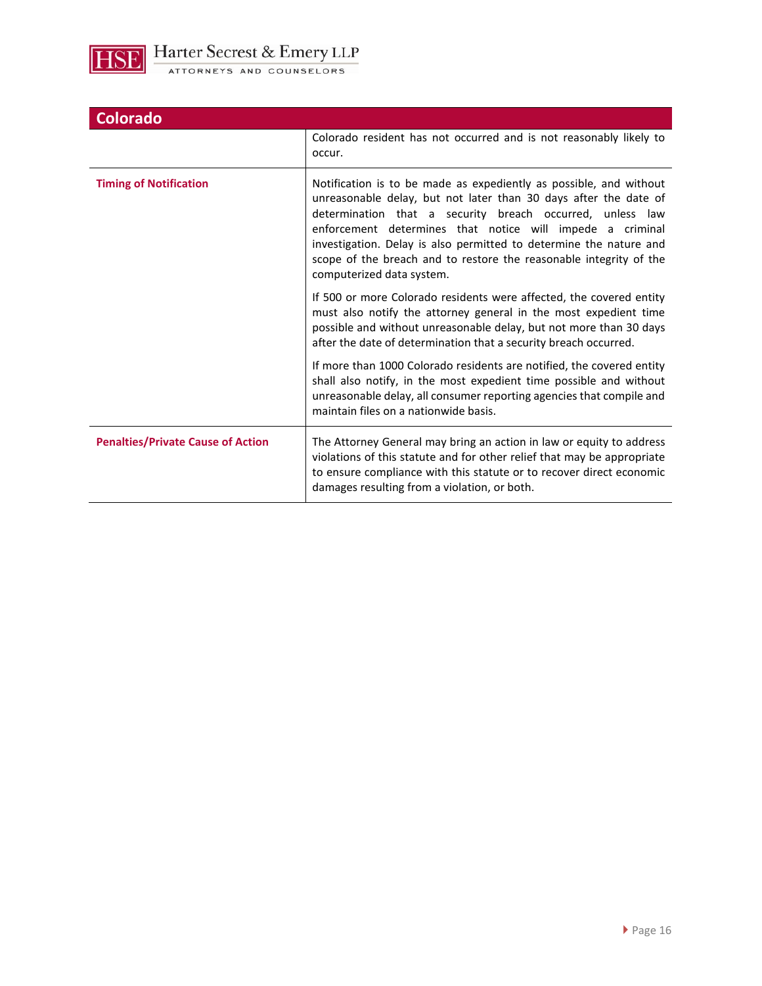

| <b>Colorado</b>                          |                                                                                                                                                                                                                                                                                                                                                                                                                                           |
|------------------------------------------|-------------------------------------------------------------------------------------------------------------------------------------------------------------------------------------------------------------------------------------------------------------------------------------------------------------------------------------------------------------------------------------------------------------------------------------------|
|                                          | Colorado resident has not occurred and is not reasonably likely to<br>occur.                                                                                                                                                                                                                                                                                                                                                              |
| <b>Timing of Notification</b>            | Notification is to be made as expediently as possible, and without<br>unreasonable delay, but not later than 30 days after the date of<br>determination that a security breach occurred, unless law<br>enforcement determines that notice will impede a criminal<br>investigation. Delay is also permitted to determine the nature and<br>scope of the breach and to restore the reasonable integrity of the<br>computerized data system. |
|                                          | If 500 or more Colorado residents were affected, the covered entity<br>must also notify the attorney general in the most expedient time<br>possible and without unreasonable delay, but not more than 30 days<br>after the date of determination that a security breach occurred.                                                                                                                                                         |
|                                          | If more than 1000 Colorado residents are notified, the covered entity<br>shall also notify, in the most expedient time possible and without<br>unreasonable delay, all consumer reporting agencies that compile and<br>maintain files on a nationwide basis.                                                                                                                                                                              |
| <b>Penalties/Private Cause of Action</b> | The Attorney General may bring an action in law or equity to address<br>violations of this statute and for other relief that may be appropriate<br>to ensure compliance with this statute or to recover direct economic<br>damages resulting from a violation, or both.                                                                                                                                                                   |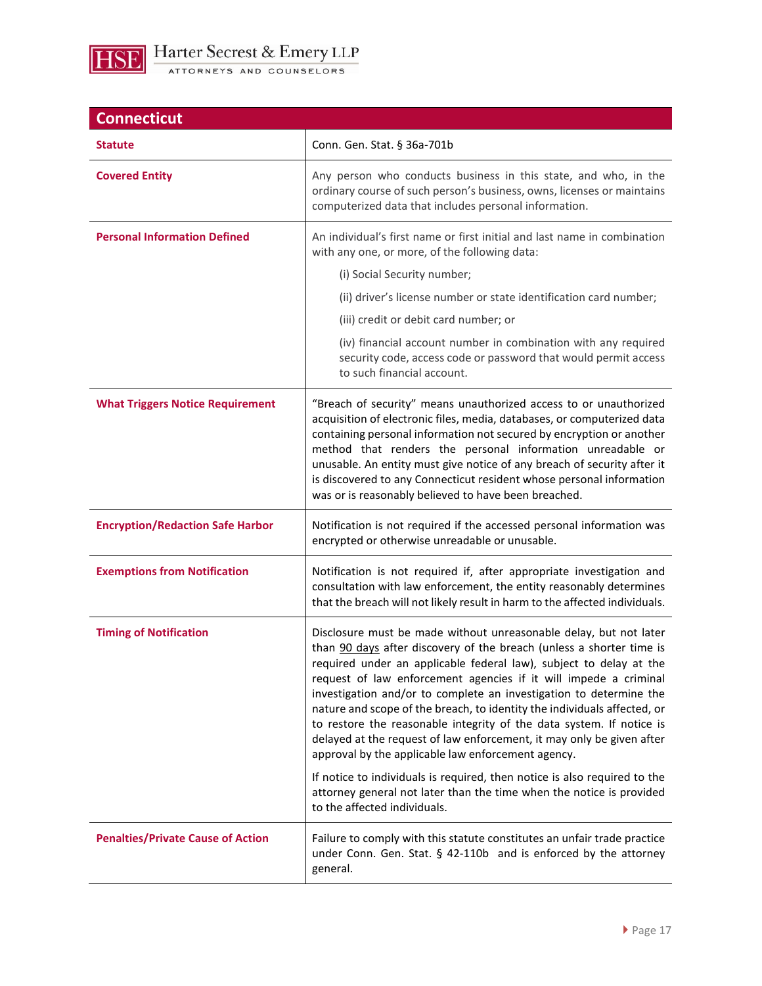

**Connecticut Statute Conn. Gen. Stat. § 36a-701b Covered Entity Any person who conducts business in this state, and who, in the** ordinary course of such person's business, owns, licenses or maintains computerized data that includes personal information. **Personal Information Defined An individual's first name or first initial and last name in combination** with any one, or more, of the following data: (i) Social Security number; (ii) driver's license number or state identification card number; (iii) credit or debit card number; or (iv) financial account number in combination with any required security code, access code or password that would permit access to such financial account. **What Triggers Notice Requirement** | "Breach of security" means unauthorized access to or unauthorized acquisition of electronic files, media, databases, or computerized data containing personal information not secured by encryption or another method that renders the personal information unreadable or unusable. An entity must give notice of any breach of security after it is discovered to any Connecticut resident whose personal information was or is reasonably believed to have been breached. **Encryption/Redaction Safe Harbor | Notification is not required if the accessed personal information was** encrypted or otherwise unreadable or unusable. **Exemptions from Notification Notification Notification** is not required if, after appropriate investigation and consultation with law enforcement, the entity reasonably determines that the breach will not likely result in harm to the affected individuals. **Timing of Notification <b>Disclosure** must be made without unreasonable delay, but not later than 90 days after discovery of the breach (unless a shorter time is required under an applicable federal law), subject to delay at the request of law enforcement agencies if it will impede a criminal investigation and/or to complete an investigation to determine the nature and scope of the breach, to identity the individuals affected, or to restore the reasonable integrity of the data system. If notice is delayed at the request of law enforcement, it may only be given after approval by the applicable law enforcement agency. If notice to individuals is required, then notice is also required to the attorney general not later than the time when the notice is provided to the affected individuals. **Penalties/Private Cause of Action** | Failure to comply with this statute constitutes an unfair trade practice under Conn. Gen. Stat. § 42-110b and is enforced by the attorney general.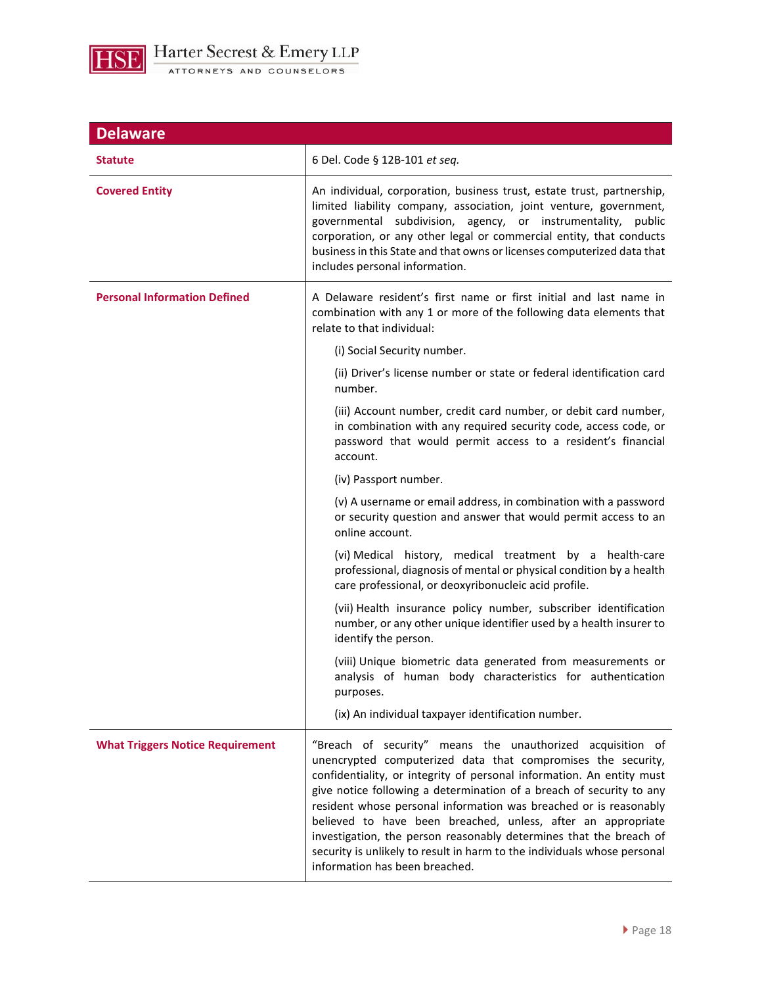

| <b>Delaware</b>                         |                                                                                                                                                                                                                                                                                                                                                                                                                                                                                                                                                                                                      |
|-----------------------------------------|------------------------------------------------------------------------------------------------------------------------------------------------------------------------------------------------------------------------------------------------------------------------------------------------------------------------------------------------------------------------------------------------------------------------------------------------------------------------------------------------------------------------------------------------------------------------------------------------------|
| <b>Statute</b>                          | 6 Del. Code § 12B-101 et seq.                                                                                                                                                                                                                                                                                                                                                                                                                                                                                                                                                                        |
| <b>Covered Entity</b>                   | An individual, corporation, business trust, estate trust, partnership,<br>limited liability company, association, joint venture, government,<br>governmental subdivision, agency, or instrumentality,<br>public<br>corporation, or any other legal or commercial entity, that conducts<br>business in this State and that owns or licenses computerized data that<br>includes personal information.                                                                                                                                                                                                  |
| <b>Personal Information Defined</b>     | A Delaware resident's first name or first initial and last name in<br>combination with any 1 or more of the following data elements that<br>relate to that individual:                                                                                                                                                                                                                                                                                                                                                                                                                               |
|                                         | (i) Social Security number.                                                                                                                                                                                                                                                                                                                                                                                                                                                                                                                                                                          |
|                                         | (ii) Driver's license number or state or federal identification card<br>number.                                                                                                                                                                                                                                                                                                                                                                                                                                                                                                                      |
|                                         | (iii) Account number, credit card number, or debit card number,<br>in combination with any required security code, access code, or<br>password that would permit access to a resident's financial<br>account.                                                                                                                                                                                                                                                                                                                                                                                        |
|                                         | (iv) Passport number.                                                                                                                                                                                                                                                                                                                                                                                                                                                                                                                                                                                |
|                                         | (v) A username or email address, in combination with a password<br>or security question and answer that would permit access to an<br>online account.                                                                                                                                                                                                                                                                                                                                                                                                                                                 |
|                                         | (vi) Medical history, medical treatment by a health-care<br>professional, diagnosis of mental or physical condition by a health<br>care professional, or deoxyribonucleic acid profile.                                                                                                                                                                                                                                                                                                                                                                                                              |
|                                         | (vii) Health insurance policy number, subscriber identification<br>number, or any other unique identifier used by a health insurer to<br>identify the person.                                                                                                                                                                                                                                                                                                                                                                                                                                        |
|                                         | (viii) Unique biometric data generated from measurements or<br>analysis of human body characteristics for authentication<br>purposes.                                                                                                                                                                                                                                                                                                                                                                                                                                                                |
|                                         | (ix) An individual taxpayer identification number.                                                                                                                                                                                                                                                                                                                                                                                                                                                                                                                                                   |
| <b>What Triggers Notice Requirement</b> | "Breach of security" means the unauthorized acquisition of<br>unencrypted computerized data that compromises the security,<br>confidentiality, or integrity of personal information. An entity must<br>give notice following a determination of a breach of security to any<br>resident whose personal information was breached or is reasonably<br>believed to have been breached, unless, after an appropriate<br>investigation, the person reasonably determines that the breach of<br>security is unlikely to result in harm to the individuals whose personal<br>information has been breached. |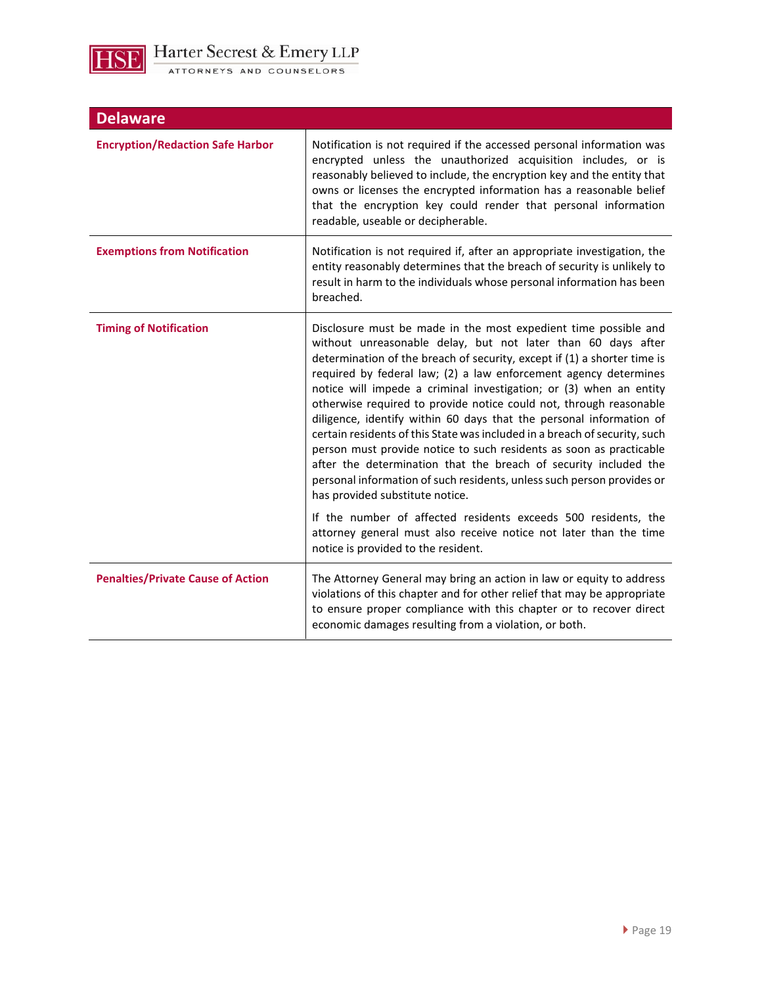

| <b>Delaware</b>                          |                                                                                                                                                                                                                                                                                                                                                                                                                                                                                                                                                                                                                                                                                                                                                                                                                                                                                                            |
|------------------------------------------|------------------------------------------------------------------------------------------------------------------------------------------------------------------------------------------------------------------------------------------------------------------------------------------------------------------------------------------------------------------------------------------------------------------------------------------------------------------------------------------------------------------------------------------------------------------------------------------------------------------------------------------------------------------------------------------------------------------------------------------------------------------------------------------------------------------------------------------------------------------------------------------------------------|
| <b>Encryption/Redaction Safe Harbor</b>  | Notification is not required if the accessed personal information was<br>encrypted unless the unauthorized acquisition includes, or is<br>reasonably believed to include, the encryption key and the entity that<br>owns or licenses the encrypted information has a reasonable belief<br>that the encryption key could render that personal information<br>readable, useable or decipherable.                                                                                                                                                                                                                                                                                                                                                                                                                                                                                                             |
| <b>Exemptions from Notification</b>      | Notification is not required if, after an appropriate investigation, the<br>entity reasonably determines that the breach of security is unlikely to<br>result in harm to the individuals whose personal information has been<br>breached.                                                                                                                                                                                                                                                                                                                                                                                                                                                                                                                                                                                                                                                                  |
| <b>Timing of Notification</b>            | Disclosure must be made in the most expedient time possible and<br>without unreasonable delay, but not later than 60 days after<br>determination of the breach of security, except if (1) a shorter time is<br>required by federal law; (2) a law enforcement agency determines<br>notice will impede a criminal investigation; or (3) when an entity<br>otherwise required to provide notice could not, through reasonable<br>diligence, identify within 60 days that the personal information of<br>certain residents of this State was included in a breach of security, such<br>person must provide notice to such residents as soon as practicable<br>after the determination that the breach of security included the<br>personal information of such residents, unless such person provides or<br>has provided substitute notice.<br>If the number of affected residents exceeds 500 residents, the |
|                                          | attorney general must also receive notice not later than the time<br>notice is provided to the resident.                                                                                                                                                                                                                                                                                                                                                                                                                                                                                                                                                                                                                                                                                                                                                                                                   |
| <b>Penalties/Private Cause of Action</b> | The Attorney General may bring an action in law or equity to address<br>violations of this chapter and for other relief that may be appropriate<br>to ensure proper compliance with this chapter or to recover direct<br>economic damages resulting from a violation, or both.                                                                                                                                                                                                                                                                                                                                                                                                                                                                                                                                                                                                                             |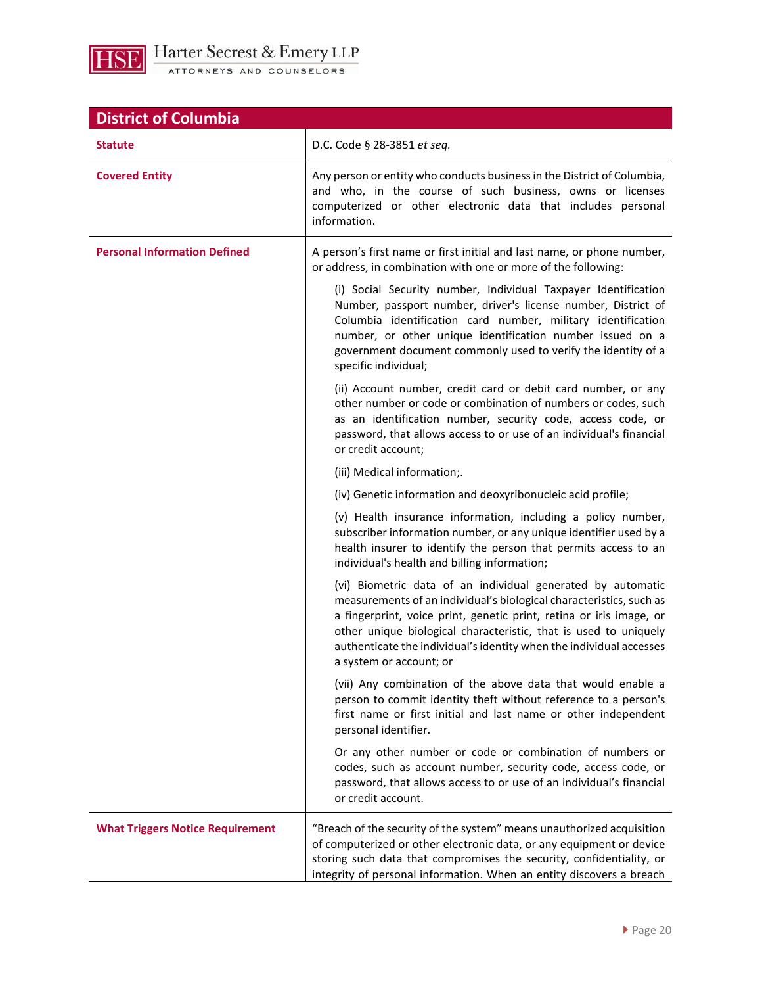

| <b>District of Columbia</b>             |                                                                                                                                                                                                                                                                                                                                                                                 |
|-----------------------------------------|---------------------------------------------------------------------------------------------------------------------------------------------------------------------------------------------------------------------------------------------------------------------------------------------------------------------------------------------------------------------------------|
| <b>Statute</b>                          | D.C. Code § 28-3851 et seq.                                                                                                                                                                                                                                                                                                                                                     |
| <b>Covered Entity</b>                   | Any person or entity who conducts business in the District of Columbia,<br>and who, in the course of such business, owns or licenses<br>computerized or other electronic data that includes personal<br>information.                                                                                                                                                            |
| <b>Personal Information Defined</b>     | A person's first name or first initial and last name, or phone number,<br>or address, in combination with one or more of the following:                                                                                                                                                                                                                                         |
|                                         | (i) Social Security number, Individual Taxpayer Identification<br>Number, passport number, driver's license number, District of<br>Columbia identification card number, military identification<br>number, or other unique identification number issued on a<br>government document commonly used to verify the identity of a<br>specific individual;                           |
|                                         | (ii) Account number, credit card or debit card number, or any<br>other number or code or combination of numbers or codes, such<br>as an identification number, security code, access code, or<br>password, that allows access to or use of an individual's financial<br>or credit account;                                                                                      |
|                                         | (iii) Medical information;.                                                                                                                                                                                                                                                                                                                                                     |
|                                         | (iv) Genetic information and deoxyribonucleic acid profile;                                                                                                                                                                                                                                                                                                                     |
|                                         | (v) Health insurance information, including a policy number,<br>subscriber information number, or any unique identifier used by a<br>health insurer to identify the person that permits access to an<br>individual's health and billing information;                                                                                                                            |
|                                         | (vi) Biometric data of an individual generated by automatic<br>measurements of an individual's biological characteristics, such as<br>a fingerprint, voice print, genetic print, retina or iris image, or<br>other unique biological characteristic, that is used to uniquely<br>authenticate the individual's identity when the individual accesses<br>a system or account; or |
|                                         | (vii) Any combination of the above data that would enable a<br>person to commit identity theft without reference to a person's<br>first name or first initial and last name or other independent<br>personal identifier.                                                                                                                                                        |
|                                         | Or any other number or code or combination of numbers or<br>codes, such as account number, security code, access code, or<br>password, that allows access to or use of an individual's financial<br>or credit account.                                                                                                                                                          |
| <b>What Triggers Notice Requirement</b> | "Breach of the security of the system" means unauthorized acquisition<br>of computerized or other electronic data, or any equipment or device<br>storing such data that compromises the security, confidentiality, or<br>integrity of personal information. When an entity discovers a breach                                                                                   |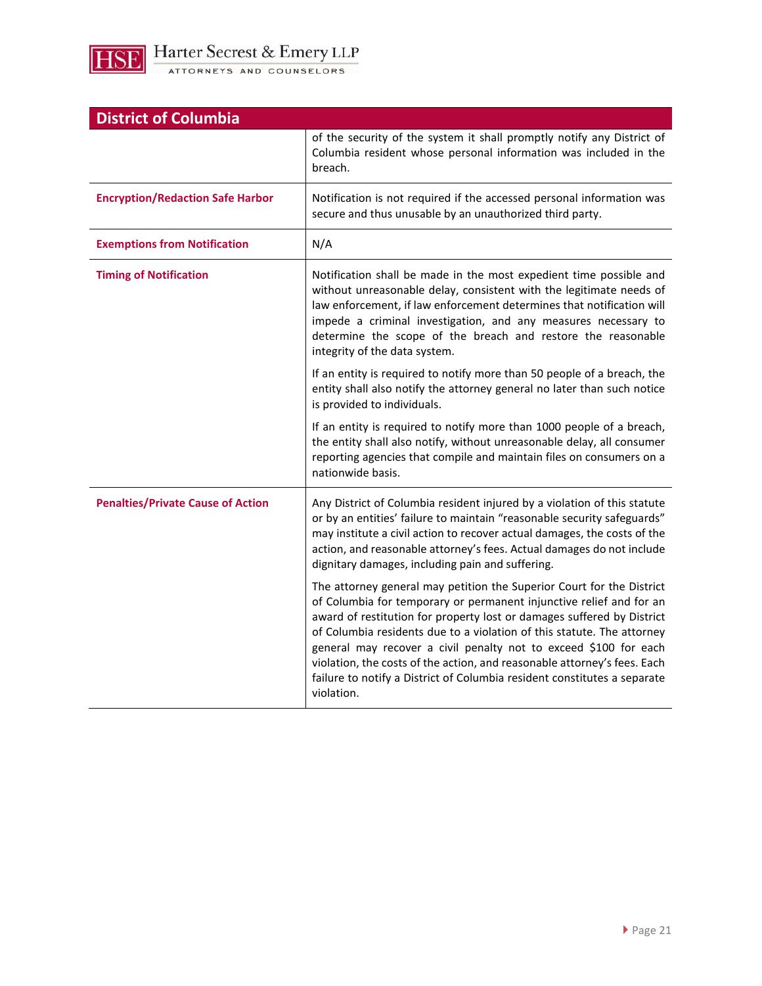

| <b>District of Columbia</b>              |                                                                                                                                                                                                                                                                                                                                                                                                                                                                                                                                            |
|------------------------------------------|--------------------------------------------------------------------------------------------------------------------------------------------------------------------------------------------------------------------------------------------------------------------------------------------------------------------------------------------------------------------------------------------------------------------------------------------------------------------------------------------------------------------------------------------|
|                                          | of the security of the system it shall promptly notify any District of<br>Columbia resident whose personal information was included in the<br>breach.                                                                                                                                                                                                                                                                                                                                                                                      |
| <b>Encryption/Redaction Safe Harbor</b>  | Notification is not required if the accessed personal information was<br>secure and thus unusable by an unauthorized third party.                                                                                                                                                                                                                                                                                                                                                                                                          |
| <b>Exemptions from Notification</b>      | N/A                                                                                                                                                                                                                                                                                                                                                                                                                                                                                                                                        |
| <b>Timing of Notification</b>            | Notification shall be made in the most expedient time possible and<br>without unreasonable delay, consistent with the legitimate needs of<br>law enforcement, if law enforcement determines that notification will<br>impede a criminal investigation, and any measures necessary to<br>determine the scope of the breach and restore the reasonable<br>integrity of the data system.                                                                                                                                                      |
|                                          | If an entity is required to notify more than 50 people of a breach, the<br>entity shall also notify the attorney general no later than such notice<br>is provided to individuals.                                                                                                                                                                                                                                                                                                                                                          |
|                                          | If an entity is required to notify more than 1000 people of a breach,<br>the entity shall also notify, without unreasonable delay, all consumer<br>reporting agencies that compile and maintain files on consumers on a<br>nationwide basis.                                                                                                                                                                                                                                                                                               |
| <b>Penalties/Private Cause of Action</b> | Any District of Columbia resident injured by a violation of this statute<br>or by an entities' failure to maintain "reasonable security safeguards"<br>may institute a civil action to recover actual damages, the costs of the<br>action, and reasonable attorney's fees. Actual damages do not include<br>dignitary damages, including pain and suffering.                                                                                                                                                                               |
|                                          | The attorney general may petition the Superior Court for the District<br>of Columbia for temporary or permanent injunctive relief and for an<br>award of restitution for property lost or damages suffered by District<br>of Columbia residents due to a violation of this statute. The attorney<br>general may recover a civil penalty not to exceed \$100 for each<br>violation, the costs of the action, and reasonable attorney's fees. Each<br>failure to notify a District of Columbia resident constitutes a separate<br>violation. |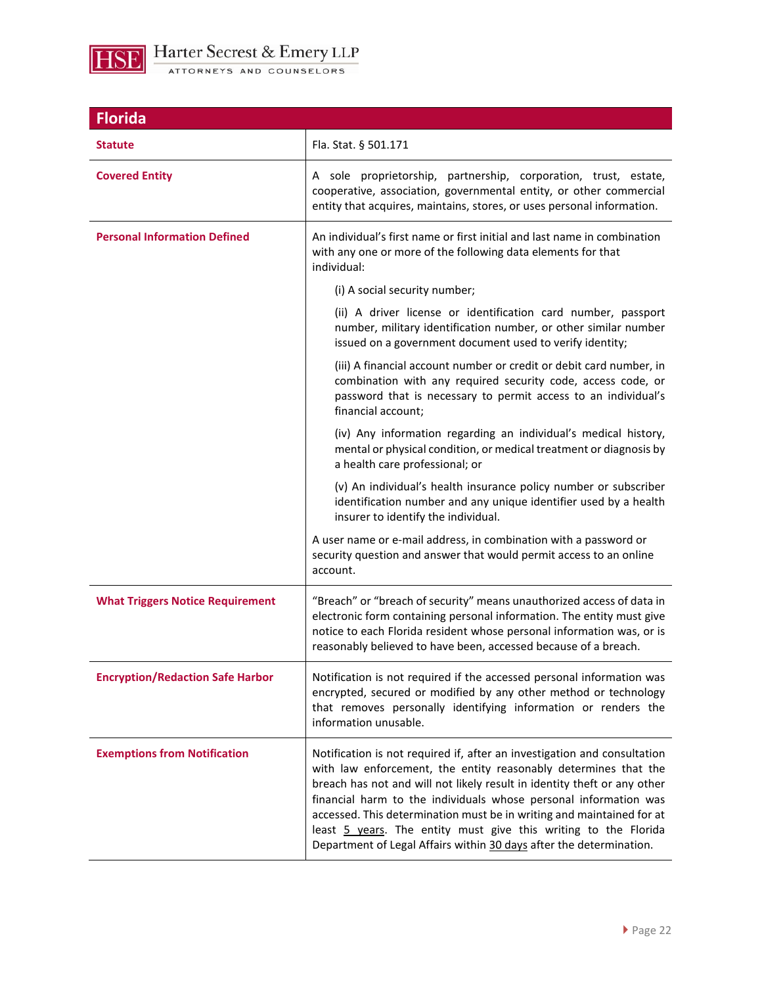

| <b>Florida</b>                          |                                                                                                                                                                                                                                                                                                                                                                                                                                                                                                                |
|-----------------------------------------|----------------------------------------------------------------------------------------------------------------------------------------------------------------------------------------------------------------------------------------------------------------------------------------------------------------------------------------------------------------------------------------------------------------------------------------------------------------------------------------------------------------|
| <b>Statute</b>                          | Fla. Stat. § 501.171                                                                                                                                                                                                                                                                                                                                                                                                                                                                                           |
| <b>Covered Entity</b>                   | A sole proprietorship, partnership, corporation, trust, estate,<br>cooperative, association, governmental entity, or other commercial<br>entity that acquires, maintains, stores, or uses personal information.                                                                                                                                                                                                                                                                                                |
| <b>Personal Information Defined</b>     | An individual's first name or first initial and last name in combination<br>with any one or more of the following data elements for that<br>individual:                                                                                                                                                                                                                                                                                                                                                        |
|                                         | (i) A social security number;                                                                                                                                                                                                                                                                                                                                                                                                                                                                                  |
|                                         | (ii) A driver license or identification card number, passport<br>number, military identification number, or other similar number<br>issued on a government document used to verify identity;                                                                                                                                                                                                                                                                                                                   |
|                                         | (iii) A financial account number or credit or debit card number, in<br>combination with any required security code, access code, or<br>password that is necessary to permit access to an individual's<br>financial account;                                                                                                                                                                                                                                                                                    |
|                                         | (iv) Any information regarding an individual's medical history,<br>mental or physical condition, or medical treatment or diagnosis by<br>a health care professional; or                                                                                                                                                                                                                                                                                                                                        |
|                                         | (v) An individual's health insurance policy number or subscriber<br>identification number and any unique identifier used by a health<br>insurer to identify the individual.                                                                                                                                                                                                                                                                                                                                    |
|                                         | A user name or e-mail address, in combination with a password or<br>security question and answer that would permit access to an online<br>account.                                                                                                                                                                                                                                                                                                                                                             |
| <b>What Triggers Notice Requirement</b> | "Breach" or "breach of security" means unauthorized access of data in<br>electronic form containing personal information. The entity must give<br>notice to each Florida resident whose personal information was, or is<br>reasonably believed to have been, accessed because of a breach.                                                                                                                                                                                                                     |
| <b>Encryption/Redaction Safe Harbor</b> | Notification is not required if the accessed personal information was<br>encrypted, secured or modified by any other method or technology<br>that removes personally identifying information or renders the<br>information unusable.                                                                                                                                                                                                                                                                           |
| <b>Exemptions from Notification</b>     | Notification is not required if, after an investigation and consultation<br>with law enforcement, the entity reasonably determines that the<br>breach has not and will not likely result in identity theft or any other<br>financial harm to the individuals whose personal information was<br>accessed. This determination must be in writing and maintained for at<br>least 5 years. The entity must give this writing to the Florida<br>Department of Legal Affairs within 30 days after the determination. |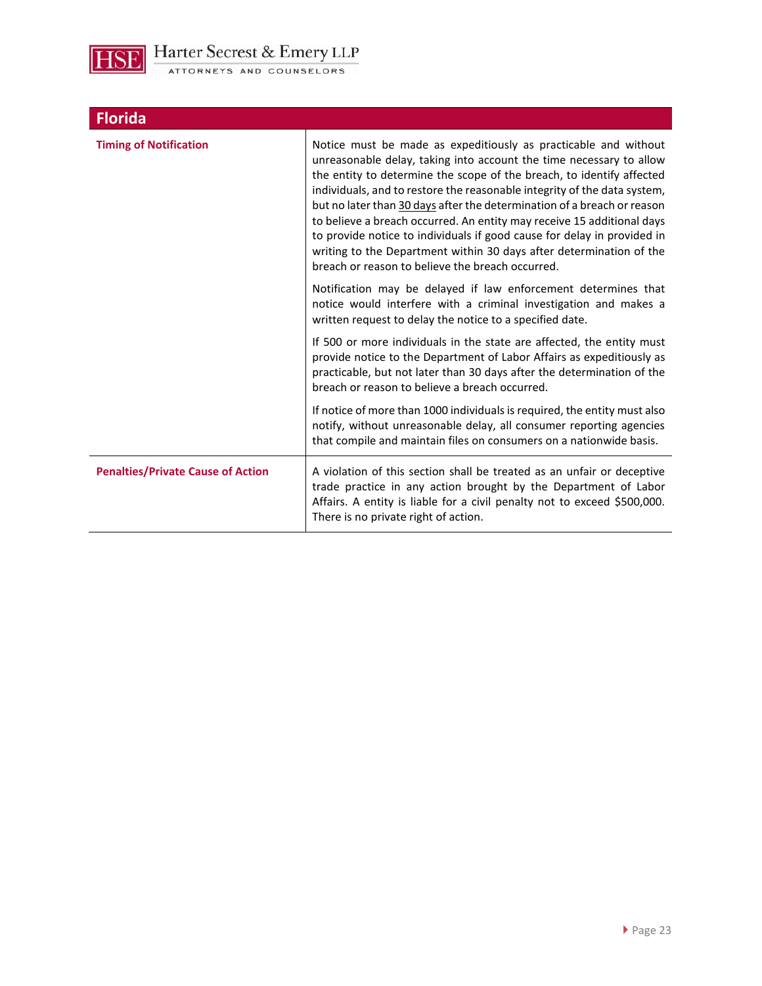

| Notice must be made as expeditiously as practicable and without<br>unreasonable delay, taking into account the time necessary to allow<br>the entity to determine the scope of the breach, to identify affected<br>individuals, and to restore the reasonable integrity of the data system,<br>but no later than 30 days after the determination of a breach or reason<br>to believe a breach occurred. An entity may receive 15 additional days<br>to provide notice to individuals if good cause for delay in provided in<br>writing to the Department within 30 days after determination of the<br>breach or reason to believe the breach occurred. |
|--------------------------------------------------------------------------------------------------------------------------------------------------------------------------------------------------------------------------------------------------------------------------------------------------------------------------------------------------------------------------------------------------------------------------------------------------------------------------------------------------------------------------------------------------------------------------------------------------------------------------------------------------------|
| Notification may be delayed if law enforcement determines that<br>notice would interfere with a criminal investigation and makes a<br>written request to delay the notice to a specified date.                                                                                                                                                                                                                                                                                                                                                                                                                                                         |
| If 500 or more individuals in the state are affected, the entity must<br>provide notice to the Department of Labor Affairs as expeditiously as<br>practicable, but not later than 30 days after the determination of the<br>breach or reason to believe a breach occurred.                                                                                                                                                                                                                                                                                                                                                                             |
| If notice of more than 1000 individuals is required, the entity must also<br>notify, without unreasonable delay, all consumer reporting agencies<br>that compile and maintain files on consumers on a nationwide basis.                                                                                                                                                                                                                                                                                                                                                                                                                                |
| A violation of this section shall be treated as an unfair or deceptive<br>trade practice in any action brought by the Department of Labor<br>Affairs. A entity is liable for a civil penalty not to exceed \$500,000.<br>There is no private right of action.                                                                                                                                                                                                                                                                                                                                                                                          |
|                                                                                                                                                                                                                                                                                                                                                                                                                                                                                                                                                                                                                                                        |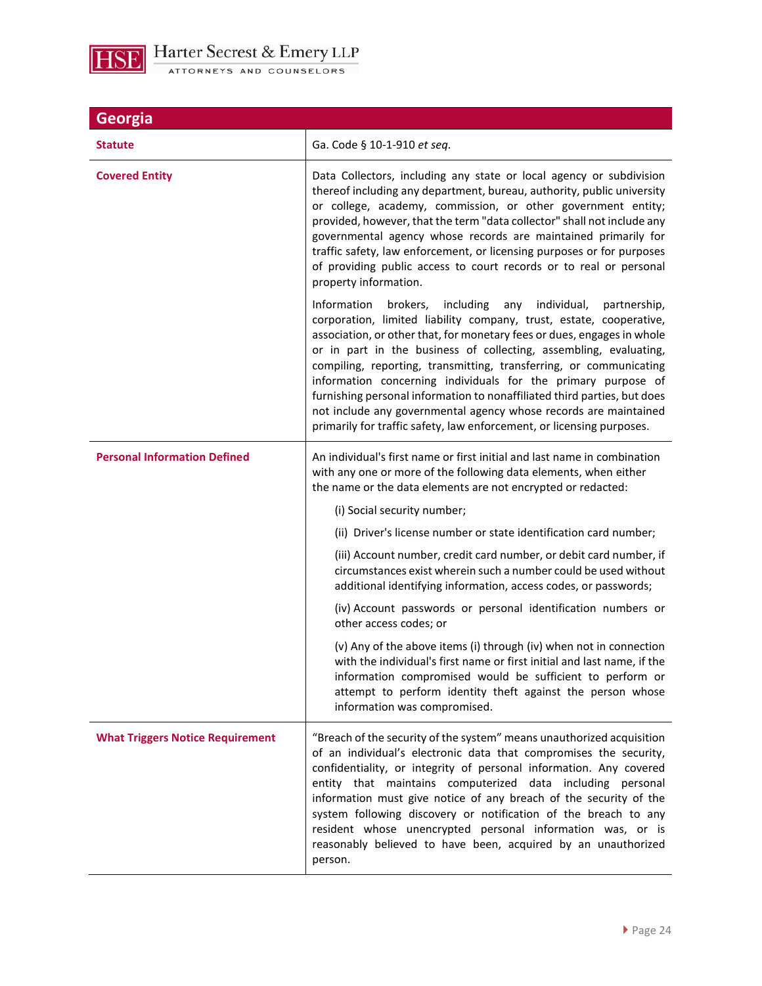

| Georgia                                 |                                                                                                                                                                                                                                                                                                                                                                                                                                                                                                                                                                                                                                                             |
|-----------------------------------------|-------------------------------------------------------------------------------------------------------------------------------------------------------------------------------------------------------------------------------------------------------------------------------------------------------------------------------------------------------------------------------------------------------------------------------------------------------------------------------------------------------------------------------------------------------------------------------------------------------------------------------------------------------------|
| <b>Statute</b>                          | Ga. Code § 10-1-910 et seq.                                                                                                                                                                                                                                                                                                                                                                                                                                                                                                                                                                                                                                 |
| <b>Covered Entity</b>                   | Data Collectors, including any state or local agency or subdivision<br>thereof including any department, bureau, authority, public university<br>or college, academy, commission, or other government entity;<br>provided, however, that the term "data collector" shall not include any<br>governmental agency whose records are maintained primarily for<br>traffic safety, law enforcement, or licensing purposes or for purposes<br>of providing public access to court records or to real or personal<br>property information.                                                                                                                         |
|                                         | Information<br>brokers, including any<br>individual,<br>partnership,<br>corporation, limited liability company, trust, estate, cooperative,<br>association, or other that, for monetary fees or dues, engages in whole<br>or in part in the business of collecting, assembling, evaluating,<br>compiling, reporting, transmitting, transferring, or communicating<br>information concerning individuals for the primary purpose of<br>furnishing personal information to nonaffiliated third parties, but does<br>not include any governmental agency whose records are maintained<br>primarily for traffic safety, law enforcement, or licensing purposes. |
| <b>Personal Information Defined</b>     | An individual's first name or first initial and last name in combination<br>with any one or more of the following data elements, when either<br>the name or the data elements are not encrypted or redacted:                                                                                                                                                                                                                                                                                                                                                                                                                                                |
|                                         | (i) Social security number;                                                                                                                                                                                                                                                                                                                                                                                                                                                                                                                                                                                                                                 |
|                                         | (ii) Driver's license number or state identification card number;                                                                                                                                                                                                                                                                                                                                                                                                                                                                                                                                                                                           |
|                                         | (iii) Account number, credit card number, or debit card number, if<br>circumstances exist wherein such a number could be used without<br>additional identifying information, access codes, or passwords;                                                                                                                                                                                                                                                                                                                                                                                                                                                    |
|                                         | (iv) Account passwords or personal identification numbers or<br>other access codes; or                                                                                                                                                                                                                                                                                                                                                                                                                                                                                                                                                                      |
|                                         | (v) Any of the above items (i) through (iv) when not in connection<br>with the individual's first name or first initial and last name, if the<br>information compromised would be sufficient to perform or<br>attempt to perform identity theft against the person whose<br>information was compromised.                                                                                                                                                                                                                                                                                                                                                    |
| <b>What Triggers Notice Requirement</b> | "Breach of the security of the system" means unauthorized acquisition<br>of an individual's electronic data that compromises the security,<br>confidentiality, or integrity of personal information. Any covered<br>entity that maintains computerized data including personal<br>information must give notice of any breach of the security of the<br>system following discovery or notification of the breach to any<br>resident whose unencrypted personal information was, or is<br>reasonably believed to have been, acquired by an unauthorized<br>person.                                                                                            |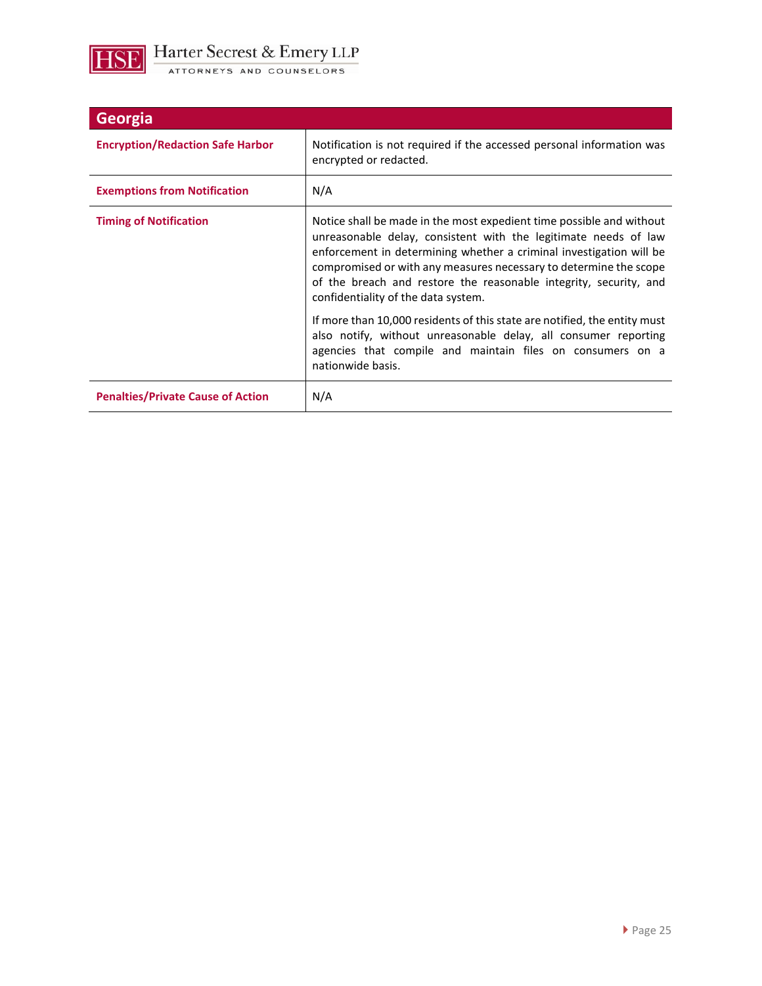

| Georgia                                  |                                                                                                                                                                                                                                                                                                                                                                                                 |
|------------------------------------------|-------------------------------------------------------------------------------------------------------------------------------------------------------------------------------------------------------------------------------------------------------------------------------------------------------------------------------------------------------------------------------------------------|
| <b>Encryption/Redaction Safe Harbor</b>  | Notification is not required if the accessed personal information was<br>encrypted or redacted.                                                                                                                                                                                                                                                                                                 |
| <b>Exemptions from Notification</b>      | N/A                                                                                                                                                                                                                                                                                                                                                                                             |
| <b>Timing of Notification</b>            | Notice shall be made in the most expedient time possible and without<br>unreasonable delay, consistent with the legitimate needs of law<br>enforcement in determining whether a criminal investigation will be<br>compromised or with any measures necessary to determine the scope<br>of the breach and restore the reasonable integrity, security, and<br>confidentiality of the data system. |
|                                          | If more than 10,000 residents of this state are notified, the entity must<br>also notify, without unreasonable delay, all consumer reporting<br>agencies that compile and maintain files on consumers on a<br>nationwide basis.                                                                                                                                                                 |
| <b>Penalties/Private Cause of Action</b> | N/A                                                                                                                                                                                                                                                                                                                                                                                             |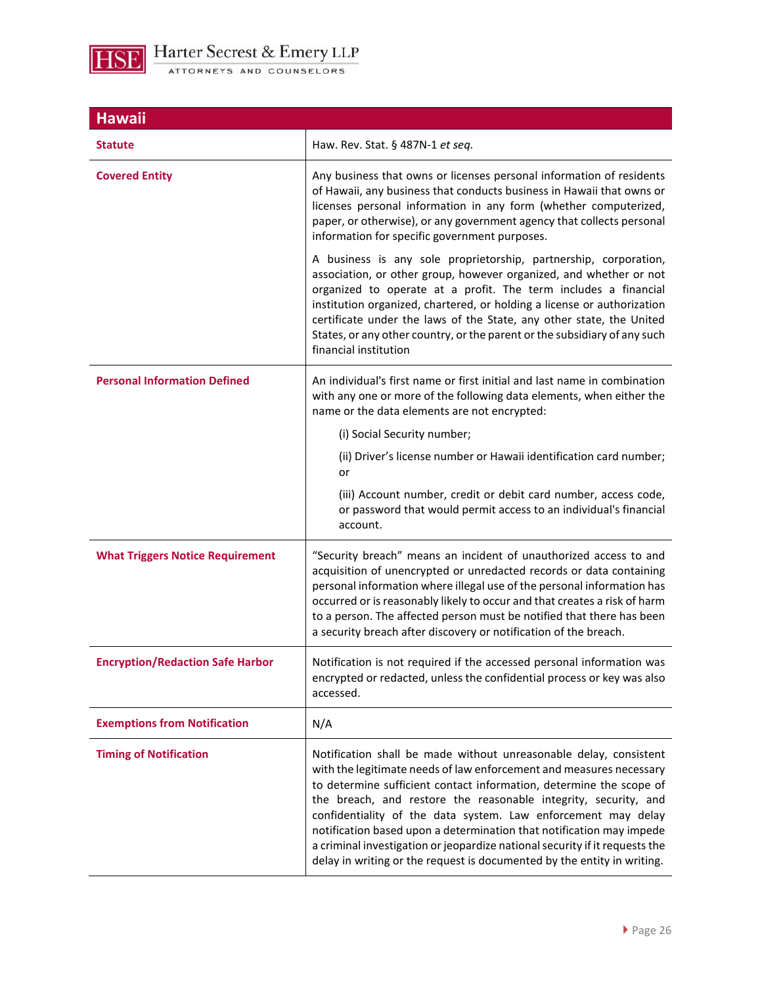

| <b>Hawaii</b>                           |                                                                                                                                                                                                                                                                                                                                                                                                                                                                                                                                                                                       |
|-----------------------------------------|---------------------------------------------------------------------------------------------------------------------------------------------------------------------------------------------------------------------------------------------------------------------------------------------------------------------------------------------------------------------------------------------------------------------------------------------------------------------------------------------------------------------------------------------------------------------------------------|
| <b>Statute</b>                          | Haw. Rev. Stat. § 487N-1 et seq.                                                                                                                                                                                                                                                                                                                                                                                                                                                                                                                                                      |
| <b>Covered Entity</b>                   | Any business that owns or licenses personal information of residents<br>of Hawaii, any business that conducts business in Hawaii that owns or<br>licenses personal information in any form (whether computerized,<br>paper, or otherwise), or any government agency that collects personal<br>information for specific government purposes.                                                                                                                                                                                                                                           |
|                                         | A business is any sole proprietorship, partnership, corporation,<br>association, or other group, however organized, and whether or not<br>organized to operate at a profit. The term includes a financial<br>institution organized, chartered, or holding a license or authorization<br>certificate under the laws of the State, any other state, the United<br>States, or any other country, or the parent or the subsidiary of any such<br>financial institution                                                                                                                    |
| <b>Personal Information Defined</b>     | An individual's first name or first initial and last name in combination<br>with any one or more of the following data elements, when either the<br>name or the data elements are not encrypted:                                                                                                                                                                                                                                                                                                                                                                                      |
|                                         | (i) Social Security number;                                                                                                                                                                                                                                                                                                                                                                                                                                                                                                                                                           |
|                                         | (ii) Driver's license number or Hawaii identification card number;<br>or                                                                                                                                                                                                                                                                                                                                                                                                                                                                                                              |
|                                         | (iii) Account number, credit or debit card number, access code,<br>or password that would permit access to an individual's financial<br>account.                                                                                                                                                                                                                                                                                                                                                                                                                                      |
| <b>What Triggers Notice Requirement</b> | "Security breach" means an incident of unauthorized access to and<br>acquisition of unencrypted or unredacted records or data containing<br>personal information where illegal use of the personal information has<br>occurred or is reasonably likely to occur and that creates a risk of harm<br>to a person. The affected person must be notified that there has been<br>a security breach after discovery or notification of the breach.                                                                                                                                          |
| <b>Encryption/Redaction Safe Harbor</b> | Notification is not required if the accessed personal information was<br>encrypted or redacted, unless the confidential process or key was also<br>accessed.                                                                                                                                                                                                                                                                                                                                                                                                                          |
| <b>Exemptions from Notification</b>     | N/A                                                                                                                                                                                                                                                                                                                                                                                                                                                                                                                                                                                   |
| <b>Timing of Notification</b>           | Notification shall be made without unreasonable delay, consistent<br>with the legitimate needs of law enforcement and measures necessary<br>to determine sufficient contact information, determine the scope of<br>the breach, and restore the reasonable integrity, security, and<br>confidentiality of the data system. Law enforcement may delay<br>notification based upon a determination that notification may impede<br>a criminal investigation or jeopardize national security if it requests the<br>delay in writing or the request is documented by the entity in writing. |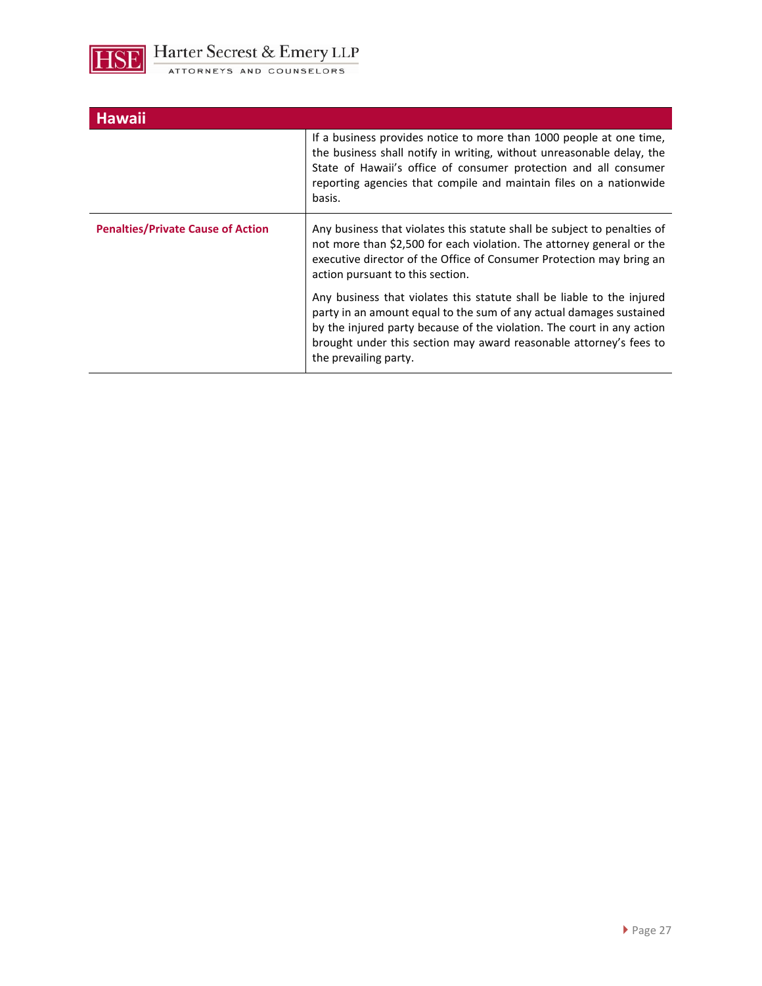

| <b>Hawaii</b>                            |                                                                                                                                                                                                                                                                                                                        |
|------------------------------------------|------------------------------------------------------------------------------------------------------------------------------------------------------------------------------------------------------------------------------------------------------------------------------------------------------------------------|
|                                          | If a business provides notice to more than 1000 people at one time,<br>the business shall notify in writing, without unreasonable delay, the<br>State of Hawaii's office of consumer protection and all consumer<br>reporting agencies that compile and maintain files on a nationwide<br>basis.                       |
| <b>Penalties/Private Cause of Action</b> | Any business that violates this statute shall be subject to penalties of<br>not more than \$2,500 for each violation. The attorney general or the<br>executive director of the Office of Consumer Protection may bring an<br>action pursuant to this section.                                                          |
|                                          | Any business that violates this statute shall be liable to the injured<br>party in an amount equal to the sum of any actual damages sustained<br>by the injured party because of the violation. The court in any action<br>brought under this section may award reasonable attorney's fees to<br>the prevailing party. |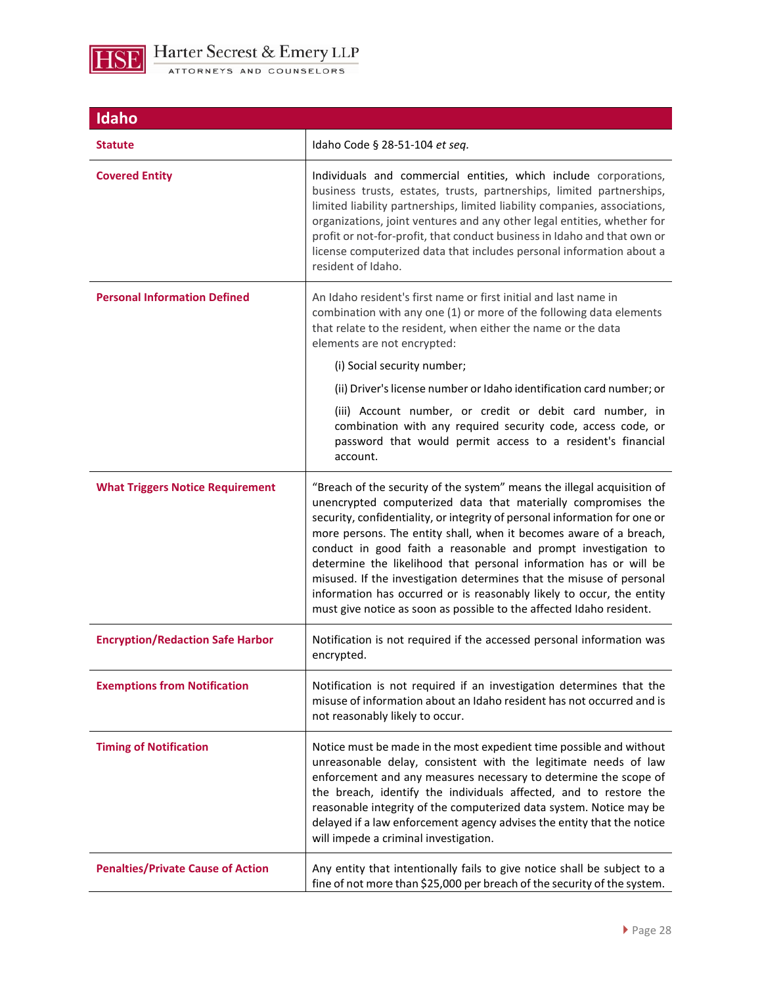

| Idaho                                    |                                                                                                                                                                                                                                                                                                                                                                                                                                                                                                                                                                                                                                                              |
|------------------------------------------|--------------------------------------------------------------------------------------------------------------------------------------------------------------------------------------------------------------------------------------------------------------------------------------------------------------------------------------------------------------------------------------------------------------------------------------------------------------------------------------------------------------------------------------------------------------------------------------------------------------------------------------------------------------|
| <b>Statute</b>                           | Idaho Code § 28-51-104 et seq.                                                                                                                                                                                                                                                                                                                                                                                                                                                                                                                                                                                                                               |
| <b>Covered Entity</b>                    | Individuals and commercial entities, which include corporations,<br>business trusts, estates, trusts, partnerships, limited partnerships,<br>limited liability partnerships, limited liability companies, associations,<br>organizations, joint ventures and any other legal entities, whether for<br>profit or not-for-profit, that conduct business in Idaho and that own or<br>license computerized data that includes personal information about a<br>resident of Idaho.                                                                                                                                                                                 |
| <b>Personal Information Defined</b>      | An Idaho resident's first name or first initial and last name in<br>combination with any one (1) or more of the following data elements<br>that relate to the resident, when either the name or the data<br>elements are not encrypted:<br>(i) Social security number;                                                                                                                                                                                                                                                                                                                                                                                       |
|                                          | (ii) Driver's license number or Idaho identification card number; or                                                                                                                                                                                                                                                                                                                                                                                                                                                                                                                                                                                         |
|                                          | (iii) Account number, or credit or debit card number, in<br>combination with any required security code, access code, or<br>password that would permit access to a resident's financial<br>account.                                                                                                                                                                                                                                                                                                                                                                                                                                                          |
| <b>What Triggers Notice Requirement</b>  | "Breach of the security of the system" means the illegal acquisition of<br>unencrypted computerized data that materially compromises the<br>security, confidentiality, or integrity of personal information for one or<br>more persons. The entity shall, when it becomes aware of a breach,<br>conduct in good faith a reasonable and prompt investigation to<br>determine the likelihood that personal information has or will be<br>misused. If the investigation determines that the misuse of personal<br>information has occurred or is reasonably likely to occur, the entity<br>must give notice as soon as possible to the affected Idaho resident. |
| <b>Encryption/Redaction Safe Harbor</b>  | Notification is not required if the accessed personal information was<br>encrypted.                                                                                                                                                                                                                                                                                                                                                                                                                                                                                                                                                                          |
| <b>Exemptions from Notification</b>      | Notification is not required if an investigation determines that the<br>misuse of information about an Idaho resident has not occurred and is<br>not reasonably likely to occur.                                                                                                                                                                                                                                                                                                                                                                                                                                                                             |
| <b>Timing of Notification</b>            | Notice must be made in the most expedient time possible and without<br>unreasonable delay, consistent with the legitimate needs of law<br>enforcement and any measures necessary to determine the scope of<br>the breach, identify the individuals affected, and to restore the<br>reasonable integrity of the computerized data system. Notice may be<br>delayed if a law enforcement agency advises the entity that the notice<br>will impede a criminal investigation.                                                                                                                                                                                    |
| <b>Penalties/Private Cause of Action</b> | Any entity that intentionally fails to give notice shall be subject to a<br>fine of not more than \$25,000 per breach of the security of the system.                                                                                                                                                                                                                                                                                                                                                                                                                                                                                                         |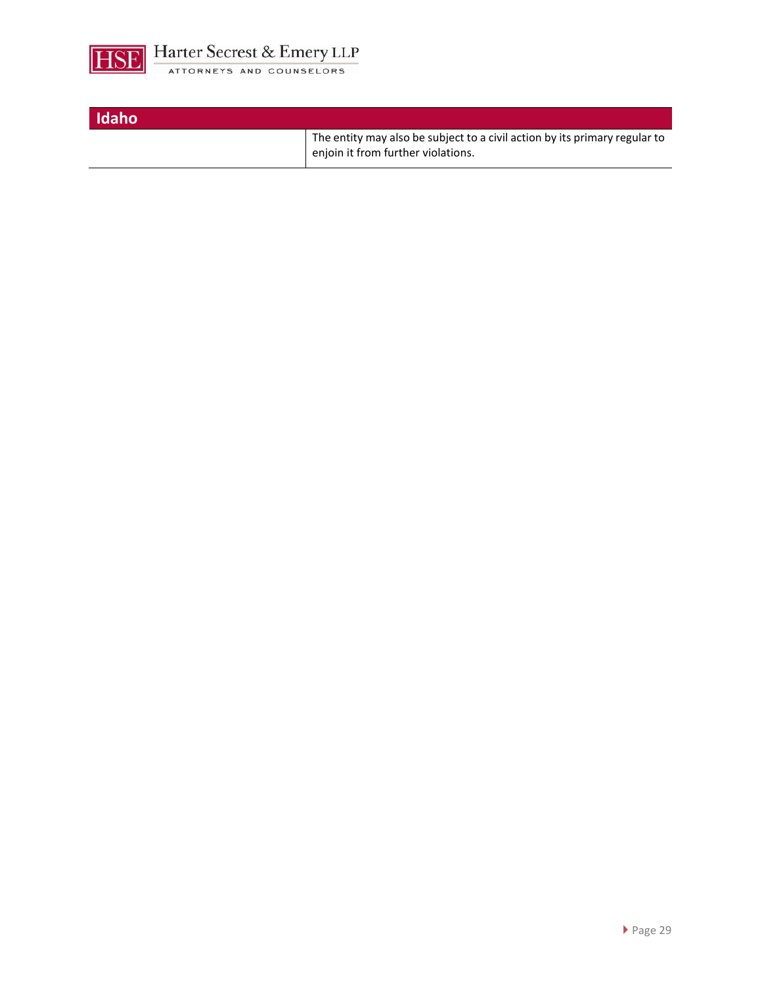

| Idaho |                                                                                                                  |
|-------|------------------------------------------------------------------------------------------------------------------|
|       | The entity may also be subject to a civil action by its primary regular to<br>enjoin it from further violations. |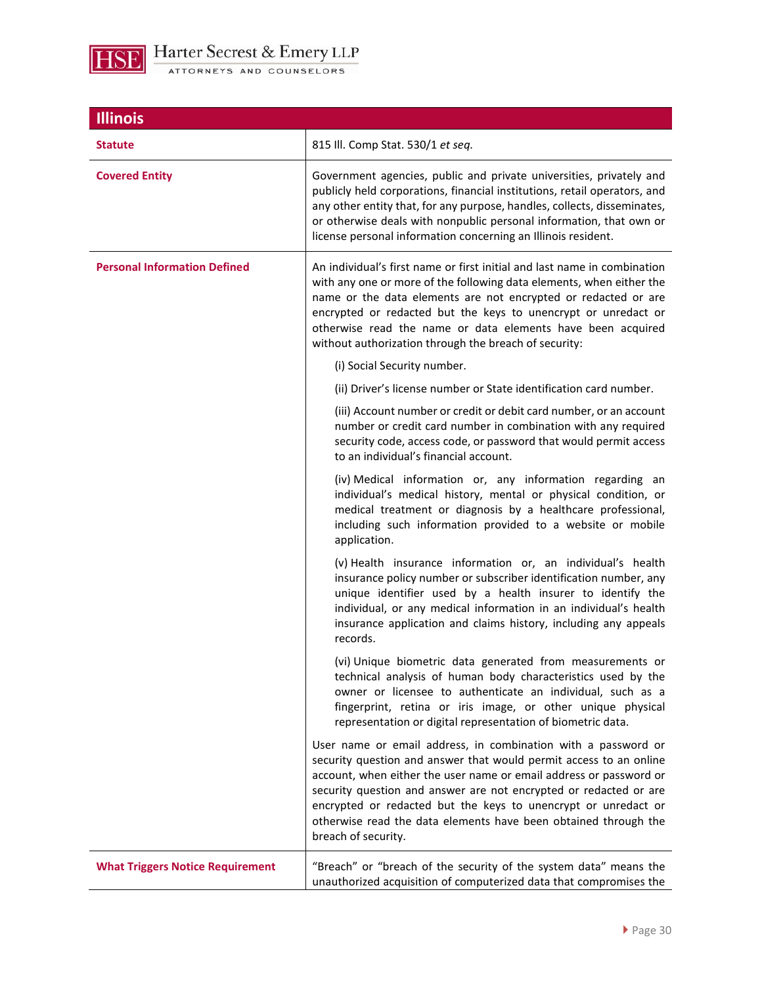

| <b>Illinois</b>                         |                                                                                                                                                                                                                                                                                                                                                                                                                                            |
|-----------------------------------------|--------------------------------------------------------------------------------------------------------------------------------------------------------------------------------------------------------------------------------------------------------------------------------------------------------------------------------------------------------------------------------------------------------------------------------------------|
| <b>Statute</b>                          | 815 Ill. Comp Stat. 530/1 et seq.                                                                                                                                                                                                                                                                                                                                                                                                          |
| <b>Covered Entity</b>                   | Government agencies, public and private universities, privately and<br>publicly held corporations, financial institutions, retail operators, and<br>any other entity that, for any purpose, handles, collects, disseminates,<br>or otherwise deals with nonpublic personal information, that own or<br>license personal information concerning an Illinois resident.                                                                       |
| <b>Personal Information Defined</b>     | An individual's first name or first initial and last name in combination<br>with any one or more of the following data elements, when either the<br>name or the data elements are not encrypted or redacted or are<br>encrypted or redacted but the keys to unencrypt or unredact or<br>otherwise read the name or data elements have been acquired<br>without authorization through the breach of security:                               |
|                                         | (i) Social Security number.                                                                                                                                                                                                                                                                                                                                                                                                                |
|                                         | (ii) Driver's license number or State identification card number.                                                                                                                                                                                                                                                                                                                                                                          |
|                                         | (iii) Account number or credit or debit card number, or an account<br>number or credit card number in combination with any required<br>security code, access code, or password that would permit access<br>to an individual's financial account.                                                                                                                                                                                           |
|                                         | (iv) Medical information or, any information regarding an<br>individual's medical history, mental or physical condition, or<br>medical treatment or diagnosis by a healthcare professional,<br>including such information provided to a website or mobile<br>application.                                                                                                                                                                  |
|                                         | (v) Health insurance information or, an individual's health<br>insurance policy number or subscriber identification number, any<br>unique identifier used by a health insurer to identify the<br>individual, or any medical information in an individual's health<br>insurance application and claims history, including any appeals<br>records.                                                                                           |
|                                         | (vi) Unique biometric data generated from measurements or<br>technical analysis of human body characteristics used by the<br>owner or licensee to authenticate an individual, such as a<br>fingerprint, retina or iris image, or other unique physical<br>representation or digital representation of biometric data.                                                                                                                      |
|                                         | User name or email address, in combination with a password or<br>security question and answer that would permit access to an online<br>account, when either the user name or email address or password or<br>security question and answer are not encrypted or redacted or are<br>encrypted or redacted but the keys to unencrypt or unredact or<br>otherwise read the data elements have been obtained through the<br>breach of security. |
| <b>What Triggers Notice Requirement</b> | "Breach" or "breach of the security of the system data" means the<br>unauthorized acquisition of computerized data that compromises the                                                                                                                                                                                                                                                                                                    |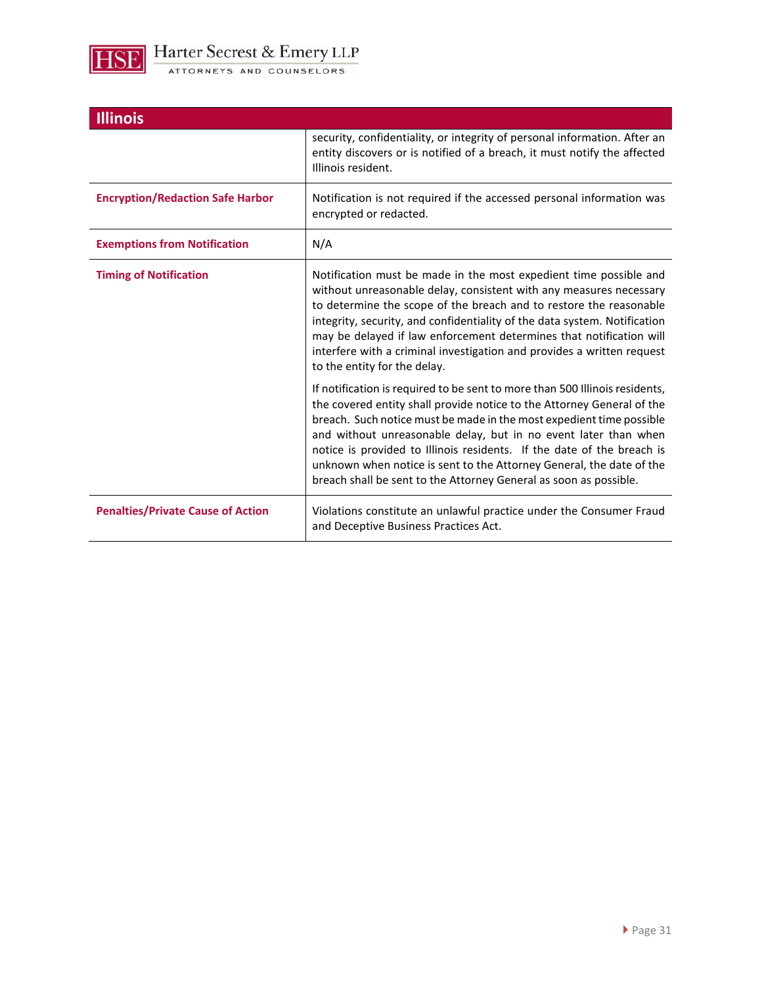

| <b>Illinois</b>                          |                                                                                                                                                                                                                                                                                                                                                                                                                                                                                                                         |
|------------------------------------------|-------------------------------------------------------------------------------------------------------------------------------------------------------------------------------------------------------------------------------------------------------------------------------------------------------------------------------------------------------------------------------------------------------------------------------------------------------------------------------------------------------------------------|
|                                          | security, confidentiality, or integrity of personal information. After an<br>entity discovers or is notified of a breach, it must notify the affected<br>Illinois resident.                                                                                                                                                                                                                                                                                                                                             |
| <b>Encryption/Redaction Safe Harbor</b>  | Notification is not required if the accessed personal information was<br>encrypted or redacted.                                                                                                                                                                                                                                                                                                                                                                                                                         |
| <b>Exemptions from Notification</b>      | N/A                                                                                                                                                                                                                                                                                                                                                                                                                                                                                                                     |
| <b>Timing of Notification</b>            | Notification must be made in the most expedient time possible and<br>without unreasonable delay, consistent with any measures necessary<br>to determine the scope of the breach and to restore the reasonable<br>integrity, security, and confidentiality of the data system. Notification<br>may be delayed if law enforcement determines that notification will<br>interfere with a criminal investigation and provides a written request<br>to the entity for the delay.                                             |
|                                          | If notification is required to be sent to more than 500 Illinois residents,<br>the covered entity shall provide notice to the Attorney General of the<br>breach. Such notice must be made in the most expedient time possible<br>and without unreasonable delay, but in no event later than when<br>notice is provided to Illinois residents. If the date of the breach is<br>unknown when notice is sent to the Attorney General, the date of the<br>breach shall be sent to the Attorney General as soon as possible. |
| <b>Penalties/Private Cause of Action</b> | Violations constitute an unlawful practice under the Consumer Fraud<br>and Deceptive Business Practices Act.                                                                                                                                                                                                                                                                                                                                                                                                            |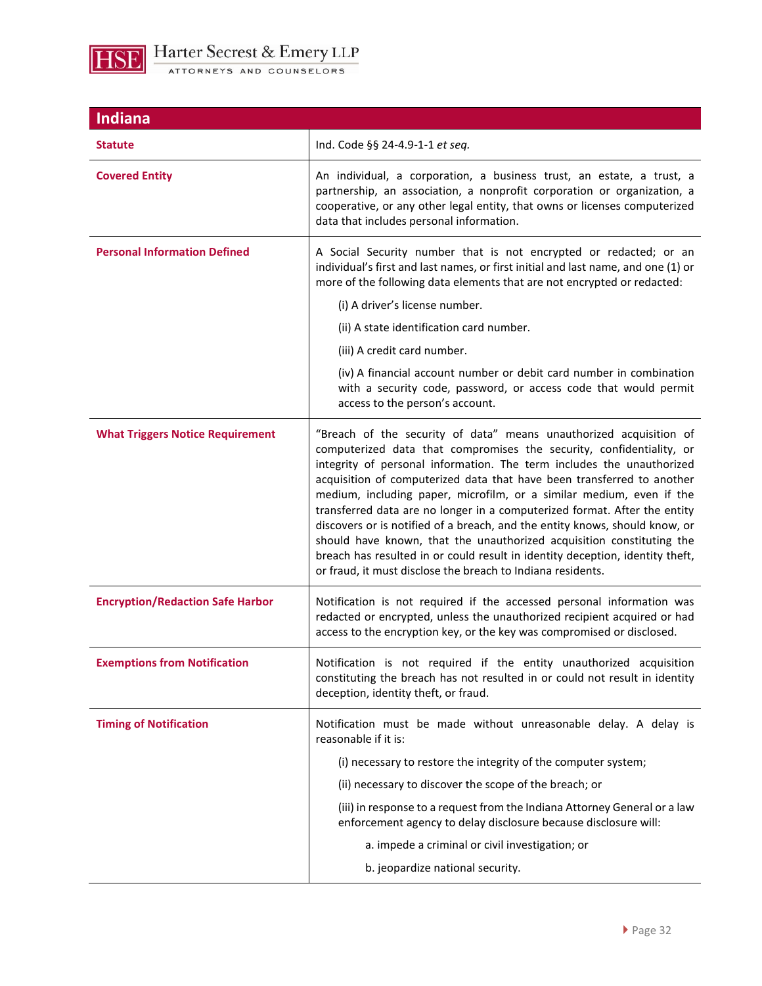

| <b>Indiana</b>                          |                                                                                                                                                                                                                                                                                                                                                                                                                                                                                                                                                                                                                                                                                                                                                            |
|-----------------------------------------|------------------------------------------------------------------------------------------------------------------------------------------------------------------------------------------------------------------------------------------------------------------------------------------------------------------------------------------------------------------------------------------------------------------------------------------------------------------------------------------------------------------------------------------------------------------------------------------------------------------------------------------------------------------------------------------------------------------------------------------------------------|
| <b>Statute</b>                          | Ind. Code §§ 24-4.9-1-1 et seq.                                                                                                                                                                                                                                                                                                                                                                                                                                                                                                                                                                                                                                                                                                                            |
| <b>Covered Entity</b>                   | An individual, a corporation, a business trust, an estate, a trust, a<br>partnership, an association, a nonprofit corporation or organization, a<br>cooperative, or any other legal entity, that owns or licenses computerized<br>data that includes personal information.                                                                                                                                                                                                                                                                                                                                                                                                                                                                                 |
| <b>Personal Information Defined</b>     | A Social Security number that is not encrypted or redacted; or an<br>individual's first and last names, or first initial and last name, and one (1) or<br>more of the following data elements that are not encrypted or redacted:                                                                                                                                                                                                                                                                                                                                                                                                                                                                                                                          |
|                                         | (i) A driver's license number.                                                                                                                                                                                                                                                                                                                                                                                                                                                                                                                                                                                                                                                                                                                             |
|                                         | (ii) A state identification card number.                                                                                                                                                                                                                                                                                                                                                                                                                                                                                                                                                                                                                                                                                                                   |
|                                         | (iii) A credit card number.                                                                                                                                                                                                                                                                                                                                                                                                                                                                                                                                                                                                                                                                                                                                |
|                                         | (iv) A financial account number or debit card number in combination<br>with a security code, password, or access code that would permit<br>access to the person's account.                                                                                                                                                                                                                                                                                                                                                                                                                                                                                                                                                                                 |
| <b>What Triggers Notice Requirement</b> | "Breach of the security of data" means unauthorized acquisition of<br>computerized data that compromises the security, confidentiality, or<br>integrity of personal information. The term includes the unauthorized<br>acquisition of computerized data that have been transferred to another<br>medium, including paper, microfilm, or a similar medium, even if the<br>transferred data are no longer in a computerized format. After the entity<br>discovers or is notified of a breach, and the entity knows, should know, or<br>should have known, that the unauthorized acquisition constituting the<br>breach has resulted in or could result in identity deception, identity theft,<br>or fraud, it must disclose the breach to Indiana residents. |
| <b>Encryption/Redaction Safe Harbor</b> | Notification is not required if the accessed personal information was<br>redacted or encrypted, unless the unauthorized recipient acquired or had<br>access to the encryption key, or the key was compromised or disclosed.                                                                                                                                                                                                                                                                                                                                                                                                                                                                                                                                |
| <b>Exemptions from Notification</b>     | Notification is not required if the entity unauthorized acquisition<br>constituting the breach has not resulted in or could not result in identity<br>deception, identity theft, or fraud.                                                                                                                                                                                                                                                                                                                                                                                                                                                                                                                                                                 |
| <b>Timing of Notification</b>           | Notification must be made without unreasonable delay. A delay is<br>reasonable if it is:                                                                                                                                                                                                                                                                                                                                                                                                                                                                                                                                                                                                                                                                   |
|                                         | (i) necessary to restore the integrity of the computer system;                                                                                                                                                                                                                                                                                                                                                                                                                                                                                                                                                                                                                                                                                             |
|                                         | (ii) necessary to discover the scope of the breach; or                                                                                                                                                                                                                                                                                                                                                                                                                                                                                                                                                                                                                                                                                                     |
|                                         | (iii) in response to a request from the Indiana Attorney General or a law<br>enforcement agency to delay disclosure because disclosure will:                                                                                                                                                                                                                                                                                                                                                                                                                                                                                                                                                                                                               |
|                                         | a. impede a criminal or civil investigation; or                                                                                                                                                                                                                                                                                                                                                                                                                                                                                                                                                                                                                                                                                                            |
|                                         | b. jeopardize national security.                                                                                                                                                                                                                                                                                                                                                                                                                                                                                                                                                                                                                                                                                                                           |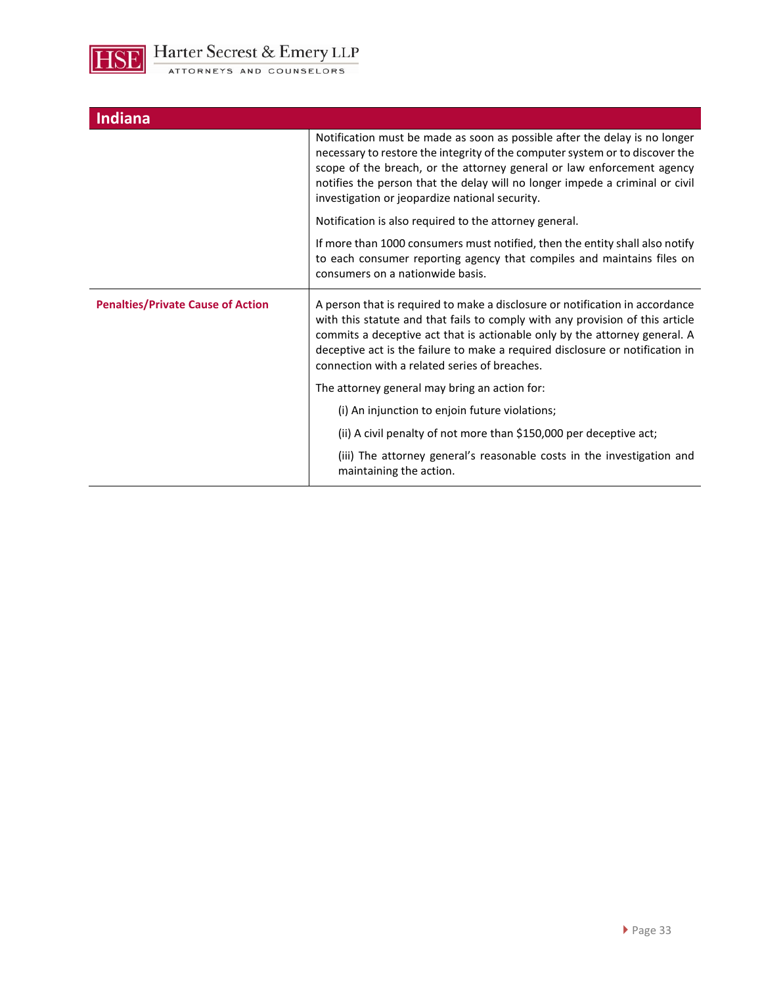

| <b>Indiana</b>                           |                                                                                                                                                                                                                                                                                                                                                                               |
|------------------------------------------|-------------------------------------------------------------------------------------------------------------------------------------------------------------------------------------------------------------------------------------------------------------------------------------------------------------------------------------------------------------------------------|
|                                          | Notification must be made as soon as possible after the delay is no longer<br>necessary to restore the integrity of the computer system or to discover the<br>scope of the breach, or the attorney general or law enforcement agency<br>notifies the person that the delay will no longer impede a criminal or civil<br>investigation or jeopardize national security.        |
|                                          | Notification is also required to the attorney general.                                                                                                                                                                                                                                                                                                                        |
|                                          | If more than 1000 consumers must notified, then the entity shall also notify<br>to each consumer reporting agency that compiles and maintains files on<br>consumers on a nationwide basis.                                                                                                                                                                                    |
| <b>Penalties/Private Cause of Action</b> | A person that is required to make a disclosure or notification in accordance<br>with this statute and that fails to comply with any provision of this article<br>commits a deceptive act that is actionable only by the attorney general. A<br>deceptive act is the failure to make a required disclosure or notification in<br>connection with a related series of breaches. |
|                                          | The attorney general may bring an action for:                                                                                                                                                                                                                                                                                                                                 |
|                                          | (i) An injunction to enjoin future violations;                                                                                                                                                                                                                                                                                                                                |
|                                          | (ii) A civil penalty of not more than \$150,000 per deceptive act;                                                                                                                                                                                                                                                                                                            |
|                                          | (iii) The attorney general's reasonable costs in the investigation and<br>maintaining the action.                                                                                                                                                                                                                                                                             |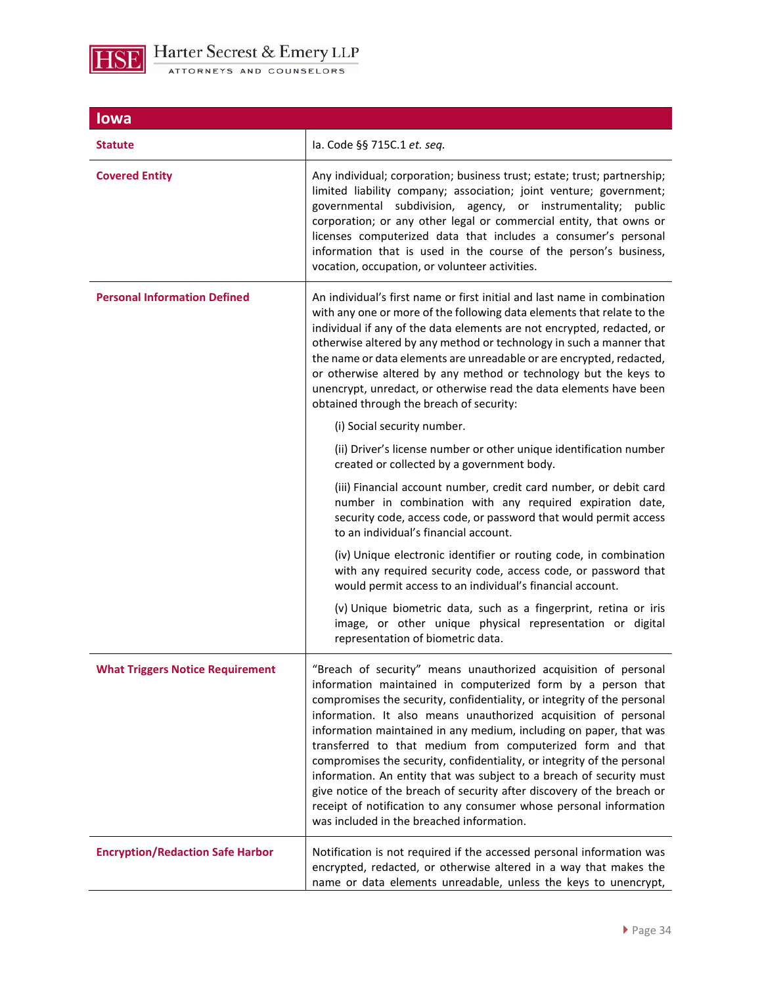

| lowa                                    |                                                                                                                                                                                                                                                                                                                                                                                                                                                                                                                                                                                                                                                                                                                                                                   |
|-----------------------------------------|-------------------------------------------------------------------------------------------------------------------------------------------------------------------------------------------------------------------------------------------------------------------------------------------------------------------------------------------------------------------------------------------------------------------------------------------------------------------------------------------------------------------------------------------------------------------------------------------------------------------------------------------------------------------------------------------------------------------------------------------------------------------|
| <b>Statute</b>                          | la. Code §§ 715C.1 et. seq.                                                                                                                                                                                                                                                                                                                                                                                                                                                                                                                                                                                                                                                                                                                                       |
| <b>Covered Entity</b>                   | Any individual; corporation; business trust; estate; trust; partnership;<br>limited liability company; association; joint venture; government;<br>governmental subdivision, agency, or instrumentality; public<br>corporation; or any other legal or commercial entity, that owns or<br>licenses computerized data that includes a consumer's personal<br>information that is used in the course of the person's business,<br>vocation, occupation, or volunteer activities.                                                                                                                                                                                                                                                                                      |
| <b>Personal Information Defined</b>     | An individual's first name or first initial and last name in combination<br>with any one or more of the following data elements that relate to the<br>individual if any of the data elements are not encrypted, redacted, or<br>otherwise altered by any method or technology in such a manner that<br>the name or data elements are unreadable or are encrypted, redacted,<br>or otherwise altered by any method or technology but the keys to<br>unencrypt, unredact, or otherwise read the data elements have been<br>obtained through the breach of security:                                                                                                                                                                                                 |
|                                         | (i) Social security number.                                                                                                                                                                                                                                                                                                                                                                                                                                                                                                                                                                                                                                                                                                                                       |
|                                         | (ii) Driver's license number or other unique identification number<br>created or collected by a government body.                                                                                                                                                                                                                                                                                                                                                                                                                                                                                                                                                                                                                                                  |
|                                         | (iii) Financial account number, credit card number, or debit card<br>number in combination with any required expiration date,<br>security code, access code, or password that would permit access<br>to an individual's financial account.                                                                                                                                                                                                                                                                                                                                                                                                                                                                                                                        |
|                                         | (iv) Unique electronic identifier or routing code, in combination<br>with any required security code, access code, or password that<br>would permit access to an individual's financial account.                                                                                                                                                                                                                                                                                                                                                                                                                                                                                                                                                                  |
|                                         | (v) Unique biometric data, such as a fingerprint, retina or iris<br>image, or other unique physical representation or digital<br>representation of biometric data.                                                                                                                                                                                                                                                                                                                                                                                                                                                                                                                                                                                                |
| <b>What Triggers Notice Requirement</b> | "Breach of security" means unauthorized acquisition of personal<br>information maintained in computerized form by a person that<br>compromises the security, confidentiality, or integrity of the personal<br>information. It also means unauthorized acquisition of personal<br>information maintained in any medium, including on paper, that was<br>transferred to that medium from computerized form and that<br>compromises the security, confidentiality, or integrity of the personal<br>information. An entity that was subject to a breach of security must<br>give notice of the breach of security after discovery of the breach or<br>receipt of notification to any consumer whose personal information<br>was included in the breached information. |
| <b>Encryption/Redaction Safe Harbor</b> | Notification is not required if the accessed personal information was<br>encrypted, redacted, or otherwise altered in a way that makes the<br>name or data elements unreadable, unless the keys to unencrypt,                                                                                                                                                                                                                                                                                                                                                                                                                                                                                                                                                     |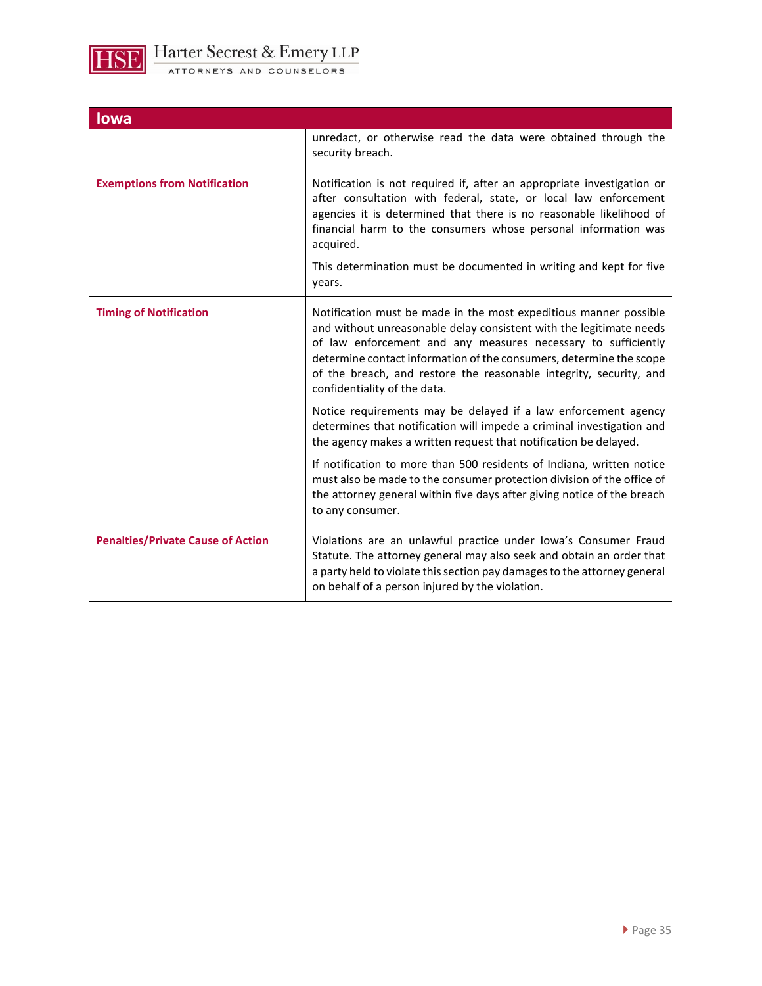

| <b>lowa</b>                              |                                                                                                                                                                                                                                                                                                                                                                                        |
|------------------------------------------|----------------------------------------------------------------------------------------------------------------------------------------------------------------------------------------------------------------------------------------------------------------------------------------------------------------------------------------------------------------------------------------|
|                                          | unredact, or otherwise read the data were obtained through the<br>security breach.                                                                                                                                                                                                                                                                                                     |
| <b>Exemptions from Notification</b>      | Notification is not required if, after an appropriate investigation or<br>after consultation with federal, state, or local law enforcement<br>agencies it is determined that there is no reasonable likelihood of<br>financial harm to the consumers whose personal information was<br>acquired.                                                                                       |
|                                          | This determination must be documented in writing and kept for five<br>years.                                                                                                                                                                                                                                                                                                           |
| <b>Timing of Notification</b>            | Notification must be made in the most expeditious manner possible<br>and without unreasonable delay consistent with the legitimate needs<br>of law enforcement and any measures necessary to sufficiently<br>determine contact information of the consumers, determine the scope<br>of the breach, and restore the reasonable integrity, security, and<br>confidentiality of the data. |
|                                          | Notice requirements may be delayed if a law enforcement agency<br>determines that notification will impede a criminal investigation and<br>the agency makes a written request that notification be delayed.                                                                                                                                                                            |
|                                          | If notification to more than 500 residents of Indiana, written notice<br>must also be made to the consumer protection division of the office of<br>the attorney general within five days after giving notice of the breach<br>to any consumer.                                                                                                                                         |
| <b>Penalties/Private Cause of Action</b> | Violations are an unlawful practice under Iowa's Consumer Fraud<br>Statute. The attorney general may also seek and obtain an order that<br>a party held to violate this section pay damages to the attorney general<br>on behalf of a person injured by the violation.                                                                                                                 |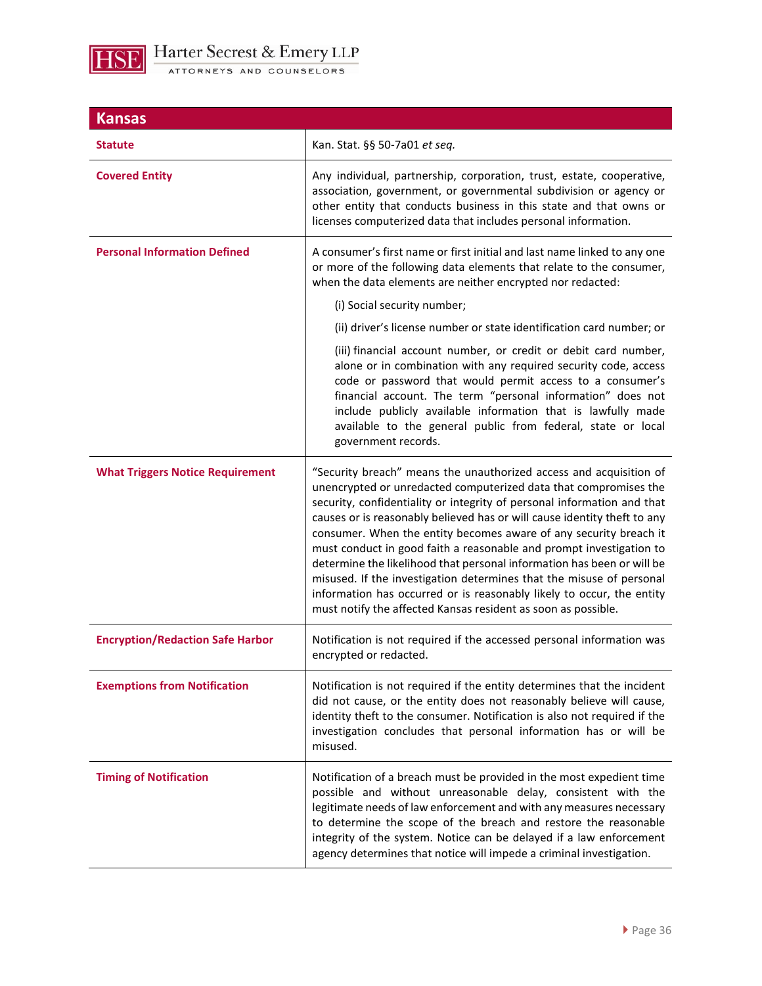

| <b>Kansas</b>                           |                                                                                                                                                                                                                                                                                                                                                                                                                                                                                                                                                                                                                                                                                                                                       |
|-----------------------------------------|---------------------------------------------------------------------------------------------------------------------------------------------------------------------------------------------------------------------------------------------------------------------------------------------------------------------------------------------------------------------------------------------------------------------------------------------------------------------------------------------------------------------------------------------------------------------------------------------------------------------------------------------------------------------------------------------------------------------------------------|
| <b>Statute</b>                          | Kan. Stat. §§ 50-7a01 et seq.                                                                                                                                                                                                                                                                                                                                                                                                                                                                                                                                                                                                                                                                                                         |
| <b>Covered Entity</b>                   | Any individual, partnership, corporation, trust, estate, cooperative,<br>association, government, or governmental subdivision or agency or<br>other entity that conducts business in this state and that owns or<br>licenses computerized data that includes personal information.                                                                                                                                                                                                                                                                                                                                                                                                                                                    |
| <b>Personal Information Defined</b>     | A consumer's first name or first initial and last name linked to any one<br>or more of the following data elements that relate to the consumer,<br>when the data elements are neither encrypted nor redacted:                                                                                                                                                                                                                                                                                                                                                                                                                                                                                                                         |
|                                         | (i) Social security number;                                                                                                                                                                                                                                                                                                                                                                                                                                                                                                                                                                                                                                                                                                           |
|                                         | (ii) driver's license number or state identification card number; or                                                                                                                                                                                                                                                                                                                                                                                                                                                                                                                                                                                                                                                                  |
|                                         | (iii) financial account number, or credit or debit card number,<br>alone or in combination with any required security code, access<br>code or password that would permit access to a consumer's<br>financial account. The term "personal information" does not<br>include publicly available information that is lawfully made<br>available to the general public from federal, state or local<br>government records.                                                                                                                                                                                                                                                                                                                 |
| <b>What Triggers Notice Requirement</b> | "Security breach" means the unauthorized access and acquisition of<br>unencrypted or unredacted computerized data that compromises the<br>security, confidentiality or integrity of personal information and that<br>causes or is reasonably believed has or will cause identity theft to any<br>consumer. When the entity becomes aware of any security breach it<br>must conduct in good faith a reasonable and prompt investigation to<br>determine the likelihood that personal information has been or will be<br>misused. If the investigation determines that the misuse of personal<br>information has occurred or is reasonably likely to occur, the entity<br>must notify the affected Kansas resident as soon as possible. |
| <b>Encryption/Redaction Safe Harbor</b> | Notification is not required if the accessed personal information was<br>encrypted or redacted.                                                                                                                                                                                                                                                                                                                                                                                                                                                                                                                                                                                                                                       |
| <b>Exemptions from Notification</b>     | Notification is not required if the entity determines that the incident<br>did not cause, or the entity does not reasonably believe will cause,<br>identity theft to the consumer. Notification is also not required if the<br>investigation concludes that personal information has or will be<br>misused.                                                                                                                                                                                                                                                                                                                                                                                                                           |
| <b>Timing of Notification</b>           | Notification of a breach must be provided in the most expedient time<br>possible and without unreasonable delay, consistent with the<br>legitimate needs of law enforcement and with any measures necessary<br>to determine the scope of the breach and restore the reasonable<br>integrity of the system. Notice can be delayed if a law enforcement<br>agency determines that notice will impede a criminal investigation.                                                                                                                                                                                                                                                                                                          |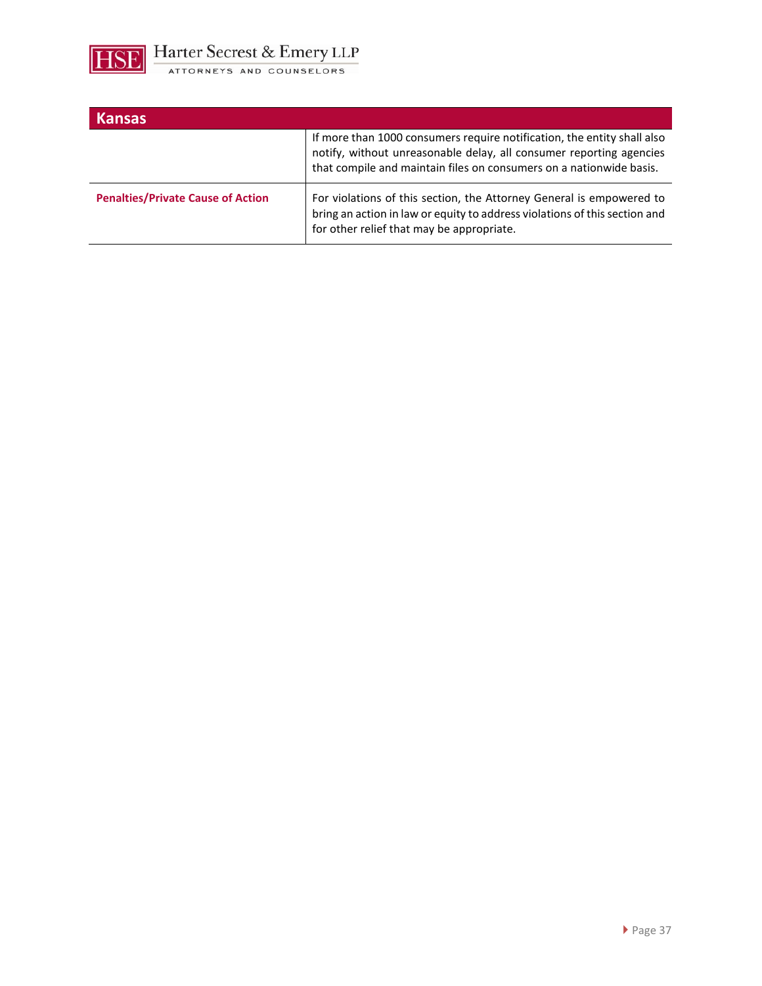

| <b>Kansas</b>                            |                                                                                                                                                                                                                       |
|------------------------------------------|-----------------------------------------------------------------------------------------------------------------------------------------------------------------------------------------------------------------------|
|                                          | If more than 1000 consumers require notification, the entity shall also<br>notify, without unreasonable delay, all consumer reporting agencies<br>that compile and maintain files on consumers on a nationwide basis. |
| <b>Penalties/Private Cause of Action</b> | For violations of this section, the Attorney General is empowered to<br>bring an action in law or equity to address violations of this section and<br>for other relief that may be appropriate.                       |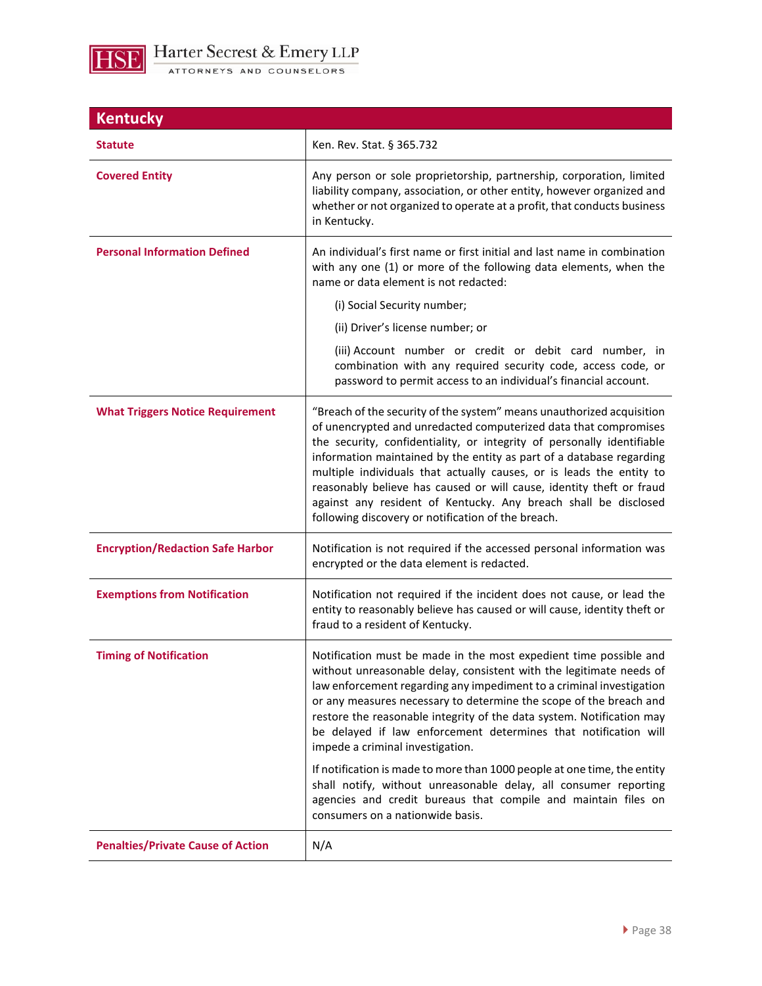

| <b>Kentucky</b>                          |                                                                                                                                                                                                                                                                                                                                                                                                                                                                                                                                                                      |
|------------------------------------------|----------------------------------------------------------------------------------------------------------------------------------------------------------------------------------------------------------------------------------------------------------------------------------------------------------------------------------------------------------------------------------------------------------------------------------------------------------------------------------------------------------------------------------------------------------------------|
| <b>Statute</b>                           | Ken. Rev. Stat. § 365.732                                                                                                                                                                                                                                                                                                                                                                                                                                                                                                                                            |
| <b>Covered Entity</b>                    | Any person or sole proprietorship, partnership, corporation, limited<br>liability company, association, or other entity, however organized and<br>whether or not organized to operate at a profit, that conducts business<br>in Kentucky.                                                                                                                                                                                                                                                                                                                            |
| <b>Personal Information Defined</b>      | An individual's first name or first initial and last name in combination<br>with any one (1) or more of the following data elements, when the<br>name or data element is not redacted:                                                                                                                                                                                                                                                                                                                                                                               |
|                                          | (i) Social Security number;                                                                                                                                                                                                                                                                                                                                                                                                                                                                                                                                          |
|                                          | (ii) Driver's license number; or                                                                                                                                                                                                                                                                                                                                                                                                                                                                                                                                     |
|                                          | (iii) Account number or credit or debit card number, in<br>combination with any required security code, access code, or<br>password to permit access to an individual's financial account.                                                                                                                                                                                                                                                                                                                                                                           |
| <b>What Triggers Notice Requirement</b>  | "Breach of the security of the system" means unauthorized acquisition<br>of unencrypted and unredacted computerized data that compromises<br>the security, confidentiality, or integrity of personally identifiable<br>information maintained by the entity as part of a database regarding<br>multiple individuals that actually causes, or is leads the entity to<br>reasonably believe has caused or will cause, identity theft or fraud<br>against any resident of Kentucky. Any breach shall be disclosed<br>following discovery or notification of the breach. |
| <b>Encryption/Redaction Safe Harbor</b>  | Notification is not required if the accessed personal information was<br>encrypted or the data element is redacted.                                                                                                                                                                                                                                                                                                                                                                                                                                                  |
| <b>Exemptions from Notification</b>      | Notification not required if the incident does not cause, or lead the<br>entity to reasonably believe has caused or will cause, identity theft or<br>fraud to a resident of Kentucky.                                                                                                                                                                                                                                                                                                                                                                                |
| <b>Timing of Notification</b>            | Notification must be made in the most expedient time possible and<br>without unreasonable delay, consistent with the legitimate needs of<br>law enforcement regarding any impediment to a criminal investigation<br>or any measures necessary to determine the scope of the breach and<br>restore the reasonable integrity of the data system. Notification may<br>be delayed if law enforcement determines that notification will<br>impede a criminal investigation.                                                                                               |
|                                          | If notification is made to more than 1000 people at one time, the entity<br>shall notify, without unreasonable delay, all consumer reporting<br>agencies and credit bureaus that compile and maintain files on<br>consumers on a nationwide basis.                                                                                                                                                                                                                                                                                                                   |
| <b>Penalties/Private Cause of Action</b> | N/A                                                                                                                                                                                                                                                                                                                                                                                                                                                                                                                                                                  |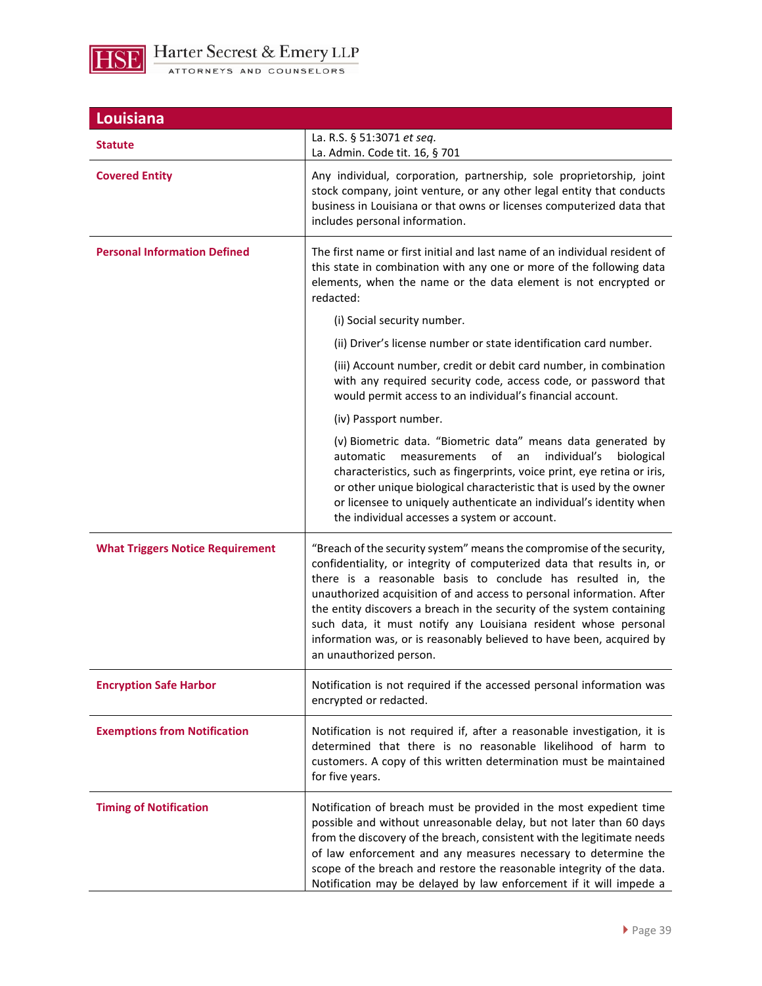

| Louisiana                               |                                                                                                                                                                                                                                                                                                                                                                                                                                                                                                                                          |  |
|-----------------------------------------|------------------------------------------------------------------------------------------------------------------------------------------------------------------------------------------------------------------------------------------------------------------------------------------------------------------------------------------------------------------------------------------------------------------------------------------------------------------------------------------------------------------------------------------|--|
| Statute                                 | La. R.S. § 51:3071 et seq.<br>La. Admin. Code tit. 16, § 701                                                                                                                                                                                                                                                                                                                                                                                                                                                                             |  |
| <b>Covered Entity</b>                   | Any individual, corporation, partnership, sole proprietorship, joint<br>stock company, joint venture, or any other legal entity that conducts<br>business in Louisiana or that owns or licenses computerized data that<br>includes personal information.                                                                                                                                                                                                                                                                                 |  |
| <b>Personal Information Defined</b>     | The first name or first initial and last name of an individual resident of<br>this state in combination with any one or more of the following data<br>elements, when the name or the data element is not encrypted or<br>redacted:                                                                                                                                                                                                                                                                                                       |  |
|                                         | (i) Social security number.                                                                                                                                                                                                                                                                                                                                                                                                                                                                                                              |  |
|                                         | (ii) Driver's license number or state identification card number.                                                                                                                                                                                                                                                                                                                                                                                                                                                                        |  |
|                                         | (iii) Account number, credit or debit card number, in combination<br>with any required security code, access code, or password that<br>would permit access to an individual's financial account.                                                                                                                                                                                                                                                                                                                                         |  |
|                                         | (iv) Passport number.                                                                                                                                                                                                                                                                                                                                                                                                                                                                                                                    |  |
|                                         | (v) Biometric data. "Biometric data" means data generated by<br>of<br>individual's<br>automatic<br>measurements<br>biological<br>an<br>characteristics, such as fingerprints, voice print, eye retina or iris,<br>or other unique biological characteristic that is used by the owner<br>or licensee to uniquely authenticate an individual's identity when<br>the individual accesses a system or account.                                                                                                                              |  |
| <b>What Triggers Notice Requirement</b> | "Breach of the security system" means the compromise of the security,<br>confidentiality, or integrity of computerized data that results in, or<br>there is a reasonable basis to conclude has resulted in, the<br>unauthorized acquisition of and access to personal information. After<br>the entity discovers a breach in the security of the system containing<br>such data, it must notify any Louisiana resident whose personal<br>information was, or is reasonably believed to have been, acquired by<br>an unauthorized person. |  |
| <b>Encryption Safe Harbor</b>           | Notification is not required if the accessed personal information was<br>encrypted or redacted.                                                                                                                                                                                                                                                                                                                                                                                                                                          |  |
| <b>Exemptions from Notification</b>     | Notification is not required if, after a reasonable investigation, it is<br>determined that there is no reasonable likelihood of harm to<br>customers. A copy of this written determination must be maintained<br>for five years.                                                                                                                                                                                                                                                                                                        |  |
| <b>Timing of Notification</b>           | Notification of breach must be provided in the most expedient time<br>possible and without unreasonable delay, but not later than 60 days<br>from the discovery of the breach, consistent with the legitimate needs<br>of law enforcement and any measures necessary to determine the<br>scope of the breach and restore the reasonable integrity of the data.<br>Notification may be delayed by law enforcement if it will impede a                                                                                                     |  |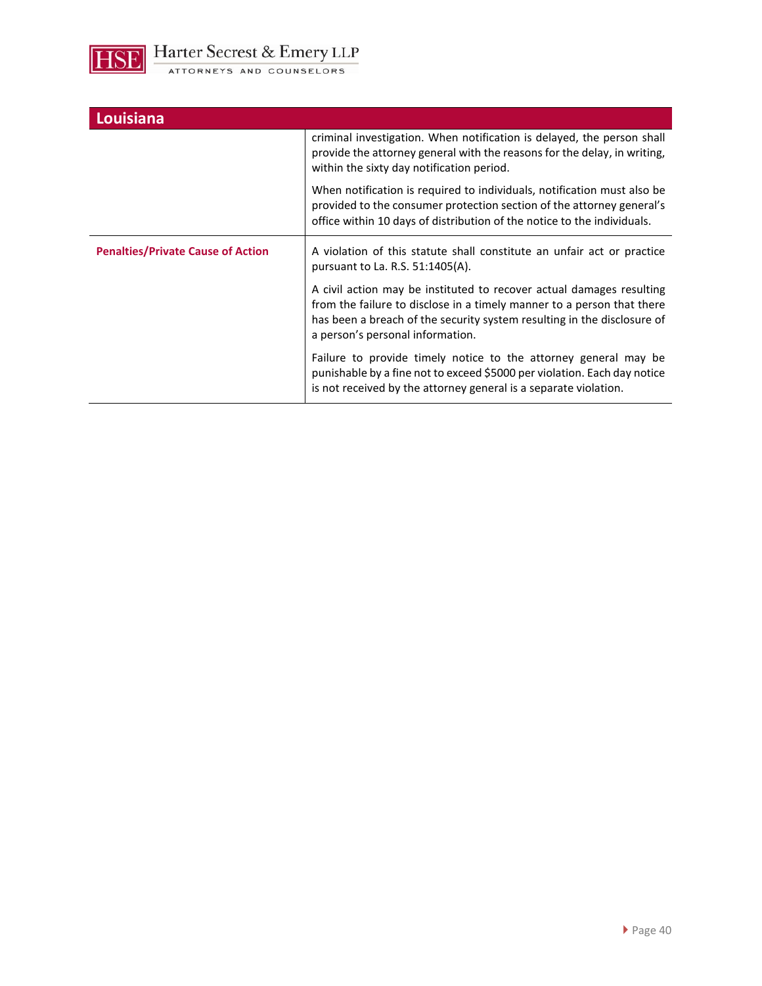

| Louisiana                                |                                                                                                                                                                                                                                                               |
|------------------------------------------|---------------------------------------------------------------------------------------------------------------------------------------------------------------------------------------------------------------------------------------------------------------|
|                                          | criminal investigation. When notification is delayed, the person shall<br>provide the attorney general with the reasons for the delay, in writing,<br>within the sixty day notification period.                                                               |
|                                          | When notification is required to individuals, notification must also be<br>provided to the consumer protection section of the attorney general's<br>office within 10 days of distribution of the notice to the individuals.                                   |
| <b>Penalties/Private Cause of Action</b> | A violation of this statute shall constitute an unfair act or practice<br>pursuant to La. R.S. 51:1405(A).                                                                                                                                                    |
|                                          | A civil action may be instituted to recover actual damages resulting<br>from the failure to disclose in a timely manner to a person that there<br>has been a breach of the security system resulting in the disclosure of<br>a person's personal information. |
|                                          | Failure to provide timely notice to the attorney general may be<br>punishable by a fine not to exceed \$5000 per violation. Each day notice<br>is not received by the attorney general is a separate violation.                                               |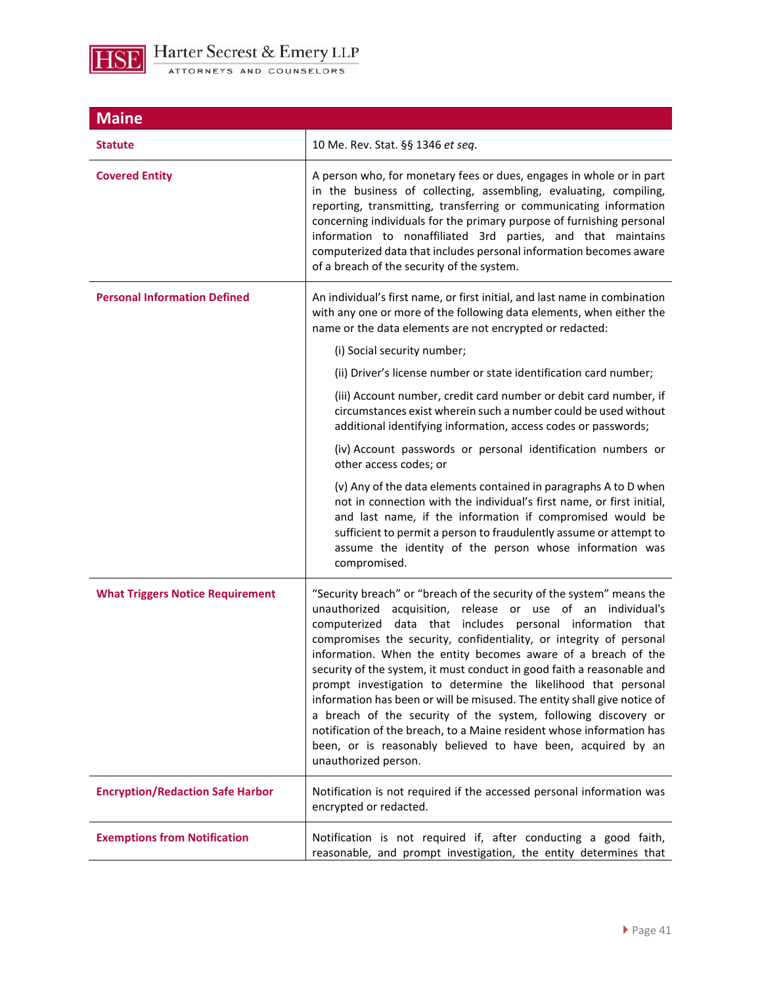

| <b>Maine</b>                            |                                                                                                                                                                                                                                                                                                                                                                                                                                                                                                                                                                                                                                                                                                                                                                                                      |
|-----------------------------------------|------------------------------------------------------------------------------------------------------------------------------------------------------------------------------------------------------------------------------------------------------------------------------------------------------------------------------------------------------------------------------------------------------------------------------------------------------------------------------------------------------------------------------------------------------------------------------------------------------------------------------------------------------------------------------------------------------------------------------------------------------------------------------------------------------|
| <b>Statute</b>                          | 10 Me. Rev. Stat. §§ 1346 et seq.                                                                                                                                                                                                                                                                                                                                                                                                                                                                                                                                                                                                                                                                                                                                                                    |
| <b>Covered Entity</b>                   | A person who, for monetary fees or dues, engages in whole or in part<br>in the business of collecting, assembling, evaluating, compiling,<br>reporting, transmitting, transferring or communicating information<br>concerning individuals for the primary purpose of furnishing personal<br>information to nonaffiliated 3rd parties, and that maintains<br>computerized data that includes personal information becomes aware<br>of a breach of the security of the system.                                                                                                                                                                                                                                                                                                                         |
| <b>Personal Information Defined</b>     | An individual's first name, or first initial, and last name in combination<br>with any one or more of the following data elements, when either the<br>name or the data elements are not encrypted or redacted:                                                                                                                                                                                                                                                                                                                                                                                                                                                                                                                                                                                       |
|                                         | (i) Social security number;                                                                                                                                                                                                                                                                                                                                                                                                                                                                                                                                                                                                                                                                                                                                                                          |
|                                         | (ii) Driver's license number or state identification card number;                                                                                                                                                                                                                                                                                                                                                                                                                                                                                                                                                                                                                                                                                                                                    |
|                                         | (iii) Account number, credit card number or debit card number, if<br>circumstances exist wherein such a number could be used without<br>additional identifying information, access codes or passwords;                                                                                                                                                                                                                                                                                                                                                                                                                                                                                                                                                                                               |
|                                         | (iv) Account passwords or personal identification numbers or<br>other access codes; or                                                                                                                                                                                                                                                                                                                                                                                                                                                                                                                                                                                                                                                                                                               |
|                                         | (v) Any of the data elements contained in paragraphs A to D when<br>not in connection with the individual's first name, or first initial,<br>and last name, if the information if compromised would be<br>sufficient to permit a person to fraudulently assume or attempt to<br>assume the identity of the person whose information was<br>compromised.                                                                                                                                                                                                                                                                                                                                                                                                                                              |
| <b>What Triggers Notice Requirement</b> | "Security breach" or "breach of the security of the system" means the<br>unauthorized acquisition, release or use of an individual's<br>computerized data that includes personal information that<br>compromises the security, confidentiality, or integrity of personal<br>information. When the entity becomes aware of a breach of the<br>security of the system, it must conduct in good faith a reasonable and<br>prompt investigation to determine the likelihood that personal<br>information has been or will be misused. The entity shall give notice of<br>a breach of the security of the system, following discovery or<br>notification of the breach, to a Maine resident whose information has<br>been, or is reasonably believed to have been, acquired by an<br>unauthorized person. |
| <b>Encryption/Redaction Safe Harbor</b> | Notification is not required if the accessed personal information was<br>encrypted or redacted.                                                                                                                                                                                                                                                                                                                                                                                                                                                                                                                                                                                                                                                                                                      |
| <b>Exemptions from Notification</b>     | Notification is not required if, after conducting a good faith,<br>reasonable, and prompt investigation, the entity determines that                                                                                                                                                                                                                                                                                                                                                                                                                                                                                                                                                                                                                                                                  |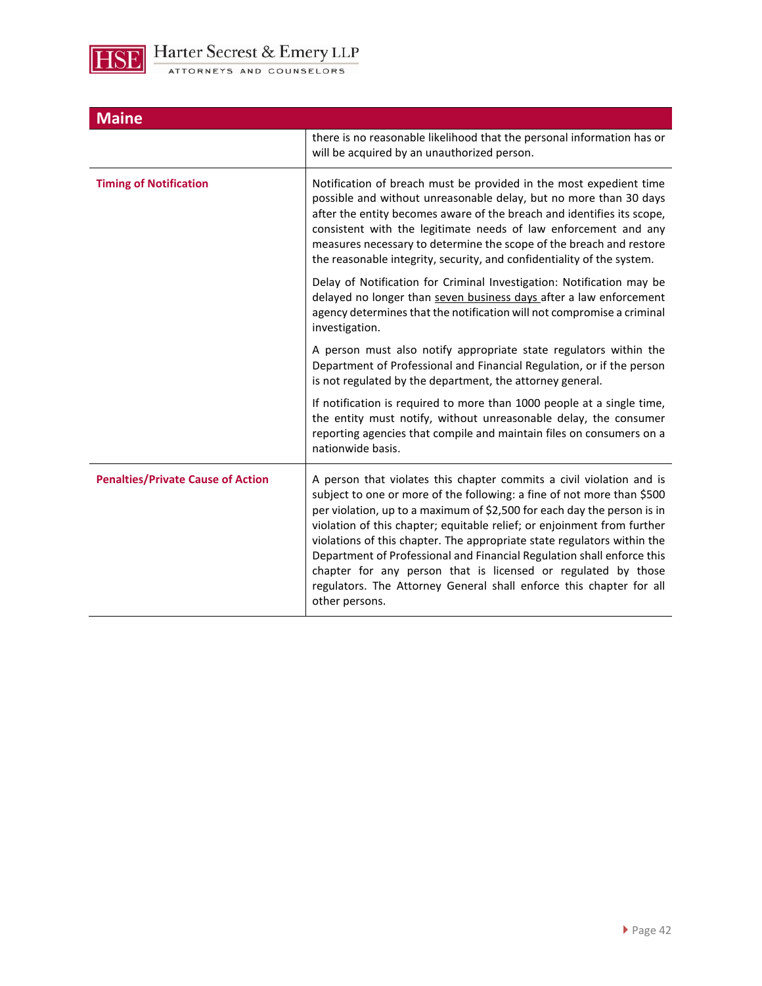

| <b>Maine</b>                             |                                                                                                                                                                                                                                                                                                                                                                                                                                                                                                                                                                                                                     |
|------------------------------------------|---------------------------------------------------------------------------------------------------------------------------------------------------------------------------------------------------------------------------------------------------------------------------------------------------------------------------------------------------------------------------------------------------------------------------------------------------------------------------------------------------------------------------------------------------------------------------------------------------------------------|
|                                          | there is no reasonable likelihood that the personal information has or<br>will be acquired by an unauthorized person.                                                                                                                                                                                                                                                                                                                                                                                                                                                                                               |
| <b>Timing of Notification</b>            | Notification of breach must be provided in the most expedient time<br>possible and without unreasonable delay, but no more than 30 days<br>after the entity becomes aware of the breach and identifies its scope,<br>consistent with the legitimate needs of law enforcement and any<br>measures necessary to determine the scope of the breach and restore<br>the reasonable integrity, security, and confidentiality of the system.                                                                                                                                                                               |
|                                          | Delay of Notification for Criminal Investigation: Notification may be<br>delayed no longer than seven business days after a law enforcement<br>agency determines that the notification will not compromise a criminal<br>investigation.                                                                                                                                                                                                                                                                                                                                                                             |
|                                          | A person must also notify appropriate state regulators within the<br>Department of Professional and Financial Regulation, or if the person<br>is not regulated by the department, the attorney general.                                                                                                                                                                                                                                                                                                                                                                                                             |
|                                          | If notification is required to more than 1000 people at a single time,<br>the entity must notify, without unreasonable delay, the consumer<br>reporting agencies that compile and maintain files on consumers on a<br>nationwide basis.                                                                                                                                                                                                                                                                                                                                                                             |
| <b>Penalties/Private Cause of Action</b> | A person that violates this chapter commits a civil violation and is<br>subject to one or more of the following: a fine of not more than \$500<br>per violation, up to a maximum of \$2,500 for each day the person is in<br>violation of this chapter; equitable relief; or enjoinment from further<br>violations of this chapter. The appropriate state regulators within the<br>Department of Professional and Financial Regulation shall enforce this<br>chapter for any person that is licensed or regulated by those<br>regulators. The Attorney General shall enforce this chapter for all<br>other persons. |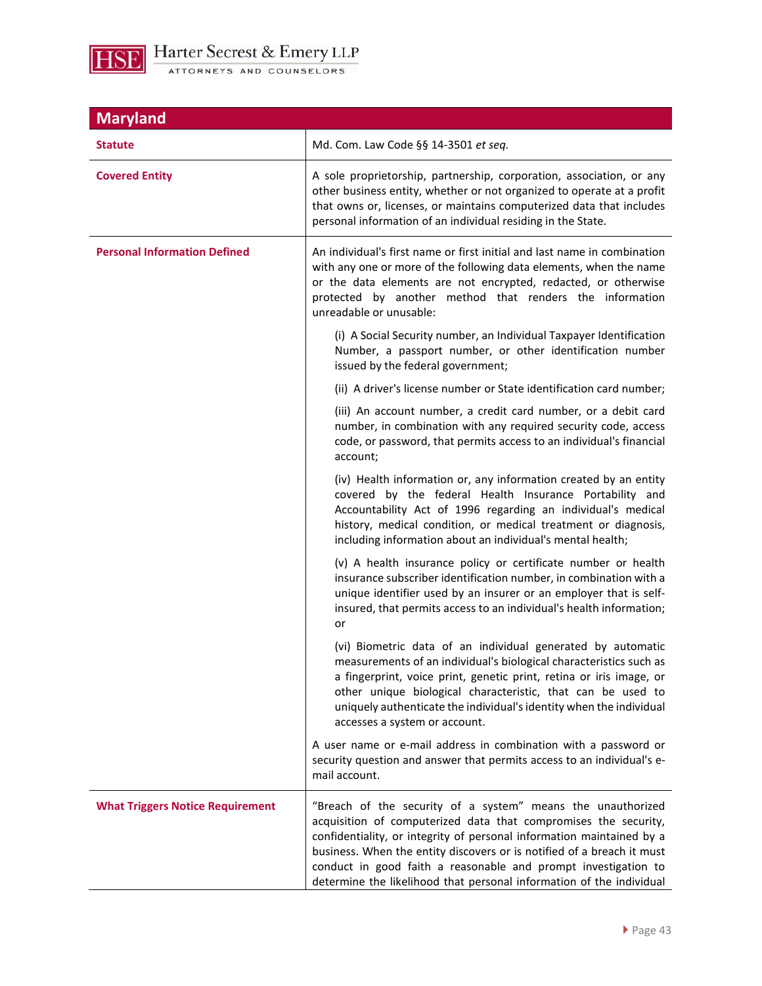

| <b>Maryland</b>                         |                                                                                                                                                                                                                                                                                                                                                                                                                             |
|-----------------------------------------|-----------------------------------------------------------------------------------------------------------------------------------------------------------------------------------------------------------------------------------------------------------------------------------------------------------------------------------------------------------------------------------------------------------------------------|
| <b>Statute</b>                          | Md. Com. Law Code §§ 14-3501 et seq.                                                                                                                                                                                                                                                                                                                                                                                        |
| <b>Covered Entity</b>                   | A sole proprietorship, partnership, corporation, association, or any<br>other business entity, whether or not organized to operate at a profit<br>that owns or, licenses, or maintains computerized data that includes<br>personal information of an individual residing in the State.                                                                                                                                      |
| <b>Personal Information Defined</b>     | An individual's first name or first initial and last name in combination<br>with any one or more of the following data elements, when the name<br>or the data elements are not encrypted, redacted, or otherwise<br>protected by another method that renders the information<br>unreadable or unusable:                                                                                                                     |
|                                         | (i) A Social Security number, an Individual Taxpayer Identification<br>Number, a passport number, or other identification number<br>issued by the federal government;                                                                                                                                                                                                                                                       |
|                                         | (ii) A driver's license number or State identification card number;                                                                                                                                                                                                                                                                                                                                                         |
|                                         | (iii) An account number, a credit card number, or a debit card<br>number, in combination with any required security code, access<br>code, or password, that permits access to an individual's financial<br>account;                                                                                                                                                                                                         |
|                                         | (iv) Health information or, any information created by an entity<br>covered by the federal Health Insurance Portability and<br>Accountability Act of 1996 regarding an individual's medical<br>history, medical condition, or medical treatment or diagnosis,<br>including information about an individual's mental health;                                                                                                 |
|                                         | (v) A health insurance policy or certificate number or health<br>insurance subscriber identification number, in combination with a<br>unique identifier used by an insurer or an employer that is self-<br>insured, that permits access to an individual's health information;<br>or                                                                                                                                        |
|                                         | (vi) Biometric data of an individual generated by automatic<br>measurements of an individual's biological characteristics such as<br>a fingerprint, voice print, genetic print, retina or iris image, or<br>other unique biological characteristic, that can be used to<br>uniquely authenticate the individual's identity when the individual<br>accesses a system or account.                                             |
|                                         | A user name or e-mail address in combination with a password or<br>security question and answer that permits access to an individual's e-<br>mail account.                                                                                                                                                                                                                                                                  |
| <b>What Triggers Notice Requirement</b> | "Breach of the security of a system" means the unauthorized<br>acquisition of computerized data that compromises the security,<br>confidentiality, or integrity of personal information maintained by a<br>business. When the entity discovers or is notified of a breach it must<br>conduct in good faith a reasonable and prompt investigation to<br>determine the likelihood that personal information of the individual |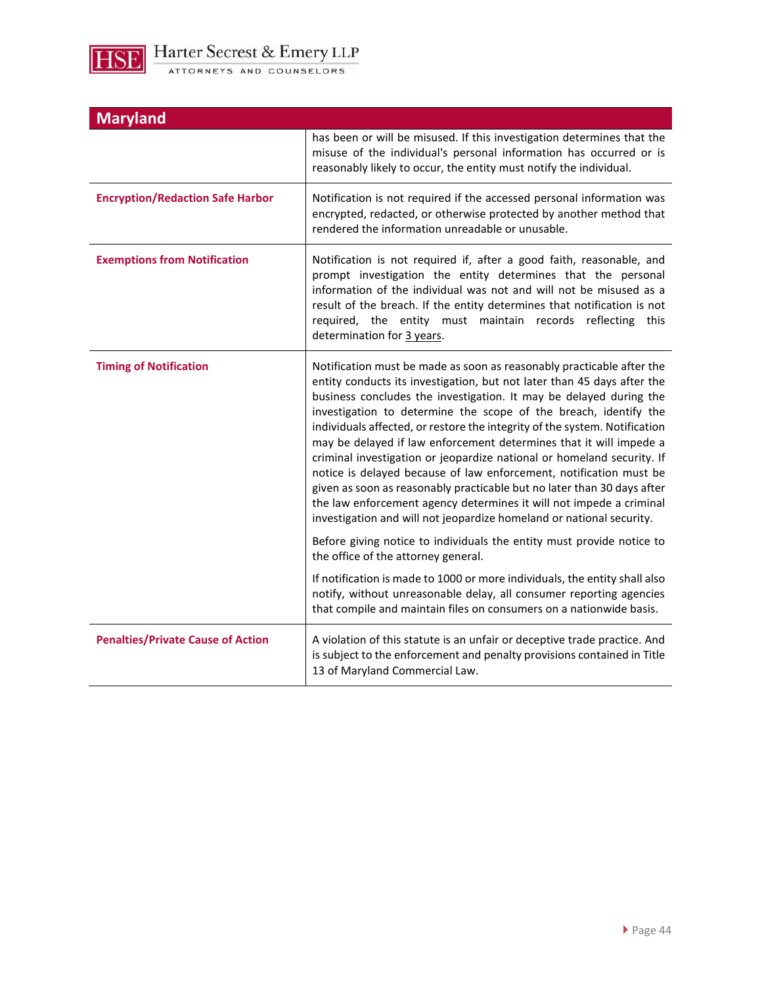

| <b>Maryland</b>                          |                                                                                                                                                                                                                                                                                                                                                                                                                                                                                                                                                                                                                                                                                                                                                                                                                                                                                                                                                                                                                                                                                                                                                                      |
|------------------------------------------|----------------------------------------------------------------------------------------------------------------------------------------------------------------------------------------------------------------------------------------------------------------------------------------------------------------------------------------------------------------------------------------------------------------------------------------------------------------------------------------------------------------------------------------------------------------------------------------------------------------------------------------------------------------------------------------------------------------------------------------------------------------------------------------------------------------------------------------------------------------------------------------------------------------------------------------------------------------------------------------------------------------------------------------------------------------------------------------------------------------------------------------------------------------------|
|                                          | has been or will be misused. If this investigation determines that the<br>misuse of the individual's personal information has occurred or is<br>reasonably likely to occur, the entity must notify the individual.                                                                                                                                                                                                                                                                                                                                                                                                                                                                                                                                                                                                                                                                                                                                                                                                                                                                                                                                                   |
| <b>Encryption/Redaction Safe Harbor</b>  | Notification is not required if the accessed personal information was<br>encrypted, redacted, or otherwise protected by another method that<br>rendered the information unreadable or unusable.                                                                                                                                                                                                                                                                                                                                                                                                                                                                                                                                                                                                                                                                                                                                                                                                                                                                                                                                                                      |
| <b>Exemptions from Notification</b>      | Notification is not required if, after a good faith, reasonable, and<br>prompt investigation the entity determines that the personal<br>information of the individual was not and will not be misused as a<br>result of the breach. If the entity determines that notification is not<br>required, the entity must maintain records reflecting this<br>determination for 3 years.                                                                                                                                                                                                                                                                                                                                                                                                                                                                                                                                                                                                                                                                                                                                                                                    |
| <b>Timing of Notification</b>            | Notification must be made as soon as reasonably practicable after the<br>entity conducts its investigation, but not later than 45 days after the<br>business concludes the investigation. It may be delayed during the<br>investigation to determine the scope of the breach, identify the<br>individuals affected, or restore the integrity of the system. Notification<br>may be delayed if law enforcement determines that it will impede a<br>criminal investigation or jeopardize national or homeland security. If<br>notice is delayed because of law enforcement, notification must be<br>given as soon as reasonably practicable but no later than 30 days after<br>the law enforcement agency determines it will not impede a criminal<br>investigation and will not jeopardize homeland or national security.<br>Before giving notice to individuals the entity must provide notice to<br>the office of the attorney general.<br>If notification is made to 1000 or more individuals, the entity shall also<br>notify, without unreasonable delay, all consumer reporting agencies<br>that compile and maintain files on consumers on a nationwide basis. |
|                                          |                                                                                                                                                                                                                                                                                                                                                                                                                                                                                                                                                                                                                                                                                                                                                                                                                                                                                                                                                                                                                                                                                                                                                                      |
| <b>Penalties/Private Cause of Action</b> | A violation of this statute is an unfair or deceptive trade practice. And<br>is subject to the enforcement and penalty provisions contained in Title<br>13 of Maryland Commercial Law.                                                                                                                                                                                                                                                                                                                                                                                                                                                                                                                                                                                                                                                                                                                                                                                                                                                                                                                                                                               |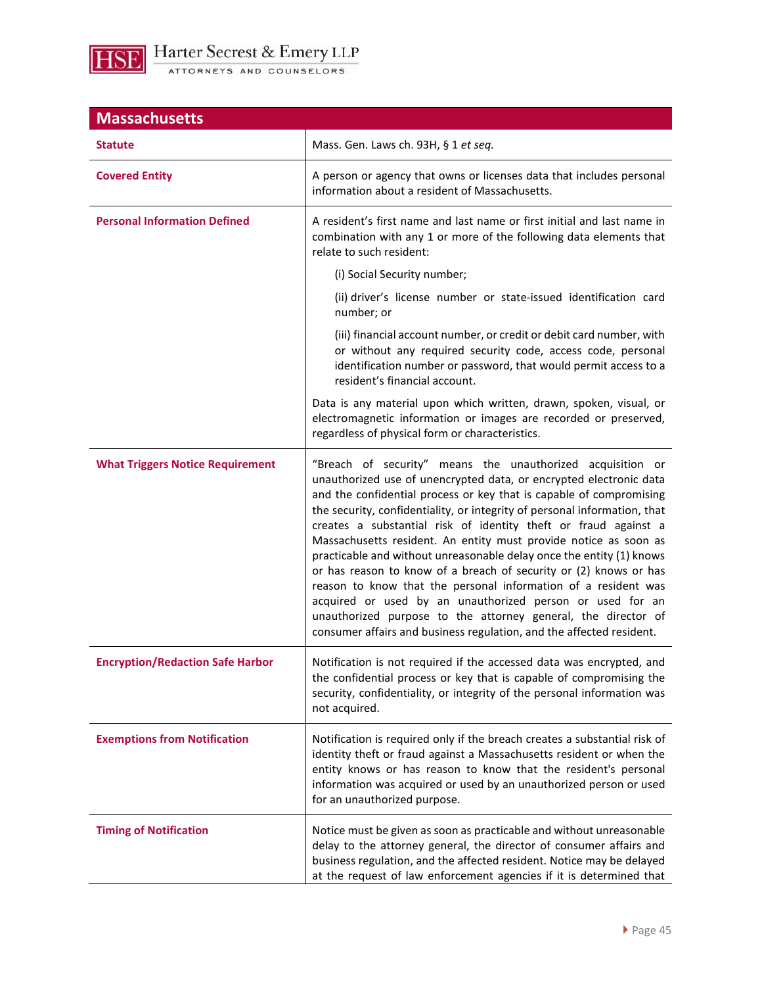

| <b>Massachusetts</b>                    |                                                                                                                                                                                                                                                                                                                                                                                                                                                                                                                                                                                                                                                                                                                                                                                                                                                  |  |
|-----------------------------------------|--------------------------------------------------------------------------------------------------------------------------------------------------------------------------------------------------------------------------------------------------------------------------------------------------------------------------------------------------------------------------------------------------------------------------------------------------------------------------------------------------------------------------------------------------------------------------------------------------------------------------------------------------------------------------------------------------------------------------------------------------------------------------------------------------------------------------------------------------|--|
| <b>Statute</b>                          | Mass. Gen. Laws ch. 93H, § 1 et seq.                                                                                                                                                                                                                                                                                                                                                                                                                                                                                                                                                                                                                                                                                                                                                                                                             |  |
| <b>Covered Entity</b>                   | A person or agency that owns or licenses data that includes personal<br>information about a resident of Massachusetts.                                                                                                                                                                                                                                                                                                                                                                                                                                                                                                                                                                                                                                                                                                                           |  |
| <b>Personal Information Defined</b>     | A resident's first name and last name or first initial and last name in<br>combination with any 1 or more of the following data elements that<br>relate to such resident:                                                                                                                                                                                                                                                                                                                                                                                                                                                                                                                                                                                                                                                                        |  |
|                                         | (i) Social Security number;                                                                                                                                                                                                                                                                                                                                                                                                                                                                                                                                                                                                                                                                                                                                                                                                                      |  |
|                                         | (ii) driver's license number or state-issued identification card<br>number; or                                                                                                                                                                                                                                                                                                                                                                                                                                                                                                                                                                                                                                                                                                                                                                   |  |
|                                         | (iii) financial account number, or credit or debit card number, with<br>or without any required security code, access code, personal<br>identification number or password, that would permit access to a<br>resident's financial account.                                                                                                                                                                                                                                                                                                                                                                                                                                                                                                                                                                                                        |  |
|                                         | Data is any material upon which written, drawn, spoken, visual, or<br>electromagnetic information or images are recorded or preserved,<br>regardless of physical form or characteristics.                                                                                                                                                                                                                                                                                                                                                                                                                                                                                                                                                                                                                                                        |  |
| <b>What Triggers Notice Requirement</b> | "Breach of security" means the unauthorized acquisition or<br>unauthorized use of unencrypted data, or encrypted electronic data<br>and the confidential process or key that is capable of compromising<br>the security, confidentiality, or integrity of personal information, that<br>creates a substantial risk of identity theft or fraud against a<br>Massachusetts resident. An entity must provide notice as soon as<br>practicable and without unreasonable delay once the entity (1) knows<br>or has reason to know of a breach of security or (2) knows or has<br>reason to know that the personal information of a resident was<br>acquired or used by an unauthorized person or used for an<br>unauthorized purpose to the attorney general, the director of<br>consumer affairs and business regulation, and the affected resident. |  |
| <b>Encryption/Redaction Safe Harbor</b> | Notification is not required if the accessed data was encrypted, and<br>the confidential process or key that is capable of compromising the<br>security, confidentiality, or integrity of the personal information was<br>not acquired.                                                                                                                                                                                                                                                                                                                                                                                                                                                                                                                                                                                                          |  |
| <b>Exemptions from Notification</b>     | Notification is required only if the breach creates a substantial risk of<br>identity theft or fraud against a Massachusetts resident or when the<br>entity knows or has reason to know that the resident's personal<br>information was acquired or used by an unauthorized person or used<br>for an unauthorized purpose.                                                                                                                                                                                                                                                                                                                                                                                                                                                                                                                       |  |
| <b>Timing of Notification</b>           | Notice must be given as soon as practicable and without unreasonable<br>delay to the attorney general, the director of consumer affairs and<br>business regulation, and the affected resident. Notice may be delayed<br>at the request of law enforcement agencies if it is determined that                                                                                                                                                                                                                                                                                                                                                                                                                                                                                                                                                      |  |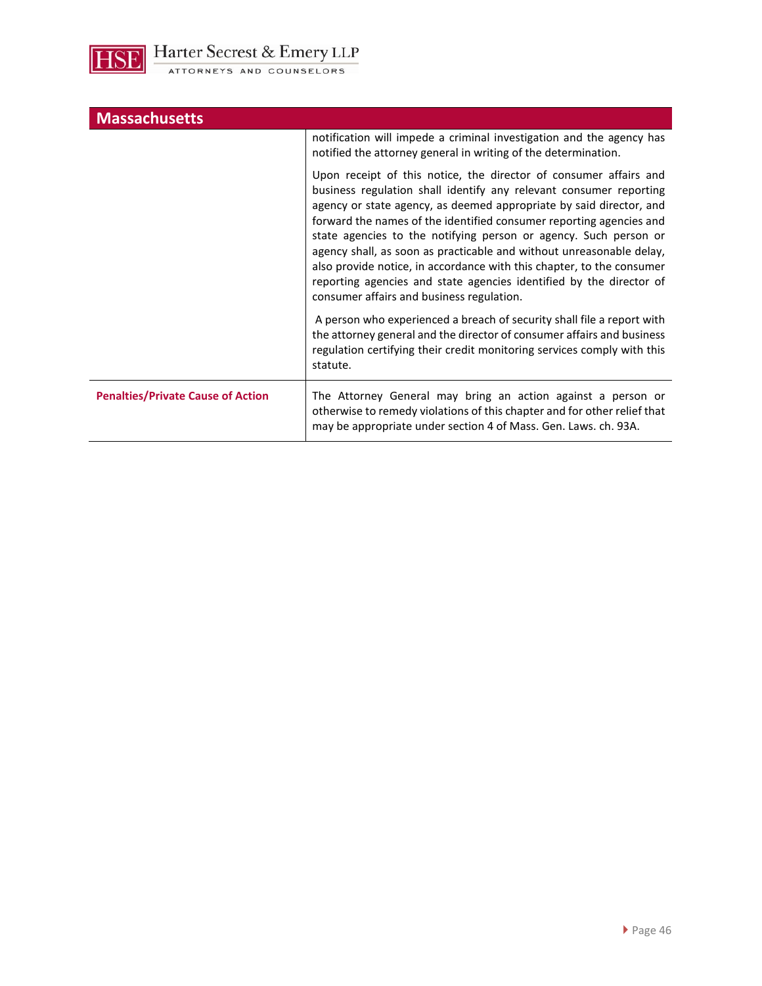

| <b>Massachusetts</b>                     |                                                                                                                                                                                                                                                                                                                                                                                                                                                                                                                                                                                                                                |
|------------------------------------------|--------------------------------------------------------------------------------------------------------------------------------------------------------------------------------------------------------------------------------------------------------------------------------------------------------------------------------------------------------------------------------------------------------------------------------------------------------------------------------------------------------------------------------------------------------------------------------------------------------------------------------|
|                                          | notification will impede a criminal investigation and the agency has<br>notified the attorney general in writing of the determination.                                                                                                                                                                                                                                                                                                                                                                                                                                                                                         |
|                                          | Upon receipt of this notice, the director of consumer affairs and<br>business regulation shall identify any relevant consumer reporting<br>agency or state agency, as deemed appropriate by said director, and<br>forward the names of the identified consumer reporting agencies and<br>state agencies to the notifying person or agency. Such person or<br>agency shall, as soon as practicable and without unreasonable delay,<br>also provide notice, in accordance with this chapter, to the consumer<br>reporting agencies and state agencies identified by the director of<br>consumer affairs and business regulation. |
|                                          | A person who experienced a breach of security shall file a report with<br>the attorney general and the director of consumer affairs and business<br>regulation certifying their credit monitoring services comply with this<br>statute.                                                                                                                                                                                                                                                                                                                                                                                        |
| <b>Penalties/Private Cause of Action</b> | The Attorney General may bring an action against a person or<br>otherwise to remedy violations of this chapter and for other relief that<br>may be appropriate under section 4 of Mass. Gen. Laws. ch. 93A.                                                                                                                                                                                                                                                                                                                                                                                                                    |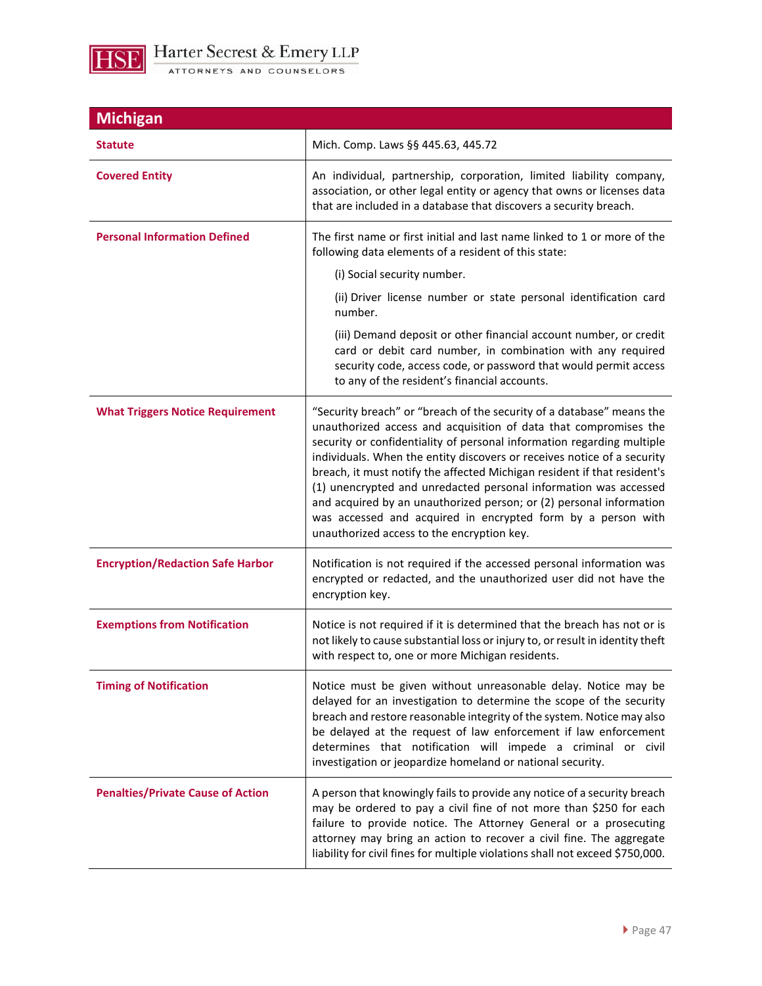

**Michigan Statute Mich. Comp. Laws §§ 445.63, 445.72 Covered Entity An individual, partnership, corporation, limited liability company,** association, or other legal entity or agency that owns or licenses data that are included in a database that discovers a security breach. **Personal Information Defined** The first name or first initial and last name linked to 1 or more of the following data elements of a resident of this state: (i) Social security number. (ii) Driver license number or state personal identification card number. (iii) Demand deposit or other financial account number, or credit card or debit card number, in combination with any required security code, access code, or password that would permit access to any of the resident's financial accounts. **What Triggers Notice Requirement** | "Security breach" or "breach of the security of a database" means the unauthorized access and acquisition of data that compromises the security or confidentiality of personal information regarding multiple individuals. When the entity discovers or receives notice of a security breach, it must notify the affected Michigan resident if that resident's (1) unencrypted and unredacted personal information was accessed and acquired by an unauthorized person; or (2) personal information was accessed and acquired in encrypted form by a person with unauthorized access to the encryption key. **Encryption/Redaction Safe Harbor** | Notification is not required if the accessed personal information was encrypted or redacted, and the unauthorized user did not have the encryption key. **Exemptions from Notification 1996** 10 Notice is not required if it is determined that the breach has not or is not likely to cause substantial loss or injury to, or result in identity theft with respect to, one or more Michigan residents. **Timing of Notification Notice must** be given without unreasonable delay. Notice may be delayed for an investigation to determine the scope of the security breach and restore reasonable integrity of the system. Notice may also be delayed at the request of law enforcement if law enforcement determines that notification will impede a criminal or civil investigation or jeopardize homeland or national security. **Penalties/Private Cause of Action** | A person that knowingly fails to provide any notice of a security breach may be ordered to pay a civil fine of not more than \$250 for each failure to provide notice. The Attorney General or a prosecuting attorney may bring an action to recover a civil fine. The aggregate liability for civil fines for multiple violations shall not exceed \$750,000.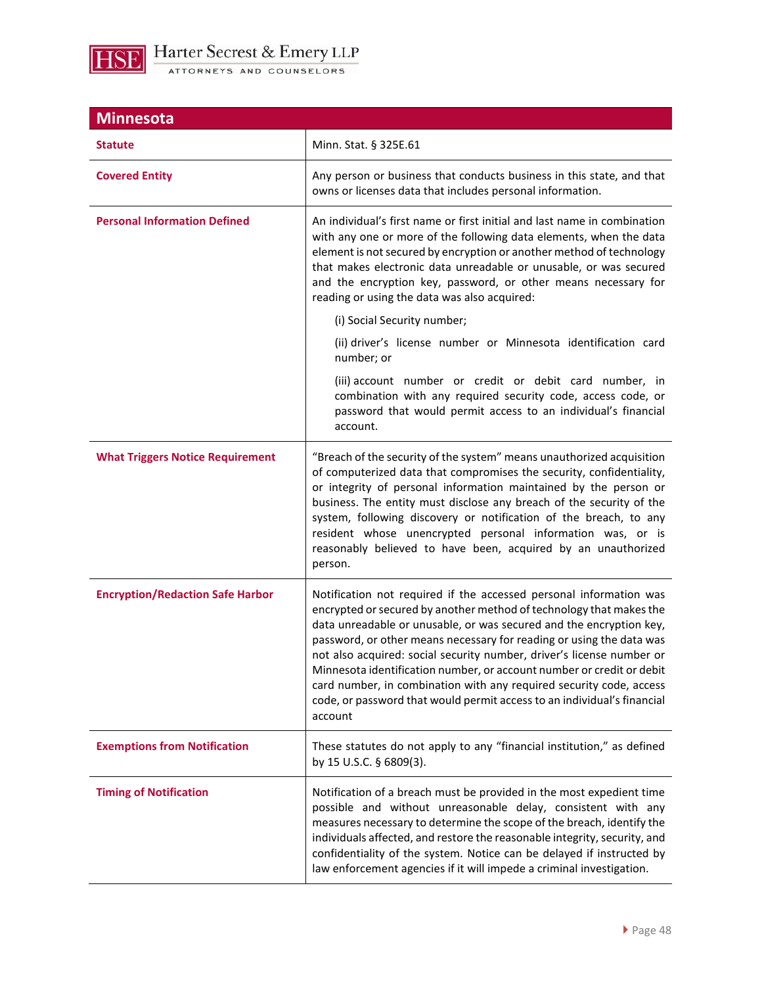

| <b>Minnesota</b>                        |                                                                                                                                                                                                                                                                                                                                                                                                                                                                                                                                                                                                         |
|-----------------------------------------|---------------------------------------------------------------------------------------------------------------------------------------------------------------------------------------------------------------------------------------------------------------------------------------------------------------------------------------------------------------------------------------------------------------------------------------------------------------------------------------------------------------------------------------------------------------------------------------------------------|
| <b>Statute</b>                          | Minn. Stat. § 325E.61                                                                                                                                                                                                                                                                                                                                                                                                                                                                                                                                                                                   |
| <b>Covered Entity</b>                   | Any person or business that conducts business in this state, and that<br>owns or licenses data that includes personal information.                                                                                                                                                                                                                                                                                                                                                                                                                                                                      |
| <b>Personal Information Defined</b>     | An individual's first name or first initial and last name in combination<br>with any one or more of the following data elements, when the data<br>element is not secured by encryption or another method of technology<br>that makes electronic data unreadable or unusable, or was secured<br>and the encryption key, password, or other means necessary for<br>reading or using the data was also acquired:                                                                                                                                                                                           |
|                                         | (i) Social Security number;                                                                                                                                                                                                                                                                                                                                                                                                                                                                                                                                                                             |
|                                         | (ii) driver's license number or Minnesota identification card<br>number; or                                                                                                                                                                                                                                                                                                                                                                                                                                                                                                                             |
|                                         | (iii) account number or credit or debit card number, in<br>combination with any required security code, access code, or<br>password that would permit access to an individual's financial<br>account.                                                                                                                                                                                                                                                                                                                                                                                                   |
| <b>What Triggers Notice Requirement</b> | "Breach of the security of the system" means unauthorized acquisition<br>of computerized data that compromises the security, confidentiality,<br>or integrity of personal information maintained by the person or<br>business. The entity must disclose any breach of the security of the<br>system, following discovery or notification of the breach, to any<br>resident whose unencrypted personal information was, or is<br>reasonably believed to have been, acquired by an unauthorized<br>person.                                                                                                |
| <b>Encryption/Redaction Safe Harbor</b> | Notification not required if the accessed personal information was<br>encrypted or secured by another method of technology that makes the<br>data unreadable or unusable, or was secured and the encryption key,<br>password, or other means necessary for reading or using the data was<br>not also acquired: social security number, driver's license number or<br>Minnesota identification number, or account number or credit or debit<br>card number, in combination with any required security code, access<br>code, or password that would permit access to an individual's financial<br>account |
| <b>Exemptions from Notification</b>     | These statutes do not apply to any "financial institution," as defined<br>by 15 U.S.C. § 6809(3).                                                                                                                                                                                                                                                                                                                                                                                                                                                                                                       |
| <b>Timing of Notification</b>           | Notification of a breach must be provided in the most expedient time<br>possible and without unreasonable delay, consistent with any<br>measures necessary to determine the scope of the breach, identify the<br>individuals affected, and restore the reasonable integrity, security, and<br>confidentiality of the system. Notice can be delayed if instructed by<br>law enforcement agencies if it will impede a criminal investigation.                                                                                                                                                             |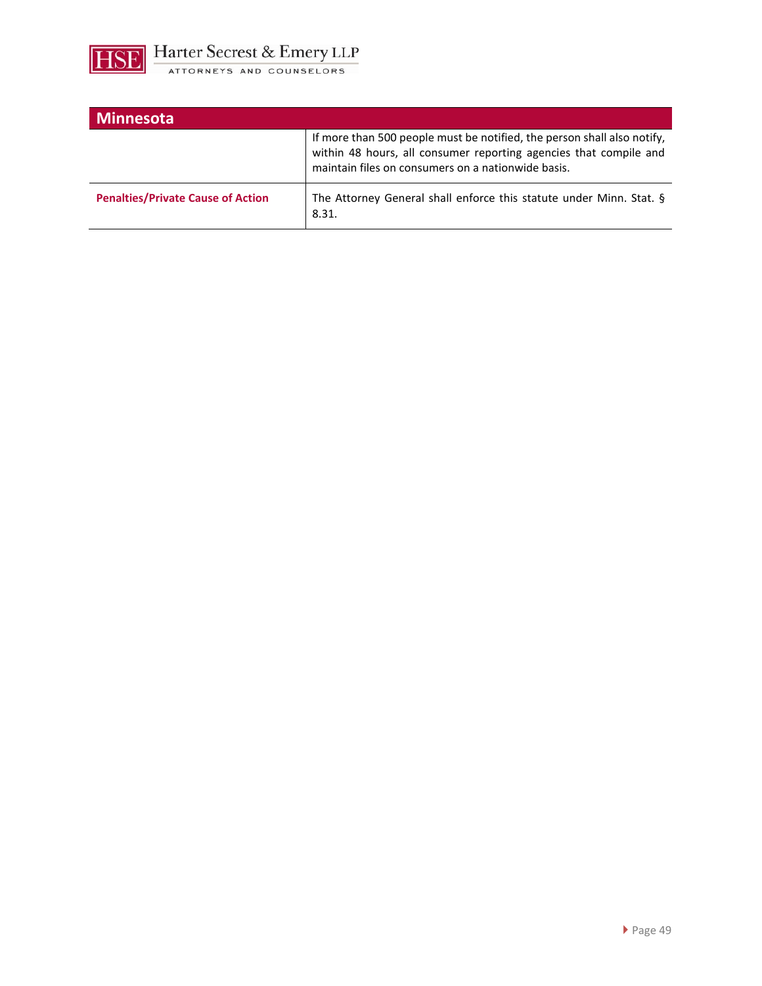

| <b>Minnesota</b>                         |                                                                                                                                                                                                    |
|------------------------------------------|----------------------------------------------------------------------------------------------------------------------------------------------------------------------------------------------------|
|                                          | If more than 500 people must be notified, the person shall also notify,<br>within 48 hours, all consumer reporting agencies that compile and<br>maintain files on consumers on a nationwide basis. |
| <b>Penalties/Private Cause of Action</b> | The Attorney General shall enforce this statute under Minn. Stat. §<br>8.31.                                                                                                                       |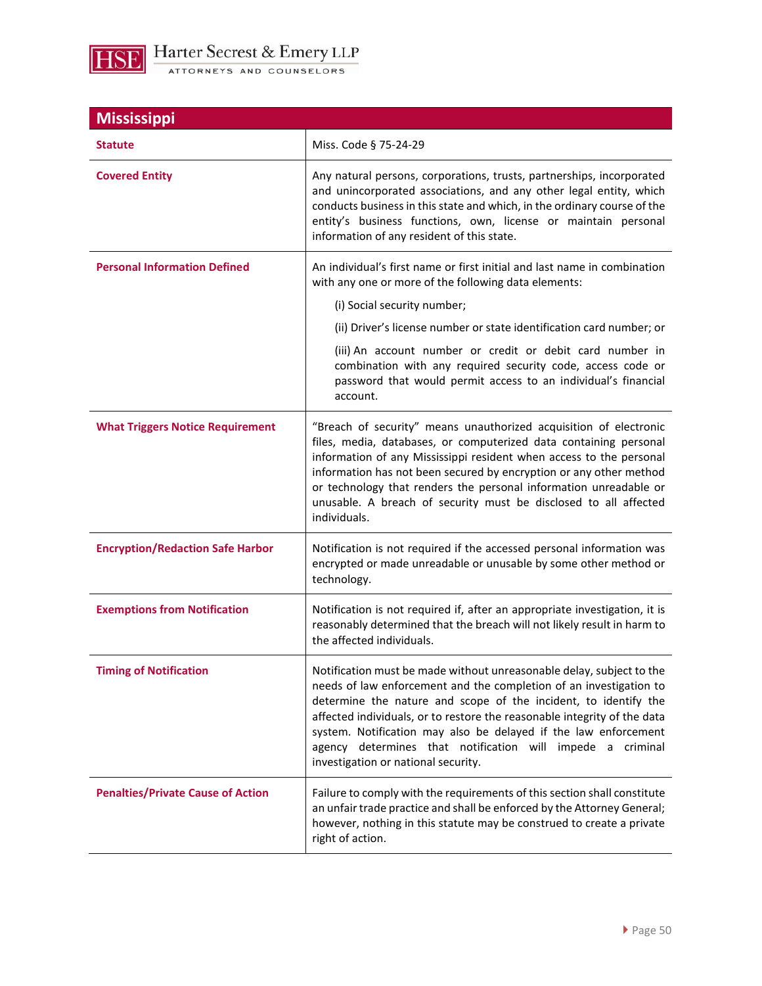

| <b>Mississippi</b>                       |                                                                                                                                                                                                                                                                                                                                                                                                                                                                   |
|------------------------------------------|-------------------------------------------------------------------------------------------------------------------------------------------------------------------------------------------------------------------------------------------------------------------------------------------------------------------------------------------------------------------------------------------------------------------------------------------------------------------|
| <b>Statute</b>                           | Miss. Code § 75-24-29                                                                                                                                                                                                                                                                                                                                                                                                                                             |
| <b>Covered Entity</b>                    | Any natural persons, corporations, trusts, partnerships, incorporated<br>and unincorporated associations, and any other legal entity, which<br>conducts business in this state and which, in the ordinary course of the<br>entity's business functions, own, license or maintain personal<br>information of any resident of this state.                                                                                                                           |
| <b>Personal Information Defined</b>      | An individual's first name or first initial and last name in combination<br>with any one or more of the following data elements:                                                                                                                                                                                                                                                                                                                                  |
|                                          | (i) Social security number;                                                                                                                                                                                                                                                                                                                                                                                                                                       |
|                                          | (ii) Driver's license number or state identification card number; or                                                                                                                                                                                                                                                                                                                                                                                              |
|                                          | (iii) An account number or credit or debit card number in<br>combination with any required security code, access code or<br>password that would permit access to an individual's financial<br>account.                                                                                                                                                                                                                                                            |
| <b>What Triggers Notice Requirement</b>  | "Breach of security" means unauthorized acquisition of electronic<br>files, media, databases, or computerized data containing personal<br>information of any Mississippi resident when access to the personal<br>information has not been secured by encryption or any other method<br>or technology that renders the personal information unreadable or<br>unusable. A breach of security must be disclosed to all affected<br>individuals.                      |
| <b>Encryption/Redaction Safe Harbor</b>  | Notification is not required if the accessed personal information was<br>encrypted or made unreadable or unusable by some other method or<br>technology.                                                                                                                                                                                                                                                                                                          |
| <b>Exemptions from Notification</b>      | Notification is not required if, after an appropriate investigation, it is<br>reasonably determined that the breach will not likely result in harm to<br>the affected individuals.                                                                                                                                                                                                                                                                                |
| <b>Timing of Notification</b>            | Notification must be made without unreasonable delay, subject to the<br>needs of law enforcement and the completion of an investigation to<br>determine the nature and scope of the incident, to identify the<br>affected individuals, or to restore the reasonable integrity of the data<br>system. Notification may also be delayed if the law enforcement<br>agency determines that notification will impede a criminal<br>investigation or national security. |
| <b>Penalties/Private Cause of Action</b> | Failure to comply with the requirements of this section shall constitute<br>an unfair trade practice and shall be enforced by the Attorney General;<br>however, nothing in this statute may be construed to create a private<br>right of action.                                                                                                                                                                                                                  |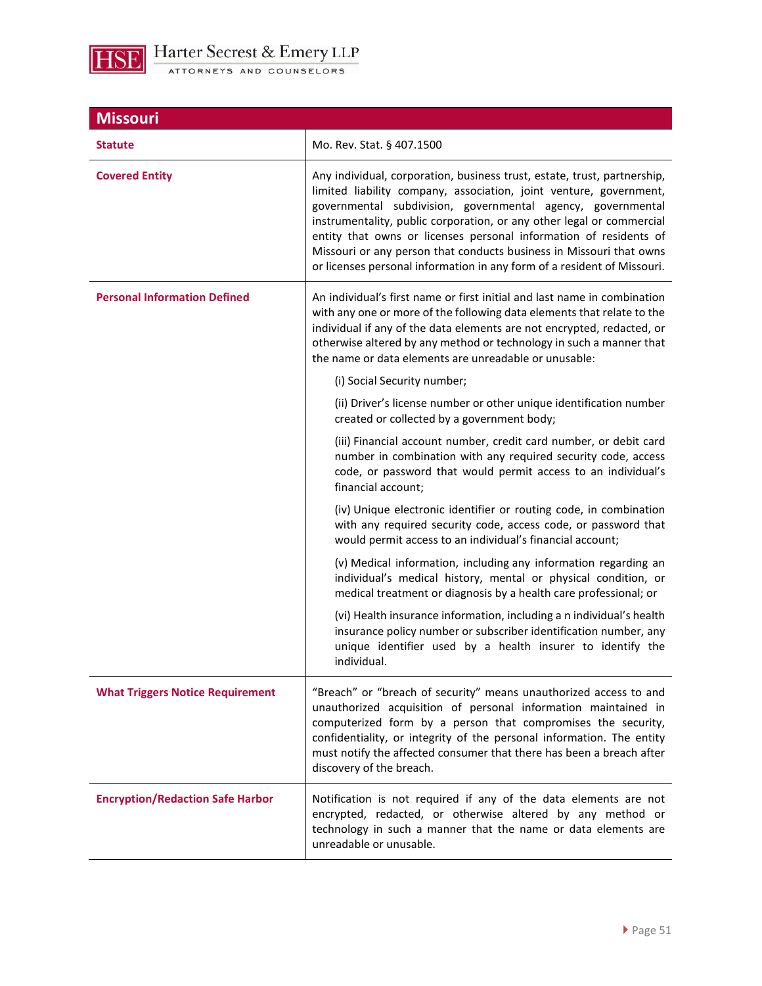

| <b>Missouri</b>                         |                                                                                                                                                                                                                                                                                                                                                                                                                                                                                                               |
|-----------------------------------------|---------------------------------------------------------------------------------------------------------------------------------------------------------------------------------------------------------------------------------------------------------------------------------------------------------------------------------------------------------------------------------------------------------------------------------------------------------------------------------------------------------------|
| <b>Statute</b>                          | Mo. Rev. Stat. § 407.1500                                                                                                                                                                                                                                                                                                                                                                                                                                                                                     |
| <b>Covered Entity</b>                   | Any individual, corporation, business trust, estate, trust, partnership,<br>limited liability company, association, joint venture, government,<br>governmental subdivision, governmental agency, governmental<br>instrumentality, public corporation, or any other legal or commercial<br>entity that owns or licenses personal information of residents of<br>Missouri or any person that conducts business in Missouri that owns<br>or licenses personal information in any form of a resident of Missouri. |
| <b>Personal Information Defined</b>     | An individual's first name or first initial and last name in combination<br>with any one or more of the following data elements that relate to the<br>individual if any of the data elements are not encrypted, redacted, or<br>otherwise altered by any method or technology in such a manner that<br>the name or data elements are unreadable or unusable:                                                                                                                                                  |
|                                         | (i) Social Security number;                                                                                                                                                                                                                                                                                                                                                                                                                                                                                   |
|                                         | (ii) Driver's license number or other unique identification number<br>created or collected by a government body;                                                                                                                                                                                                                                                                                                                                                                                              |
|                                         | (iii) Financial account number, credit card number, or debit card<br>number in combination with any required security code, access<br>code, or password that would permit access to an individual's<br>financial account;                                                                                                                                                                                                                                                                                     |
|                                         | (iv) Unique electronic identifier or routing code, in combination<br>with any required security code, access code, or password that<br>would permit access to an individual's financial account;                                                                                                                                                                                                                                                                                                              |
|                                         | (v) Medical information, including any information regarding an<br>individual's medical history, mental or physical condition, or<br>medical treatment or diagnosis by a health care professional; or                                                                                                                                                                                                                                                                                                         |
|                                         | (vi) Health insurance information, including a n individual's health<br>insurance policy number or subscriber identification number, any<br>unique identifier used by a health insurer to identify the<br>individual.                                                                                                                                                                                                                                                                                         |
| <b>What Triggers Notice Requirement</b> | "Breach" or "breach of security" means unauthorized access to and<br>unauthorized acquisition of personal information maintained in<br>computerized form by a person that compromises the security,<br>confidentiality, or integrity of the personal information. The entity<br>must notify the affected consumer that there has been a breach after<br>discovery of the breach.                                                                                                                              |
| <b>Encryption/Redaction Safe Harbor</b> | Notification is not required if any of the data elements are not<br>encrypted, redacted, or otherwise altered by any method or<br>technology in such a manner that the name or data elements are<br>unreadable or unusable.                                                                                                                                                                                                                                                                                   |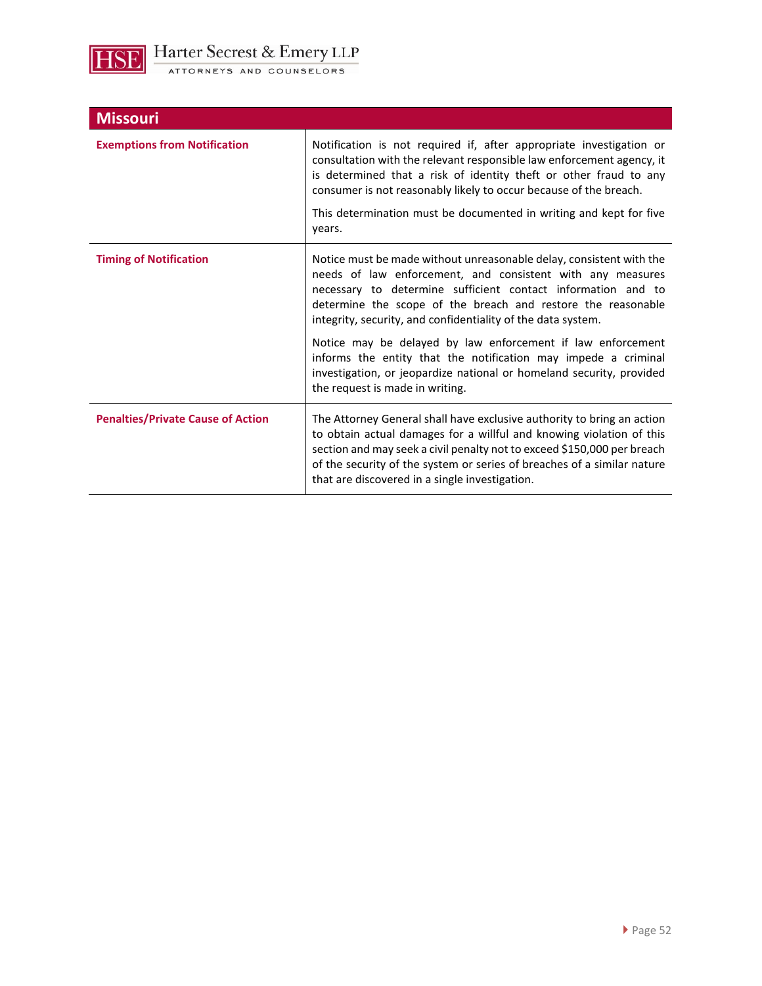

| <b>Missouri</b>                          |                                                                                                                                                                                                                                                                                                                                                                        |
|------------------------------------------|------------------------------------------------------------------------------------------------------------------------------------------------------------------------------------------------------------------------------------------------------------------------------------------------------------------------------------------------------------------------|
| <b>Exemptions from Notification</b>      | Notification is not required if, after appropriate investigation or<br>consultation with the relevant responsible law enforcement agency, it<br>is determined that a risk of identity theft or other fraud to any<br>consumer is not reasonably likely to occur because of the breach.<br>This determination must be documented in writing and kept for five<br>years. |
|                                          |                                                                                                                                                                                                                                                                                                                                                                        |
| <b>Timing of Notification</b>            | Notice must be made without unreasonable delay, consistent with the<br>needs of law enforcement, and consistent with any measures<br>necessary to determine sufficient contact information and to<br>determine the scope of the breach and restore the reasonable<br>integrity, security, and confidentiality of the data system.                                      |
|                                          | Notice may be delayed by law enforcement if law enforcement<br>informs the entity that the notification may impede a criminal<br>investigation, or jeopardize national or homeland security, provided<br>the request is made in writing.                                                                                                                               |
| <b>Penalties/Private Cause of Action</b> | The Attorney General shall have exclusive authority to bring an action<br>to obtain actual damages for a willful and knowing violation of this<br>section and may seek a civil penalty not to exceed \$150,000 per breach<br>of the security of the system or series of breaches of a similar nature<br>that are discovered in a single investigation.                 |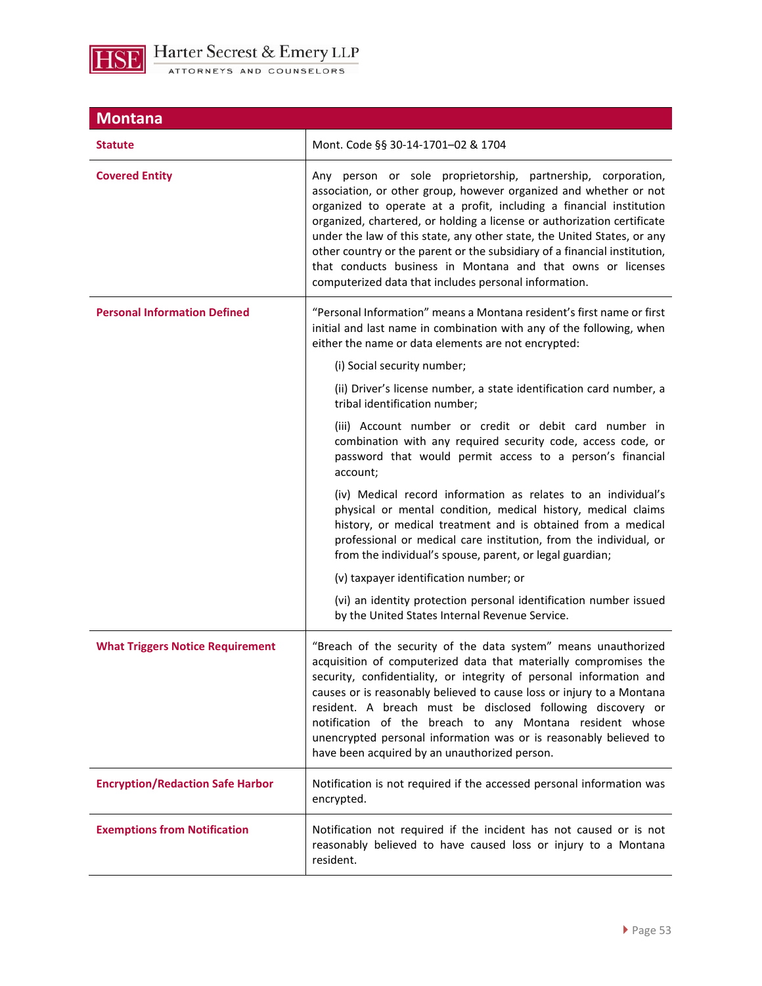

| <b>Montana</b>                          |                                                                                                                                                                                                                                                                                                                                                                                                                                                                                                                                                                     |
|-----------------------------------------|---------------------------------------------------------------------------------------------------------------------------------------------------------------------------------------------------------------------------------------------------------------------------------------------------------------------------------------------------------------------------------------------------------------------------------------------------------------------------------------------------------------------------------------------------------------------|
| <b>Statute</b>                          | Mont. Code §§ 30-14-1701-02 & 1704                                                                                                                                                                                                                                                                                                                                                                                                                                                                                                                                  |
| <b>Covered Entity</b>                   | Any person or sole proprietorship, partnership, corporation,<br>association, or other group, however organized and whether or not<br>organized to operate at a profit, including a financial institution<br>organized, chartered, or holding a license or authorization certificate<br>under the law of this state, any other state, the United States, or any<br>other country or the parent or the subsidiary of a financial institution,<br>that conducts business in Montana and that owns or licenses<br>computerized data that includes personal information. |
| <b>Personal Information Defined</b>     | "Personal Information" means a Montana resident's first name or first<br>initial and last name in combination with any of the following, when<br>either the name or data elements are not encrypted:<br>(i) Social security number;                                                                                                                                                                                                                                                                                                                                 |
|                                         | (ii) Driver's license number, a state identification card number, a<br>tribal identification number;                                                                                                                                                                                                                                                                                                                                                                                                                                                                |
|                                         | (iii) Account number or credit or debit card number in<br>combination with any required security code, access code, or<br>password that would permit access to a person's financial<br>account;                                                                                                                                                                                                                                                                                                                                                                     |
|                                         | (iv) Medical record information as relates to an individual's<br>physical or mental condition, medical history, medical claims<br>history, or medical treatment and is obtained from a medical<br>professional or medical care institution, from the individual, or<br>from the individual's spouse, parent, or legal guardian;                                                                                                                                                                                                                                     |
|                                         | (v) taxpayer identification number; or                                                                                                                                                                                                                                                                                                                                                                                                                                                                                                                              |
|                                         | (vi) an identity protection personal identification number issued<br>by the United States Internal Revenue Service.                                                                                                                                                                                                                                                                                                                                                                                                                                                 |
| <b>What Triggers Notice Requirement</b> | "Breach of the security of the data system" means unauthorized<br>acquisition of computerized data that materially compromises the<br>security, confidentiality, or integrity of personal information and<br>causes or is reasonably believed to cause loss or injury to a Montana<br>resident. A breach must be disclosed following discovery or<br>notification of the breach to any Montana resident whose<br>unencrypted personal information was or is reasonably believed to<br>have been acquired by an unauthorized person.                                 |
| <b>Encryption/Redaction Safe Harbor</b> | Notification is not required if the accessed personal information was<br>encrypted.                                                                                                                                                                                                                                                                                                                                                                                                                                                                                 |
| <b>Exemptions from Notification</b>     | Notification not required if the incident has not caused or is not<br>reasonably believed to have caused loss or injury to a Montana<br>resident.                                                                                                                                                                                                                                                                                                                                                                                                                   |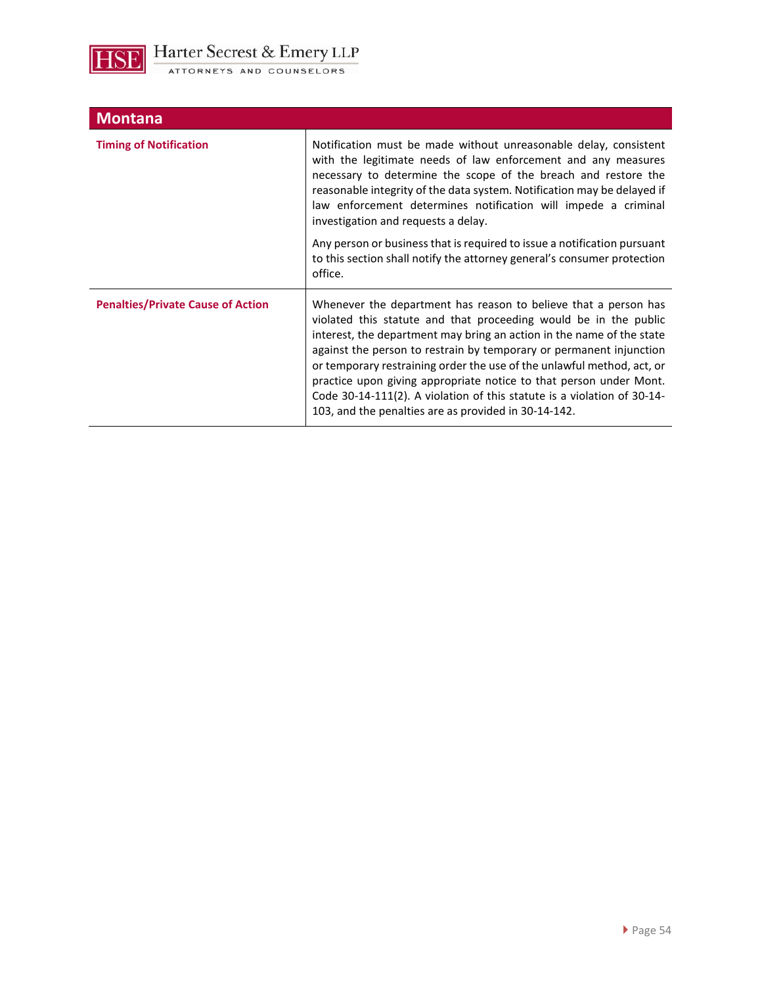

| <b>Montana</b>                           |                                                                                                                                                                                                                                                                                                                                                                                                                                                                                                                                                                        |
|------------------------------------------|------------------------------------------------------------------------------------------------------------------------------------------------------------------------------------------------------------------------------------------------------------------------------------------------------------------------------------------------------------------------------------------------------------------------------------------------------------------------------------------------------------------------------------------------------------------------|
| <b>Timing of Notification</b>            | Notification must be made without unreasonable delay, consistent<br>with the legitimate needs of law enforcement and any measures<br>necessary to determine the scope of the breach and restore the<br>reasonable integrity of the data system. Notification may be delayed if<br>law enforcement determines notification will impede a criminal<br>investigation and requests a delay.                                                                                                                                                                                |
|                                          | Any person or business that is required to issue a notification pursuant<br>to this section shall notify the attorney general's consumer protection<br>office.                                                                                                                                                                                                                                                                                                                                                                                                         |
| <b>Penalties/Private Cause of Action</b> | Whenever the department has reason to believe that a person has<br>violated this statute and that proceeding would be in the public<br>interest, the department may bring an action in the name of the state<br>against the person to restrain by temporary or permanent injunction<br>or temporary restraining order the use of the unlawful method, act, or<br>practice upon giving appropriate notice to that person under Mont.<br>Code 30-14-111(2). A violation of this statute is a violation of 30-14-<br>103, and the penalties are as provided in 30-14-142. |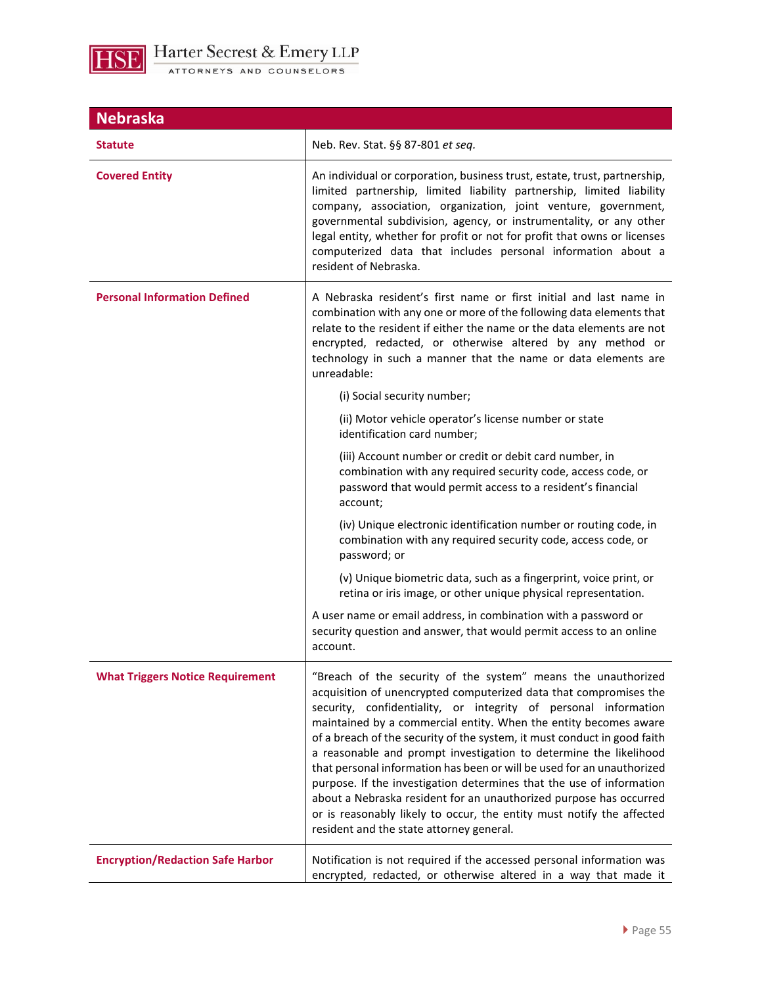

| <b>Nebraska</b>                         |                                                                                                                                                                                                                                                                                                                                                                                                                                                                                                                                                                                                                                                                                                                                                                         |
|-----------------------------------------|-------------------------------------------------------------------------------------------------------------------------------------------------------------------------------------------------------------------------------------------------------------------------------------------------------------------------------------------------------------------------------------------------------------------------------------------------------------------------------------------------------------------------------------------------------------------------------------------------------------------------------------------------------------------------------------------------------------------------------------------------------------------------|
| <b>Statute</b>                          | Neb. Rev. Stat. §§ 87-801 et seq.                                                                                                                                                                                                                                                                                                                                                                                                                                                                                                                                                                                                                                                                                                                                       |
| <b>Covered Entity</b>                   | An individual or corporation, business trust, estate, trust, partnership,<br>limited partnership, limited liability partnership, limited liability<br>company, association, organization, joint venture, government,<br>governmental subdivision, agency, or instrumentality, or any other<br>legal entity, whether for profit or not for profit that owns or licenses<br>computerized data that includes personal information about a<br>resident of Nebraska.                                                                                                                                                                                                                                                                                                         |
| <b>Personal Information Defined</b>     | A Nebraska resident's first name or first initial and last name in<br>combination with any one or more of the following data elements that<br>relate to the resident if either the name or the data elements are not<br>encrypted, redacted, or otherwise altered by any method or<br>technology in such a manner that the name or data elements are<br>unreadable:                                                                                                                                                                                                                                                                                                                                                                                                     |
|                                         | (i) Social security number;                                                                                                                                                                                                                                                                                                                                                                                                                                                                                                                                                                                                                                                                                                                                             |
|                                         | (ii) Motor vehicle operator's license number or state<br>identification card number;                                                                                                                                                                                                                                                                                                                                                                                                                                                                                                                                                                                                                                                                                    |
|                                         | (iii) Account number or credit or debit card number, in<br>combination with any required security code, access code, or<br>password that would permit access to a resident's financial<br>account;                                                                                                                                                                                                                                                                                                                                                                                                                                                                                                                                                                      |
|                                         | (iv) Unique electronic identification number or routing code, in<br>combination with any required security code, access code, or<br>password; or                                                                                                                                                                                                                                                                                                                                                                                                                                                                                                                                                                                                                        |
|                                         | (v) Unique biometric data, such as a fingerprint, voice print, or<br>retina or iris image, or other unique physical representation.                                                                                                                                                                                                                                                                                                                                                                                                                                                                                                                                                                                                                                     |
|                                         | A user name or email address, in combination with a password or<br>security question and answer, that would permit access to an online<br>account.                                                                                                                                                                                                                                                                                                                                                                                                                                                                                                                                                                                                                      |
| <b>What Triggers Notice Requirement</b> | "Breach of the security of the system" means the unauthorized<br>acquisition of unencrypted computerized data that compromises the<br>security, confidentiality, or integrity of personal information<br>maintained by a commercial entity. When the entity becomes aware<br>of a breach of the security of the system, it must conduct in good faith<br>a reasonable and prompt investigation to determine the likelihood<br>that personal information has been or will be used for an unauthorized<br>purpose. If the investigation determines that the use of information<br>about a Nebraska resident for an unauthorized purpose has occurred<br>or is reasonably likely to occur, the entity must notify the affected<br>resident and the state attorney general. |
| <b>Encryption/Redaction Safe Harbor</b> | Notification is not required if the accessed personal information was<br>encrypted, redacted, or otherwise altered in a way that made it                                                                                                                                                                                                                                                                                                                                                                                                                                                                                                                                                                                                                                |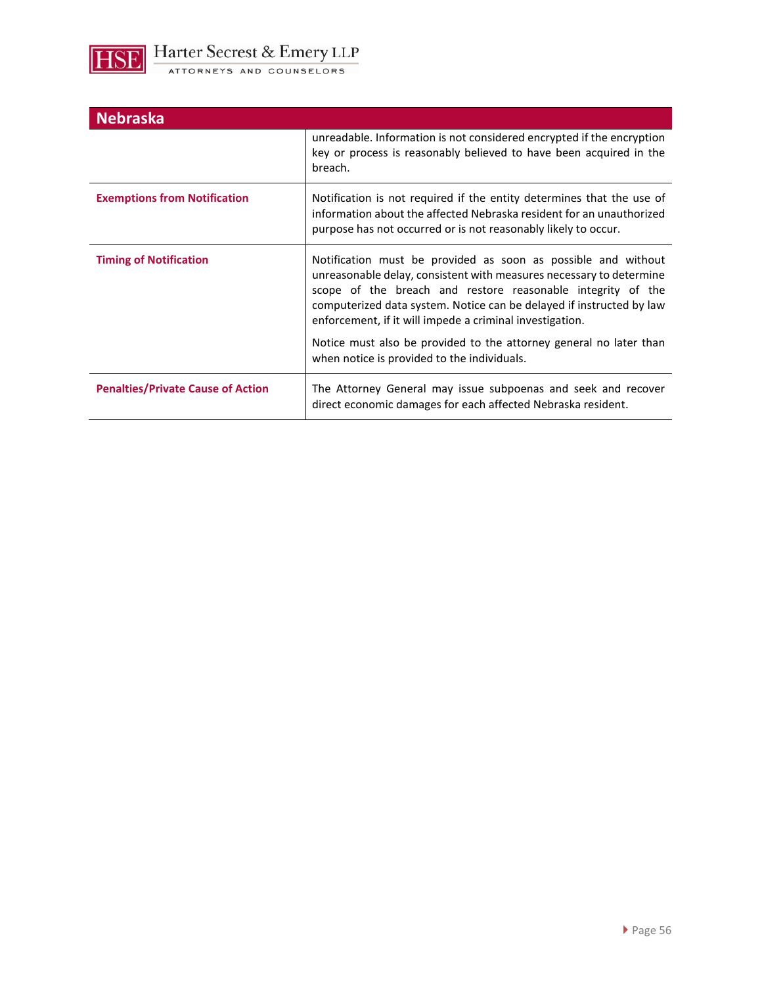

| <b>Nebraska</b>                          |                                                                                                                                                                                                                                                                                                                                         |
|------------------------------------------|-----------------------------------------------------------------------------------------------------------------------------------------------------------------------------------------------------------------------------------------------------------------------------------------------------------------------------------------|
|                                          | unreadable. Information is not considered encrypted if the encryption<br>key or process is reasonably believed to have been acquired in the<br>breach.                                                                                                                                                                                  |
| <b>Exemptions from Notification</b>      | Notification is not required if the entity determines that the use of<br>information about the affected Nebraska resident for an unauthorized<br>purpose has not occurred or is not reasonably likely to occur.                                                                                                                         |
| <b>Timing of Notification</b>            | Notification must be provided as soon as possible and without<br>unreasonable delay, consistent with measures necessary to determine<br>scope of the breach and restore reasonable integrity of the<br>computerized data system. Notice can be delayed if instructed by law<br>enforcement, if it will impede a criminal investigation. |
|                                          | Notice must also be provided to the attorney general no later than<br>when notice is provided to the individuals.                                                                                                                                                                                                                       |
| <b>Penalties/Private Cause of Action</b> | The Attorney General may issue subpoenas and seek and recover<br>direct economic damages for each affected Nebraska resident.                                                                                                                                                                                                           |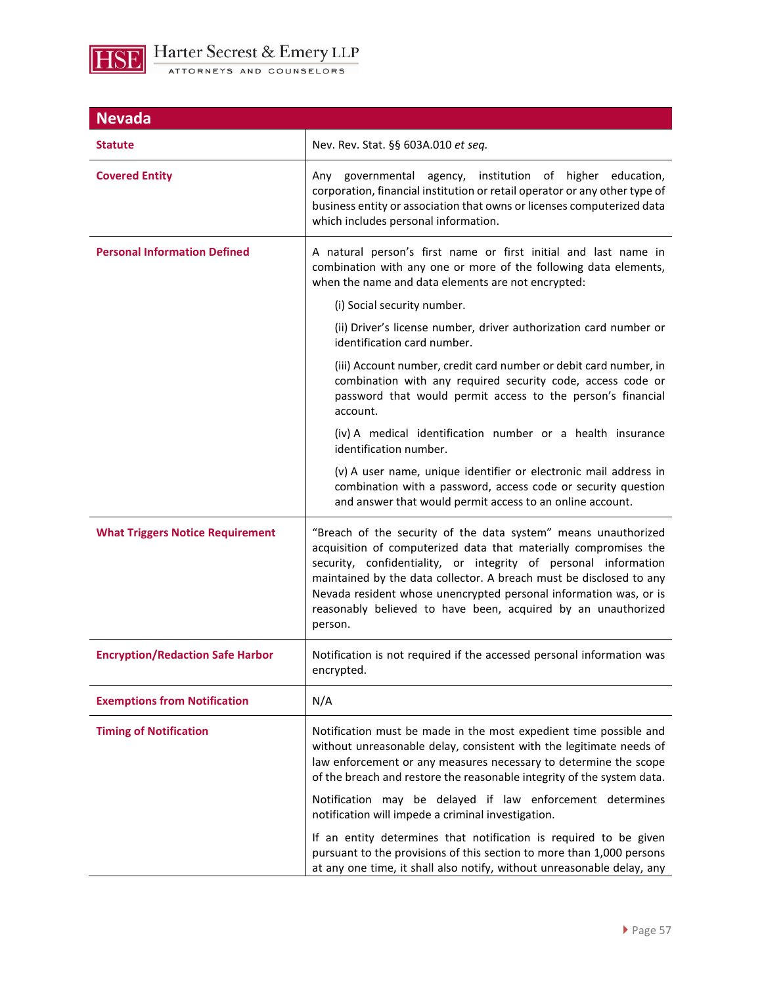

| <b>Nevada</b>                           |                                                                                                                                                                                                                                                                                                                                                                                                                               |
|-----------------------------------------|-------------------------------------------------------------------------------------------------------------------------------------------------------------------------------------------------------------------------------------------------------------------------------------------------------------------------------------------------------------------------------------------------------------------------------|
| Statute                                 | Nev. Rev. Stat. §§ 603A.010 et seq.                                                                                                                                                                                                                                                                                                                                                                                           |
| <b>Covered Entity</b>                   | Any governmental agency, institution of higher education,<br>corporation, financial institution or retail operator or any other type of<br>business entity or association that owns or licenses computerized data<br>which includes personal information.                                                                                                                                                                     |
| <b>Personal Information Defined</b>     | A natural person's first name or first initial and last name in<br>combination with any one or more of the following data elements,<br>when the name and data elements are not encrypted:                                                                                                                                                                                                                                     |
|                                         | (i) Social security number.                                                                                                                                                                                                                                                                                                                                                                                                   |
|                                         | (ii) Driver's license number, driver authorization card number or<br>identification card number.                                                                                                                                                                                                                                                                                                                              |
|                                         | (iii) Account number, credit card number or debit card number, in<br>combination with any required security code, access code or<br>password that would permit access to the person's financial<br>account.                                                                                                                                                                                                                   |
|                                         | (iv) A medical identification number or a health insurance<br>identification number.                                                                                                                                                                                                                                                                                                                                          |
|                                         | (v) A user name, unique identifier or electronic mail address in<br>combination with a password, access code or security question<br>and answer that would permit access to an online account.                                                                                                                                                                                                                                |
| <b>What Triggers Notice Requirement</b> | "Breach of the security of the data system" means unauthorized<br>acquisition of computerized data that materially compromises the<br>security, confidentiality, or integrity of personal information<br>maintained by the data collector. A breach must be disclosed to any<br>Nevada resident whose unencrypted personal information was, or is<br>reasonably believed to have been, acquired by an unauthorized<br>person. |
| <b>Encryption/Redaction Safe Harbor</b> | Notification is not required if the accessed personal information was<br>encrypted.                                                                                                                                                                                                                                                                                                                                           |
| <b>Exemptions from Notification</b>     | N/A                                                                                                                                                                                                                                                                                                                                                                                                                           |
| <b>Timing of Notification</b>           | Notification must be made in the most expedient time possible and<br>without unreasonable delay, consistent with the legitimate needs of<br>law enforcement or any measures necessary to determine the scope<br>of the breach and restore the reasonable integrity of the system data.                                                                                                                                        |
|                                         | Notification may be delayed if law enforcement determines<br>notification will impede a criminal investigation.                                                                                                                                                                                                                                                                                                               |
|                                         | If an entity determines that notification is required to be given<br>pursuant to the provisions of this section to more than 1,000 persons<br>at any one time, it shall also notify, without unreasonable delay, any                                                                                                                                                                                                          |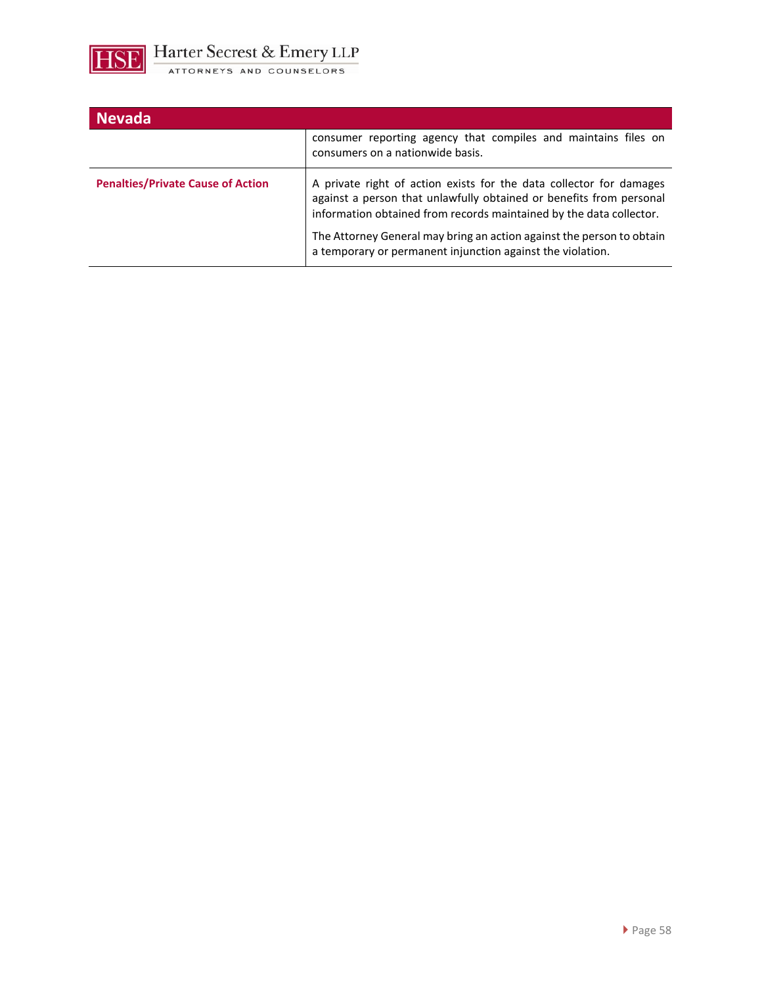

| <b>Nevada</b>                            |                                                                                                                                                                                                                                                                                            |
|------------------------------------------|--------------------------------------------------------------------------------------------------------------------------------------------------------------------------------------------------------------------------------------------------------------------------------------------|
|                                          | consumer reporting agency that compiles and maintains files on<br>consumers on a nationwide basis.                                                                                                                                                                                         |
| <b>Penalties/Private Cause of Action</b> | A private right of action exists for the data collector for damages<br>against a person that unlawfully obtained or benefits from personal<br>information obtained from records maintained by the data collector.<br>The Attorney General may bring an action against the person to obtain |
|                                          | a temporary or permanent injunction against the violation.                                                                                                                                                                                                                                 |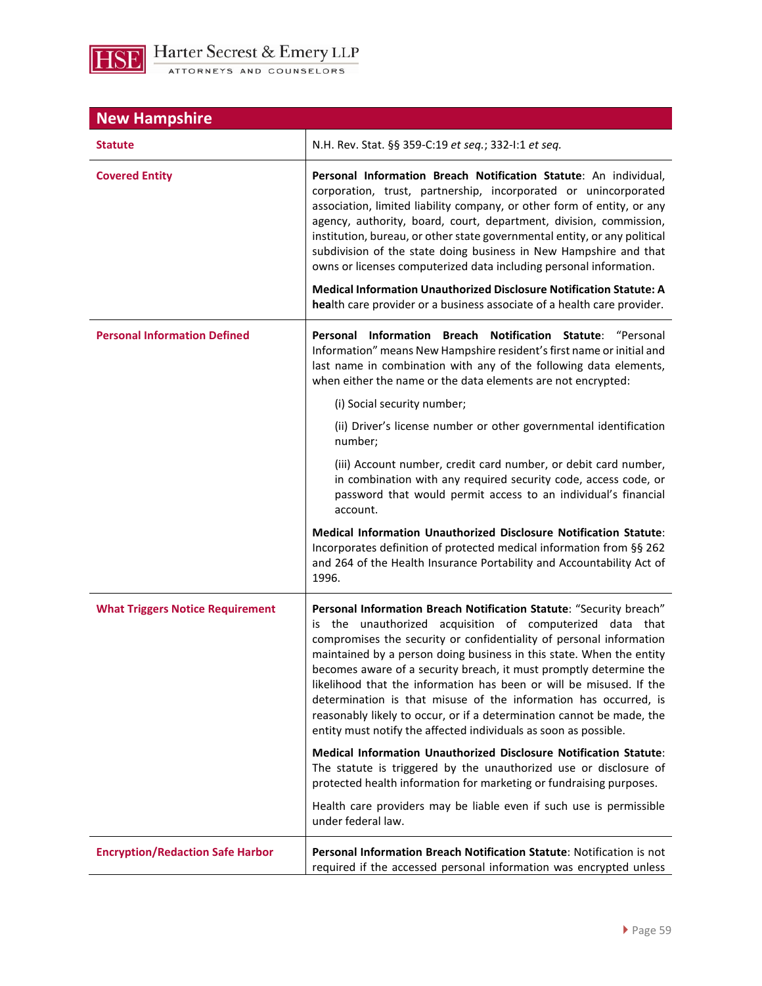

| <b>New Hampshire</b>                    |                                                                                                                                                                                                                                                                                                                                                                                                                                                                                                                                                                                                                                                                       |
|-----------------------------------------|-----------------------------------------------------------------------------------------------------------------------------------------------------------------------------------------------------------------------------------------------------------------------------------------------------------------------------------------------------------------------------------------------------------------------------------------------------------------------------------------------------------------------------------------------------------------------------------------------------------------------------------------------------------------------|
| <b>Statute</b>                          | N.H. Rev. Stat. §§ 359-C:19 et seq.; 332-I:1 et seq.                                                                                                                                                                                                                                                                                                                                                                                                                                                                                                                                                                                                                  |
| <b>Covered Entity</b>                   | Personal Information Breach Notification Statute: An individual,<br>corporation, trust, partnership, incorporated or unincorporated<br>association, limited liability company, or other form of entity, or any<br>agency, authority, board, court, department, division, commission,<br>institution, bureau, or other state governmental entity, or any political<br>subdivision of the state doing business in New Hampshire and that<br>owns or licenses computerized data including personal information.<br><b>Medical Information Unauthorized Disclosure Notification Statute: A</b><br>health care provider or a business associate of a health care provider. |
| <b>Personal Information Defined</b>     | Personal Information Breach Notification Statute: "Personal<br>Information" means New Hampshire resident's first name or initial and<br>last name in combination with any of the following data elements,<br>when either the name or the data elements are not encrypted:                                                                                                                                                                                                                                                                                                                                                                                             |
|                                         | (i) Social security number;<br>(ii) Driver's license number or other governmental identification                                                                                                                                                                                                                                                                                                                                                                                                                                                                                                                                                                      |
|                                         | number;<br>(iii) Account number, credit card number, or debit card number,<br>in combination with any required security code, access code, or<br>password that would permit access to an individual's financial<br>account.                                                                                                                                                                                                                                                                                                                                                                                                                                           |
|                                         | <b>Medical Information Unauthorized Disclosure Notification Statute:</b><br>Incorporates definition of protected medical information from §§ 262<br>and 264 of the Health Insurance Portability and Accountability Act of<br>1996.                                                                                                                                                                                                                                                                                                                                                                                                                                    |
| <b>What Triggers Notice Requirement</b> | Personal Information Breach Notification Statute: "Security breach"<br>the unauthorized acquisition of computerized data that<br>is<br>compromises the security or confidentiality of personal information<br>maintained by a person doing business in this state. When the entity<br>becomes aware of a security breach, it must promptly determine the<br>likelihood that the information has been or will be misused. If the<br>determination is that misuse of the information has occurred, is<br>reasonably likely to occur, or if a determination cannot be made, the<br>entity must notify the affected individuals as soon as possible.                      |
|                                         | Medical Information Unauthorized Disclosure Notification Statute:<br>The statute is triggered by the unauthorized use or disclosure of<br>protected health information for marketing or fundraising purposes.                                                                                                                                                                                                                                                                                                                                                                                                                                                         |
|                                         | Health care providers may be liable even if such use is permissible<br>under federal law.                                                                                                                                                                                                                                                                                                                                                                                                                                                                                                                                                                             |
| <b>Encryption/Redaction Safe Harbor</b> | Personal Information Breach Notification Statute: Notification is not<br>required if the accessed personal information was encrypted unless                                                                                                                                                                                                                                                                                                                                                                                                                                                                                                                           |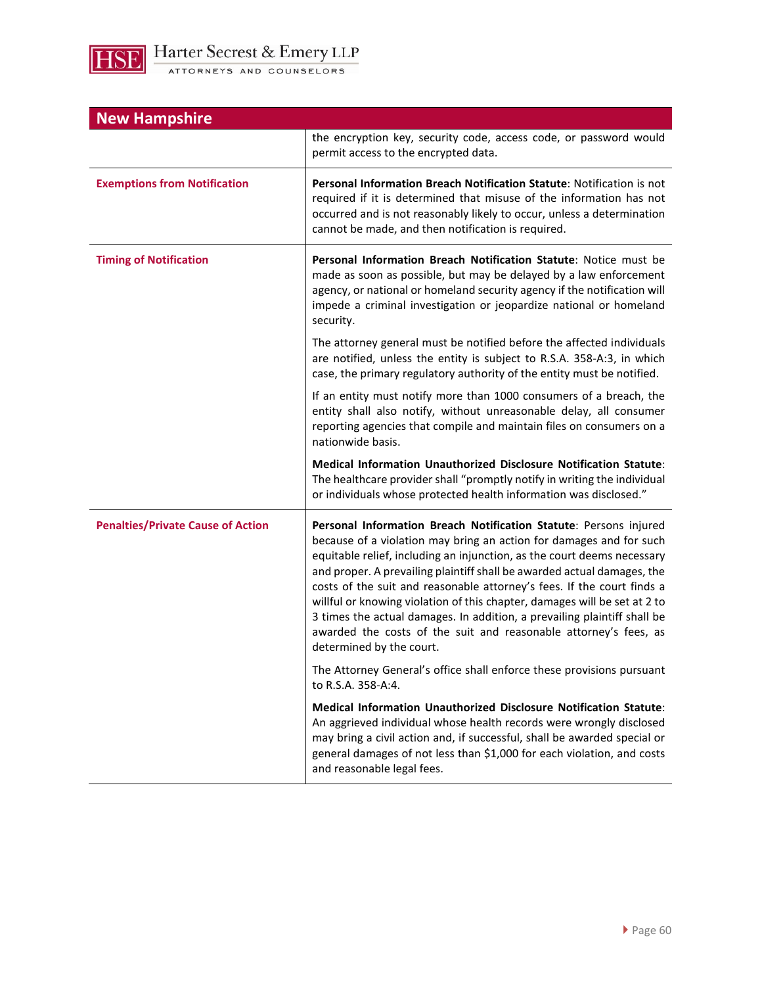| <b>New Hampshire</b>                     |                                                                                                                                                                                                                                                                                                                                                                                                                                                                                                                                                                                                                                   |  |
|------------------------------------------|-----------------------------------------------------------------------------------------------------------------------------------------------------------------------------------------------------------------------------------------------------------------------------------------------------------------------------------------------------------------------------------------------------------------------------------------------------------------------------------------------------------------------------------------------------------------------------------------------------------------------------------|--|
|                                          | the encryption key, security code, access code, or password would<br>permit access to the encrypted data.                                                                                                                                                                                                                                                                                                                                                                                                                                                                                                                         |  |
| <b>Exemptions from Notification</b>      | Personal Information Breach Notification Statute: Notification is not<br>required if it is determined that misuse of the information has not<br>occurred and is not reasonably likely to occur, unless a determination<br>cannot be made, and then notification is required.                                                                                                                                                                                                                                                                                                                                                      |  |
| <b>Timing of Notification</b>            | Personal Information Breach Notification Statute: Notice must be<br>made as soon as possible, but may be delayed by a law enforcement<br>agency, or national or homeland security agency if the notification will<br>impede a criminal investigation or jeopardize national or homeland<br>security.                                                                                                                                                                                                                                                                                                                              |  |
|                                          | The attorney general must be notified before the affected individuals<br>are notified, unless the entity is subject to R.S.A. 358-A:3, in which<br>case, the primary regulatory authority of the entity must be notified.                                                                                                                                                                                                                                                                                                                                                                                                         |  |
|                                          | If an entity must notify more than 1000 consumers of a breach, the<br>entity shall also notify, without unreasonable delay, all consumer<br>reporting agencies that compile and maintain files on consumers on a<br>nationwide basis.                                                                                                                                                                                                                                                                                                                                                                                             |  |
|                                          | Medical Information Unauthorized Disclosure Notification Statute:<br>The healthcare provider shall "promptly notify in writing the individual<br>or individuals whose protected health information was disclosed."                                                                                                                                                                                                                                                                                                                                                                                                                |  |
| <b>Penalties/Private Cause of Action</b> | Personal Information Breach Notification Statute: Persons injured<br>because of a violation may bring an action for damages and for such<br>equitable relief, including an injunction, as the court deems necessary<br>and proper. A prevailing plaintiff shall be awarded actual damages, the<br>costs of the suit and reasonable attorney's fees. If the court finds a<br>willful or knowing violation of this chapter, damages will be set at 2 to<br>3 times the actual damages. In addition, a prevailing plaintiff shall be<br>awarded the costs of the suit and reasonable attorney's fees, as<br>determined by the court. |  |
|                                          | The Attorney General's office shall enforce these provisions pursuant<br>to R.S.A. 358-A:4.                                                                                                                                                                                                                                                                                                                                                                                                                                                                                                                                       |  |
|                                          | Medical Information Unauthorized Disclosure Notification Statute:<br>An aggrieved individual whose health records were wrongly disclosed<br>may bring a civil action and, if successful, shall be awarded special or<br>general damages of not less than \$1,000 for each violation, and costs<br>and reasonable legal fees.                                                                                                                                                                                                                                                                                                      |  |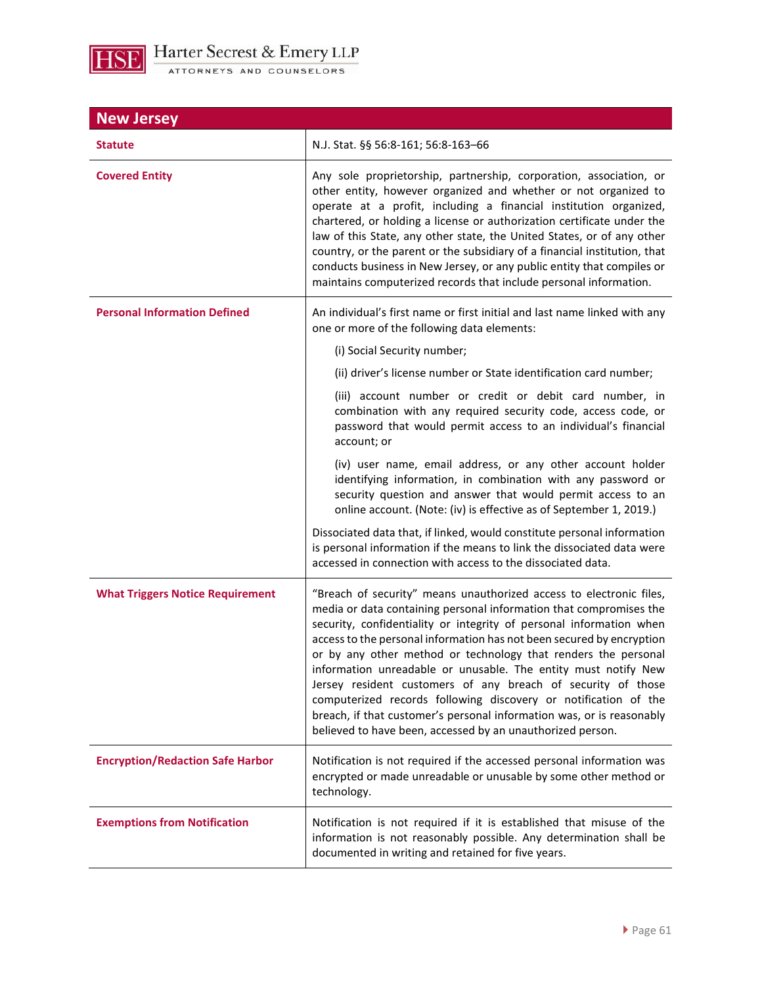

| <b>New Jersey</b>                       |                                                                                                                                                                                                                                                                                                                                                                                                                                                                                                                                                                                                                                                                                                         |
|-----------------------------------------|---------------------------------------------------------------------------------------------------------------------------------------------------------------------------------------------------------------------------------------------------------------------------------------------------------------------------------------------------------------------------------------------------------------------------------------------------------------------------------------------------------------------------------------------------------------------------------------------------------------------------------------------------------------------------------------------------------|
| <b>Statute</b>                          | N.J. Stat. §§ 56:8-161; 56:8-163-66                                                                                                                                                                                                                                                                                                                                                                                                                                                                                                                                                                                                                                                                     |
| <b>Covered Entity</b>                   | Any sole proprietorship, partnership, corporation, association, or<br>other entity, however organized and whether or not organized to<br>operate at a profit, including a financial institution organized,<br>chartered, or holding a license or authorization certificate under the<br>law of this State, any other state, the United States, or of any other<br>country, or the parent or the subsidiary of a financial institution, that<br>conducts business in New Jersey, or any public entity that compiles or<br>maintains computerized records that include personal information.                                                                                                              |
| <b>Personal Information Defined</b>     | An individual's first name or first initial and last name linked with any<br>one or more of the following data elements:                                                                                                                                                                                                                                                                                                                                                                                                                                                                                                                                                                                |
|                                         | (i) Social Security number;                                                                                                                                                                                                                                                                                                                                                                                                                                                                                                                                                                                                                                                                             |
|                                         | (ii) driver's license number or State identification card number;                                                                                                                                                                                                                                                                                                                                                                                                                                                                                                                                                                                                                                       |
|                                         | (iii) account number or credit or debit card number, in<br>combination with any required security code, access code, or<br>password that would permit access to an individual's financial<br>account; or                                                                                                                                                                                                                                                                                                                                                                                                                                                                                                |
|                                         | (iv) user name, email address, or any other account holder<br>identifying information, in combination with any password or<br>security question and answer that would permit access to an<br>online account. (Note: (iv) is effective as of September 1, 2019.)                                                                                                                                                                                                                                                                                                                                                                                                                                         |
|                                         | Dissociated data that, if linked, would constitute personal information<br>is personal information if the means to link the dissociated data were<br>accessed in connection with access to the dissociated data.                                                                                                                                                                                                                                                                                                                                                                                                                                                                                        |
| <b>What Triggers Notice Requirement</b> | "Breach of security" means unauthorized access to electronic files,<br>media or data containing personal information that compromises the<br>security, confidentiality or integrity of personal information when<br>access to the personal information has not been secured by encryption<br>or by any other method or technology that renders the personal<br>information unreadable or unusable. The entity must notify New<br>Jersey resident customers of any breach of security of those<br>computerized records following discovery or notification of the<br>breach, if that customer's personal information was, or is reasonably<br>believed to have been, accessed by an unauthorized person. |
| <b>Encryption/Redaction Safe Harbor</b> | Notification is not required if the accessed personal information was<br>encrypted or made unreadable or unusable by some other method or<br>technology.                                                                                                                                                                                                                                                                                                                                                                                                                                                                                                                                                |
| <b>Exemptions from Notification</b>     | Notification is not required if it is established that misuse of the<br>information is not reasonably possible. Any determination shall be<br>documented in writing and retained for five years.                                                                                                                                                                                                                                                                                                                                                                                                                                                                                                        |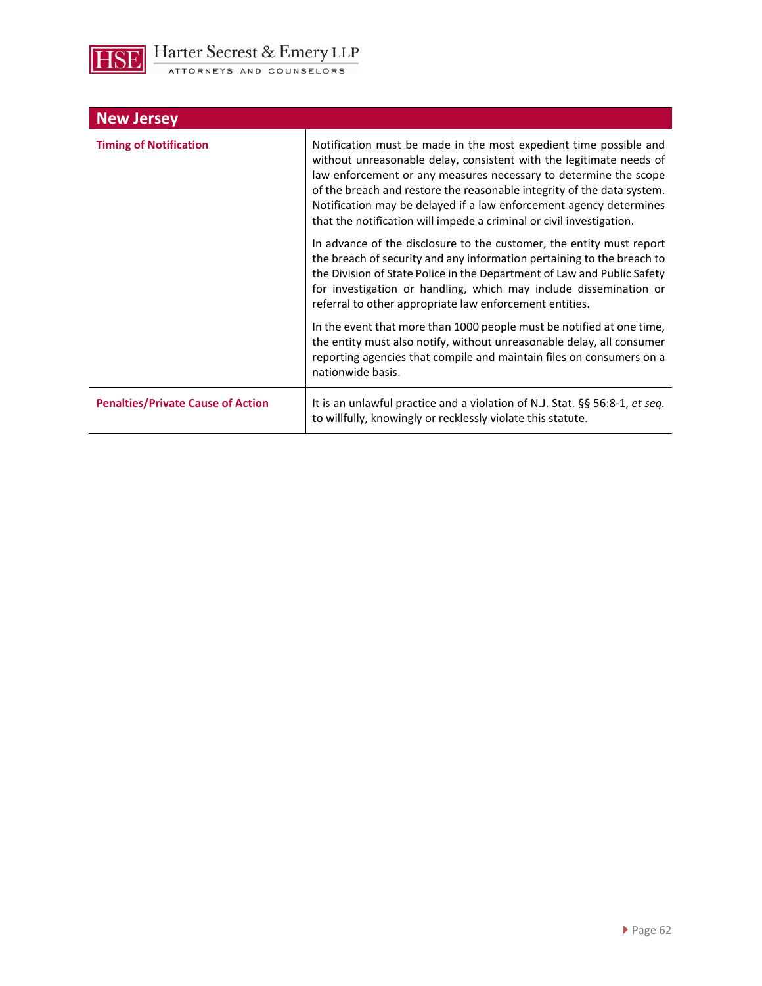

| <b>New Jersey</b>                        |                                                                                                                                                                                                                                                                                                                                                                                                                                      |
|------------------------------------------|--------------------------------------------------------------------------------------------------------------------------------------------------------------------------------------------------------------------------------------------------------------------------------------------------------------------------------------------------------------------------------------------------------------------------------------|
| <b>Timing of Notification</b>            | Notification must be made in the most expedient time possible and<br>without unreasonable delay, consistent with the legitimate needs of<br>law enforcement or any measures necessary to determine the scope<br>of the breach and restore the reasonable integrity of the data system.<br>Notification may be delayed if a law enforcement agency determines<br>that the notification will impede a criminal or civil investigation. |
|                                          | In advance of the disclosure to the customer, the entity must report<br>the breach of security and any information pertaining to the breach to<br>the Division of State Police in the Department of Law and Public Safety<br>for investigation or handling, which may include dissemination or<br>referral to other appropriate law enforcement entities.                                                                            |
|                                          | In the event that more than 1000 people must be notified at one time,<br>the entity must also notify, without unreasonable delay, all consumer<br>reporting agencies that compile and maintain files on consumers on a<br>nationwide basis.                                                                                                                                                                                          |
| <b>Penalties/Private Cause of Action</b> | It is an unlawful practice and a violation of N.J. Stat. §§ 56:8-1, et seq.<br>to willfully, knowingly or recklessly violate this statute.                                                                                                                                                                                                                                                                                           |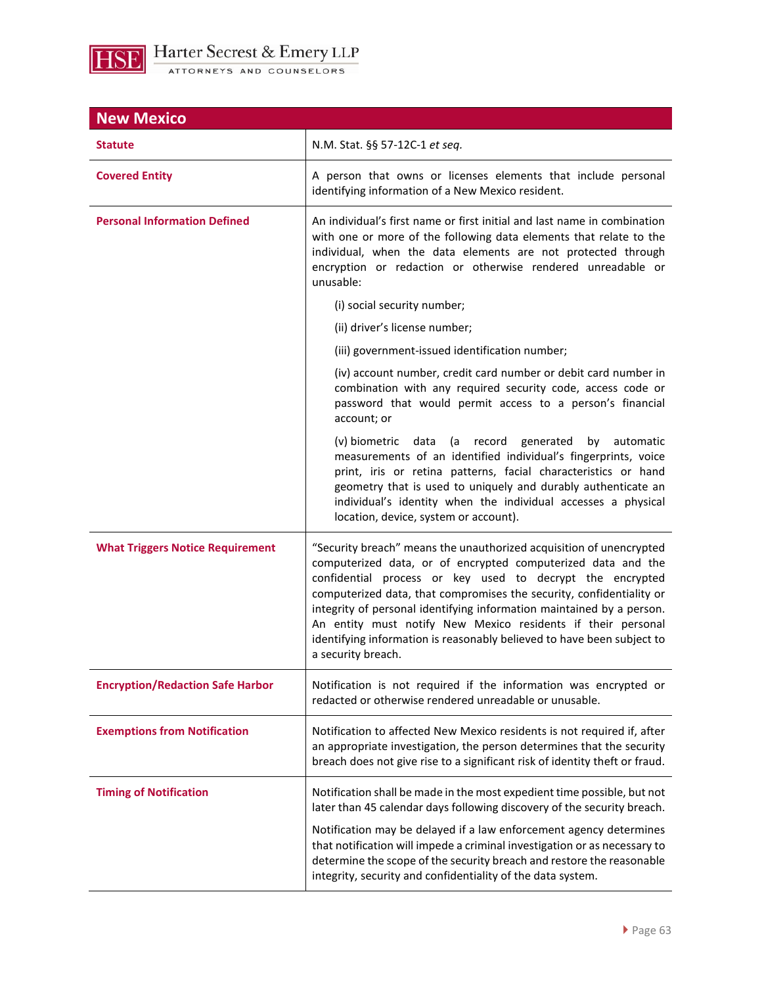

| <b>New Mexico</b>                       |                                                                                                                                                                                                                                                                                                                                                                                                                                                                                                                   |
|-----------------------------------------|-------------------------------------------------------------------------------------------------------------------------------------------------------------------------------------------------------------------------------------------------------------------------------------------------------------------------------------------------------------------------------------------------------------------------------------------------------------------------------------------------------------------|
| <b>Statute</b>                          | N.M. Stat. §§ 57-12C-1 et seq.                                                                                                                                                                                                                                                                                                                                                                                                                                                                                    |
| <b>Covered Entity</b>                   | A person that owns or licenses elements that include personal<br>identifying information of a New Mexico resident.                                                                                                                                                                                                                                                                                                                                                                                                |
| <b>Personal Information Defined</b>     | An individual's first name or first initial and last name in combination<br>with one or more of the following data elements that relate to the<br>individual, when the data elements are not protected through<br>encryption or redaction or otherwise rendered unreadable or<br>unusable:                                                                                                                                                                                                                        |
|                                         | (i) social security number;                                                                                                                                                                                                                                                                                                                                                                                                                                                                                       |
|                                         | (ii) driver's license number;                                                                                                                                                                                                                                                                                                                                                                                                                                                                                     |
|                                         | (iii) government-issued identification number;                                                                                                                                                                                                                                                                                                                                                                                                                                                                    |
|                                         | (iv) account number, credit card number or debit card number in<br>combination with any required security code, access code or<br>password that would permit access to a person's financial<br>account; or                                                                                                                                                                                                                                                                                                        |
|                                         | (v) biometric data<br>(a record generated<br>by<br>automatic<br>measurements of an identified individual's fingerprints, voice<br>print, iris or retina patterns, facial characteristics or hand<br>geometry that is used to uniquely and durably authenticate an<br>individual's identity when the individual accesses a physical<br>location, device, system or account).                                                                                                                                       |
| <b>What Triggers Notice Requirement</b> | "Security breach" means the unauthorized acquisition of unencrypted<br>computerized data, or of encrypted computerized data and the<br>confidential process or key used to decrypt the encrypted<br>computerized data, that compromises the security, confidentiality or<br>integrity of personal identifying information maintained by a person.<br>An entity must notify New Mexico residents if their personal<br>identifying information is reasonably believed to have been subject to<br>a security breach. |
| <b>Encryption/Redaction Safe Harbor</b> | Notification is not required if the information was encrypted or<br>redacted or otherwise rendered unreadable or unusable.                                                                                                                                                                                                                                                                                                                                                                                        |
| <b>Exemptions from Notification</b>     | Notification to affected New Mexico residents is not required if, after<br>an appropriate investigation, the person determines that the security<br>breach does not give rise to a significant risk of identity theft or fraud.                                                                                                                                                                                                                                                                                   |
| <b>Timing of Notification</b>           | Notification shall be made in the most expedient time possible, but not<br>later than 45 calendar days following discovery of the security breach.                                                                                                                                                                                                                                                                                                                                                                |
|                                         | Notification may be delayed if a law enforcement agency determines<br>that notification will impede a criminal investigation or as necessary to<br>determine the scope of the security breach and restore the reasonable<br>integrity, security and confidentiality of the data system.                                                                                                                                                                                                                           |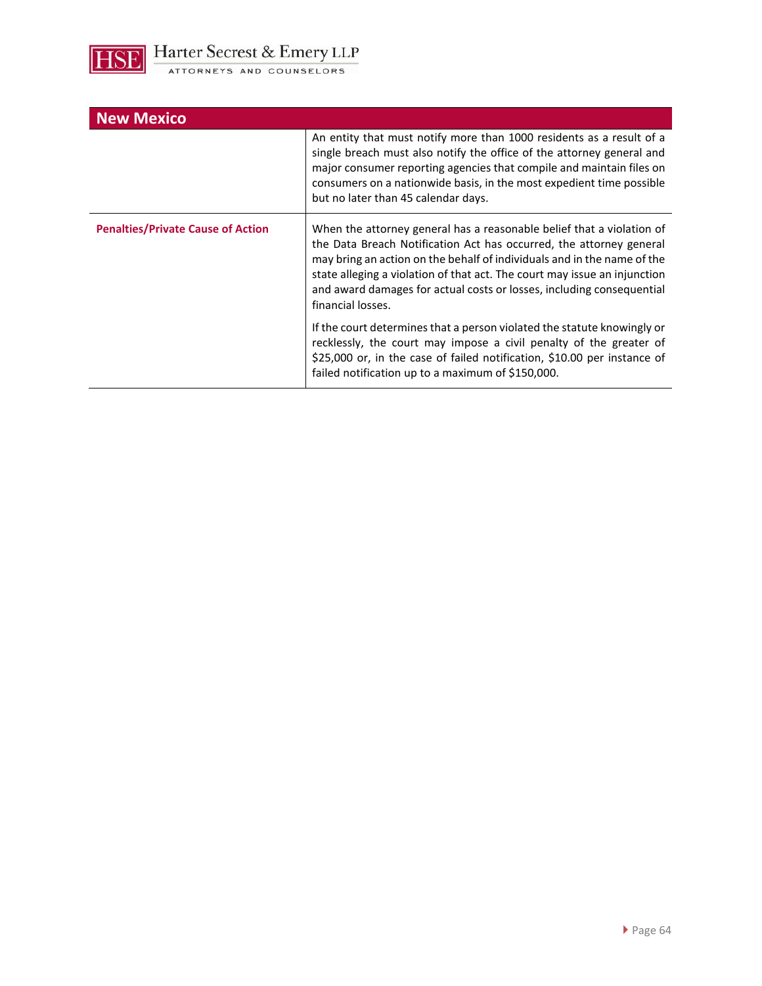

| <b>New Mexico</b>                        |                                                                                                                                                                                                                                                                                                                                                                                                    |
|------------------------------------------|----------------------------------------------------------------------------------------------------------------------------------------------------------------------------------------------------------------------------------------------------------------------------------------------------------------------------------------------------------------------------------------------------|
|                                          | An entity that must notify more than 1000 residents as a result of a<br>single breach must also notify the office of the attorney general and<br>major consumer reporting agencies that compile and maintain files on<br>consumers on a nationwide basis, in the most expedient time possible<br>but no later than 45 calendar days.                                                               |
| <b>Penalties/Private Cause of Action</b> | When the attorney general has a reasonable belief that a violation of<br>the Data Breach Notification Act has occurred, the attorney general<br>may bring an action on the behalf of individuals and in the name of the<br>state alleging a violation of that act. The court may issue an injunction<br>and award damages for actual costs or losses, including consequential<br>financial losses. |
|                                          | If the court determines that a person violated the statute knowingly or<br>recklessly, the court may impose a civil penalty of the greater of<br>\$25,000 or, in the case of failed notification, \$10.00 per instance of<br>failed notification up to a maximum of \$150,000.                                                                                                                     |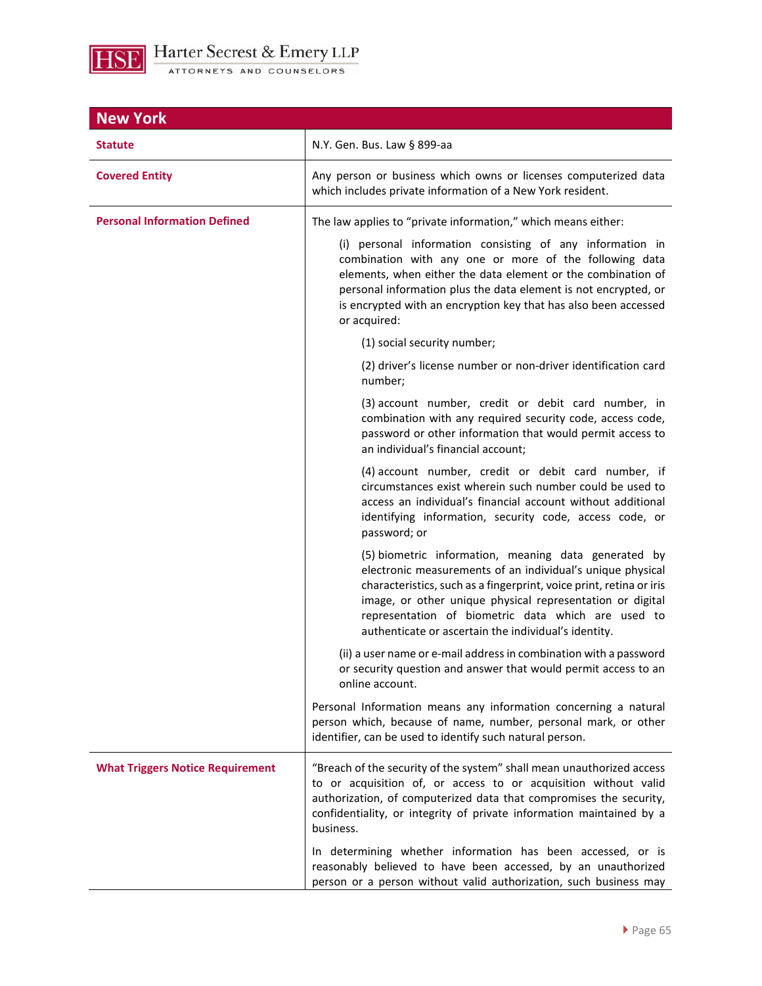

| <b>New York</b>                         |                                                                                                                                                                                                                                                                                                                                                                      |
|-----------------------------------------|----------------------------------------------------------------------------------------------------------------------------------------------------------------------------------------------------------------------------------------------------------------------------------------------------------------------------------------------------------------------|
| <b>Statute</b>                          | N.Y. Gen. Bus. Law § 899-aa                                                                                                                                                                                                                                                                                                                                          |
| <b>Covered Entity</b>                   | Any person or business which owns or licenses computerized data<br>which includes private information of a New York resident.                                                                                                                                                                                                                                        |
| <b>Personal Information Defined</b>     | The law applies to "private information," which means either:                                                                                                                                                                                                                                                                                                        |
|                                         | (i) personal information consisting of any information in<br>combination with any one or more of the following data<br>elements, when either the data element or the combination of<br>personal information plus the data element is not encrypted, or<br>is encrypted with an encryption key that has also been accessed<br>or acquired:                            |
|                                         | (1) social security number;                                                                                                                                                                                                                                                                                                                                          |
|                                         | (2) driver's license number or non-driver identification card<br>number:                                                                                                                                                                                                                                                                                             |
|                                         | (3) account number, credit or debit card number, in<br>combination with any required security code, access code,<br>password or other information that would permit access to<br>an individual's financial account;                                                                                                                                                  |
|                                         | (4) account number, credit or debit card number, if<br>circumstances exist wherein such number could be used to<br>access an individual's financial account without additional<br>identifying information, security code, access code, or<br>password; or                                                                                                            |
|                                         | (5) biometric information, meaning data generated by<br>electronic measurements of an individual's unique physical<br>characteristics, such as a fingerprint, voice print, retina or iris<br>image, or other unique physical representation or digital<br>representation of biometric data which are used to<br>authenticate or ascertain the individual's identity. |
|                                         | (ii) a user name or e-mail address in combination with a password<br>or security question and answer that would permit access to an<br>online account.                                                                                                                                                                                                               |
|                                         | Personal Information means any information concerning a natural<br>person which, because of name, number, personal mark, or other<br>identifier, can be used to identify such natural person.                                                                                                                                                                        |
| <b>What Triggers Notice Requirement</b> | "Breach of the security of the system" shall mean unauthorized access<br>to or acquisition of, or access to or acquisition without valid<br>authorization, of computerized data that compromises the security,<br>confidentiality, or integrity of private information maintained by a<br>business.                                                                  |
|                                         | In determining whether information has been accessed, or is<br>reasonably believed to have been accessed, by an unauthorized<br>person or a person without valid authorization, such business may                                                                                                                                                                    |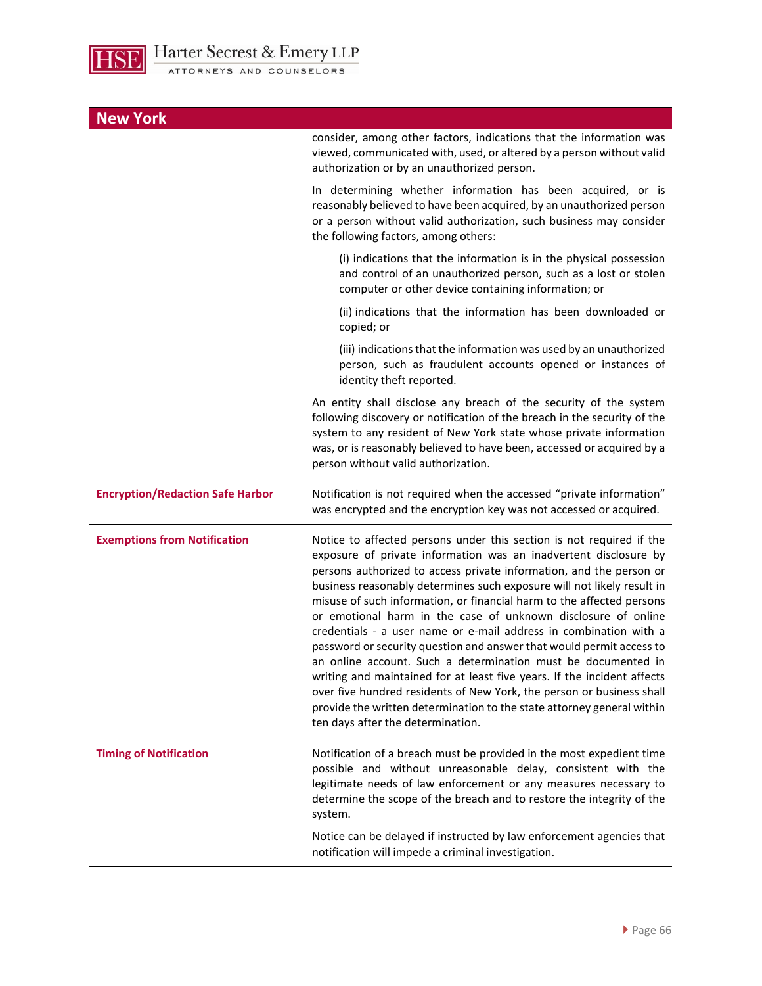

| <b>New York</b>                         |                                                                                                                                                                                                                                                                                                                                                                                                                                                                                                                                                                                                                                                                                                                                                                                                                                                                                                                      |
|-----------------------------------------|----------------------------------------------------------------------------------------------------------------------------------------------------------------------------------------------------------------------------------------------------------------------------------------------------------------------------------------------------------------------------------------------------------------------------------------------------------------------------------------------------------------------------------------------------------------------------------------------------------------------------------------------------------------------------------------------------------------------------------------------------------------------------------------------------------------------------------------------------------------------------------------------------------------------|
|                                         | consider, among other factors, indications that the information was<br>viewed, communicated with, used, or altered by a person without valid<br>authorization or by an unauthorized person.                                                                                                                                                                                                                                                                                                                                                                                                                                                                                                                                                                                                                                                                                                                          |
|                                         | In determining whether information has been acquired, or is<br>reasonably believed to have been acquired, by an unauthorized person<br>or a person without valid authorization, such business may consider<br>the following factors, among others:                                                                                                                                                                                                                                                                                                                                                                                                                                                                                                                                                                                                                                                                   |
|                                         | (i) indications that the information is in the physical possession<br>and control of an unauthorized person, such as a lost or stolen<br>computer or other device containing information; or                                                                                                                                                                                                                                                                                                                                                                                                                                                                                                                                                                                                                                                                                                                         |
|                                         | (ii) indications that the information has been downloaded or<br>copied; or                                                                                                                                                                                                                                                                                                                                                                                                                                                                                                                                                                                                                                                                                                                                                                                                                                           |
|                                         | (iii) indications that the information was used by an unauthorized<br>person, such as fraudulent accounts opened or instances of<br>identity theft reported.                                                                                                                                                                                                                                                                                                                                                                                                                                                                                                                                                                                                                                                                                                                                                         |
|                                         | An entity shall disclose any breach of the security of the system<br>following discovery or notification of the breach in the security of the<br>system to any resident of New York state whose private information<br>was, or is reasonably believed to have been, accessed or acquired by a<br>person without valid authorization.                                                                                                                                                                                                                                                                                                                                                                                                                                                                                                                                                                                 |
| <b>Encryption/Redaction Safe Harbor</b> | Notification is not required when the accessed "private information"<br>was encrypted and the encryption key was not accessed or acquired.                                                                                                                                                                                                                                                                                                                                                                                                                                                                                                                                                                                                                                                                                                                                                                           |
| <b>Exemptions from Notification</b>     | Notice to affected persons under this section is not required if the<br>exposure of private information was an inadvertent disclosure by<br>persons authorized to access private information, and the person or<br>business reasonably determines such exposure will not likely result in<br>misuse of such information, or financial harm to the affected persons<br>or emotional harm in the case of unknown disclosure of online<br>credentials - a user name or e-mail address in combination with a<br>password or security question and answer that would permit access to<br>an online account. Such a determination must be documented in<br>writing and maintained for at least five years. If the incident affects<br>over five hundred residents of New York, the person or business shall<br>provide the written determination to the state attorney general within<br>ten days after the determination. |
| <b>Timing of Notification</b>           | Notification of a breach must be provided in the most expedient time<br>possible and without unreasonable delay, consistent with the<br>legitimate needs of law enforcement or any measures necessary to<br>determine the scope of the breach and to restore the integrity of the<br>system.                                                                                                                                                                                                                                                                                                                                                                                                                                                                                                                                                                                                                         |
|                                         | Notice can be delayed if instructed by law enforcement agencies that<br>notification will impede a criminal investigation.                                                                                                                                                                                                                                                                                                                                                                                                                                                                                                                                                                                                                                                                                                                                                                                           |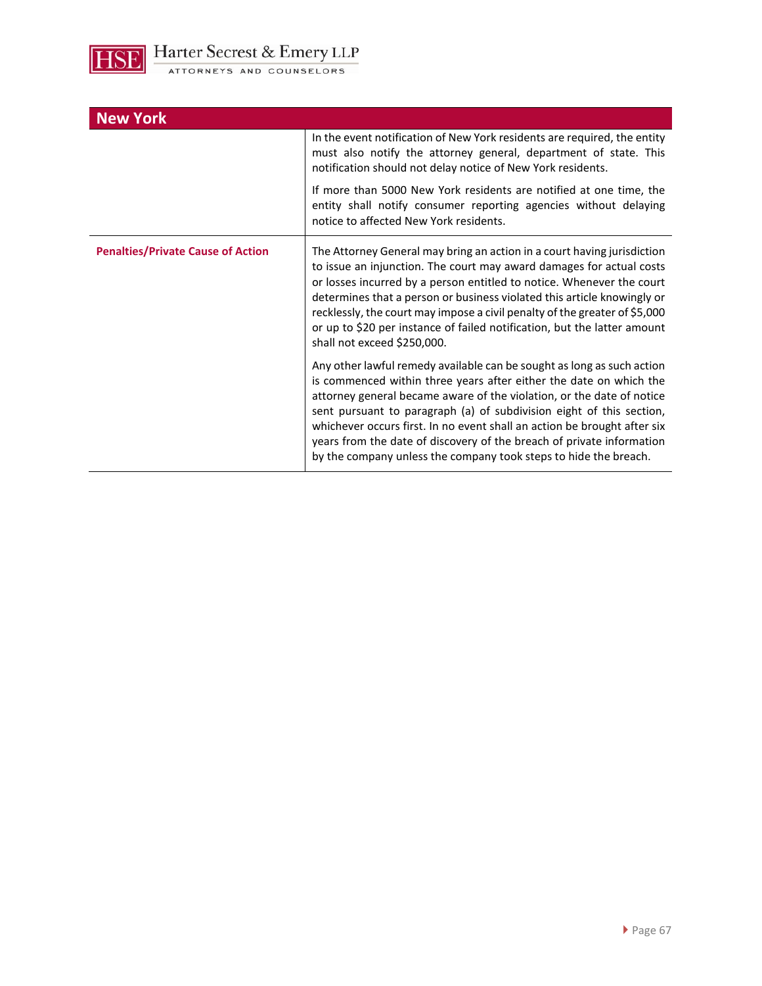

| <b>New York</b>                          |                                                                                                                                                                                                                                                                                                                                                                                                                                                                                                                        |
|------------------------------------------|------------------------------------------------------------------------------------------------------------------------------------------------------------------------------------------------------------------------------------------------------------------------------------------------------------------------------------------------------------------------------------------------------------------------------------------------------------------------------------------------------------------------|
|                                          | In the event notification of New York residents are required, the entity<br>must also notify the attorney general, department of state. This<br>notification should not delay notice of New York residents.                                                                                                                                                                                                                                                                                                            |
|                                          | If more than 5000 New York residents are notified at one time, the<br>entity shall notify consumer reporting agencies without delaying<br>notice to affected New York residents.                                                                                                                                                                                                                                                                                                                                       |
| <b>Penalties/Private Cause of Action</b> | The Attorney General may bring an action in a court having jurisdiction<br>to issue an injunction. The court may award damages for actual costs<br>or losses incurred by a person entitled to notice. Whenever the court<br>determines that a person or business violated this article knowingly or<br>recklessly, the court may impose a civil penalty of the greater of \$5,000<br>or up to \$20 per instance of failed notification, but the latter amount<br>shall not exceed \$250,000.                           |
|                                          | Any other lawful remedy available can be sought as long as such action<br>is commenced within three years after either the date on which the<br>attorney general became aware of the violation, or the date of notice<br>sent pursuant to paragraph (a) of subdivision eight of this section,<br>whichever occurs first. In no event shall an action be brought after six<br>years from the date of discovery of the breach of private information<br>by the company unless the company took steps to hide the breach. |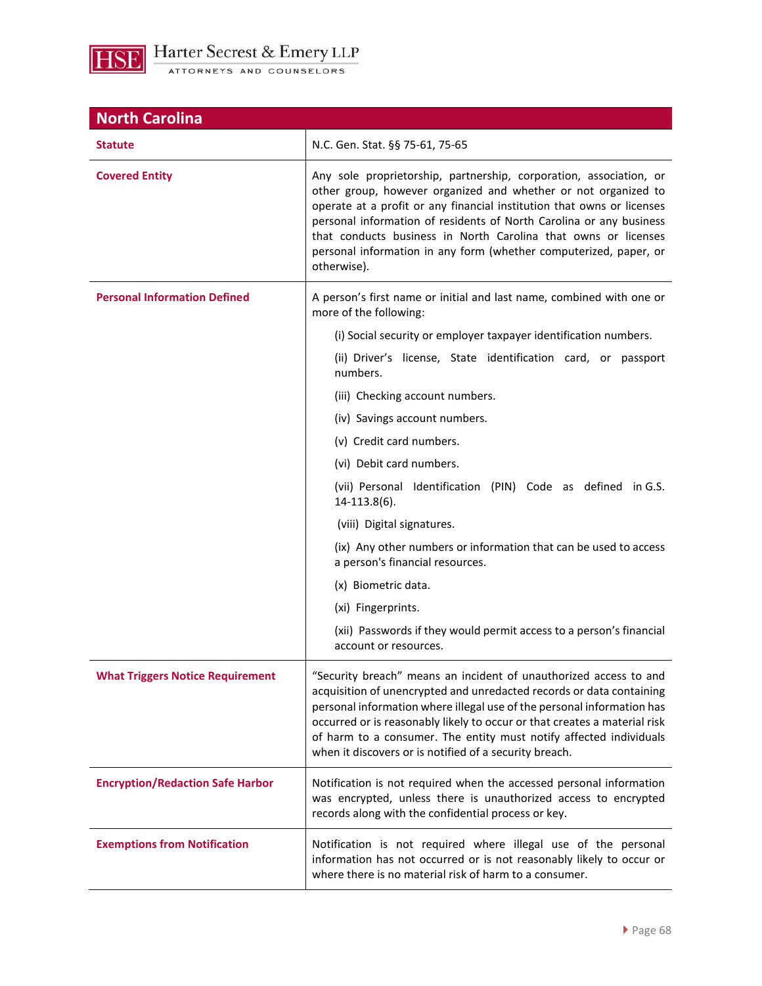

| <b>North Carolina</b>                   |                                                                                                                                                                                                                                                                                                                                                                                                                                             |
|-----------------------------------------|---------------------------------------------------------------------------------------------------------------------------------------------------------------------------------------------------------------------------------------------------------------------------------------------------------------------------------------------------------------------------------------------------------------------------------------------|
| <b>Statute</b>                          | N.C. Gen. Stat. §§ 75-61, 75-65                                                                                                                                                                                                                                                                                                                                                                                                             |
| <b>Covered Entity</b>                   | Any sole proprietorship, partnership, corporation, association, or<br>other group, however organized and whether or not organized to<br>operate at a profit or any financial institution that owns or licenses<br>personal information of residents of North Carolina or any business<br>that conducts business in North Carolina that owns or licenses<br>personal information in any form (whether computerized, paper, or<br>otherwise). |
| <b>Personal Information Defined</b>     | A person's first name or initial and last name, combined with one or<br>more of the following:                                                                                                                                                                                                                                                                                                                                              |
|                                         | (i) Social security or employer taxpayer identification numbers.                                                                                                                                                                                                                                                                                                                                                                            |
|                                         | (ii) Driver's license, State identification card, or passport<br>numbers.                                                                                                                                                                                                                                                                                                                                                                   |
|                                         | (iii) Checking account numbers.                                                                                                                                                                                                                                                                                                                                                                                                             |
|                                         | (iv) Savings account numbers.                                                                                                                                                                                                                                                                                                                                                                                                               |
|                                         | (v) Credit card numbers.                                                                                                                                                                                                                                                                                                                                                                                                                    |
|                                         | (vi) Debit card numbers.                                                                                                                                                                                                                                                                                                                                                                                                                    |
|                                         | (vii) Personal Identification (PIN) Code as defined in G.S.<br>$14 - 113.8(6)$ .                                                                                                                                                                                                                                                                                                                                                            |
|                                         | (viii) Digital signatures.                                                                                                                                                                                                                                                                                                                                                                                                                  |
|                                         | (ix) Any other numbers or information that can be used to access<br>a person's financial resources.                                                                                                                                                                                                                                                                                                                                         |
|                                         | (x) Biometric data.                                                                                                                                                                                                                                                                                                                                                                                                                         |
|                                         | (xi) Fingerprints.                                                                                                                                                                                                                                                                                                                                                                                                                          |
|                                         | (xii) Passwords if they would permit access to a person's financial<br>account or resources.                                                                                                                                                                                                                                                                                                                                                |
| <b>What Triggers Notice Requirement</b> | "Security breach" means an incident of unauthorized access to and<br>acquisition of unencrypted and unredacted records or data containing<br>personal information where illegal use of the personal information has<br>occurred or is reasonably likely to occur or that creates a material risk<br>of harm to a consumer. The entity must notify affected individuals<br>when it discovers or is notified of a security breach.            |
| <b>Encryption/Redaction Safe Harbor</b> | Notification is not required when the accessed personal information<br>was encrypted, unless there is unauthorized access to encrypted<br>records along with the confidential process or key.                                                                                                                                                                                                                                               |
| <b>Exemptions from Notification</b>     | Notification is not required where illegal use of the personal<br>information has not occurred or is not reasonably likely to occur or<br>where there is no material risk of harm to a consumer.                                                                                                                                                                                                                                            |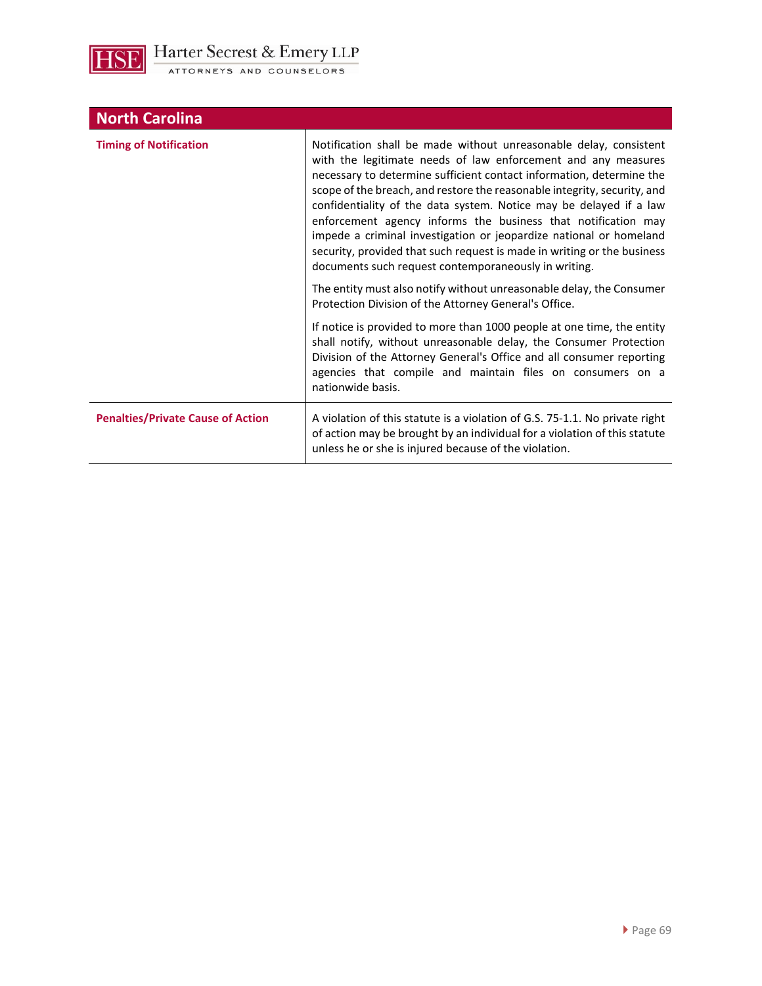**HSE** 

| <b>North Carolina</b>                    |                                                                                                                                                                                                                                                                                                                                                                                                                                                                                                                                                                                                                                        |
|------------------------------------------|----------------------------------------------------------------------------------------------------------------------------------------------------------------------------------------------------------------------------------------------------------------------------------------------------------------------------------------------------------------------------------------------------------------------------------------------------------------------------------------------------------------------------------------------------------------------------------------------------------------------------------------|
| <b>Timing of Notification</b>            | Notification shall be made without unreasonable delay, consistent<br>with the legitimate needs of law enforcement and any measures<br>necessary to determine sufficient contact information, determine the<br>scope of the breach, and restore the reasonable integrity, security, and<br>confidentiality of the data system. Notice may be delayed if a law<br>enforcement agency informs the business that notification may<br>impede a criminal investigation or jeopardize national or homeland<br>security, provided that such request is made in writing or the business<br>documents such request contemporaneously in writing. |
|                                          | The entity must also notify without unreasonable delay, the Consumer<br>Protection Division of the Attorney General's Office.                                                                                                                                                                                                                                                                                                                                                                                                                                                                                                          |
|                                          | If notice is provided to more than 1000 people at one time, the entity<br>shall notify, without unreasonable delay, the Consumer Protection<br>Division of the Attorney General's Office and all consumer reporting<br>agencies that compile and maintain files on consumers on a<br>nationwide basis.                                                                                                                                                                                                                                                                                                                                 |
| <b>Penalties/Private Cause of Action</b> | A violation of this statute is a violation of G.S. 75-1.1. No private right<br>of action may be brought by an individual for a violation of this statute<br>unless he or she is injured because of the violation.                                                                                                                                                                                                                                                                                                                                                                                                                      |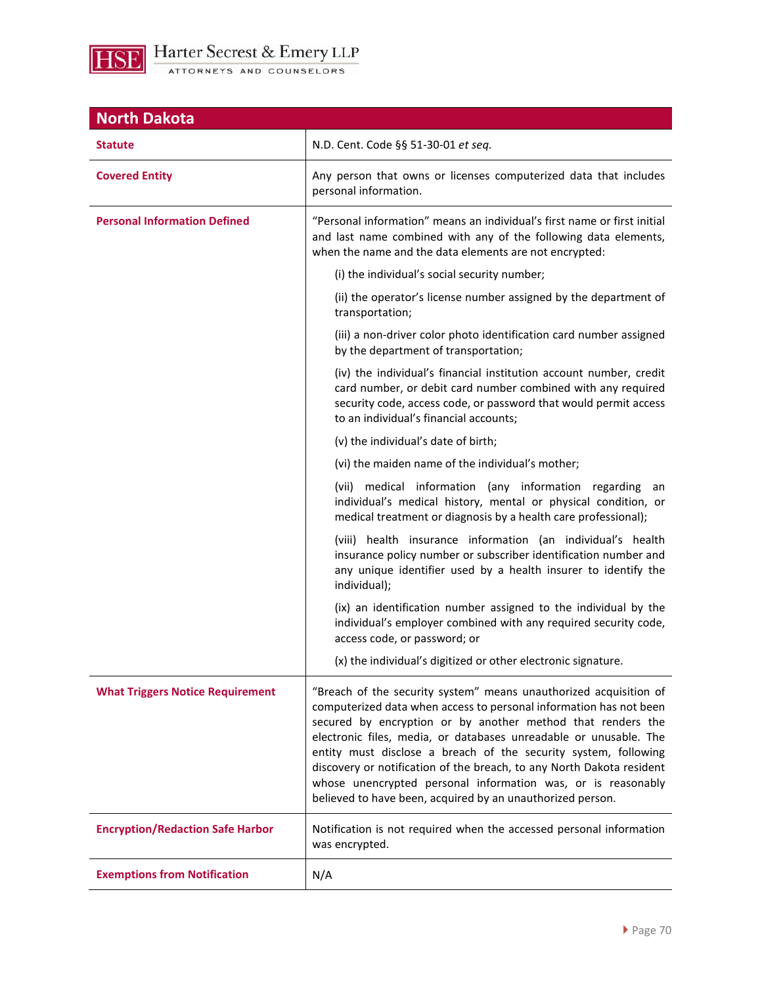

| <b>North Dakota</b>                     |                                                                                                                                                                                                                                                                                                                                                                                                                                                                                                                                                       |
|-----------------------------------------|-------------------------------------------------------------------------------------------------------------------------------------------------------------------------------------------------------------------------------------------------------------------------------------------------------------------------------------------------------------------------------------------------------------------------------------------------------------------------------------------------------------------------------------------------------|
| <b>Statute</b>                          | N.D. Cent. Code §§ 51-30-01 et seq.                                                                                                                                                                                                                                                                                                                                                                                                                                                                                                                   |
| <b>Covered Entity</b>                   | Any person that owns or licenses computerized data that includes<br>personal information.                                                                                                                                                                                                                                                                                                                                                                                                                                                             |
| <b>Personal Information Defined</b>     | "Personal information" means an individual's first name or first initial<br>and last name combined with any of the following data elements,<br>when the name and the data elements are not encrypted:                                                                                                                                                                                                                                                                                                                                                 |
|                                         | (i) the individual's social security number;                                                                                                                                                                                                                                                                                                                                                                                                                                                                                                          |
|                                         | (ii) the operator's license number assigned by the department of<br>transportation;                                                                                                                                                                                                                                                                                                                                                                                                                                                                   |
|                                         | (iii) a non-driver color photo identification card number assigned<br>by the department of transportation;                                                                                                                                                                                                                                                                                                                                                                                                                                            |
|                                         | (iv) the individual's financial institution account number, credit<br>card number, or debit card number combined with any required<br>security code, access code, or password that would permit access<br>to an individual's financial accounts;                                                                                                                                                                                                                                                                                                      |
|                                         | (v) the individual's date of birth;                                                                                                                                                                                                                                                                                                                                                                                                                                                                                                                   |
|                                         | (vi) the maiden name of the individual's mother;                                                                                                                                                                                                                                                                                                                                                                                                                                                                                                      |
|                                         | (vii) medical information (any information regarding<br>an<br>individual's medical history, mental or physical condition, or<br>medical treatment or diagnosis by a health care professional);                                                                                                                                                                                                                                                                                                                                                        |
|                                         | (viii) health insurance information (an individual's health<br>insurance policy number or subscriber identification number and<br>any unique identifier used by a health insurer to identify the<br>individual);                                                                                                                                                                                                                                                                                                                                      |
|                                         | (ix) an identification number assigned to the individual by the<br>individual's employer combined with any required security code,<br>access code, or password; or                                                                                                                                                                                                                                                                                                                                                                                    |
|                                         | (x) the individual's digitized or other electronic signature.                                                                                                                                                                                                                                                                                                                                                                                                                                                                                         |
| <b>What Triggers Notice Requirement</b> | "Breach of the security system" means unauthorized acquisition of<br>computerized data when access to personal information has not been<br>secured by encryption or by another method that renders the<br>electronic files, media, or databases unreadable or unusable. The<br>entity must disclose a breach of the security system, following<br>discovery or notification of the breach, to any North Dakota resident<br>whose unencrypted personal information was, or is reasonably<br>believed to have been, acquired by an unauthorized person. |
| <b>Encryption/Redaction Safe Harbor</b> | Notification is not required when the accessed personal information<br>was encrypted.                                                                                                                                                                                                                                                                                                                                                                                                                                                                 |
| <b>Exemptions from Notification</b>     | N/A                                                                                                                                                                                                                                                                                                                                                                                                                                                                                                                                                   |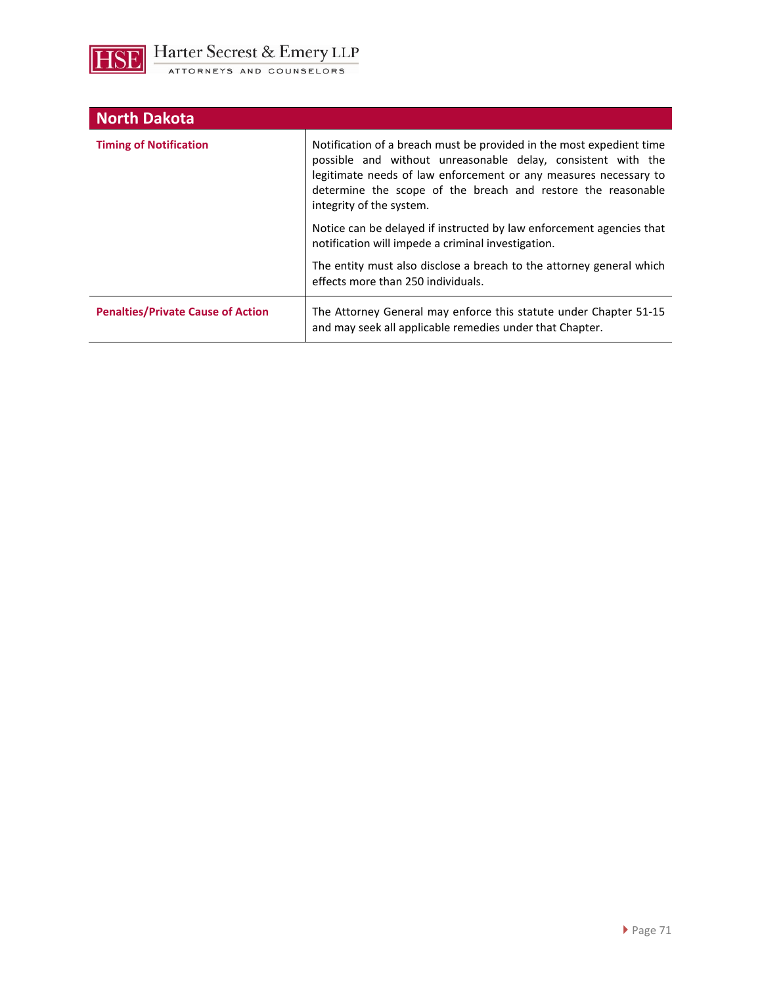

| <b>North Dakota</b>                      |                                                                                                                                                                                                                                                                                                      |
|------------------------------------------|------------------------------------------------------------------------------------------------------------------------------------------------------------------------------------------------------------------------------------------------------------------------------------------------------|
| <b>Timing of Notification</b>            | Notification of a breach must be provided in the most expedient time<br>possible and without unreasonable delay, consistent with the<br>legitimate needs of law enforcement or any measures necessary to<br>determine the scope of the breach and restore the reasonable<br>integrity of the system. |
|                                          | Notice can be delayed if instructed by law enforcement agencies that<br>notification will impede a criminal investigation.                                                                                                                                                                           |
|                                          | The entity must also disclose a breach to the attorney general which<br>effects more than 250 individuals.                                                                                                                                                                                           |
| <b>Penalties/Private Cause of Action</b> | The Attorney General may enforce this statute under Chapter 51-15<br>and may seek all applicable remedies under that Chapter.                                                                                                                                                                        |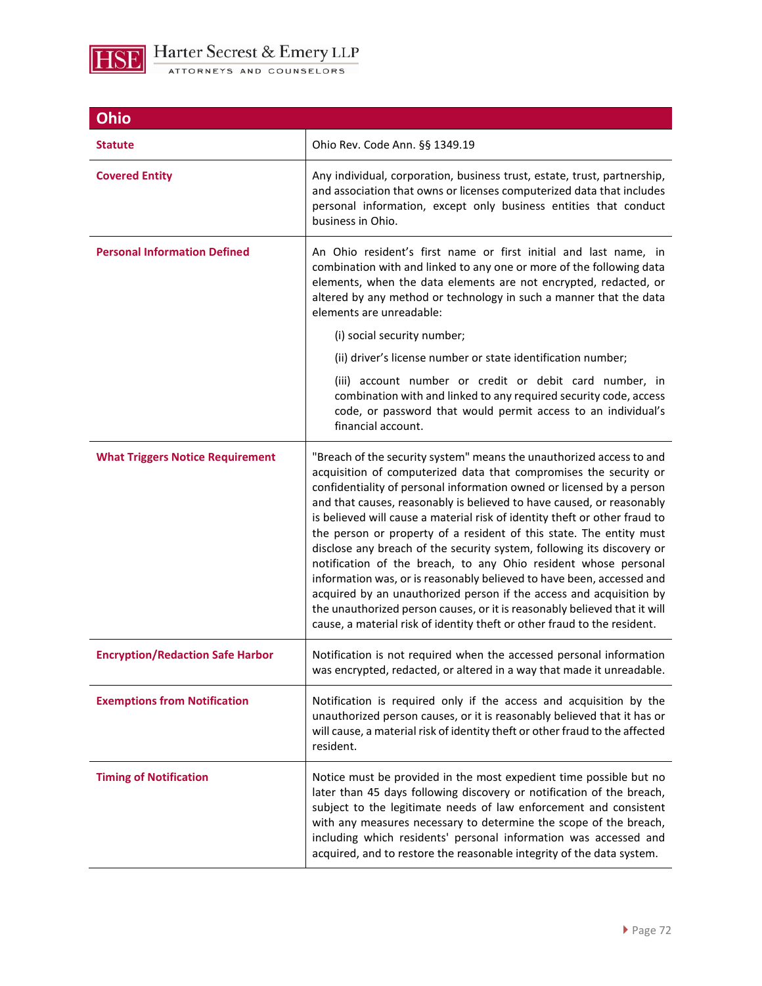

| <b>Ohio</b>                             |                                                                                                                                                                                                                                                                                                                                                                                                                                                                                                                                                                                                                                                                                                                                                                                                                                                                                                        |
|-----------------------------------------|--------------------------------------------------------------------------------------------------------------------------------------------------------------------------------------------------------------------------------------------------------------------------------------------------------------------------------------------------------------------------------------------------------------------------------------------------------------------------------------------------------------------------------------------------------------------------------------------------------------------------------------------------------------------------------------------------------------------------------------------------------------------------------------------------------------------------------------------------------------------------------------------------------|
| <b>Statute</b>                          | Ohio Rev. Code Ann. §§ 1349.19                                                                                                                                                                                                                                                                                                                                                                                                                                                                                                                                                                                                                                                                                                                                                                                                                                                                         |
| <b>Covered Entity</b>                   | Any individual, corporation, business trust, estate, trust, partnership,<br>and association that owns or licenses computerized data that includes<br>personal information, except only business entities that conduct<br>business in Ohio.                                                                                                                                                                                                                                                                                                                                                                                                                                                                                                                                                                                                                                                             |
| <b>Personal Information Defined</b>     | An Ohio resident's first name or first initial and last name, in<br>combination with and linked to any one or more of the following data<br>elements, when the data elements are not encrypted, redacted, or<br>altered by any method or technology in such a manner that the data<br>elements are unreadable:                                                                                                                                                                                                                                                                                                                                                                                                                                                                                                                                                                                         |
|                                         | (i) social security number;                                                                                                                                                                                                                                                                                                                                                                                                                                                                                                                                                                                                                                                                                                                                                                                                                                                                            |
|                                         | (ii) driver's license number or state identification number;                                                                                                                                                                                                                                                                                                                                                                                                                                                                                                                                                                                                                                                                                                                                                                                                                                           |
|                                         | (iii) account number or credit or debit card number, in<br>combination with and linked to any required security code, access<br>code, or password that would permit access to an individual's<br>financial account.                                                                                                                                                                                                                                                                                                                                                                                                                                                                                                                                                                                                                                                                                    |
| <b>What Triggers Notice Requirement</b> | "Breach of the security system" means the unauthorized access to and<br>acquisition of computerized data that compromises the security or<br>confidentiality of personal information owned or licensed by a person<br>and that causes, reasonably is believed to have caused, or reasonably<br>is believed will cause a material risk of identity theft or other fraud to<br>the person or property of a resident of this state. The entity must<br>disclose any breach of the security system, following its discovery or<br>notification of the breach, to any Ohio resident whose personal<br>information was, or is reasonably believed to have been, accessed and<br>acquired by an unauthorized person if the access and acquisition by<br>the unauthorized person causes, or it is reasonably believed that it will<br>cause, a material risk of identity theft or other fraud to the resident. |
| <b>Encryption/Redaction Safe Harbor</b> | Notification is not required when the accessed personal information<br>was encrypted, redacted, or altered in a way that made it unreadable.                                                                                                                                                                                                                                                                                                                                                                                                                                                                                                                                                                                                                                                                                                                                                           |
| <b>Exemptions from Notification</b>     | Notification is required only if the access and acquisition by the<br>unauthorized person causes, or it is reasonably believed that it has or<br>will cause, a material risk of identity theft or other fraud to the affected<br>resident.                                                                                                                                                                                                                                                                                                                                                                                                                                                                                                                                                                                                                                                             |
| <b>Timing of Notification</b>           | Notice must be provided in the most expedient time possible but no<br>later than 45 days following discovery or notification of the breach,<br>subject to the legitimate needs of law enforcement and consistent<br>with any measures necessary to determine the scope of the breach,<br>including which residents' personal information was accessed and<br>acquired, and to restore the reasonable integrity of the data system.                                                                                                                                                                                                                                                                                                                                                                                                                                                                     |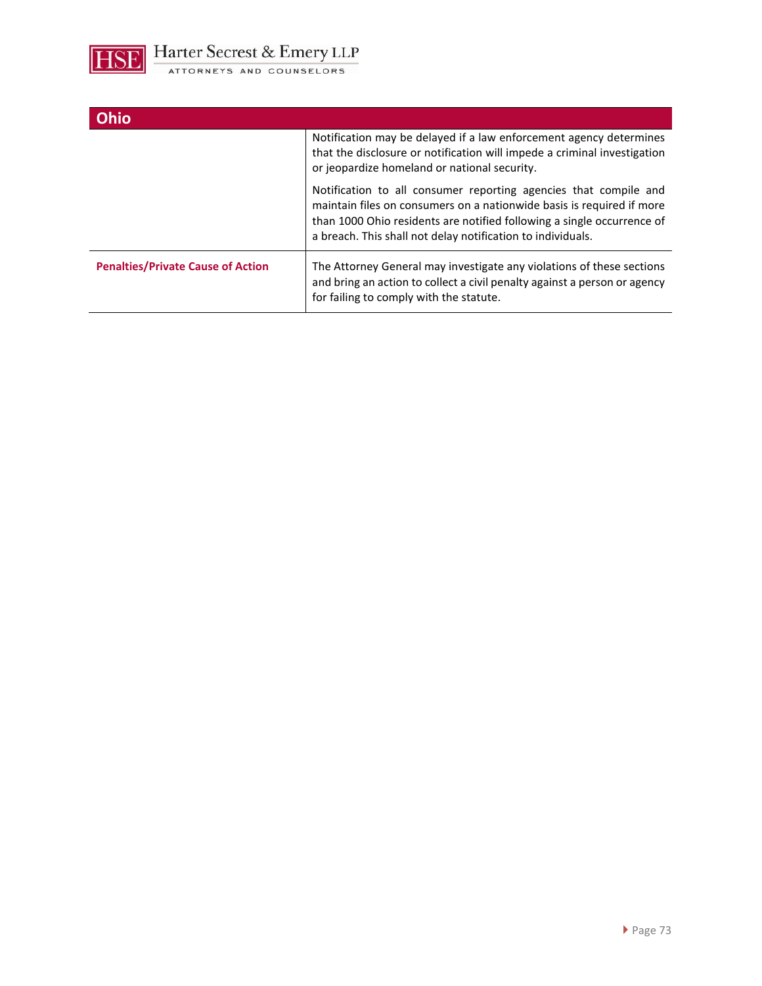

| <b>Ohio</b>                              |                                                                                                                                                                                                                                                                                    |
|------------------------------------------|------------------------------------------------------------------------------------------------------------------------------------------------------------------------------------------------------------------------------------------------------------------------------------|
|                                          | Notification may be delayed if a law enforcement agency determines<br>that the disclosure or notification will impede a criminal investigation<br>or jeopardize homeland or national security.                                                                                     |
|                                          | Notification to all consumer reporting agencies that compile and<br>maintain files on consumers on a nationwide basis is required if more<br>than 1000 Ohio residents are notified following a single occurrence of<br>a breach. This shall not delay notification to individuals. |
| <b>Penalties/Private Cause of Action</b> | The Attorney General may investigate any violations of these sections<br>and bring an action to collect a civil penalty against a person or agency<br>for failing to comply with the statute.                                                                                      |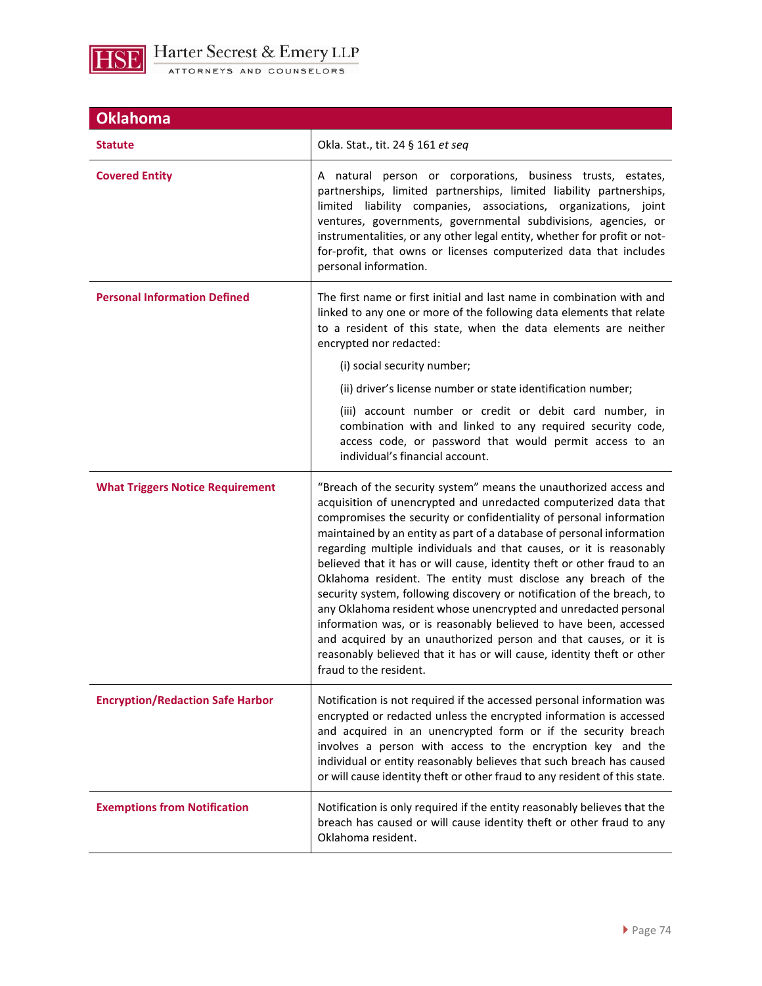

| <b>Oklahoma</b>                         |                                                                                                                                                                                                                                                                                                                                                                                                                                                                                                                                                                                                                                                                                                                                                                                                                                                                                                    |  |
|-----------------------------------------|----------------------------------------------------------------------------------------------------------------------------------------------------------------------------------------------------------------------------------------------------------------------------------------------------------------------------------------------------------------------------------------------------------------------------------------------------------------------------------------------------------------------------------------------------------------------------------------------------------------------------------------------------------------------------------------------------------------------------------------------------------------------------------------------------------------------------------------------------------------------------------------------------|--|
| <b>Statute</b>                          | Okla. Stat., tit. 24 § 161 et seq                                                                                                                                                                                                                                                                                                                                                                                                                                                                                                                                                                                                                                                                                                                                                                                                                                                                  |  |
| <b>Covered Entity</b>                   | A natural person or corporations, business trusts, estates,<br>partnerships, limited partnerships, limited liability partnerships,<br>limited liability companies, associations, organizations, joint<br>ventures, governments, governmental subdivisions, agencies, or<br>instrumentalities, or any other legal entity, whether for profit or not-<br>for-profit, that owns or licenses computerized data that includes<br>personal information.                                                                                                                                                                                                                                                                                                                                                                                                                                                  |  |
| <b>Personal Information Defined</b>     | The first name or first initial and last name in combination with and<br>linked to any one or more of the following data elements that relate<br>to a resident of this state, when the data elements are neither<br>encrypted nor redacted:                                                                                                                                                                                                                                                                                                                                                                                                                                                                                                                                                                                                                                                        |  |
|                                         | (i) social security number;                                                                                                                                                                                                                                                                                                                                                                                                                                                                                                                                                                                                                                                                                                                                                                                                                                                                        |  |
|                                         | (ii) driver's license number or state identification number;                                                                                                                                                                                                                                                                                                                                                                                                                                                                                                                                                                                                                                                                                                                                                                                                                                       |  |
|                                         | (iii) account number or credit or debit card number, in<br>combination with and linked to any required security code,<br>access code, or password that would permit access to an<br>individual's financial account.                                                                                                                                                                                                                                                                                                                                                                                                                                                                                                                                                                                                                                                                                |  |
| <b>What Triggers Notice Requirement</b> | "Breach of the security system" means the unauthorized access and<br>acquisition of unencrypted and unredacted computerized data that<br>compromises the security or confidentiality of personal information<br>maintained by an entity as part of a database of personal information<br>regarding multiple individuals and that causes, or it is reasonably<br>believed that it has or will cause, identity theft or other fraud to an<br>Oklahoma resident. The entity must disclose any breach of the<br>security system, following discovery or notification of the breach, to<br>any Oklahoma resident whose unencrypted and unredacted personal<br>information was, or is reasonably believed to have been, accessed<br>and acquired by an unauthorized person and that causes, or it is<br>reasonably believed that it has or will cause, identity theft or other<br>fraud to the resident. |  |
| <b>Encryption/Redaction Safe Harbor</b> | Notification is not required if the accessed personal information was<br>encrypted or redacted unless the encrypted information is accessed<br>and acquired in an unencrypted form or if the security breach<br>involves a person with access to the encryption key and the<br>individual or entity reasonably believes that such breach has caused<br>or will cause identity theft or other fraud to any resident of this state.                                                                                                                                                                                                                                                                                                                                                                                                                                                                  |  |
| <b>Exemptions from Notification</b>     | Notification is only required if the entity reasonably believes that the<br>breach has caused or will cause identity theft or other fraud to any<br>Oklahoma resident.                                                                                                                                                                                                                                                                                                                                                                                                                                                                                                                                                                                                                                                                                                                             |  |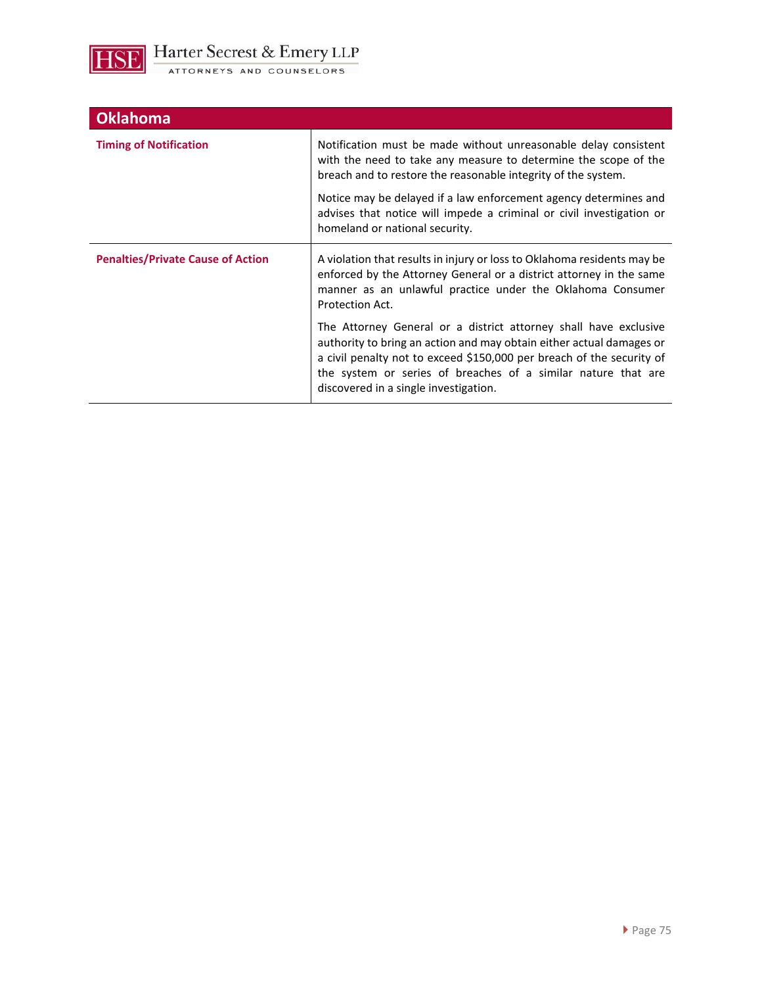

| <b>Oklahoma</b>                          |                                                                                                                                                                                                                                                                                                                             |
|------------------------------------------|-----------------------------------------------------------------------------------------------------------------------------------------------------------------------------------------------------------------------------------------------------------------------------------------------------------------------------|
| <b>Timing of Notification</b>            | Notification must be made without unreasonable delay consistent<br>with the need to take any measure to determine the scope of the<br>breach and to restore the reasonable integrity of the system.                                                                                                                         |
|                                          | Notice may be delayed if a law enforcement agency determines and<br>advises that notice will impede a criminal or civil investigation or<br>homeland or national security.                                                                                                                                                  |
| <b>Penalties/Private Cause of Action</b> | A violation that results in injury or loss to Oklahoma residents may be<br>enforced by the Attorney General or a district attorney in the same<br>manner as an unlawful practice under the Oklahoma Consumer<br>Protection Act.                                                                                             |
|                                          | The Attorney General or a district attorney shall have exclusive<br>authority to bring an action and may obtain either actual damages or<br>a civil penalty not to exceed \$150,000 per breach of the security of<br>the system or series of breaches of a similar nature that are<br>discovered in a single investigation. |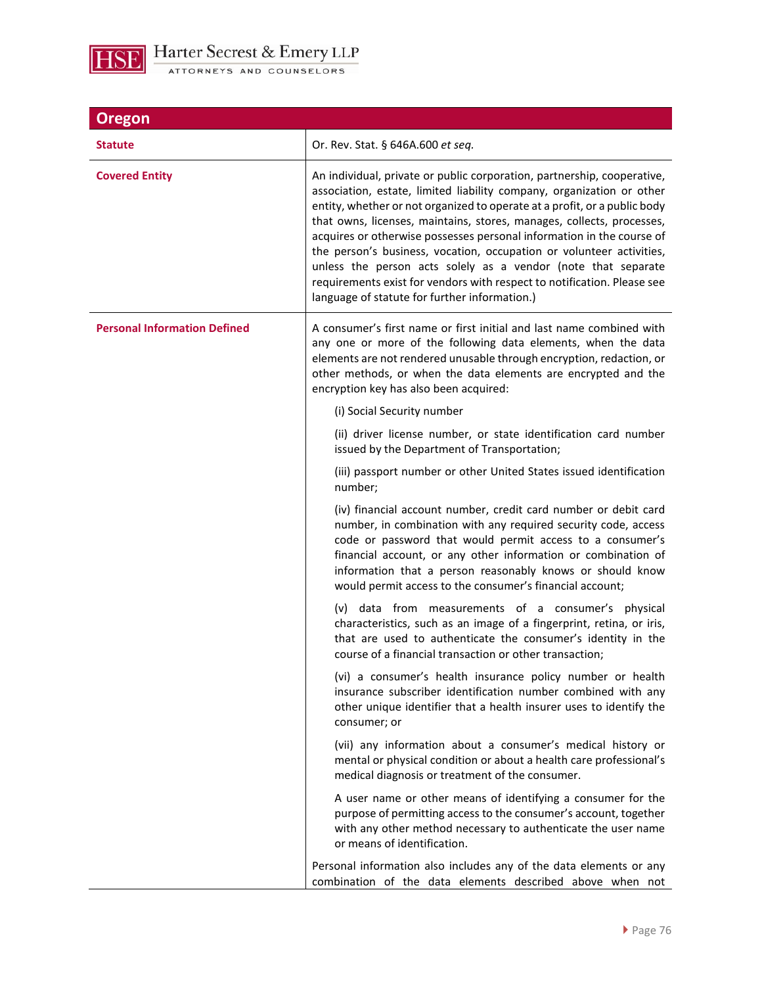

| Oregon                              |                                                                                                                                                                                                                                                                                                                                                                                                                                                                                                                                                                                                                                                      |  |
|-------------------------------------|------------------------------------------------------------------------------------------------------------------------------------------------------------------------------------------------------------------------------------------------------------------------------------------------------------------------------------------------------------------------------------------------------------------------------------------------------------------------------------------------------------------------------------------------------------------------------------------------------------------------------------------------------|--|
| <b>Statute</b>                      | Or. Rev. Stat. § 646A.600 et seq.                                                                                                                                                                                                                                                                                                                                                                                                                                                                                                                                                                                                                    |  |
| <b>Covered Entity</b>               | An individual, private or public corporation, partnership, cooperative,<br>association, estate, limited liability company, organization or other<br>entity, whether or not organized to operate at a profit, or a public body<br>that owns, licenses, maintains, stores, manages, collects, processes,<br>acquires or otherwise possesses personal information in the course of<br>the person's business, vocation, occupation or volunteer activities,<br>unless the person acts solely as a vendor (note that separate<br>requirements exist for vendors with respect to notification. Please see<br>language of statute for further information.) |  |
| <b>Personal Information Defined</b> | A consumer's first name or first initial and last name combined with<br>any one or more of the following data elements, when the data<br>elements are not rendered unusable through encryption, redaction, or<br>other methods, or when the data elements are encrypted and the<br>encryption key has also been acquired:                                                                                                                                                                                                                                                                                                                            |  |
|                                     | (i) Social Security number                                                                                                                                                                                                                                                                                                                                                                                                                                                                                                                                                                                                                           |  |
|                                     | (ii) driver license number, or state identification card number<br>issued by the Department of Transportation;                                                                                                                                                                                                                                                                                                                                                                                                                                                                                                                                       |  |
|                                     | (iii) passport number or other United States issued identification<br>number;                                                                                                                                                                                                                                                                                                                                                                                                                                                                                                                                                                        |  |
|                                     | (iv) financial account number, credit card number or debit card<br>number, in combination with any required security code, access<br>code or password that would permit access to a consumer's<br>financial account, or any other information or combination of<br>information that a person reasonably knows or should know<br>would permit access to the consumer's financial account;                                                                                                                                                                                                                                                             |  |
|                                     | (v) data from measurements of a consumer's physical<br>characteristics, such as an image of a fingerprint, retina, or iris,<br>that are used to authenticate the consumer's identity in the<br>course of a financial transaction or other transaction;                                                                                                                                                                                                                                                                                                                                                                                               |  |
|                                     | (vi) a consumer's health insurance policy number or health<br>insurance subscriber identification number combined with any<br>other unique identifier that a health insurer uses to identify the<br>consumer; or                                                                                                                                                                                                                                                                                                                                                                                                                                     |  |
|                                     | (vii) any information about a consumer's medical history or<br>mental or physical condition or about a health care professional's<br>medical diagnosis or treatment of the consumer.                                                                                                                                                                                                                                                                                                                                                                                                                                                                 |  |
|                                     | A user name or other means of identifying a consumer for the<br>purpose of permitting access to the consumer's account, together<br>with any other method necessary to authenticate the user name<br>or means of identification.                                                                                                                                                                                                                                                                                                                                                                                                                     |  |
|                                     | Personal information also includes any of the data elements or any<br>combination of the data elements described above when not                                                                                                                                                                                                                                                                                                                                                                                                                                                                                                                      |  |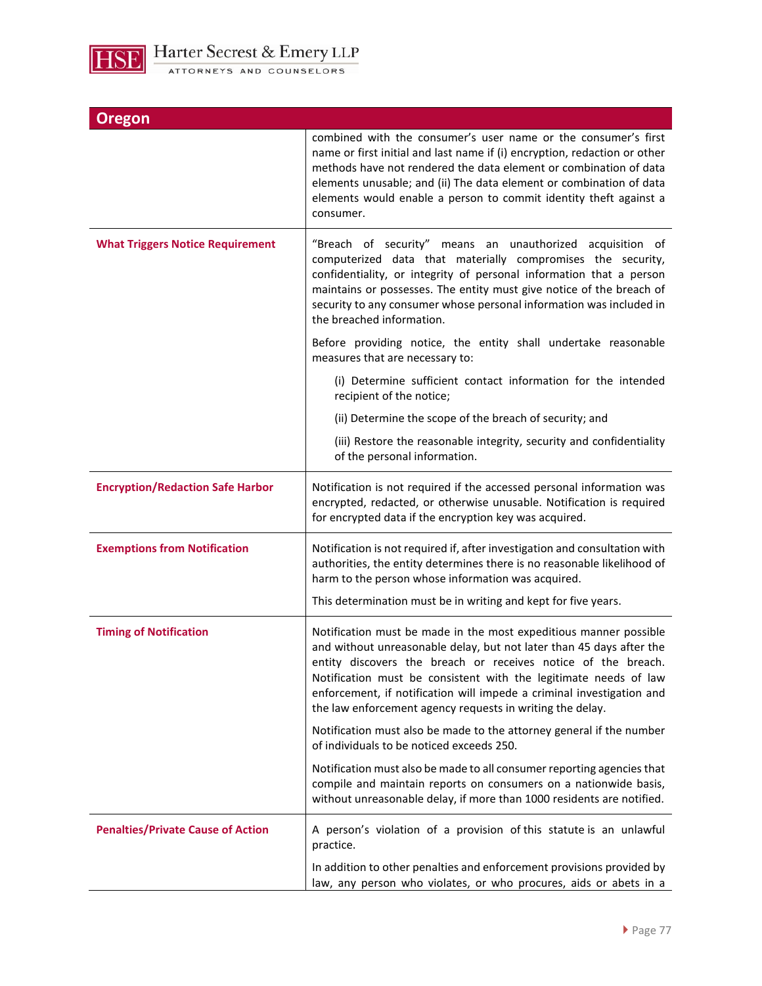

| Oregon                                   |                                                                                                                                                                                                                                                                                                                                                                                                                      |
|------------------------------------------|----------------------------------------------------------------------------------------------------------------------------------------------------------------------------------------------------------------------------------------------------------------------------------------------------------------------------------------------------------------------------------------------------------------------|
|                                          | combined with the consumer's user name or the consumer's first<br>name or first initial and last name if (i) encryption, redaction or other<br>methods have not rendered the data element or combination of data<br>elements unusable; and (ii) The data element or combination of data<br>elements would enable a person to commit identity theft against a<br>consumer.                                            |
| <b>What Triggers Notice Requirement</b>  | "Breach of security" means an unauthorized acquisition of<br>computerized data that materially compromises the security,<br>confidentiality, or integrity of personal information that a person<br>maintains or possesses. The entity must give notice of the breach of<br>security to any consumer whose personal information was included in<br>the breached information.                                          |
|                                          | Before providing notice, the entity shall undertake reasonable<br>measures that are necessary to:                                                                                                                                                                                                                                                                                                                    |
|                                          | (i) Determine sufficient contact information for the intended<br>recipient of the notice;                                                                                                                                                                                                                                                                                                                            |
|                                          | (ii) Determine the scope of the breach of security; and                                                                                                                                                                                                                                                                                                                                                              |
|                                          | (iii) Restore the reasonable integrity, security and confidentiality<br>of the personal information.                                                                                                                                                                                                                                                                                                                 |
| <b>Encryption/Redaction Safe Harbor</b>  | Notification is not required if the accessed personal information was<br>encrypted, redacted, or otherwise unusable. Notification is required<br>for encrypted data if the encryption key was acquired.                                                                                                                                                                                                              |
| <b>Exemptions from Notification</b>      | Notification is not required if, after investigation and consultation with<br>authorities, the entity determines there is no reasonable likelihood of<br>harm to the person whose information was acquired.                                                                                                                                                                                                          |
|                                          | This determination must be in writing and kept for five years.                                                                                                                                                                                                                                                                                                                                                       |
| <b>Timing of Notification</b>            | Notification must be made in the most expeditious manner possible<br>and without unreasonable delay, but not later than 45 days after the<br>entity discovers the breach or receives notice of the breach.<br>Notification must be consistent with the legitimate needs of law<br>enforcement, if notification will impede a criminal investigation and<br>the law enforcement agency requests in writing the delay. |
|                                          | Notification must also be made to the attorney general if the number<br>of individuals to be noticed exceeds 250.                                                                                                                                                                                                                                                                                                    |
|                                          | Notification must also be made to all consumer reporting agencies that<br>compile and maintain reports on consumers on a nationwide basis,<br>without unreasonable delay, if more than 1000 residents are notified.                                                                                                                                                                                                  |
| <b>Penalties/Private Cause of Action</b> | A person's violation of a provision of this statute is an unlawful<br>practice.                                                                                                                                                                                                                                                                                                                                      |
|                                          | In addition to other penalties and enforcement provisions provided by<br>law, any person who violates, or who procures, aids or abets in a                                                                                                                                                                                                                                                                           |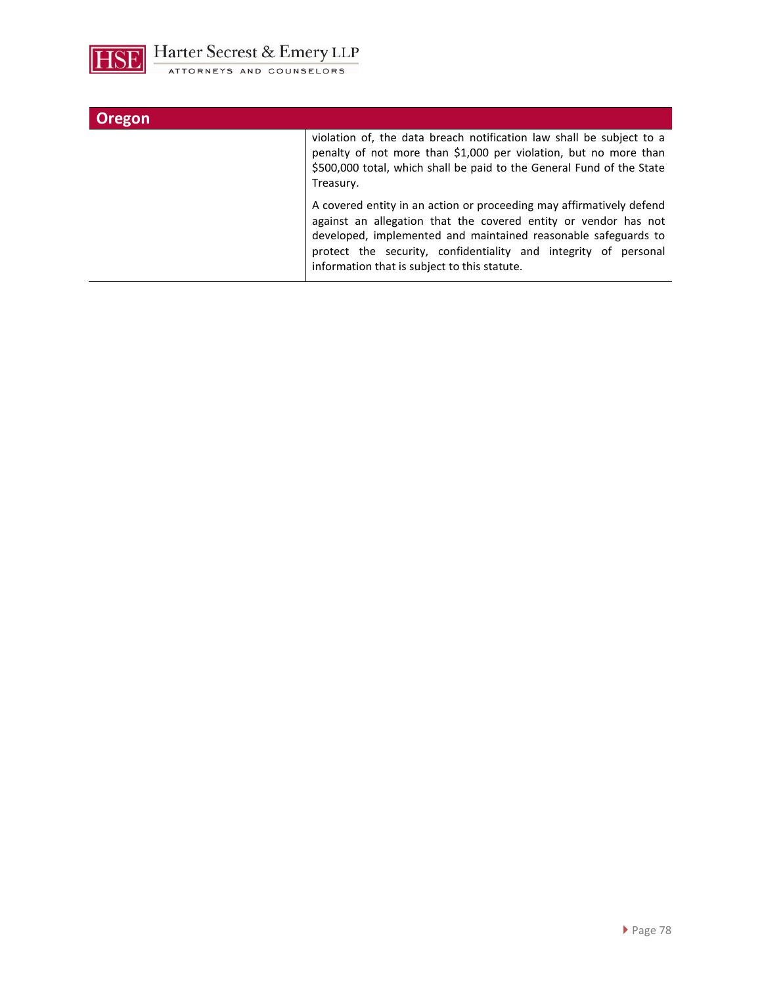

I

| <b>Oregon</b> |                                                                                                                                                                                                                                                                                                                              |
|---------------|------------------------------------------------------------------------------------------------------------------------------------------------------------------------------------------------------------------------------------------------------------------------------------------------------------------------------|
|               | violation of, the data breach notification law shall be subject to a<br>penalty of not more than \$1,000 per violation, but no more than<br>\$500,000 total, which shall be paid to the General Fund of the State<br>Treasury.                                                                                               |
|               | A covered entity in an action or proceeding may affirmatively defend<br>against an allegation that the covered entity or vendor has not<br>developed, implemented and maintained reasonable safeguards to<br>protect the security, confidentiality and integrity of personal<br>information that is subject to this statute. |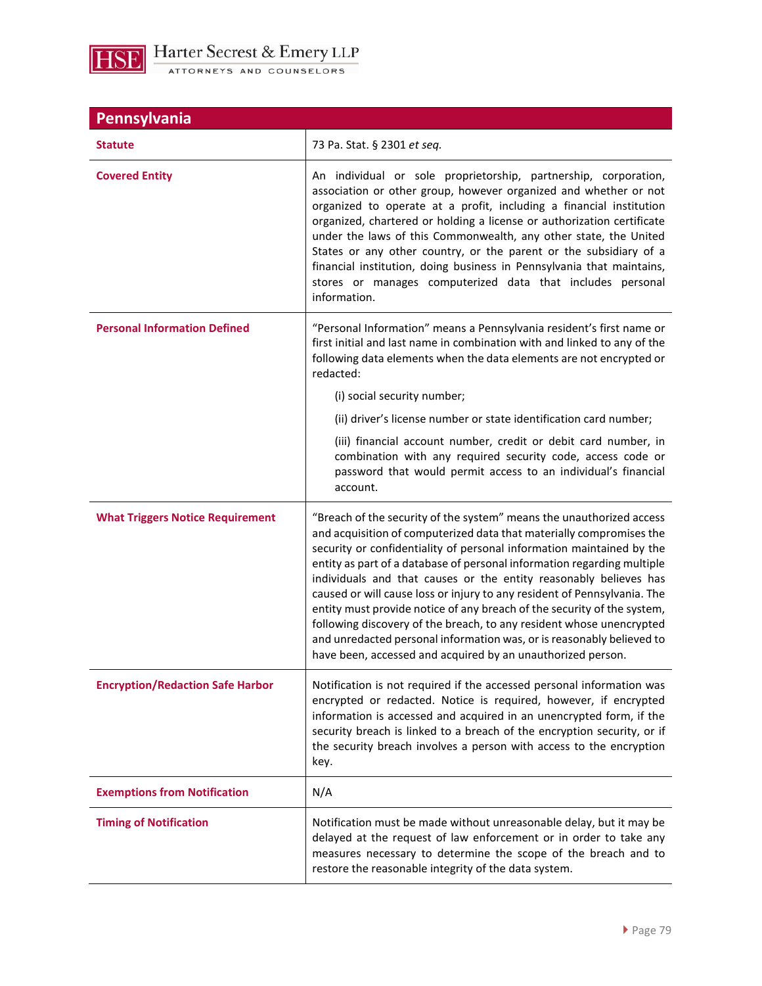

| Pennsylvania                            |                                                                                                                                                                                                                                                                                                                                                                                                                                                                                                                                                                                                                                                                                                                                              |  |
|-----------------------------------------|----------------------------------------------------------------------------------------------------------------------------------------------------------------------------------------------------------------------------------------------------------------------------------------------------------------------------------------------------------------------------------------------------------------------------------------------------------------------------------------------------------------------------------------------------------------------------------------------------------------------------------------------------------------------------------------------------------------------------------------------|--|
| <b>Statute</b>                          | 73 Pa. Stat. § 2301 et seq.                                                                                                                                                                                                                                                                                                                                                                                                                                                                                                                                                                                                                                                                                                                  |  |
| <b>Covered Entity</b>                   | An individual or sole proprietorship, partnership, corporation,<br>association or other group, however organized and whether or not<br>organized to operate at a profit, including a financial institution<br>organized, chartered or holding a license or authorization certificate<br>under the laws of this Commonwealth, any other state, the United<br>States or any other country, or the parent or the subsidiary of a<br>financial institution, doing business in Pennsylvania that maintains,<br>stores or manages computerized data that includes personal<br>information.                                                                                                                                                         |  |
| <b>Personal Information Defined</b>     | "Personal Information" means a Pennsylvania resident's first name or<br>first initial and last name in combination with and linked to any of the<br>following data elements when the data elements are not encrypted or<br>redacted:<br>(i) social security number;                                                                                                                                                                                                                                                                                                                                                                                                                                                                          |  |
|                                         | (ii) driver's license number or state identification card number;<br>(iii) financial account number, credit or debit card number, in<br>combination with any required security code, access code or<br>password that would permit access to an individual's financial<br>account.                                                                                                                                                                                                                                                                                                                                                                                                                                                            |  |
| <b>What Triggers Notice Requirement</b> | "Breach of the security of the system" means the unauthorized access<br>and acquisition of computerized data that materially compromises the<br>security or confidentiality of personal information maintained by the<br>entity as part of a database of personal information regarding multiple<br>individuals and that causes or the entity reasonably believes has<br>caused or will cause loss or injury to any resident of Pennsylvania. The<br>entity must provide notice of any breach of the security of the system,<br>following discovery of the breach, to any resident whose unencrypted<br>and unredacted personal information was, or is reasonably believed to<br>have been, accessed and acquired by an unauthorized person. |  |
| <b>Encryption/Redaction Safe Harbor</b> | Notification is not required if the accessed personal information was<br>encrypted or redacted. Notice is required, however, if encrypted<br>information is accessed and acquired in an unencrypted form, if the<br>security breach is linked to a breach of the encryption security, or if<br>the security breach involves a person with access to the encryption<br>key.                                                                                                                                                                                                                                                                                                                                                                   |  |
| <b>Exemptions from Notification</b>     | N/A                                                                                                                                                                                                                                                                                                                                                                                                                                                                                                                                                                                                                                                                                                                                          |  |
| <b>Timing of Notification</b>           | Notification must be made without unreasonable delay, but it may be<br>delayed at the request of law enforcement or in order to take any<br>measures necessary to determine the scope of the breach and to<br>restore the reasonable integrity of the data system.                                                                                                                                                                                                                                                                                                                                                                                                                                                                           |  |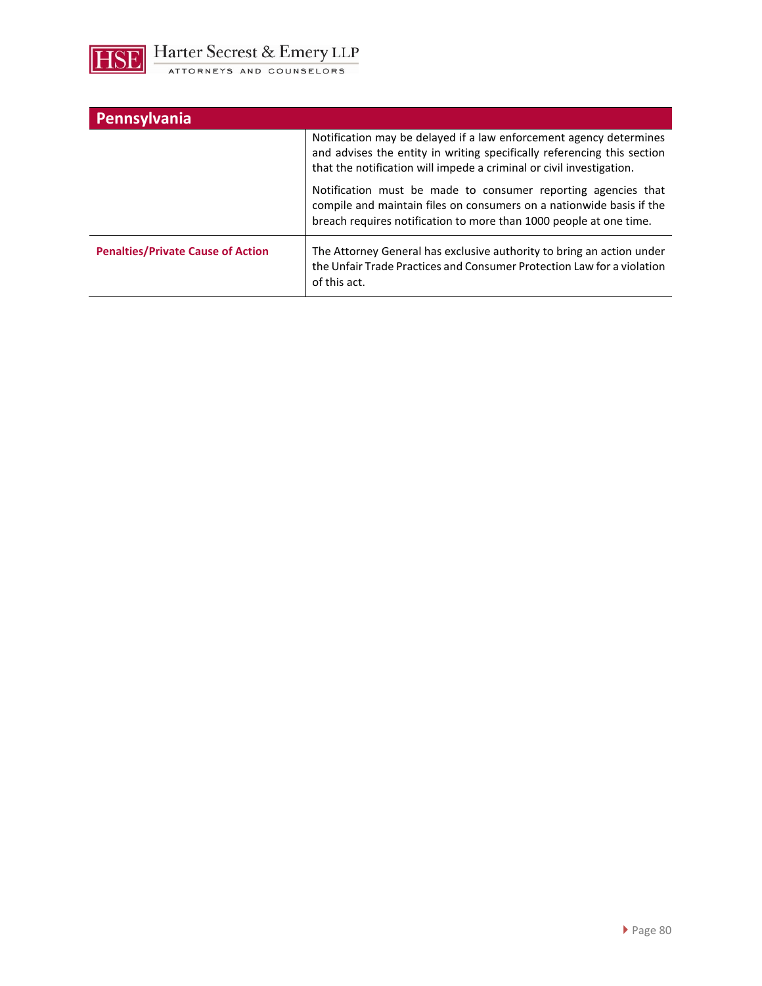

| Pennsylvania                             |                                                                                                                                                                                                                       |
|------------------------------------------|-----------------------------------------------------------------------------------------------------------------------------------------------------------------------------------------------------------------------|
|                                          | Notification may be delayed if a law enforcement agency determines<br>and advises the entity in writing specifically referencing this section<br>that the notification will impede a criminal or civil investigation. |
|                                          | Notification must be made to consumer reporting agencies that<br>compile and maintain files on consumers on a nationwide basis if the<br>breach requires notification to more than 1000 people at one time.           |
| <b>Penalties/Private Cause of Action</b> | The Attorney General has exclusive authority to bring an action under<br>the Unfair Trade Practices and Consumer Protection Law for a violation<br>of this act.                                                       |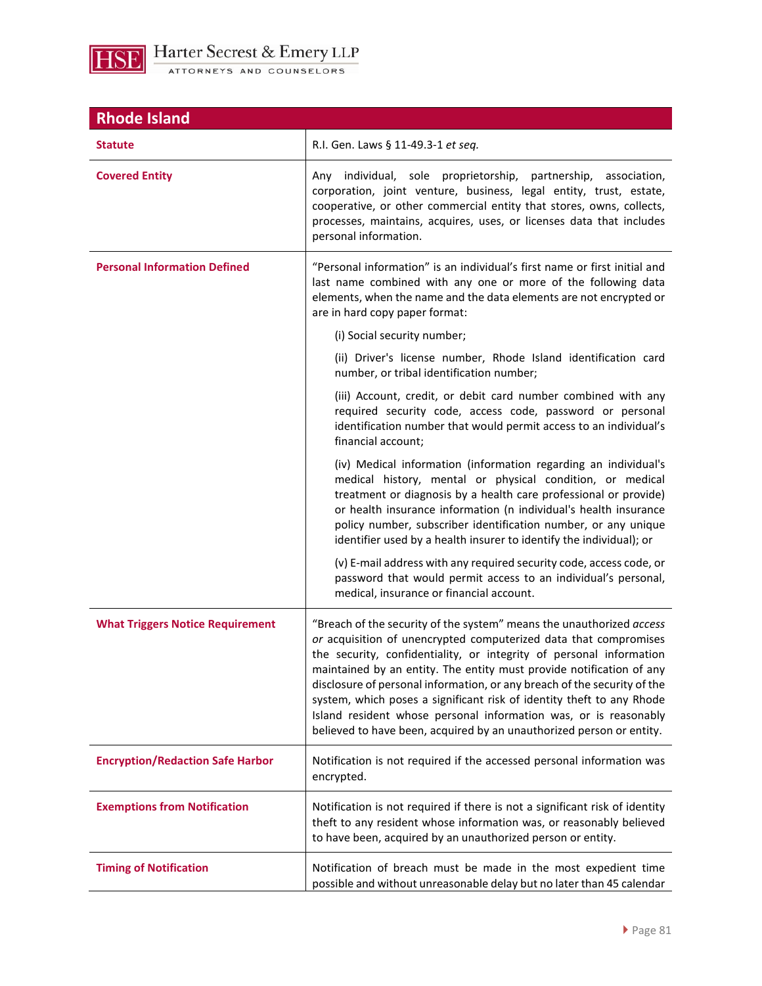

| <b>Rhode Island</b>                     |                                                                                                                                                                                                                                                                                                                                                                                                                                                                                                                                                                                          |
|-----------------------------------------|------------------------------------------------------------------------------------------------------------------------------------------------------------------------------------------------------------------------------------------------------------------------------------------------------------------------------------------------------------------------------------------------------------------------------------------------------------------------------------------------------------------------------------------------------------------------------------------|
| <b>Statute</b>                          | R.I. Gen. Laws § 11-49.3-1 et seq.                                                                                                                                                                                                                                                                                                                                                                                                                                                                                                                                                       |
| <b>Covered Entity</b>                   | Any individual, sole proprietorship, partnership, association,<br>corporation, joint venture, business, legal entity, trust, estate,<br>cooperative, or other commercial entity that stores, owns, collects,<br>processes, maintains, acquires, uses, or licenses data that includes<br>personal information.                                                                                                                                                                                                                                                                            |
| <b>Personal Information Defined</b>     | "Personal information" is an individual's first name or first initial and<br>last name combined with any one or more of the following data<br>elements, when the name and the data elements are not encrypted or<br>are in hard copy paper format:                                                                                                                                                                                                                                                                                                                                       |
|                                         | (i) Social security number;                                                                                                                                                                                                                                                                                                                                                                                                                                                                                                                                                              |
|                                         | (ii) Driver's license number, Rhode Island identification card<br>number, or tribal identification number;                                                                                                                                                                                                                                                                                                                                                                                                                                                                               |
|                                         | (iii) Account, credit, or debit card number combined with any<br>required security code, access code, password or personal<br>identification number that would permit access to an individual's<br>financial account;                                                                                                                                                                                                                                                                                                                                                                    |
|                                         | (iv) Medical information (information regarding an individual's<br>medical history, mental or physical condition, or medical<br>treatment or diagnosis by a health care professional or provide)<br>or health insurance information (n individual's health insurance<br>policy number, subscriber identification number, or any unique<br>identifier used by a health insurer to identify the individual); or                                                                                                                                                                            |
|                                         | (v) E-mail address with any required security code, access code, or<br>password that would permit access to an individual's personal,<br>medical, insurance or financial account.                                                                                                                                                                                                                                                                                                                                                                                                        |
| <b>What Triggers Notice Requirement</b> | "Breach of the security of the system" means the unauthorized access<br>or acquisition of unencrypted computerized data that compromises<br>the security, confidentiality, or integrity of personal information<br>maintained by an entity. The entity must provide notification of any<br>disclosure of personal information, or any breach of the security of the<br>system, which poses a significant risk of identity theft to any Rhode<br>Island resident whose personal information was, or is reasonably<br>believed to have been, acquired by an unauthorized person or entity. |
| <b>Encryption/Redaction Safe Harbor</b> | Notification is not required if the accessed personal information was<br>encrypted.                                                                                                                                                                                                                                                                                                                                                                                                                                                                                                      |
| <b>Exemptions from Notification</b>     | Notification is not required if there is not a significant risk of identity<br>theft to any resident whose information was, or reasonably believed<br>to have been, acquired by an unauthorized person or entity.                                                                                                                                                                                                                                                                                                                                                                        |
| <b>Timing of Notification</b>           | Notification of breach must be made in the most expedient time<br>possible and without unreasonable delay but no later than 45 calendar                                                                                                                                                                                                                                                                                                                                                                                                                                                  |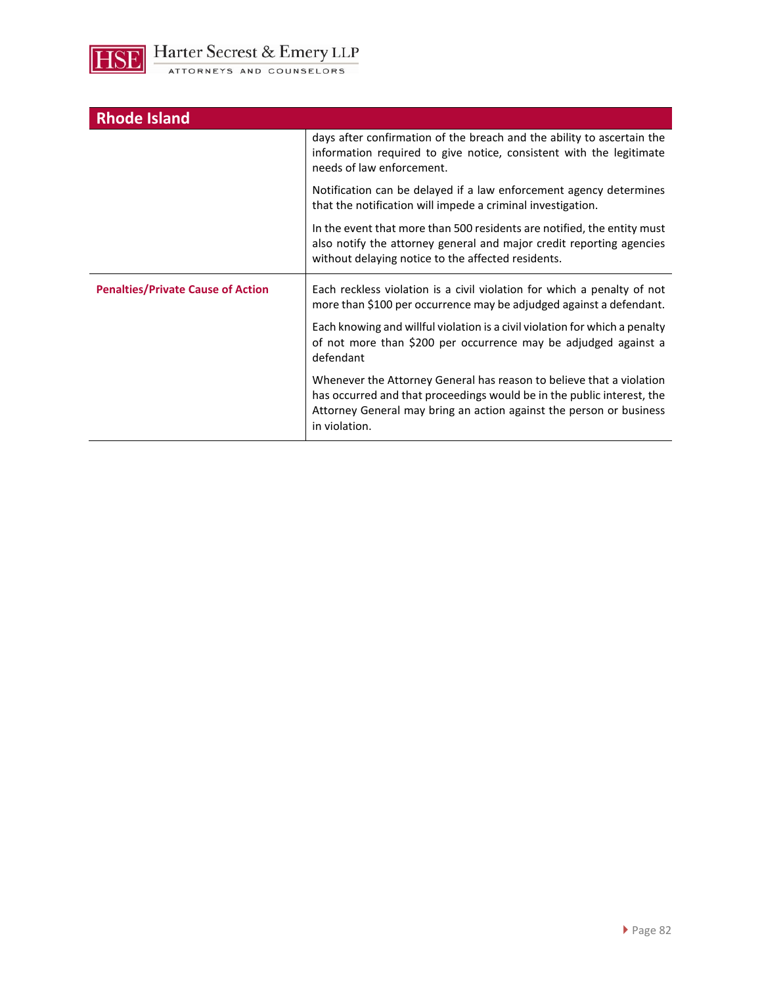

|  |  | ATTORNEYS AND COUNSELORS |
|--|--|--------------------------|
|--|--|--------------------------|

| <b>Rhode Island</b>                      |                                                                                                                                                                                                                                        |
|------------------------------------------|----------------------------------------------------------------------------------------------------------------------------------------------------------------------------------------------------------------------------------------|
|                                          | days after confirmation of the breach and the ability to ascertain the<br>information required to give notice, consistent with the legitimate<br>needs of law enforcement.                                                             |
|                                          | Notification can be delayed if a law enforcement agency determines<br>that the notification will impede a criminal investigation.                                                                                                      |
|                                          | In the event that more than 500 residents are notified, the entity must<br>also notify the attorney general and major credit reporting agencies<br>without delaying notice to the affected residents.                                  |
| <b>Penalties/Private Cause of Action</b> | Each reckless violation is a civil violation for which a penalty of not<br>more than \$100 per occurrence may be adjudged against a defendant.                                                                                         |
|                                          | Each knowing and willful violation is a civil violation for which a penalty<br>of not more than \$200 per occurrence may be adjudged against a<br>defendant                                                                            |
|                                          | Whenever the Attorney General has reason to believe that a violation<br>has occurred and that proceedings would be in the public interest, the<br>Attorney General may bring an action against the person or business<br>in violation. |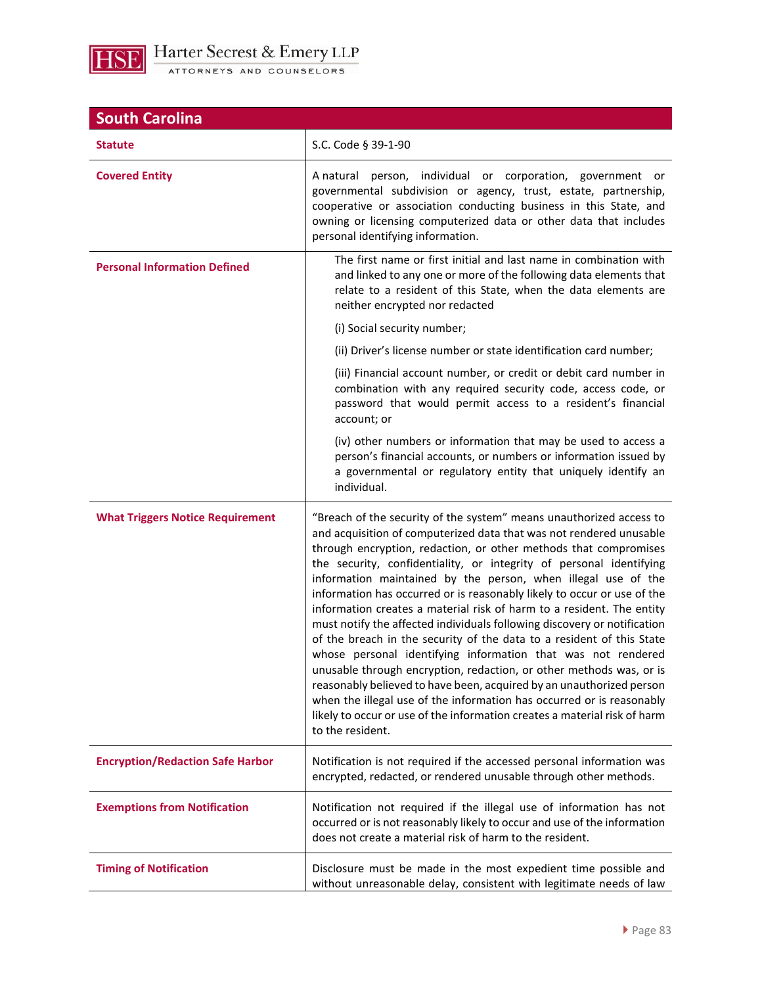

| <b>South Carolina</b>                   |                                                                                                                                                                                                                                                                                                                                                                                                                                                                                                                                                                                                                                                                                                                                                                                                                                                                                                                                                                                                                                                          |  |
|-----------------------------------------|----------------------------------------------------------------------------------------------------------------------------------------------------------------------------------------------------------------------------------------------------------------------------------------------------------------------------------------------------------------------------------------------------------------------------------------------------------------------------------------------------------------------------------------------------------------------------------------------------------------------------------------------------------------------------------------------------------------------------------------------------------------------------------------------------------------------------------------------------------------------------------------------------------------------------------------------------------------------------------------------------------------------------------------------------------|--|
| <b>Statute</b>                          | S.C. Code § 39-1-90                                                                                                                                                                                                                                                                                                                                                                                                                                                                                                                                                                                                                                                                                                                                                                                                                                                                                                                                                                                                                                      |  |
| <b>Covered Entity</b>                   | A natural person, individual or corporation, government or<br>governmental subdivision or agency, trust, estate, partnership,<br>cooperative or association conducting business in this State, and<br>owning or licensing computerized data or other data that includes<br>personal identifying information.                                                                                                                                                                                                                                                                                                                                                                                                                                                                                                                                                                                                                                                                                                                                             |  |
| <b>Personal Information Defined</b>     | The first name or first initial and last name in combination with<br>and linked to any one or more of the following data elements that<br>relate to a resident of this State, when the data elements are<br>neither encrypted nor redacted                                                                                                                                                                                                                                                                                                                                                                                                                                                                                                                                                                                                                                                                                                                                                                                                               |  |
|                                         | (i) Social security number;                                                                                                                                                                                                                                                                                                                                                                                                                                                                                                                                                                                                                                                                                                                                                                                                                                                                                                                                                                                                                              |  |
|                                         | (ii) Driver's license number or state identification card number;                                                                                                                                                                                                                                                                                                                                                                                                                                                                                                                                                                                                                                                                                                                                                                                                                                                                                                                                                                                        |  |
|                                         | (iii) Financial account number, or credit or debit card number in<br>combination with any required security code, access code, or<br>password that would permit access to a resident's financial<br>account; or                                                                                                                                                                                                                                                                                                                                                                                                                                                                                                                                                                                                                                                                                                                                                                                                                                          |  |
|                                         | (iv) other numbers or information that may be used to access a<br>person's financial accounts, or numbers or information issued by<br>a governmental or regulatory entity that uniquely identify an<br>individual.                                                                                                                                                                                                                                                                                                                                                                                                                                                                                                                                                                                                                                                                                                                                                                                                                                       |  |
| <b>What Triggers Notice Requirement</b> | "Breach of the security of the system" means unauthorized access to<br>and acquisition of computerized data that was not rendered unusable<br>through encryption, redaction, or other methods that compromises<br>the security, confidentiality, or integrity of personal identifying<br>information maintained by the person, when illegal use of the<br>information has occurred or is reasonably likely to occur or use of the<br>information creates a material risk of harm to a resident. The entity<br>must notify the affected individuals following discovery or notification<br>of the breach in the security of the data to a resident of this State<br>whose personal identifying information that was not rendered<br>unusable through encryption, redaction, or other methods was, or is<br>reasonably believed to have been, acquired by an unauthorized person<br>when the illegal use of the information has occurred or is reasonably<br>likely to occur or use of the information creates a material risk of harm<br>to the resident. |  |
| <b>Encryption/Redaction Safe Harbor</b> | Notification is not required if the accessed personal information was<br>encrypted, redacted, or rendered unusable through other methods.                                                                                                                                                                                                                                                                                                                                                                                                                                                                                                                                                                                                                                                                                                                                                                                                                                                                                                                |  |
| <b>Exemptions from Notification</b>     | Notification not required if the illegal use of information has not<br>occurred or is not reasonably likely to occur and use of the information<br>does not create a material risk of harm to the resident.                                                                                                                                                                                                                                                                                                                                                                                                                                                                                                                                                                                                                                                                                                                                                                                                                                              |  |
| <b>Timing of Notification</b>           | Disclosure must be made in the most expedient time possible and<br>without unreasonable delay, consistent with legitimate needs of law                                                                                                                                                                                                                                                                                                                                                                                                                                                                                                                                                                                                                                                                                                                                                                                                                                                                                                                   |  |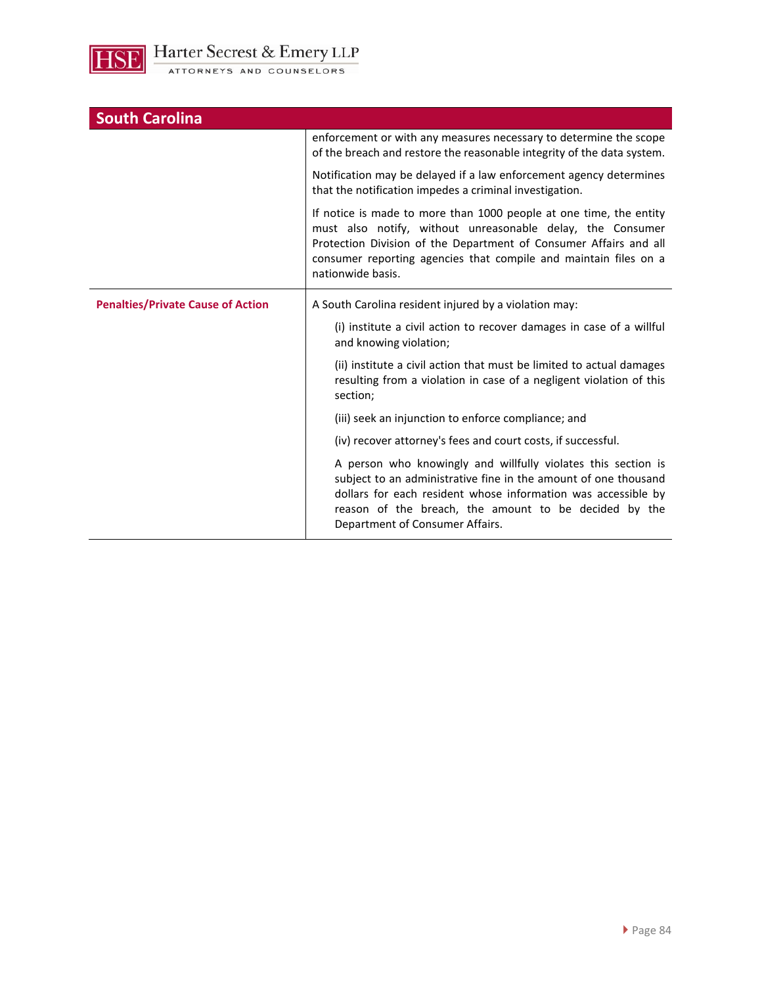

| <b>South Carolina</b>                    |                                                                                                                                                                                                                                                                                                |
|------------------------------------------|------------------------------------------------------------------------------------------------------------------------------------------------------------------------------------------------------------------------------------------------------------------------------------------------|
|                                          | enforcement or with any measures necessary to determine the scope<br>of the breach and restore the reasonable integrity of the data system.                                                                                                                                                    |
|                                          | Notification may be delayed if a law enforcement agency determines<br>that the notification impedes a criminal investigation.                                                                                                                                                                  |
|                                          | If notice is made to more than 1000 people at one time, the entity<br>must also notify, without unreasonable delay, the Consumer<br>Protection Division of the Department of Consumer Affairs and all<br>consumer reporting agencies that compile and maintain files on a<br>nationwide basis. |
| <b>Penalties/Private Cause of Action</b> | A South Carolina resident injured by a violation may:                                                                                                                                                                                                                                          |
|                                          | (i) institute a civil action to recover damages in case of a willful<br>and knowing violation;                                                                                                                                                                                                 |
|                                          | (ii) institute a civil action that must be limited to actual damages<br>resulting from a violation in case of a negligent violation of this<br>section;                                                                                                                                        |
|                                          | (iii) seek an injunction to enforce compliance; and                                                                                                                                                                                                                                            |
|                                          | (iv) recover attorney's fees and court costs, if successful.                                                                                                                                                                                                                                   |
|                                          | A person who knowingly and willfully violates this section is<br>subject to an administrative fine in the amount of one thousand<br>dollars for each resident whose information was accessible by<br>reason of the breach, the amount to be decided by the<br>Department of Consumer Affairs.  |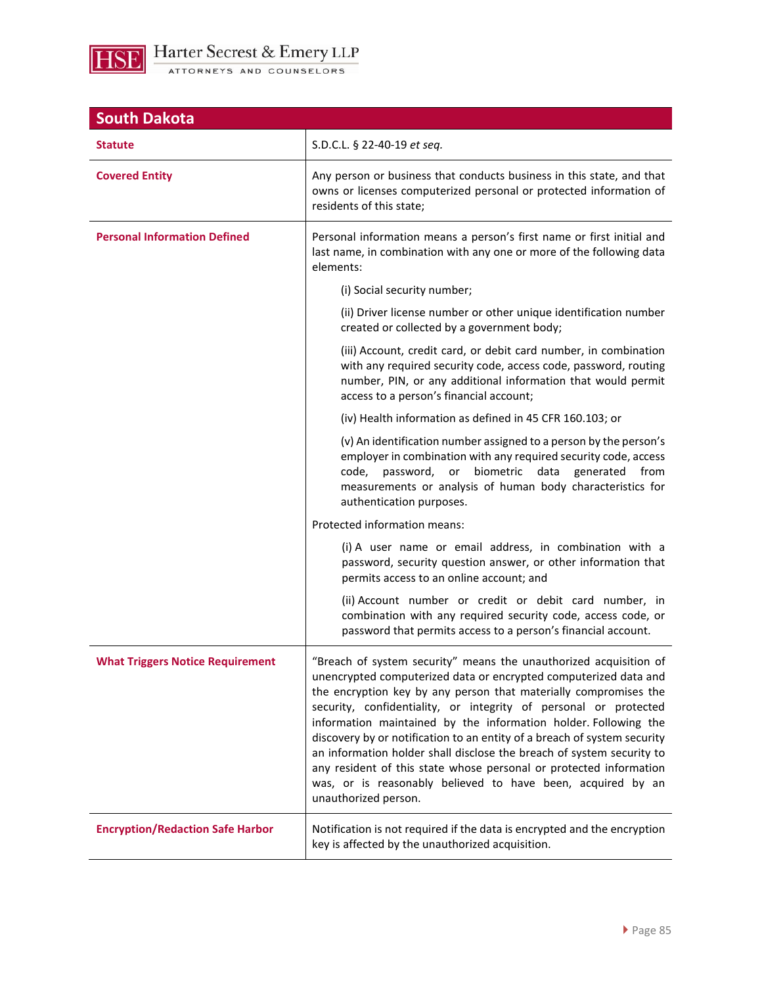

| <b>South Dakota</b>                     |                                                                                                                                                                                                                                                                                                                                                                                                                                                                                                                                                                                                                                                                    |
|-----------------------------------------|--------------------------------------------------------------------------------------------------------------------------------------------------------------------------------------------------------------------------------------------------------------------------------------------------------------------------------------------------------------------------------------------------------------------------------------------------------------------------------------------------------------------------------------------------------------------------------------------------------------------------------------------------------------------|
| <b>Statute</b>                          | S.D.C.L. § 22-40-19 et seq.                                                                                                                                                                                                                                                                                                                                                                                                                                                                                                                                                                                                                                        |
| <b>Covered Entity</b>                   | Any person or business that conducts business in this state, and that<br>owns or licenses computerized personal or protected information of<br>residents of this state;                                                                                                                                                                                                                                                                                                                                                                                                                                                                                            |
| <b>Personal Information Defined</b>     | Personal information means a person's first name or first initial and<br>last name, in combination with any one or more of the following data<br>elements:                                                                                                                                                                                                                                                                                                                                                                                                                                                                                                         |
|                                         | (i) Social security number;                                                                                                                                                                                                                                                                                                                                                                                                                                                                                                                                                                                                                                        |
|                                         | (ii) Driver license number or other unique identification number<br>created or collected by a government body;                                                                                                                                                                                                                                                                                                                                                                                                                                                                                                                                                     |
|                                         | (iii) Account, credit card, or debit card number, in combination<br>with any required security code, access code, password, routing<br>number, PIN, or any additional information that would permit<br>access to a person's financial account;                                                                                                                                                                                                                                                                                                                                                                                                                     |
|                                         | (iv) Health information as defined in 45 CFR 160.103; or                                                                                                                                                                                                                                                                                                                                                                                                                                                                                                                                                                                                           |
|                                         | (v) An identification number assigned to a person by the person's<br>employer in combination with any required security code, access<br>biometric<br>code,<br>password,<br>data<br>generated<br>or<br>from<br>measurements or analysis of human body characteristics for<br>authentication purposes.                                                                                                                                                                                                                                                                                                                                                               |
|                                         | Protected information means:                                                                                                                                                                                                                                                                                                                                                                                                                                                                                                                                                                                                                                       |
|                                         | (i) A user name or email address, in combination with a<br>password, security question answer, or other information that<br>permits access to an online account; and                                                                                                                                                                                                                                                                                                                                                                                                                                                                                               |
|                                         | (ii) Account number or credit or debit card number, in<br>combination with any required security code, access code, or<br>password that permits access to a person's financial account.                                                                                                                                                                                                                                                                                                                                                                                                                                                                            |
| <b>What Triggers Notice Requirement</b> | "Breach of system security" means the unauthorized acquisition of<br>unencrypted computerized data or encrypted computerized data and<br>the encryption key by any person that materially compromises the<br>security, confidentiality, or integrity of personal or protected<br>information maintained by the information holder. Following the<br>discovery by or notification to an entity of a breach of system security<br>an information holder shall disclose the breach of system security to<br>any resident of this state whose personal or protected information<br>was, or is reasonably believed to have been, acquired by an<br>unauthorized person. |
| <b>Encryption/Redaction Safe Harbor</b> | Notification is not required if the data is encrypted and the encryption<br>key is affected by the unauthorized acquisition.                                                                                                                                                                                                                                                                                                                                                                                                                                                                                                                                       |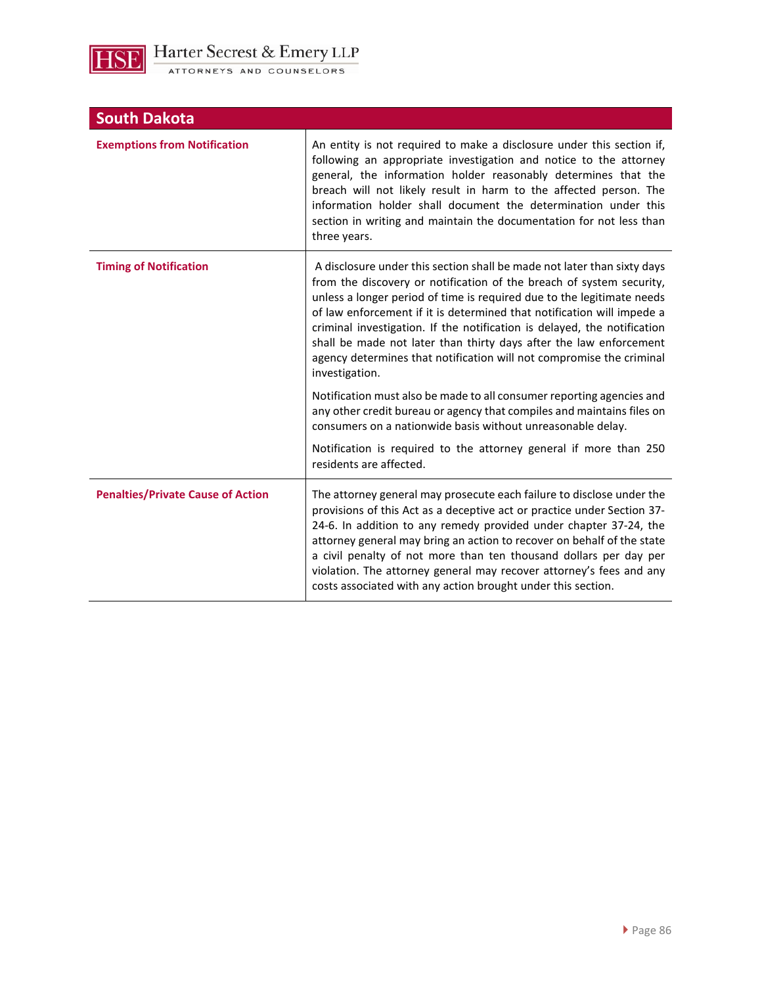

| <b>South Dakota</b>                      |                                                                                                                                                                                                                                                                                                                                                                                                                                                                                                                                                 |
|------------------------------------------|-------------------------------------------------------------------------------------------------------------------------------------------------------------------------------------------------------------------------------------------------------------------------------------------------------------------------------------------------------------------------------------------------------------------------------------------------------------------------------------------------------------------------------------------------|
| <b>Exemptions from Notification</b>      | An entity is not required to make a disclosure under this section if,<br>following an appropriate investigation and notice to the attorney<br>general, the information holder reasonably determines that the<br>breach will not likely result in harm to the affected person. The<br>information holder shall document the determination under this<br>section in writing and maintain the documentation for not less than<br>three years.                                                                                                      |
| <b>Timing of Notification</b>            | A disclosure under this section shall be made not later than sixty days<br>from the discovery or notification of the breach of system security,<br>unless a longer period of time is required due to the legitimate needs<br>of law enforcement if it is determined that notification will impede a<br>criminal investigation. If the notification is delayed, the notification<br>shall be made not later than thirty days after the law enforcement<br>agency determines that notification will not compromise the criminal<br>investigation. |
|                                          | Notification must also be made to all consumer reporting agencies and<br>any other credit bureau or agency that compiles and maintains files on<br>consumers on a nationwide basis without unreasonable delay.                                                                                                                                                                                                                                                                                                                                  |
|                                          | Notification is required to the attorney general if more than 250<br>residents are affected.                                                                                                                                                                                                                                                                                                                                                                                                                                                    |
| <b>Penalties/Private Cause of Action</b> | The attorney general may prosecute each failure to disclose under the<br>provisions of this Act as a deceptive act or practice under Section 37-<br>24-6. In addition to any remedy provided under chapter 37-24, the<br>attorney general may bring an action to recover on behalf of the state<br>a civil penalty of not more than ten thousand dollars per day per<br>violation. The attorney general may recover attorney's fees and any<br>costs associated with any action brought under this section.                                     |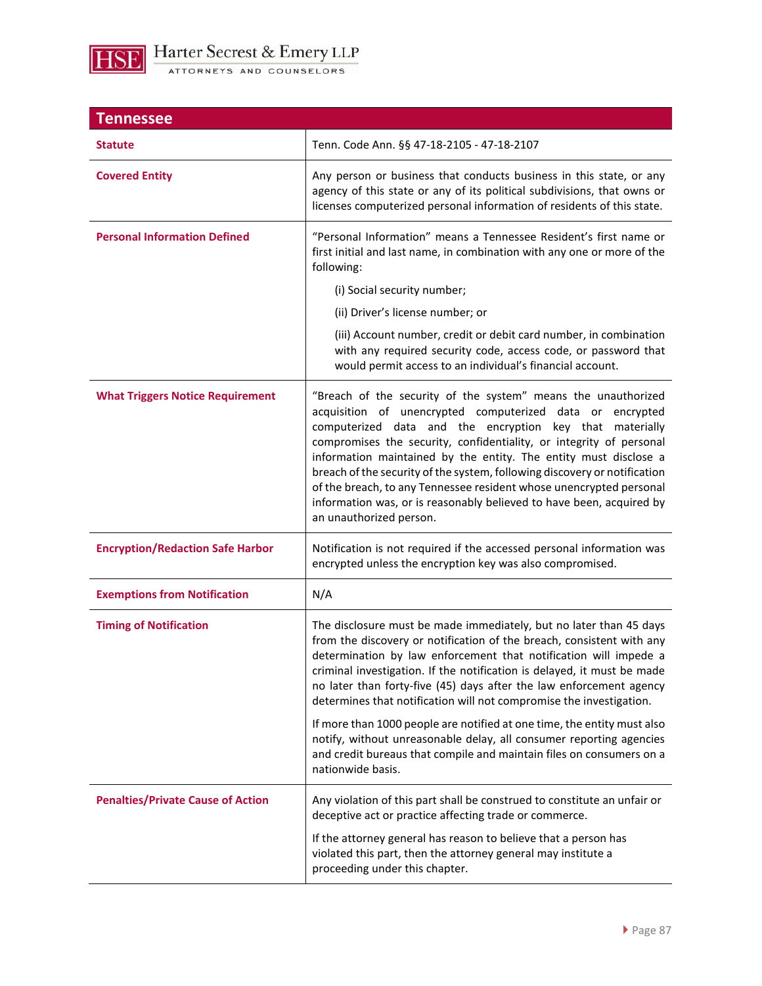

| <b>Tennessee</b>                         |                                                                                                                                                                                                                                                                                                                                                                                                                                                                                                                                                                                            |
|------------------------------------------|--------------------------------------------------------------------------------------------------------------------------------------------------------------------------------------------------------------------------------------------------------------------------------------------------------------------------------------------------------------------------------------------------------------------------------------------------------------------------------------------------------------------------------------------------------------------------------------------|
| <b>Statute</b>                           | Tenn. Code Ann. §§ 47-18-2105 - 47-18-2107                                                                                                                                                                                                                                                                                                                                                                                                                                                                                                                                                 |
| <b>Covered Entity</b>                    | Any person or business that conducts business in this state, or any<br>agency of this state or any of its political subdivisions, that owns or<br>licenses computerized personal information of residents of this state.                                                                                                                                                                                                                                                                                                                                                                   |
| <b>Personal Information Defined</b>      | "Personal Information" means a Tennessee Resident's first name or<br>first initial and last name, in combination with any one or more of the<br>following:                                                                                                                                                                                                                                                                                                                                                                                                                                 |
|                                          | (i) Social security number;                                                                                                                                                                                                                                                                                                                                                                                                                                                                                                                                                                |
|                                          | (ii) Driver's license number; or                                                                                                                                                                                                                                                                                                                                                                                                                                                                                                                                                           |
|                                          | (iii) Account number, credit or debit card number, in combination<br>with any required security code, access code, or password that<br>would permit access to an individual's financial account.                                                                                                                                                                                                                                                                                                                                                                                           |
| <b>What Triggers Notice Requirement</b>  | "Breach of the security of the system" means the unauthorized<br>acquisition of unencrypted computerized data or encrypted<br>computerized data and the encryption key that materially<br>compromises the security, confidentiality, or integrity of personal<br>information maintained by the entity. The entity must disclose a<br>breach of the security of the system, following discovery or notification<br>of the breach, to any Tennessee resident whose unencrypted personal<br>information was, or is reasonably believed to have been, acquired by<br>an unauthorized person.   |
| <b>Encryption/Redaction Safe Harbor</b>  | Notification is not required if the accessed personal information was<br>encrypted unless the encryption key was also compromised.                                                                                                                                                                                                                                                                                                                                                                                                                                                         |
| <b>Exemptions from Notification</b>      | N/A                                                                                                                                                                                                                                                                                                                                                                                                                                                                                                                                                                                        |
| <b>Timing of Notification</b>            | The disclosure must be made immediately, but no later than 45 days<br>from the discovery or notification of the breach, consistent with any<br>determination by law enforcement that notification will impede a<br>criminal investigation. If the notification is delayed, it must be made<br>no later than forty-five (45) days after the law enforcement agency<br>determines that notification will not compromise the investigation.<br>If more than 1000 people are notified at one time, the entity must also<br>notify, without unreasonable delay, all consumer reporting agencies |
|                                          | and credit bureaus that compile and maintain files on consumers on a<br>nationwide basis.                                                                                                                                                                                                                                                                                                                                                                                                                                                                                                  |
| <b>Penalties/Private Cause of Action</b> | Any violation of this part shall be construed to constitute an unfair or<br>deceptive act or practice affecting trade or commerce.                                                                                                                                                                                                                                                                                                                                                                                                                                                         |
|                                          | If the attorney general has reason to believe that a person has<br>violated this part, then the attorney general may institute a<br>proceeding under this chapter.                                                                                                                                                                                                                                                                                                                                                                                                                         |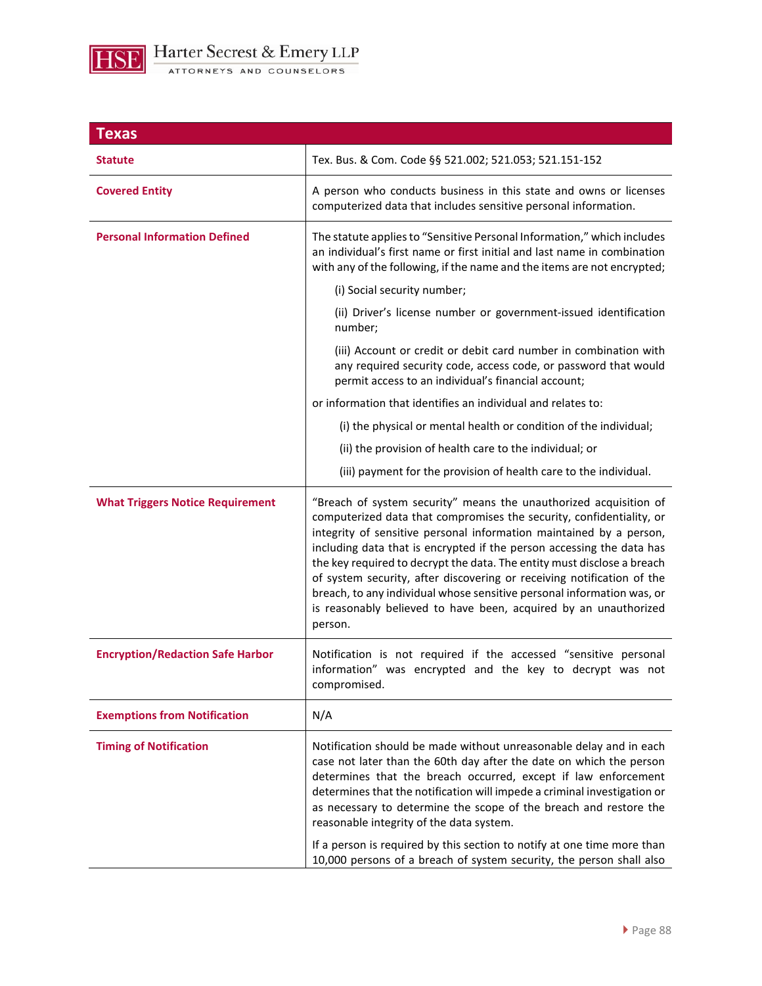

| Texas                                   |                                                                                                                                                                                                                                                                                                                                                                                                                                                                                                                                                                                                         |
|-----------------------------------------|---------------------------------------------------------------------------------------------------------------------------------------------------------------------------------------------------------------------------------------------------------------------------------------------------------------------------------------------------------------------------------------------------------------------------------------------------------------------------------------------------------------------------------------------------------------------------------------------------------|
| <b>Statute</b>                          | Tex. Bus. & Com. Code §§ 521.002; 521.053; 521.151-152                                                                                                                                                                                                                                                                                                                                                                                                                                                                                                                                                  |
| <b>Covered Entity</b>                   | A person who conducts business in this state and owns or licenses<br>computerized data that includes sensitive personal information.                                                                                                                                                                                                                                                                                                                                                                                                                                                                    |
| <b>Personal Information Defined</b>     | The statute applies to "Sensitive Personal Information," which includes<br>an individual's first name or first initial and last name in combination<br>with any of the following, if the name and the items are not encrypted;                                                                                                                                                                                                                                                                                                                                                                          |
|                                         | (i) Social security number;                                                                                                                                                                                                                                                                                                                                                                                                                                                                                                                                                                             |
|                                         | (ii) Driver's license number or government-issued identification<br>number;                                                                                                                                                                                                                                                                                                                                                                                                                                                                                                                             |
|                                         | (iii) Account or credit or debit card number in combination with<br>any required security code, access code, or password that would<br>permit access to an individual's financial account;                                                                                                                                                                                                                                                                                                                                                                                                              |
|                                         | or information that identifies an individual and relates to:                                                                                                                                                                                                                                                                                                                                                                                                                                                                                                                                            |
|                                         | (i) the physical or mental health or condition of the individual;                                                                                                                                                                                                                                                                                                                                                                                                                                                                                                                                       |
|                                         | (ii) the provision of health care to the individual; or                                                                                                                                                                                                                                                                                                                                                                                                                                                                                                                                                 |
|                                         | (iii) payment for the provision of health care to the individual.                                                                                                                                                                                                                                                                                                                                                                                                                                                                                                                                       |
| <b>What Triggers Notice Requirement</b> | "Breach of system security" means the unauthorized acquisition of<br>computerized data that compromises the security, confidentiality, or<br>integrity of sensitive personal information maintained by a person,<br>including data that is encrypted if the person accessing the data has<br>the key required to decrypt the data. The entity must disclose a breach<br>of system security, after discovering or receiving notification of the<br>breach, to any individual whose sensitive personal information was, or<br>is reasonably believed to have been, acquired by an unauthorized<br>person. |
| <b>Encryption/Redaction Safe Harbor</b> | Notification is not required if the accessed "sensitive personal<br>information" was encrypted and the key to decrypt was not<br>compromised.                                                                                                                                                                                                                                                                                                                                                                                                                                                           |
| <b>Exemptions from Notification</b>     | N/A                                                                                                                                                                                                                                                                                                                                                                                                                                                                                                                                                                                                     |
| <b>Timing of Notification</b>           | Notification should be made without unreasonable delay and in each<br>case not later than the 60th day after the date on which the person<br>determines that the breach occurred, except if law enforcement<br>determines that the notification will impede a criminal investigation or<br>as necessary to determine the scope of the breach and restore the<br>reasonable integrity of the data system.<br>If a person is required by this section to notify at one time more than                                                                                                                     |
|                                         | 10,000 persons of a breach of system security, the person shall also                                                                                                                                                                                                                                                                                                                                                                                                                                                                                                                                    |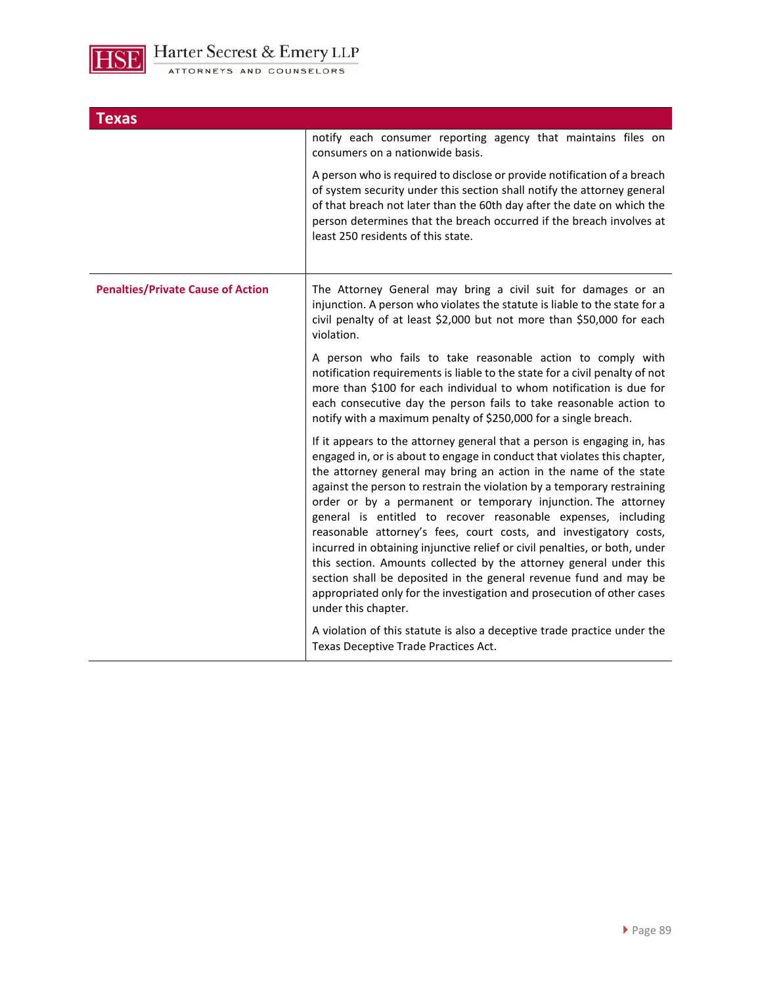

| Texas                                    |                                                                                                                                                                                                                                                                                                                                                                                                                                                                                                                                                                                                                                                                                                                                                                                                                                      |
|------------------------------------------|--------------------------------------------------------------------------------------------------------------------------------------------------------------------------------------------------------------------------------------------------------------------------------------------------------------------------------------------------------------------------------------------------------------------------------------------------------------------------------------------------------------------------------------------------------------------------------------------------------------------------------------------------------------------------------------------------------------------------------------------------------------------------------------------------------------------------------------|
|                                          | notify each consumer reporting agency that maintains files on<br>consumers on a nationwide basis.                                                                                                                                                                                                                                                                                                                                                                                                                                                                                                                                                                                                                                                                                                                                    |
|                                          | A person who is required to disclose or provide notification of a breach<br>of system security under this section shall notify the attorney general<br>of that breach not later than the 60th day after the date on which the<br>person determines that the breach occurred if the breach involves at<br>least 250 residents of this state.                                                                                                                                                                                                                                                                                                                                                                                                                                                                                          |
| <b>Penalties/Private Cause of Action</b> | The Attorney General may bring a civil suit for damages or an<br>injunction. A person who violates the statute is liable to the state for a<br>civil penalty of at least \$2,000 but not more than \$50,000 for each<br>violation.                                                                                                                                                                                                                                                                                                                                                                                                                                                                                                                                                                                                   |
|                                          | A person who fails to take reasonable action to comply with<br>notification requirements is liable to the state for a civil penalty of not<br>more than \$100 for each individual to whom notification is due for<br>each consecutive day the person fails to take reasonable action to<br>notify with a maximum penalty of \$250,000 for a single breach.                                                                                                                                                                                                                                                                                                                                                                                                                                                                           |
|                                          | If it appears to the attorney general that a person is engaging in, has<br>engaged in, or is about to engage in conduct that violates this chapter,<br>the attorney general may bring an action in the name of the state<br>against the person to restrain the violation by a temporary restraining<br>order or by a permanent or temporary injunction. The attorney<br>general is entitled to recover reasonable expenses, including<br>reasonable attorney's fees, court costs, and investigatory costs,<br>incurred in obtaining injunctive relief or civil penalties, or both, under<br>this section. Amounts collected by the attorney general under this<br>section shall be deposited in the general revenue fund and may be<br>appropriated only for the investigation and prosecution of other cases<br>under this chapter. |
|                                          | A violation of this statute is also a deceptive trade practice under the<br>Texas Deceptive Trade Practices Act.                                                                                                                                                                                                                                                                                                                                                                                                                                                                                                                                                                                                                                                                                                                     |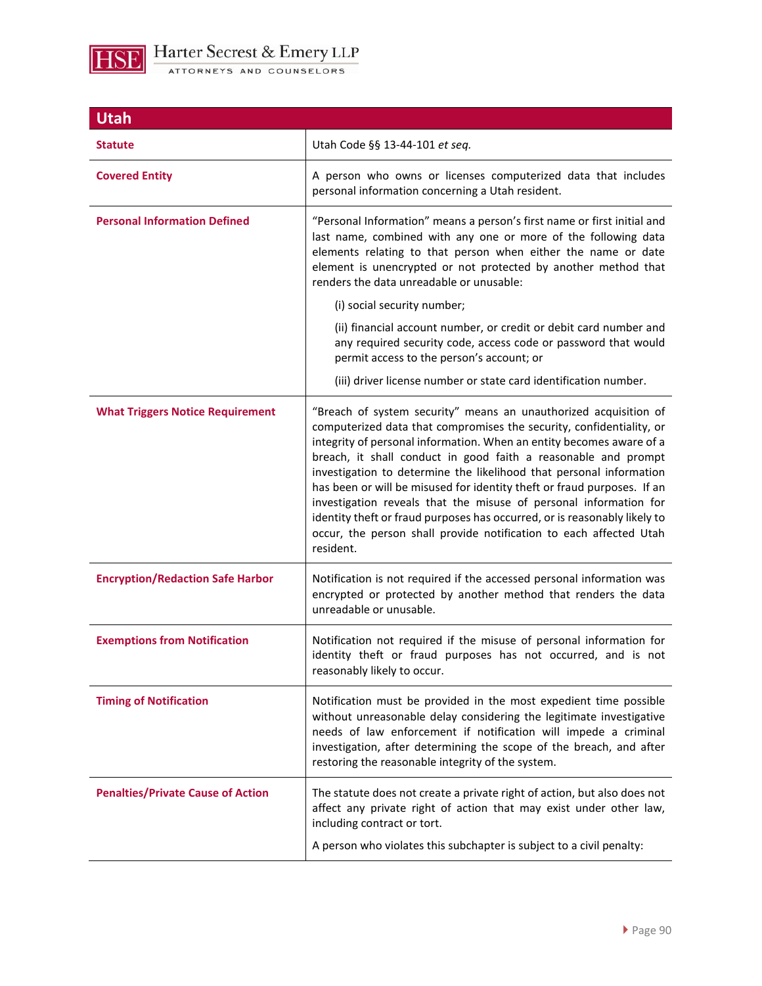

| <b>Utah</b>                              |                                                                                                                                                                                                                                                                                                                                                                                                                                                                                                                                                                                                                                                                           |
|------------------------------------------|---------------------------------------------------------------------------------------------------------------------------------------------------------------------------------------------------------------------------------------------------------------------------------------------------------------------------------------------------------------------------------------------------------------------------------------------------------------------------------------------------------------------------------------------------------------------------------------------------------------------------------------------------------------------------|
| <b>Statute</b>                           | Utah Code §§ 13-44-101 et seq.                                                                                                                                                                                                                                                                                                                                                                                                                                                                                                                                                                                                                                            |
| <b>Covered Entity</b>                    | A person who owns or licenses computerized data that includes<br>personal information concerning a Utah resident.                                                                                                                                                                                                                                                                                                                                                                                                                                                                                                                                                         |
| <b>Personal Information Defined</b>      | "Personal Information" means a person's first name or first initial and<br>last name, combined with any one or more of the following data<br>elements relating to that person when either the name or date<br>element is unencrypted or not protected by another method that<br>renders the data unreadable or unusable:                                                                                                                                                                                                                                                                                                                                                  |
|                                          | (i) social security number;                                                                                                                                                                                                                                                                                                                                                                                                                                                                                                                                                                                                                                               |
|                                          | (ii) financial account number, or credit or debit card number and<br>any required security code, access code or password that would<br>permit access to the person's account; or                                                                                                                                                                                                                                                                                                                                                                                                                                                                                          |
|                                          | (iii) driver license number or state card identification number.                                                                                                                                                                                                                                                                                                                                                                                                                                                                                                                                                                                                          |
| <b>What Triggers Notice Requirement</b>  | "Breach of system security" means an unauthorized acquisition of<br>computerized data that compromises the security, confidentiality, or<br>integrity of personal information. When an entity becomes aware of a<br>breach, it shall conduct in good faith a reasonable and prompt<br>investigation to determine the likelihood that personal information<br>has been or will be misused for identity theft or fraud purposes. If an<br>investigation reveals that the misuse of personal information for<br>identity theft or fraud purposes has occurred, or is reasonably likely to<br>occur, the person shall provide notification to each affected Utah<br>resident. |
| <b>Encryption/Redaction Safe Harbor</b>  | Notification is not required if the accessed personal information was<br>encrypted or protected by another method that renders the data<br>unreadable or unusable.                                                                                                                                                                                                                                                                                                                                                                                                                                                                                                        |
| <b>Exemptions from Notification</b>      | Notification not required if the misuse of personal information for<br>identity theft or fraud purposes has not occurred, and is not<br>reasonably likely to occur.                                                                                                                                                                                                                                                                                                                                                                                                                                                                                                       |
| <b>Timing of Notification</b>            | Notification must be provided in the most expedient time possible<br>without unreasonable delay considering the legitimate investigative<br>needs of law enforcement if notification will impede a criminal<br>investigation, after determining the scope of the breach, and after<br>restoring the reasonable integrity of the system.                                                                                                                                                                                                                                                                                                                                   |
| <b>Penalties/Private Cause of Action</b> | The statute does not create a private right of action, but also does not<br>affect any private right of action that may exist under other law,<br>including contract or tort.<br>A person who violates this subchapter is subject to a civil penalty:                                                                                                                                                                                                                                                                                                                                                                                                                     |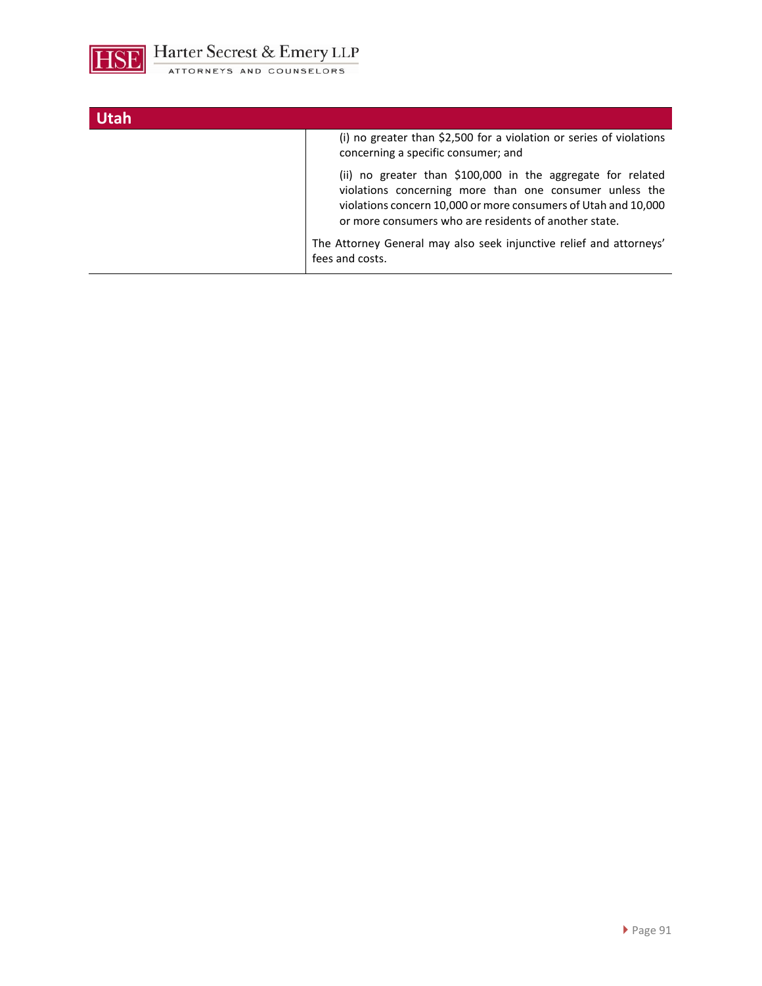

| <b>Utah</b> |                                                                                                                                                                                                                                                   |
|-------------|---------------------------------------------------------------------------------------------------------------------------------------------------------------------------------------------------------------------------------------------------|
|             | (i) no greater than \$2,500 for a violation or series of violations<br>concerning a specific consumer; and                                                                                                                                        |
|             | (ii) no greater than \$100,000 in the aggregate for related<br>violations concerning more than one consumer unless the<br>violations concern 10,000 or more consumers of Utah and 10,000<br>or more consumers who are residents of another state. |
|             | The Attorney General may also seek injunctive relief and attorneys'<br>fees and costs.                                                                                                                                                            |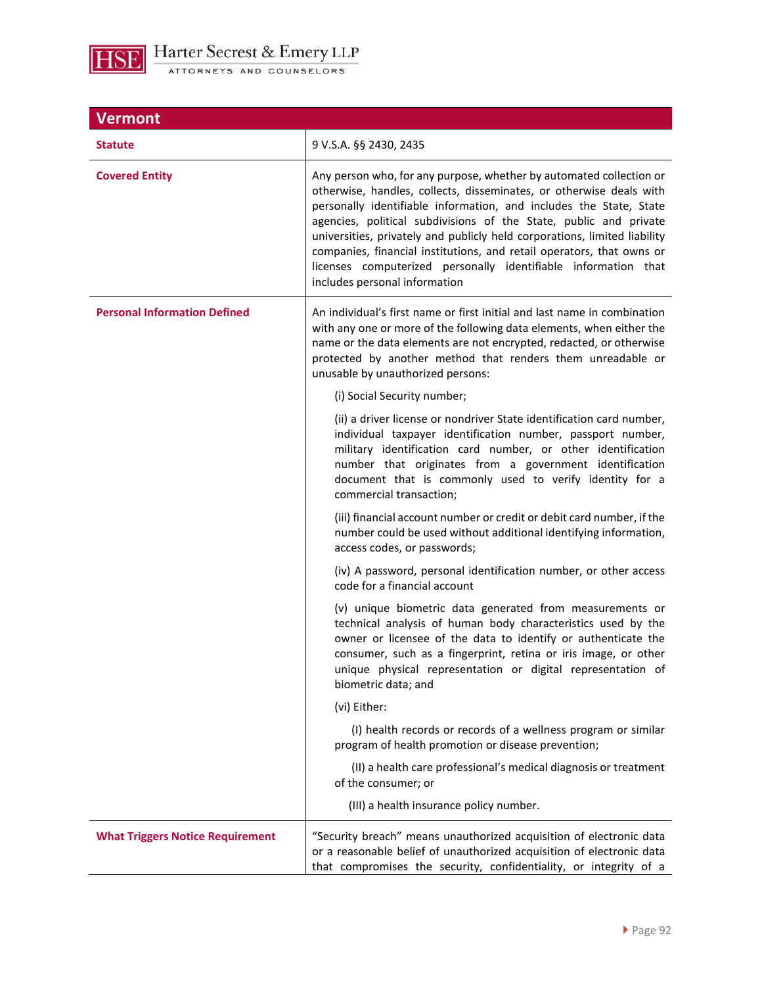

| <b>Vermont</b>                          |                                                                                                                                                                                                                                                                                                                                                                                                                                                                                                                                                |
|-----------------------------------------|------------------------------------------------------------------------------------------------------------------------------------------------------------------------------------------------------------------------------------------------------------------------------------------------------------------------------------------------------------------------------------------------------------------------------------------------------------------------------------------------------------------------------------------------|
| <b>Statute</b>                          | 9 V.S.A. §§ 2430, 2435                                                                                                                                                                                                                                                                                                                                                                                                                                                                                                                         |
| <b>Covered Entity</b>                   | Any person who, for any purpose, whether by automated collection or<br>otherwise, handles, collects, disseminates, or otherwise deals with<br>personally identifiable information, and includes the State, State<br>agencies, political subdivisions of the State, public and private<br>universities, privately and publicly held corporations, limited liability<br>companies, financial institutions, and retail operators, that owns or<br>licenses computerized personally identifiable information that<br>includes personal information |
| <b>Personal Information Defined</b>     | An individual's first name or first initial and last name in combination<br>with any one or more of the following data elements, when either the<br>name or the data elements are not encrypted, redacted, or otherwise<br>protected by another method that renders them unreadable or<br>unusable by unauthorized persons:                                                                                                                                                                                                                    |
|                                         | (i) Social Security number;                                                                                                                                                                                                                                                                                                                                                                                                                                                                                                                    |
|                                         | (ii) a driver license or nondriver State identification card number,<br>individual taxpayer identification number, passport number,<br>military identification card number, or other identification<br>number that originates from a government identification<br>document that is commonly used to verify identity for a<br>commercial transaction;                                                                                                                                                                                           |
|                                         | (iii) financial account number or credit or debit card number, if the<br>number could be used without additional identifying information,<br>access codes, or passwords;                                                                                                                                                                                                                                                                                                                                                                       |
|                                         | (iv) A password, personal identification number, or other access<br>code for a financial account                                                                                                                                                                                                                                                                                                                                                                                                                                               |
|                                         | (v) unique biometric data generated from measurements or<br>technical analysis of human body characteristics used by the<br>owner or licensee of the data to identify or authenticate the<br>consumer, such as a fingerprint, retina or iris image, or other<br>unique physical representation or digital representation of<br>biometric data; and                                                                                                                                                                                             |
|                                         | (vi) Either:                                                                                                                                                                                                                                                                                                                                                                                                                                                                                                                                   |
|                                         | (I) health records or records of a wellness program or similar<br>program of health promotion or disease prevention;                                                                                                                                                                                                                                                                                                                                                                                                                           |
|                                         | (II) a health care professional's medical diagnosis or treatment<br>of the consumer; or                                                                                                                                                                                                                                                                                                                                                                                                                                                        |
|                                         | (III) a health insurance policy number.                                                                                                                                                                                                                                                                                                                                                                                                                                                                                                        |
| <b>What Triggers Notice Requirement</b> | "Security breach" means unauthorized acquisition of electronic data<br>or a reasonable belief of unauthorized acquisition of electronic data<br>that compromises the security, confidentiality, or integrity of a                                                                                                                                                                                                                                                                                                                              |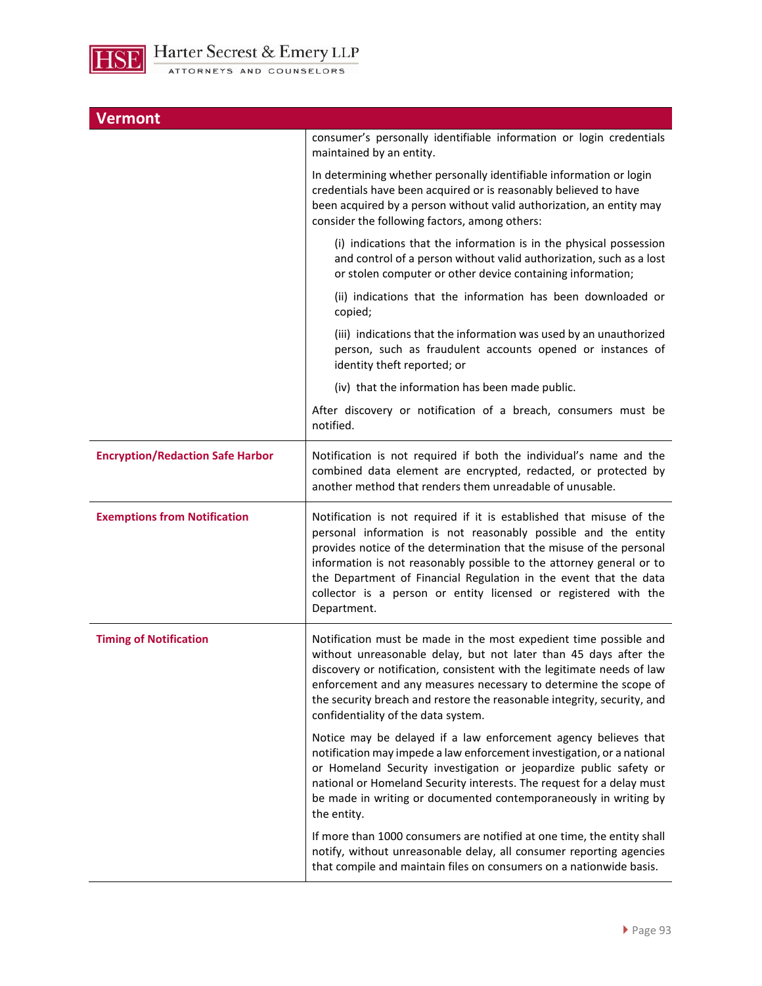

| <b>Vermont</b>                          |                                                                                                                                                                                                                                                                                                                                                                                                                                               |
|-----------------------------------------|-----------------------------------------------------------------------------------------------------------------------------------------------------------------------------------------------------------------------------------------------------------------------------------------------------------------------------------------------------------------------------------------------------------------------------------------------|
|                                         | consumer's personally identifiable information or login credentials<br>maintained by an entity.                                                                                                                                                                                                                                                                                                                                               |
|                                         | In determining whether personally identifiable information or login<br>credentials have been acquired or is reasonably believed to have<br>been acquired by a person without valid authorization, an entity may<br>consider the following factors, among others:                                                                                                                                                                              |
|                                         | (i) indications that the information is in the physical possession<br>and control of a person without valid authorization, such as a lost<br>or stolen computer or other device containing information;                                                                                                                                                                                                                                       |
|                                         | (ii) indications that the information has been downloaded or<br>copied;                                                                                                                                                                                                                                                                                                                                                                       |
|                                         | (iii) indications that the information was used by an unauthorized<br>person, such as fraudulent accounts opened or instances of<br>identity theft reported; or                                                                                                                                                                                                                                                                               |
|                                         | (iv) that the information has been made public.                                                                                                                                                                                                                                                                                                                                                                                               |
|                                         | After discovery or notification of a breach, consumers must be<br>notified.                                                                                                                                                                                                                                                                                                                                                                   |
| <b>Encryption/Redaction Safe Harbor</b> | Notification is not required if both the individual's name and the<br>combined data element are encrypted, redacted, or protected by<br>another method that renders them unreadable of unusable.                                                                                                                                                                                                                                              |
| <b>Exemptions from Notification</b>     | Notification is not required if it is established that misuse of the<br>personal information is not reasonably possible and the entity<br>provides notice of the determination that the misuse of the personal<br>information is not reasonably possible to the attorney general or to<br>the Department of Financial Regulation in the event that the data<br>collector is a person or entity licensed or registered with the<br>Department. |
| <b>Timing of Notification</b>           | Notification must be made in the most expedient time possible and<br>without unreasonable delay, but not later than 45 days after the<br>discovery or notification, consistent with the legitimate needs of law<br>enforcement and any measures necessary to determine the scope of<br>the security breach and restore the reasonable integrity, security, and<br>confidentiality of the data system.                                         |
|                                         | Notice may be delayed if a law enforcement agency believes that<br>notification may impede a law enforcement investigation, or a national<br>or Homeland Security investigation or jeopardize public safety or<br>national or Homeland Security interests. The request for a delay must<br>be made in writing or documented contemporaneously in writing by<br>the entity.                                                                    |
|                                         | If more than 1000 consumers are notified at one time, the entity shall<br>notify, without unreasonable delay, all consumer reporting agencies<br>that compile and maintain files on consumers on a nationwide basis.                                                                                                                                                                                                                          |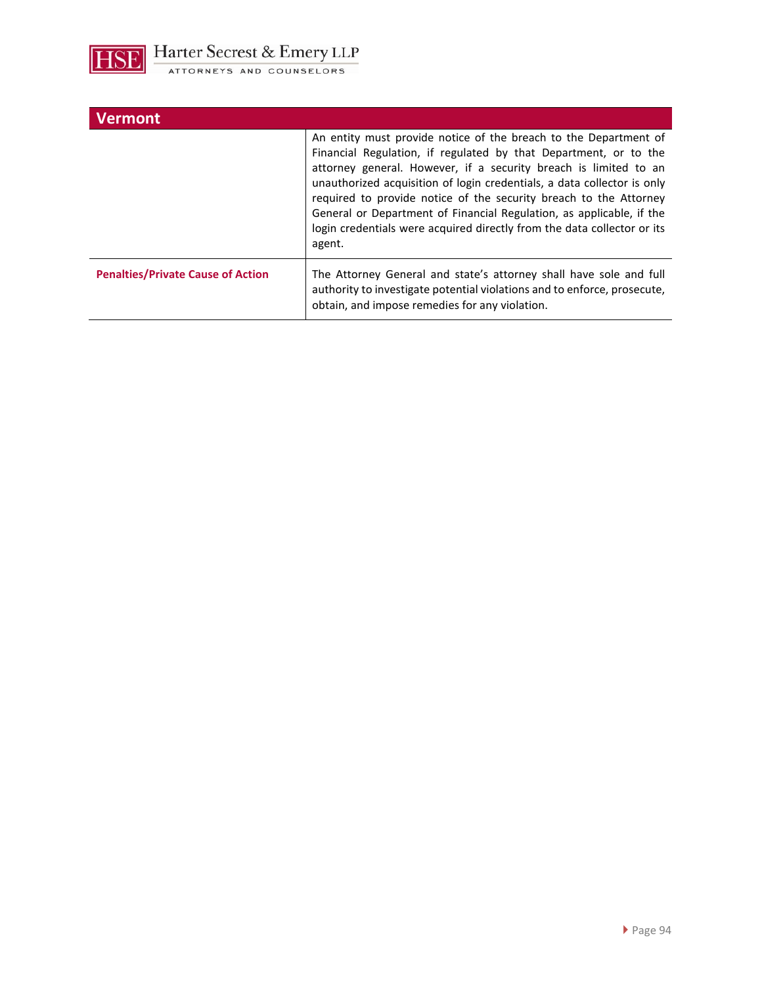

| Vermont                                  |                                                                                                                                                                                                                                                                                                                                                                                                                                                                                                                       |
|------------------------------------------|-----------------------------------------------------------------------------------------------------------------------------------------------------------------------------------------------------------------------------------------------------------------------------------------------------------------------------------------------------------------------------------------------------------------------------------------------------------------------------------------------------------------------|
|                                          | An entity must provide notice of the breach to the Department of<br>Financial Regulation, if regulated by that Department, or to the<br>attorney general. However, if a security breach is limited to an<br>unauthorized acquisition of login credentials, a data collector is only<br>required to provide notice of the security breach to the Attorney<br>General or Department of Financial Regulation, as applicable, if the<br>login credentials were acquired directly from the data collector or its<br>agent. |
| <b>Penalties/Private Cause of Action</b> | The Attorney General and state's attorney shall have sole and full<br>authority to investigate potential violations and to enforce, prosecute,<br>obtain, and impose remedies for any violation.                                                                                                                                                                                                                                                                                                                      |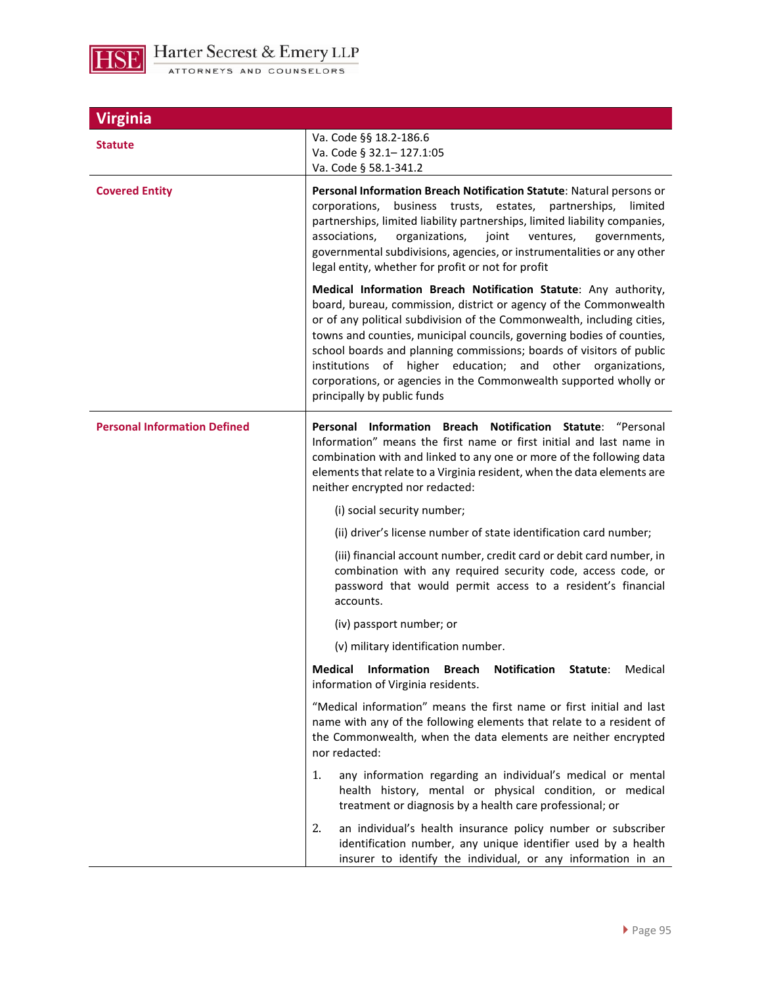

| <b>Virginia</b>                     |                                                                                                                                                                                                                                                                                                                                                                                                                                                                                                                                      |
|-------------------------------------|--------------------------------------------------------------------------------------------------------------------------------------------------------------------------------------------------------------------------------------------------------------------------------------------------------------------------------------------------------------------------------------------------------------------------------------------------------------------------------------------------------------------------------------|
| <b>Statute</b>                      | Va. Code §§ 18.2-186.6<br>Va. Code § 32.1-127.1:05<br>Va. Code § 58.1-341.2                                                                                                                                                                                                                                                                                                                                                                                                                                                          |
| <b>Covered Entity</b>               | Personal Information Breach Notification Statute: Natural persons or<br>business trusts, estates, partnerships,<br>limited<br>corporations,<br>partnerships, limited liability partnerships, limited liability companies,<br>associations,<br>organizations,<br>joint<br>ventures,<br>governments,<br>governmental subdivisions, agencies, or instrumentalities or any other<br>legal entity, whether for profit or not for profit                                                                                                   |
|                                     | Medical Information Breach Notification Statute: Any authority,<br>board, bureau, commission, district or agency of the Commonwealth<br>or of any political subdivision of the Commonwealth, including cities,<br>towns and counties, municipal councils, governing bodies of counties,<br>school boards and planning commissions; boards of visitors of public<br>institutions of higher education; and other<br>organizations,<br>corporations, or agencies in the Commonwealth supported wholly or<br>principally by public funds |
| <b>Personal Information Defined</b> | Personal Information Breach Notification Statute: "Personal<br>Information" means the first name or first initial and last name in<br>combination with and linked to any one or more of the following data<br>elements that relate to a Virginia resident, when the data elements are<br>neither encrypted nor redacted:                                                                                                                                                                                                             |
|                                     | (i) social security number;                                                                                                                                                                                                                                                                                                                                                                                                                                                                                                          |
|                                     | (ii) driver's license number of state identification card number;                                                                                                                                                                                                                                                                                                                                                                                                                                                                    |
|                                     | (iii) financial account number, credit card or debit card number, in<br>combination with any required security code, access code, or<br>password that would permit access to a resident's financial<br>accounts.                                                                                                                                                                                                                                                                                                                     |
|                                     | (iv) passport number; or                                                                                                                                                                                                                                                                                                                                                                                                                                                                                                             |
|                                     | (v) military identification number.                                                                                                                                                                                                                                                                                                                                                                                                                                                                                                  |
|                                     | Medical Information Breach Notification Statute:<br>Medical<br>information of Virginia residents.                                                                                                                                                                                                                                                                                                                                                                                                                                    |
|                                     | "Medical information" means the first name or first initial and last<br>name with any of the following elements that relate to a resident of<br>the Commonwealth, when the data elements are neither encrypted<br>nor redacted:                                                                                                                                                                                                                                                                                                      |
|                                     | 1.<br>any information regarding an individual's medical or mental<br>health history, mental or physical condition, or medical<br>treatment or diagnosis by a health care professional; or                                                                                                                                                                                                                                                                                                                                            |
|                                     | 2.<br>an individual's health insurance policy number or subscriber<br>identification number, any unique identifier used by a health<br>insurer to identify the individual, or any information in an                                                                                                                                                                                                                                                                                                                                  |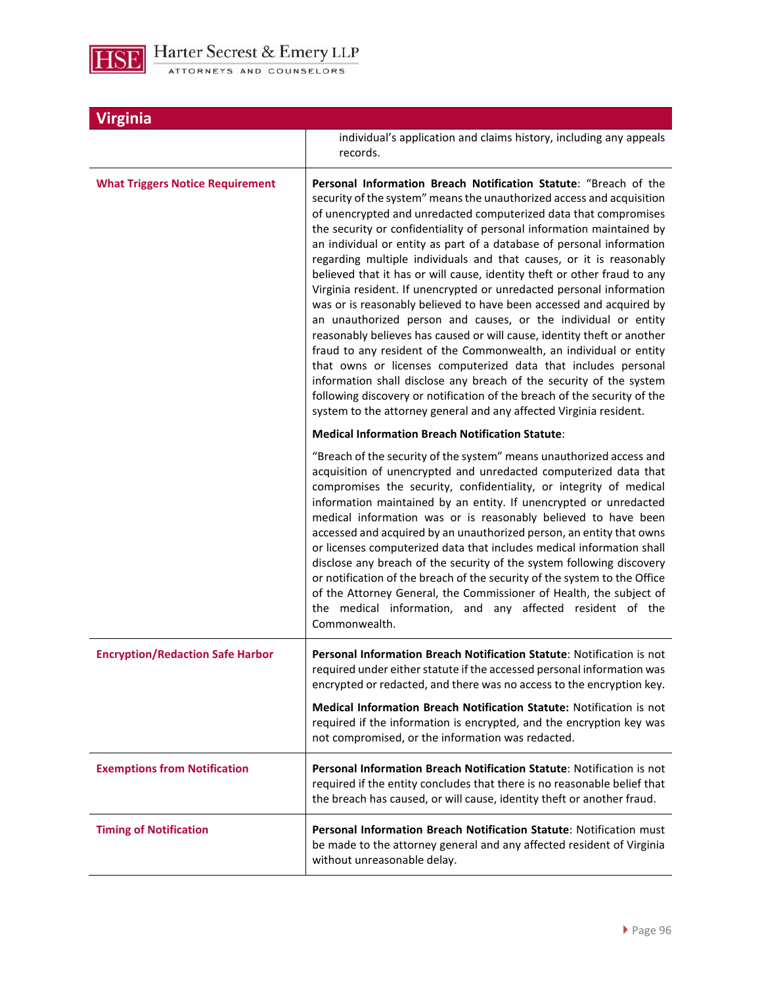

| Virginia                                |                                                                                                                                                                                                                                                                                                                                                                                                                                                                                                                                                                                                                                                                                                                                                                                                                                                                                                                                                                                                                                                                                                                                                                                 |
|-----------------------------------------|---------------------------------------------------------------------------------------------------------------------------------------------------------------------------------------------------------------------------------------------------------------------------------------------------------------------------------------------------------------------------------------------------------------------------------------------------------------------------------------------------------------------------------------------------------------------------------------------------------------------------------------------------------------------------------------------------------------------------------------------------------------------------------------------------------------------------------------------------------------------------------------------------------------------------------------------------------------------------------------------------------------------------------------------------------------------------------------------------------------------------------------------------------------------------------|
|                                         | individual's application and claims history, including any appeals<br>records.                                                                                                                                                                                                                                                                                                                                                                                                                                                                                                                                                                                                                                                                                                                                                                                                                                                                                                                                                                                                                                                                                                  |
| <b>What Triggers Notice Requirement</b> | Personal Information Breach Notification Statute: "Breach of the<br>security of the system" means the unauthorized access and acquisition<br>of unencrypted and unredacted computerized data that compromises<br>the security or confidentiality of personal information maintained by<br>an individual or entity as part of a database of personal information<br>regarding multiple individuals and that causes, or it is reasonably<br>believed that it has or will cause, identity theft or other fraud to any<br>Virginia resident. If unencrypted or unredacted personal information<br>was or is reasonably believed to have been accessed and acquired by<br>an unauthorized person and causes, or the individual or entity<br>reasonably believes has caused or will cause, identity theft or another<br>fraud to any resident of the Commonwealth, an individual or entity<br>that owns or licenses computerized data that includes personal<br>information shall disclose any breach of the security of the system<br>following discovery or notification of the breach of the security of the<br>system to the attorney general and any affected Virginia resident. |
|                                         | <b>Medical Information Breach Notification Statute:</b>                                                                                                                                                                                                                                                                                                                                                                                                                                                                                                                                                                                                                                                                                                                                                                                                                                                                                                                                                                                                                                                                                                                         |
|                                         | "Breach of the security of the system" means unauthorized access and<br>acquisition of unencrypted and unredacted computerized data that<br>compromises the security, confidentiality, or integrity of medical<br>information maintained by an entity. If unencrypted or unredacted<br>medical information was or is reasonably believed to have been<br>accessed and acquired by an unauthorized person, an entity that owns<br>or licenses computerized data that includes medical information shall<br>disclose any breach of the security of the system following discovery<br>or notification of the breach of the security of the system to the Office<br>of the Attorney General, the Commissioner of Health, the subject of<br>the medical information, and any affected resident of the<br>Commonwealth.                                                                                                                                                                                                                                                                                                                                                               |
| <b>Encryption/Redaction Safe Harbor</b> | Personal Information Breach Notification Statute: Notification is not<br>required under either statute if the accessed personal information was<br>encrypted or redacted, and there was no access to the encryption key.                                                                                                                                                                                                                                                                                                                                                                                                                                                                                                                                                                                                                                                                                                                                                                                                                                                                                                                                                        |
|                                         | Medical Information Breach Notification Statute: Notification is not<br>required if the information is encrypted, and the encryption key was<br>not compromised, or the information was redacted.                                                                                                                                                                                                                                                                                                                                                                                                                                                                                                                                                                                                                                                                                                                                                                                                                                                                                                                                                                               |
| <b>Exemptions from Notification</b>     | Personal Information Breach Notification Statute: Notification is not<br>required if the entity concludes that there is no reasonable belief that<br>the breach has caused, or will cause, identity theft or another fraud.                                                                                                                                                                                                                                                                                                                                                                                                                                                                                                                                                                                                                                                                                                                                                                                                                                                                                                                                                     |
| <b>Timing of Notification</b>           | Personal Information Breach Notification Statute: Notification must<br>be made to the attorney general and any affected resident of Virginia<br>without unreasonable delay.                                                                                                                                                                                                                                                                                                                                                                                                                                                                                                                                                                                                                                                                                                                                                                                                                                                                                                                                                                                                     |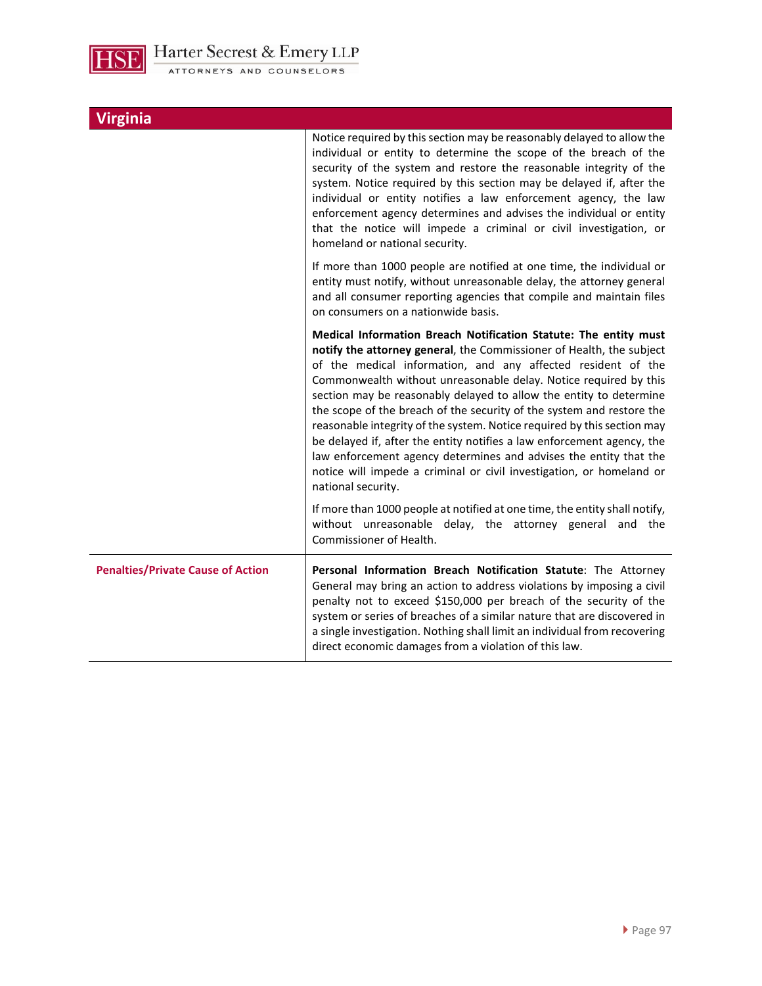

| <b>Virginia</b>                          |                                                                                                                                                                                                                                                                                                                                                                                                                                                                                                                                                                                                                                                                                                                                                     |
|------------------------------------------|-----------------------------------------------------------------------------------------------------------------------------------------------------------------------------------------------------------------------------------------------------------------------------------------------------------------------------------------------------------------------------------------------------------------------------------------------------------------------------------------------------------------------------------------------------------------------------------------------------------------------------------------------------------------------------------------------------------------------------------------------------|
|                                          | Notice required by this section may be reasonably delayed to allow the<br>individual or entity to determine the scope of the breach of the<br>security of the system and restore the reasonable integrity of the<br>system. Notice required by this section may be delayed if, after the<br>individual or entity notifies a law enforcement agency, the law<br>enforcement agency determines and advises the individual or entity<br>that the notice will impede a criminal or civil investigation, or<br>homeland or national security.                                                                                                                                                                                                            |
|                                          | If more than 1000 people are notified at one time, the individual or<br>entity must notify, without unreasonable delay, the attorney general<br>and all consumer reporting agencies that compile and maintain files<br>on consumers on a nationwide basis.                                                                                                                                                                                                                                                                                                                                                                                                                                                                                          |
|                                          | Medical Information Breach Notification Statute: The entity must<br>notify the attorney general, the Commissioner of Health, the subject<br>of the medical information, and any affected resident of the<br>Commonwealth without unreasonable delay. Notice required by this<br>section may be reasonably delayed to allow the entity to determine<br>the scope of the breach of the security of the system and restore the<br>reasonable integrity of the system. Notice required by this section may<br>be delayed if, after the entity notifies a law enforcement agency, the<br>law enforcement agency determines and advises the entity that the<br>notice will impede a criminal or civil investigation, or homeland or<br>national security. |
|                                          | If more than 1000 people at notified at one time, the entity shall notify,<br>without unreasonable delay, the attorney general and the<br>Commissioner of Health.                                                                                                                                                                                                                                                                                                                                                                                                                                                                                                                                                                                   |
| <b>Penalties/Private Cause of Action</b> | Personal Information Breach Notification Statute: The Attorney<br>General may bring an action to address violations by imposing a civil<br>penalty not to exceed \$150,000 per breach of the security of the<br>system or series of breaches of a similar nature that are discovered in<br>a single investigation. Nothing shall limit an individual from recovering<br>direct economic damages from a violation of this law.                                                                                                                                                                                                                                                                                                                       |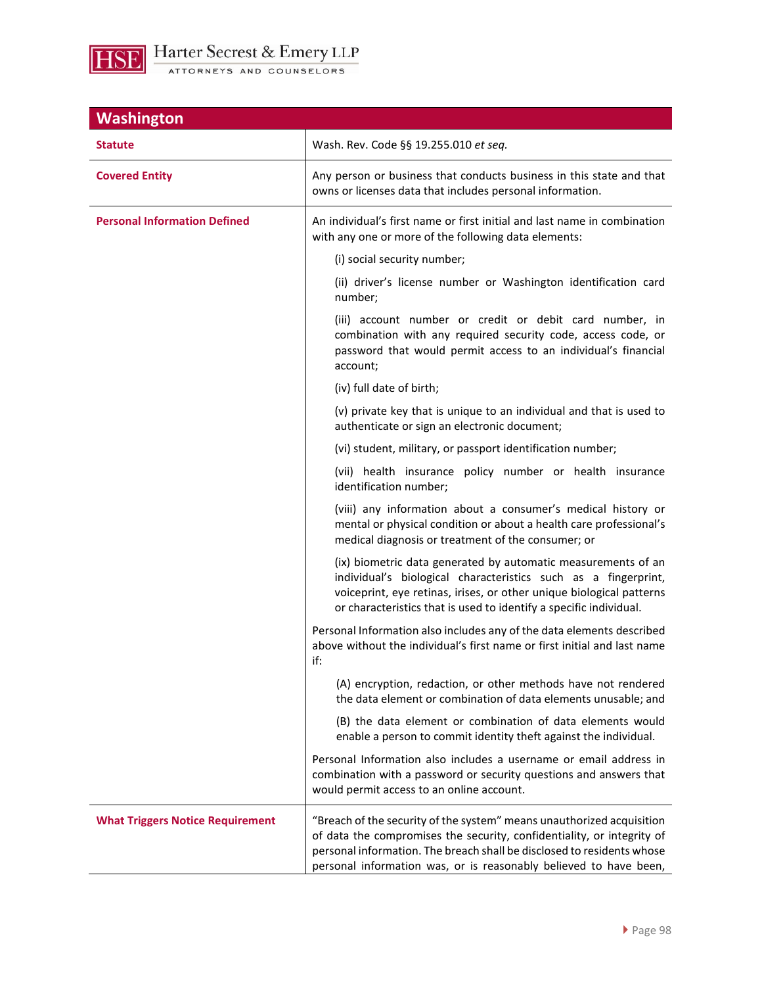

| <b>Washington</b>                       |                                                                                                                                                                                                                                                                                                |
|-----------------------------------------|------------------------------------------------------------------------------------------------------------------------------------------------------------------------------------------------------------------------------------------------------------------------------------------------|
| Statute                                 | Wash. Rev. Code §§ 19.255.010 et seq.                                                                                                                                                                                                                                                          |
| <b>Covered Entity</b>                   | Any person or business that conducts business in this state and that<br>owns or licenses data that includes personal information.                                                                                                                                                              |
| <b>Personal Information Defined</b>     | An individual's first name or first initial and last name in combination<br>with any one or more of the following data elements:                                                                                                                                                               |
|                                         | (i) social security number;                                                                                                                                                                                                                                                                    |
|                                         | (ii) driver's license number or Washington identification card<br>number;                                                                                                                                                                                                                      |
|                                         | (iii) account number or credit or debit card number, in<br>combination with any required security code, access code, or<br>password that would permit access to an individual's financial<br>account;                                                                                          |
|                                         | (iv) full date of birth;                                                                                                                                                                                                                                                                       |
|                                         | (v) private key that is unique to an individual and that is used to<br>authenticate or sign an electronic document;                                                                                                                                                                            |
|                                         | (vi) student, military, or passport identification number;                                                                                                                                                                                                                                     |
|                                         | (vii) health insurance policy number or health insurance<br>identification number;                                                                                                                                                                                                             |
|                                         | (viii) any information about a consumer's medical history or<br>mental or physical condition or about a health care professional's<br>medical diagnosis or treatment of the consumer; or                                                                                                       |
|                                         | (ix) biometric data generated by automatic measurements of an<br>individual's biological characteristics such as a fingerprint,<br>voiceprint, eye retinas, irises, or other unique biological patterns<br>or characteristics that is used to identify a specific individual.                  |
|                                         | Personal Information also includes any of the data elements described<br>above without the individual's first name or first initial and last name<br>if:                                                                                                                                       |
|                                         | (A) encryption, redaction, or other methods have not rendered<br>the data element or combination of data elements unusable; and                                                                                                                                                                |
|                                         | (B) the data element or combination of data elements would<br>enable a person to commit identity theft against the individual.                                                                                                                                                                 |
|                                         | Personal Information also includes a username or email address in<br>combination with a password or security questions and answers that<br>would permit access to an online account.                                                                                                           |
| <b>What Triggers Notice Requirement</b> | "Breach of the security of the system" means unauthorized acquisition<br>of data the compromises the security, confidentiality, or integrity of<br>personal information. The breach shall be disclosed to residents whose<br>personal information was, or is reasonably believed to have been, |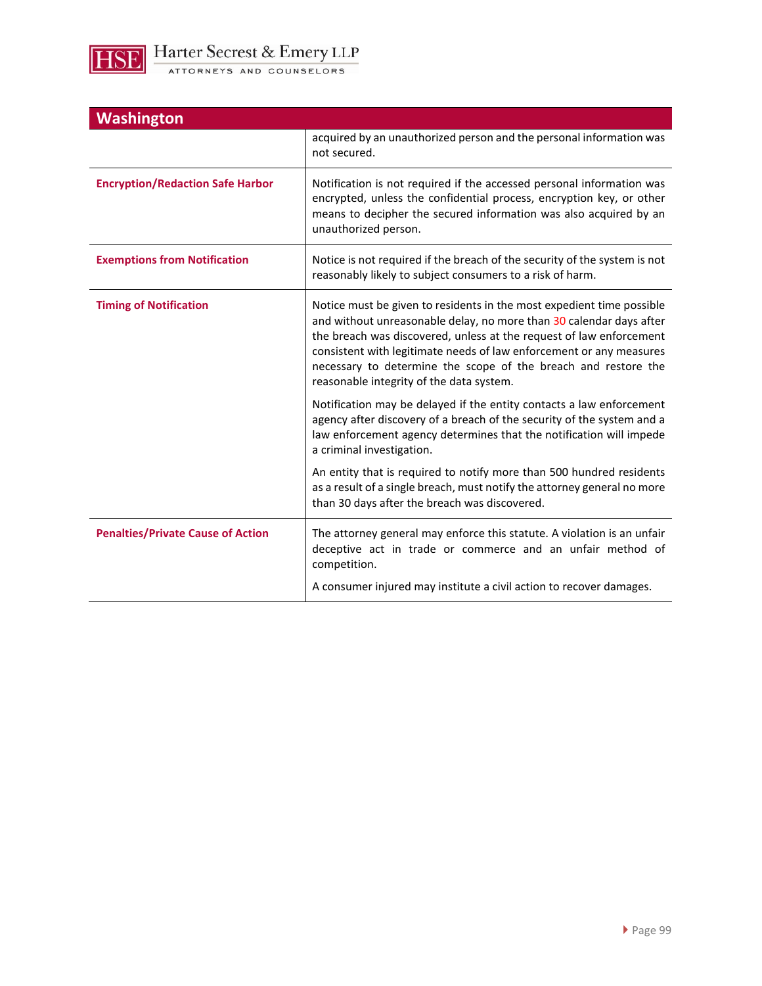

| <b>Washington</b>                        |                                                                                                                                                                                                                                                                                                                                                                                                          |
|------------------------------------------|----------------------------------------------------------------------------------------------------------------------------------------------------------------------------------------------------------------------------------------------------------------------------------------------------------------------------------------------------------------------------------------------------------|
|                                          | acquired by an unauthorized person and the personal information was<br>not secured.                                                                                                                                                                                                                                                                                                                      |
| <b>Encryption/Redaction Safe Harbor</b>  | Notification is not required if the accessed personal information was<br>encrypted, unless the confidential process, encryption key, or other<br>means to decipher the secured information was also acquired by an<br>unauthorized person.                                                                                                                                                               |
| <b>Exemptions from Notification</b>      | Notice is not required if the breach of the security of the system is not<br>reasonably likely to subject consumers to a risk of harm.                                                                                                                                                                                                                                                                   |
| <b>Timing of Notification</b>            | Notice must be given to residents in the most expedient time possible<br>and without unreasonable delay, no more than 30 calendar days after<br>the breach was discovered, unless at the request of law enforcement<br>consistent with legitimate needs of law enforcement or any measures<br>necessary to determine the scope of the breach and restore the<br>reasonable integrity of the data system. |
|                                          | Notification may be delayed if the entity contacts a law enforcement<br>agency after discovery of a breach of the security of the system and a<br>law enforcement agency determines that the notification will impede<br>a criminal investigation.                                                                                                                                                       |
|                                          | An entity that is required to notify more than 500 hundred residents<br>as a result of a single breach, must notify the attorney general no more<br>than 30 days after the breach was discovered.                                                                                                                                                                                                        |
| <b>Penalties/Private Cause of Action</b> | The attorney general may enforce this statute. A violation is an unfair<br>deceptive act in trade or commerce and an unfair method of<br>competition.                                                                                                                                                                                                                                                    |
|                                          | A consumer injured may institute a civil action to recover damages.                                                                                                                                                                                                                                                                                                                                      |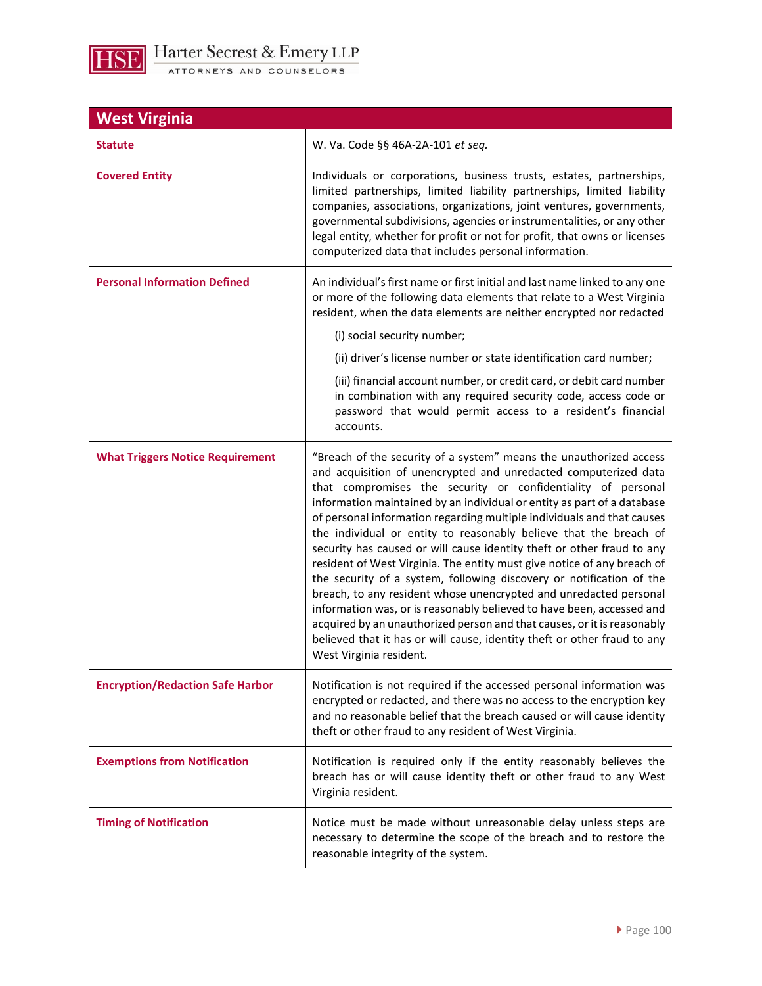

| <b>West Virginia</b>                    |                                                                                                                                                                                                                                                                                                                                                                                                                                                                                                                                                                                                                                                                                                                                                                                                                                                                                                                                                                                              |
|-----------------------------------------|----------------------------------------------------------------------------------------------------------------------------------------------------------------------------------------------------------------------------------------------------------------------------------------------------------------------------------------------------------------------------------------------------------------------------------------------------------------------------------------------------------------------------------------------------------------------------------------------------------------------------------------------------------------------------------------------------------------------------------------------------------------------------------------------------------------------------------------------------------------------------------------------------------------------------------------------------------------------------------------------|
| <b>Statute</b>                          | W. Va. Code §§ 46A-2A-101 et seq.                                                                                                                                                                                                                                                                                                                                                                                                                                                                                                                                                                                                                                                                                                                                                                                                                                                                                                                                                            |
| <b>Covered Entity</b>                   | Individuals or corporations, business trusts, estates, partnerships,<br>limited partnerships, limited liability partnerships, limited liability<br>companies, associations, organizations, joint ventures, governments,<br>governmental subdivisions, agencies or instrumentalities, or any other<br>legal entity, whether for profit or not for profit, that owns or licenses<br>computerized data that includes personal information.                                                                                                                                                                                                                                                                                                                                                                                                                                                                                                                                                      |
| <b>Personal Information Defined</b>     | An individual's first name or first initial and last name linked to any one<br>or more of the following data elements that relate to a West Virginia<br>resident, when the data elements are neither encrypted nor redacted<br>(i) social security number;<br>(ii) driver's license number or state identification card number;<br>(iii) financial account number, or credit card, or debit card number<br>in combination with any required security code, access code or<br>password that would permit access to a resident's financial<br>accounts.                                                                                                                                                                                                                                                                                                                                                                                                                                        |
| <b>What Triggers Notice Requirement</b> | "Breach of the security of a system" means the unauthorized access<br>and acquisition of unencrypted and unredacted computerized data<br>that compromises the security or confidentiality of personal<br>information maintained by an individual or entity as part of a database<br>of personal information regarding multiple individuals and that causes<br>the individual or entity to reasonably believe that the breach of<br>security has caused or will cause identity theft or other fraud to any<br>resident of West Virginia. The entity must give notice of any breach of<br>the security of a system, following discovery or notification of the<br>breach, to any resident whose unencrypted and unredacted personal<br>information was, or is reasonably believed to have been, accessed and<br>acquired by an unauthorized person and that causes, or it is reasonably<br>believed that it has or will cause, identity theft or other fraud to any<br>West Virginia resident. |
| <b>Encryption/Redaction Safe Harbor</b> | Notification is not required if the accessed personal information was<br>encrypted or redacted, and there was no access to the encryption key<br>and no reasonable belief that the breach caused or will cause identity<br>theft or other fraud to any resident of West Virginia.                                                                                                                                                                                                                                                                                                                                                                                                                                                                                                                                                                                                                                                                                                            |
| <b>Exemptions from Notification</b>     | Notification is required only if the entity reasonably believes the<br>breach has or will cause identity theft or other fraud to any West<br>Virginia resident.                                                                                                                                                                                                                                                                                                                                                                                                                                                                                                                                                                                                                                                                                                                                                                                                                              |
| <b>Timing of Notification</b>           | Notice must be made without unreasonable delay unless steps are<br>necessary to determine the scope of the breach and to restore the<br>reasonable integrity of the system.                                                                                                                                                                                                                                                                                                                                                                                                                                                                                                                                                                                                                                                                                                                                                                                                                  |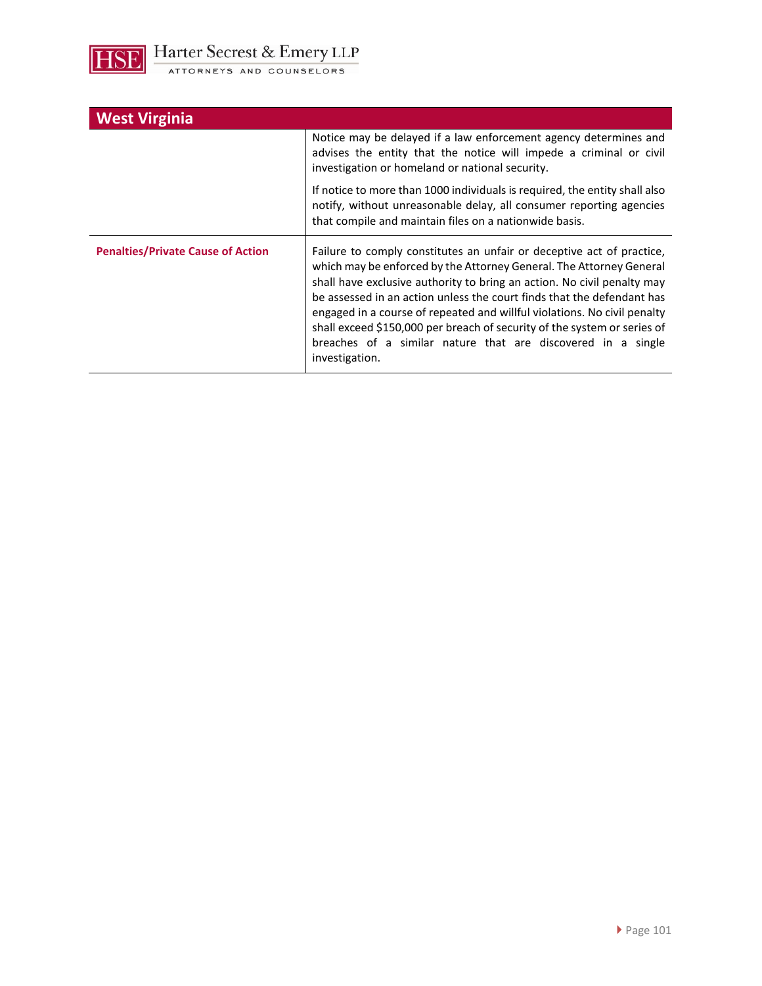

| <b>West Virginia</b>                     |                                                                                                                                                                                                                                                                                                                                                                                                                                                                                                                                             |
|------------------------------------------|---------------------------------------------------------------------------------------------------------------------------------------------------------------------------------------------------------------------------------------------------------------------------------------------------------------------------------------------------------------------------------------------------------------------------------------------------------------------------------------------------------------------------------------------|
|                                          | Notice may be delayed if a law enforcement agency determines and<br>advises the entity that the notice will impede a criminal or civil<br>investigation or homeland or national security.                                                                                                                                                                                                                                                                                                                                                   |
|                                          | If notice to more than 1000 individuals is required, the entity shall also<br>notify, without unreasonable delay, all consumer reporting agencies<br>that compile and maintain files on a nationwide basis.                                                                                                                                                                                                                                                                                                                                 |
| <b>Penalties/Private Cause of Action</b> | Failure to comply constitutes an unfair or deceptive act of practice,<br>which may be enforced by the Attorney General. The Attorney General<br>shall have exclusive authority to bring an action. No civil penalty may<br>be assessed in an action unless the court finds that the defendant has<br>engaged in a course of repeated and willful violations. No civil penalty<br>shall exceed \$150,000 per breach of security of the system or series of<br>breaches of a similar nature that are discovered in a single<br>investigation. |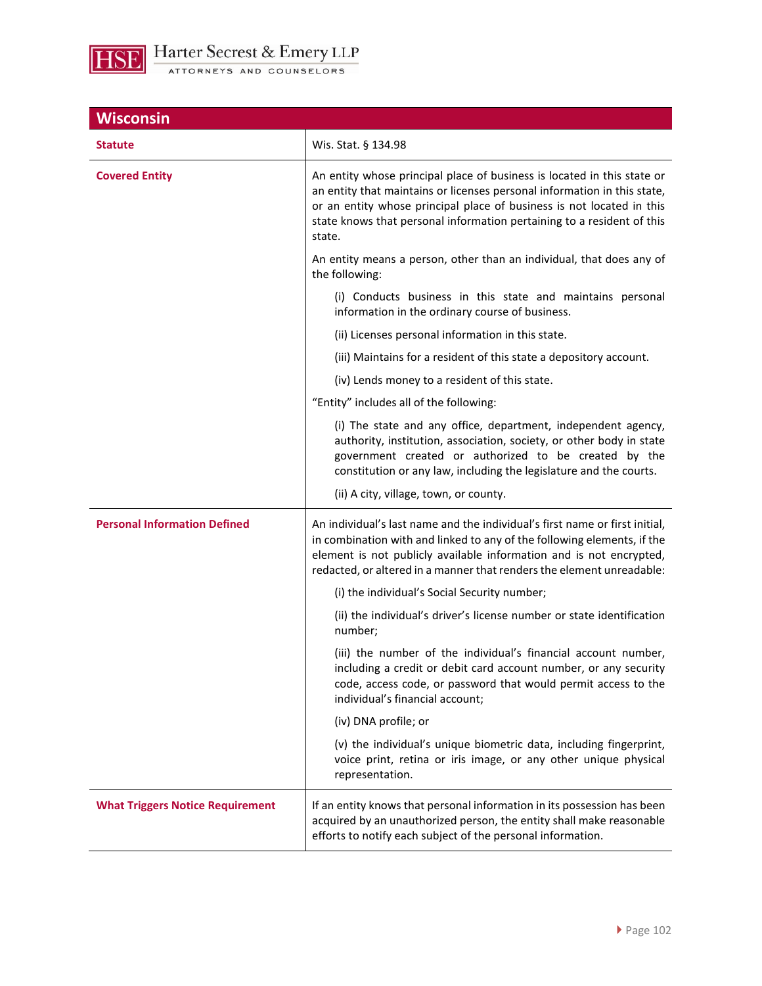

| <b>Wisconsin</b>                        |                                                                                                                                                                                                                                                                                                                  |
|-----------------------------------------|------------------------------------------------------------------------------------------------------------------------------------------------------------------------------------------------------------------------------------------------------------------------------------------------------------------|
| <b>Statute</b>                          | Wis. Stat. § 134.98                                                                                                                                                                                                                                                                                              |
| <b>Covered Entity</b>                   | An entity whose principal place of business is located in this state or<br>an entity that maintains or licenses personal information in this state,<br>or an entity whose principal place of business is not located in this<br>state knows that personal information pertaining to a resident of this<br>state. |
|                                         | An entity means a person, other than an individual, that does any of<br>the following:                                                                                                                                                                                                                           |
|                                         | (i) Conducts business in this state and maintains personal<br>information in the ordinary course of business.                                                                                                                                                                                                    |
|                                         | (ii) Licenses personal information in this state.                                                                                                                                                                                                                                                                |
|                                         | (iii) Maintains for a resident of this state a depository account.                                                                                                                                                                                                                                               |
|                                         | (iv) Lends money to a resident of this state.                                                                                                                                                                                                                                                                    |
|                                         | "Entity" includes all of the following:                                                                                                                                                                                                                                                                          |
|                                         | (i) The state and any office, department, independent agency,<br>authority, institution, association, society, or other body in state<br>government created or authorized to be created by the<br>constitution or any law, including the legislature and the courts.                                             |
|                                         | (ii) A city, village, town, or county.                                                                                                                                                                                                                                                                           |
| <b>Personal Information Defined</b>     | An individual's last name and the individual's first name or first initial,<br>in combination with and linked to any of the following elements, if the<br>element is not publicly available information and is not encrypted,<br>redacted, or altered in a manner that renders the element unreadable:           |
|                                         | (i) the individual's Social Security number;                                                                                                                                                                                                                                                                     |
|                                         | (ii) the individual's driver's license number or state identification<br>number;                                                                                                                                                                                                                                 |
|                                         | (iii) the number of the individual's financial account number,<br>including a credit or debit card account number, or any security<br>code, access code, or password that would permit access to the<br>individual's financial account;                                                                          |
|                                         | (iv) DNA profile; or                                                                                                                                                                                                                                                                                             |
|                                         | (v) the individual's unique biometric data, including fingerprint,<br>voice print, retina or iris image, or any other unique physical<br>representation.                                                                                                                                                         |
| <b>What Triggers Notice Requirement</b> | If an entity knows that personal information in its possession has been<br>acquired by an unauthorized person, the entity shall make reasonable<br>efforts to notify each subject of the personal information.                                                                                                   |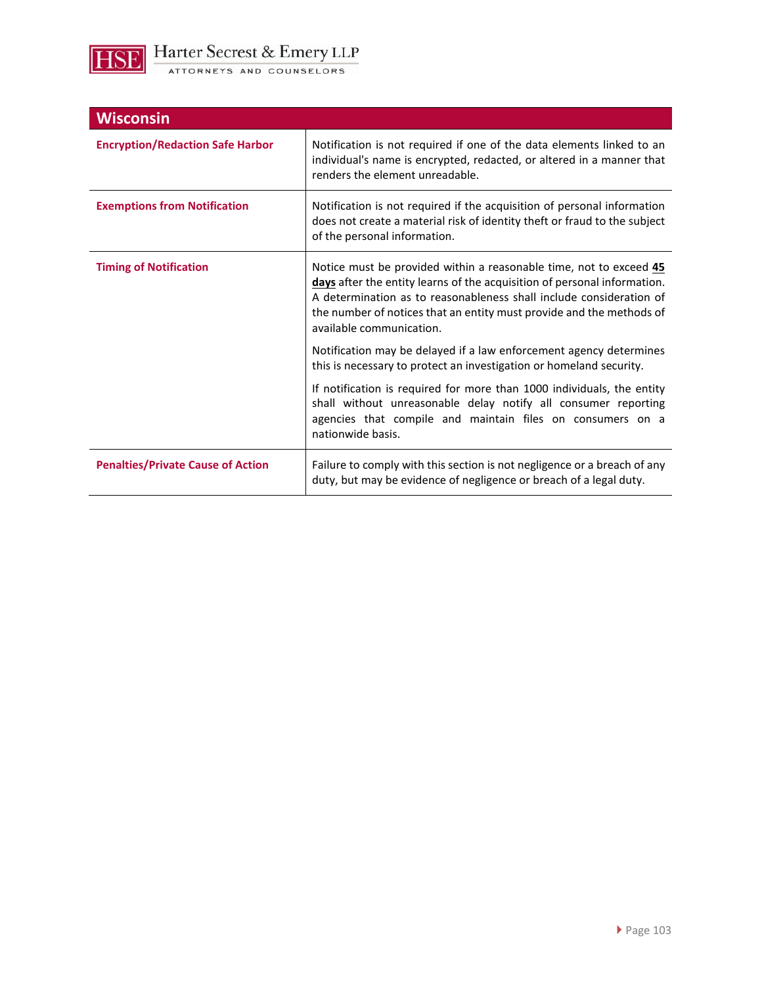

| <b>Wisconsin</b>                         |                                                                                                                                                                                                                                                                                                                           |
|------------------------------------------|---------------------------------------------------------------------------------------------------------------------------------------------------------------------------------------------------------------------------------------------------------------------------------------------------------------------------|
| <b>Encryption/Redaction Safe Harbor</b>  | Notification is not required if one of the data elements linked to an<br>individual's name is encrypted, redacted, or altered in a manner that<br>renders the element unreadable.                                                                                                                                         |
| <b>Exemptions from Notification</b>      | Notification is not required if the acquisition of personal information<br>does not create a material risk of identity theft or fraud to the subject<br>of the personal information.                                                                                                                                      |
| <b>Timing of Notification</b>            | Notice must be provided within a reasonable time, not to exceed 45<br>days after the entity learns of the acquisition of personal information.<br>A determination as to reasonableness shall include consideration of<br>the number of notices that an entity must provide and the methods of<br>available communication. |
|                                          | Notification may be delayed if a law enforcement agency determines<br>this is necessary to protect an investigation or homeland security.                                                                                                                                                                                 |
|                                          | If notification is required for more than 1000 individuals, the entity<br>shall without unreasonable delay notify all consumer reporting<br>agencies that compile and maintain files on consumers on a<br>nationwide basis.                                                                                               |
| <b>Penalties/Private Cause of Action</b> | Failure to comply with this section is not negligence or a breach of any<br>duty, but may be evidence of negligence or breach of a legal duty.                                                                                                                                                                            |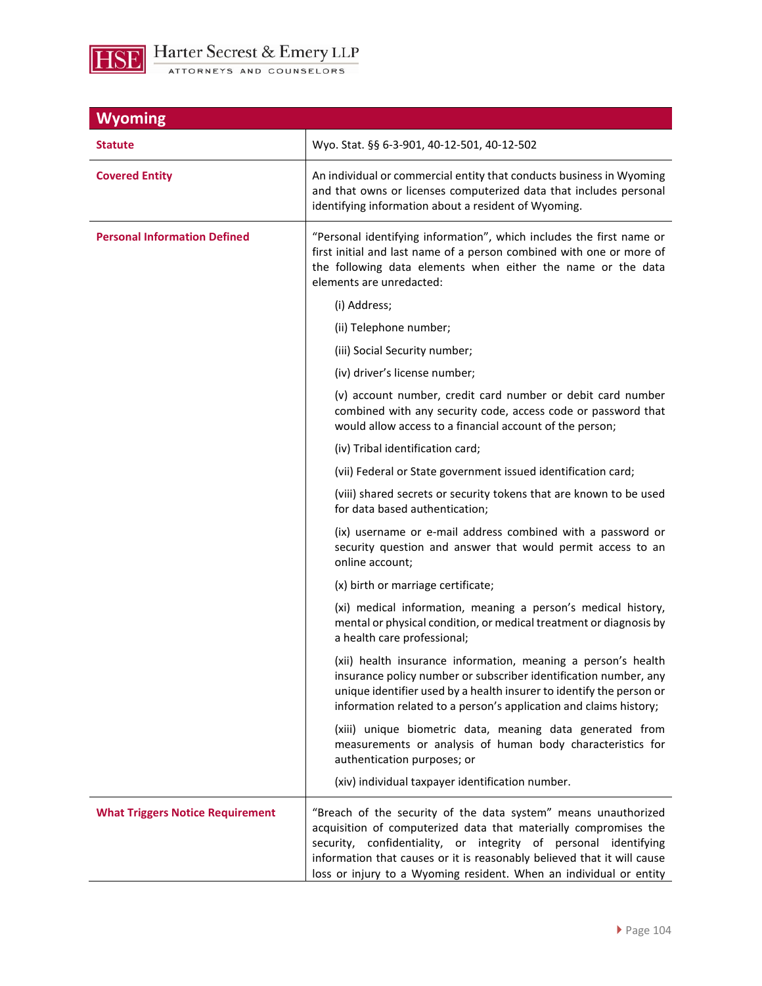

| <b>Wyoming</b>                          |                                                                                                                                                                                                                                                                                                                                                        |
|-----------------------------------------|--------------------------------------------------------------------------------------------------------------------------------------------------------------------------------------------------------------------------------------------------------------------------------------------------------------------------------------------------------|
| <b>Statute</b>                          | Wyo. Stat. §§ 6-3-901, 40-12-501, 40-12-502                                                                                                                                                                                                                                                                                                            |
| <b>Covered Entity</b>                   | An individual or commercial entity that conducts business in Wyoming<br>and that owns or licenses computerized data that includes personal<br>identifying information about a resident of Wyoming.                                                                                                                                                     |
| <b>Personal Information Defined</b>     | "Personal identifying information", which includes the first name or<br>first initial and last name of a person combined with one or more of<br>the following data elements when either the name or the data<br>elements are unredacted:                                                                                                               |
|                                         | (i) Address;                                                                                                                                                                                                                                                                                                                                           |
|                                         | (ii) Telephone number;                                                                                                                                                                                                                                                                                                                                 |
|                                         | (iii) Social Security number;                                                                                                                                                                                                                                                                                                                          |
|                                         | (iv) driver's license number;                                                                                                                                                                                                                                                                                                                          |
|                                         | (v) account number, credit card number or debit card number<br>combined with any security code, access code or password that<br>would allow access to a financial account of the person;                                                                                                                                                               |
|                                         | (iv) Tribal identification card;                                                                                                                                                                                                                                                                                                                       |
|                                         | (vii) Federal or State government issued identification card;                                                                                                                                                                                                                                                                                          |
|                                         | (viii) shared secrets or security tokens that are known to be used<br>for data based authentication;                                                                                                                                                                                                                                                   |
|                                         | (ix) username or e-mail address combined with a password or<br>security question and answer that would permit access to an<br>online account;                                                                                                                                                                                                          |
|                                         | (x) birth or marriage certificate;                                                                                                                                                                                                                                                                                                                     |
|                                         | (xi) medical information, meaning a person's medical history,<br>mental or physical condition, or medical treatment or diagnosis by<br>a health care professional;                                                                                                                                                                                     |
|                                         | (xii) health insurance information, meaning a person's health<br>insurance policy number or subscriber identification number, any<br>unique identifier used by a health insurer to identify the person or<br>information related to a person's application and claims history;                                                                         |
|                                         | (xiii) unique biometric data, meaning data generated from<br>measurements or analysis of human body characteristics for<br>authentication purposes; or                                                                                                                                                                                                 |
|                                         | (xiv) individual taxpayer identification number.                                                                                                                                                                                                                                                                                                       |
| <b>What Triggers Notice Requirement</b> | "Breach of the security of the data system" means unauthorized<br>acquisition of computerized data that materially compromises the<br>security, confidentiality, or integrity of personal identifying<br>information that causes or it is reasonably believed that it will cause<br>loss or injury to a Wyoming resident. When an individual or entity |